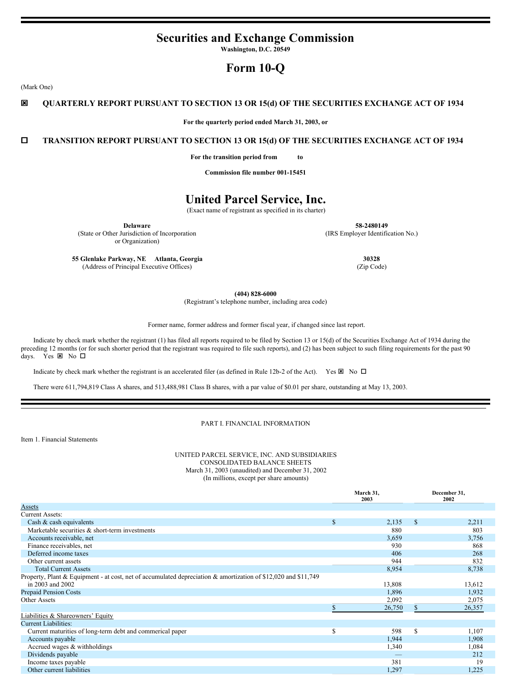## **Securities and Exchange Commission**

**Washington, D.C. 20549**

## **Form 10-Q**

(Mark One)

## ý **QUARTERLY REPORT PURSUANT TO SECTION 13 OR 15(d) OF THE SECURITIES EXCHANGE ACT OF 1934**

**For the quarterly period ended March 31, 2003, or**

## o **TRANSITION REPORT PURSUANT TO SECTION 13 OR 15(d) OF THE SECURITIES EXCHANGE ACT OF 1934**

**For the transition period from to**

**Commission file number 001-15451**

## **United Parcel Service, Inc.**

(Exact name of registrant as specified in its charter)

**Delaware**

(State or Other Jurisdiction of Incorporation or Organization)

**58-2480149** (IRS Employer Identification No.)

**55 Glenlake Parkway, NE Atlanta, Georgia** (Address of Principal Executive Offices)

**30328** (Zip Code)

**(404) 828-6000**

(Registrant's telephone number, including area code)

Former name, former address and former fiscal year, if changed since last report.

Indicate by check mark whether the registrant (1) has filed all reports required to be filed by Section 13 or 15(d) of the Securities Exchange Act of 1934 during the preceding 12 months (or for such shorter period that the registrant was required to file such reports), and (2) has been subject to such filing requirements for the past 90 days. Yes  $\boxtimes$  No  $\square$ 

Indicate by check mark whether the registrant is an accelerated filer (as defined in Rule 12b-2 of the Act). Yes  $\boxtimes$  No  $\Box$ 

There were 611,794,819 Class A shares, and 513,488,981 Class B shares, with a par value of \$0.01 per share, outstanding at May 13, 2003.

#### PART I. FINANCIAL INFORMATION

Item 1. Financial Statements

UNITED PARCEL SERVICE, INC. AND SUBSIDIARIES CONSOLIDATED BALANCE SHEETS March 31, 2003 (unaudited) and December 31, 2002 (In millions, except per share amounts)

|                                                                                                                |    | March 31,<br>2003 |              | December 31,<br>2002 |
|----------------------------------------------------------------------------------------------------------------|----|-------------------|--------------|----------------------|
| Assets                                                                                                         |    |                   |              |                      |
| <b>Current Assets:</b>                                                                                         |    |                   |              |                      |
| Cash & cash equivalents                                                                                        | \$ | 2,135             | $\mathbb{S}$ | 2,211                |
| Marketable securities & short-term investments                                                                 |    | 880               |              | 803                  |
| Accounts receivable, net                                                                                       |    | 3,659             |              | 3,756                |
| Finance receivables, net                                                                                       |    | 930               |              | 868                  |
| Deferred income taxes                                                                                          |    | 406               |              | 268                  |
| Other current assets                                                                                           |    | 944               |              | 832                  |
| <b>Total Current Assets</b>                                                                                    |    | 8,954             |              | 8,738                |
| Property, Plant & Equipment - at cost, net of accumulated depreciation & amortization of \$12,020 and \$11,749 |    |                   |              |                      |
| in 2003 and 2002                                                                                               |    | 13,808            |              | 13,612               |
| <b>Prepaid Pension Costs</b>                                                                                   |    | 1,896             |              | 1,932                |
| Other Assets                                                                                                   |    | 2,092             |              | 2,075                |
|                                                                                                                |    | 26,750            |              | 26,357               |
| Liabilities & Shareowners' Equity                                                                              |    |                   |              |                      |
| <b>Current Liabilities:</b>                                                                                    |    |                   |              |                      |
| Current maturities of long-term debt and commerical paper                                                      | S  | 598               | S            | 1,107                |
| Accounts payable                                                                                               |    | 1,944             |              | 1,908                |
| Accrued wages & withholdings                                                                                   |    | 1,340             |              | 1,084                |
| Dividends payable                                                                                              |    |                   |              | 212                  |
| Income taxes payable                                                                                           |    | 381               |              | 19                   |
| Other current liabilities                                                                                      |    | 1,297             |              | 1,225                |
|                                                                                                                |    |                   |              |                      |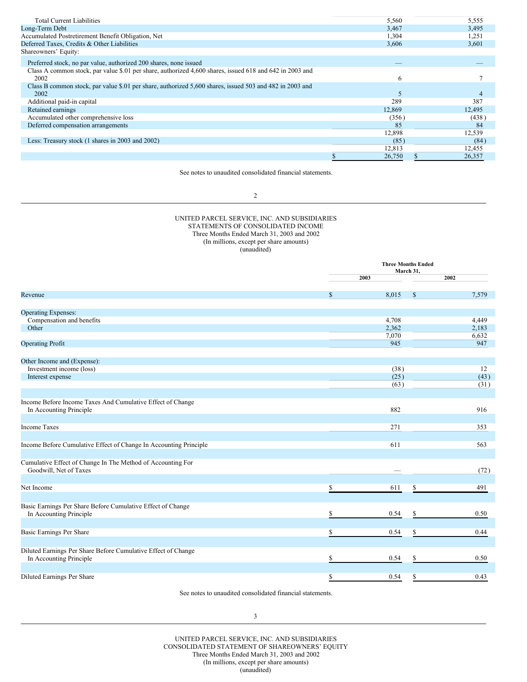| <b>Total Current Liabilities</b>                                                                         | 5,560  | 5,555  |
|----------------------------------------------------------------------------------------------------------|--------|--------|
| Long-Term Debt                                                                                           | 3,467  | 3,495  |
|                                                                                                          |        |        |
| Accumulated Postretirement Benefit Obligation, Net                                                       | 1,304  | 1,251  |
| Deferred Taxes, Credits & Other Liabilities                                                              | 3,606  | 3,601  |
| Shareowners' Equity:                                                                                     |        |        |
| Preferred stock, no par value, authorized 200 shares, none issued                                        |        |        |
| Class A common stock, par value \$.01 per share, authorized 4,600 shares, issued 618 and 642 in 2003 and |        |        |
| 2002                                                                                                     | 6      |        |
| Class B common stock, par value \$.01 per share, authorized 5,600 shares, issued 503 and 482 in 2003 and |        |        |
| 2002                                                                                                     | 5      |        |
| Additional paid-in capital                                                                               | 289    | 387    |
| Retained earnings                                                                                        | 12,869 | 12,495 |
| Accumulated other comprehensive loss                                                                     | (356)  | (438)  |
| Deferred compensation arrangements                                                                       | 85     | 84     |
|                                                                                                          | 12,898 | 12,539 |
| Less: Treasury stock (1 shares in 2003 and 2002)                                                         | (85)   | (84)   |
|                                                                                                          | 12,813 | 12,455 |
|                                                                                                          | 26,750 | 26,357 |
|                                                                                                          |        |        |

See notes to unaudited consolidated financial statements.

2

UNITED PARCEL SERVICE, INC. AND SUBSIDIARIES STATEMENTS OF CONSOLIDATED INCOME Three Months Ended March 31, 2003 and 2002 (In millions, except per share amounts) (unaudited)

|                                                                                          |    | <b>Three Months Ended</b><br>March 31, |              |                    |  |  |
|------------------------------------------------------------------------------------------|----|----------------------------------------|--------------|--------------------|--|--|
|                                                                                          |    | 2003                                   |              | 2002               |  |  |
| Revenue                                                                                  | \$ | 8,015                                  | $\mathbb{S}$ | 7,579              |  |  |
| <b>Operating Expenses:</b>                                                               |    |                                        |              |                    |  |  |
| Compensation and benefits<br>Other                                                       |    | 4,708<br>2,362                         |              | 4,449<br>2,183     |  |  |
| <b>Operating Profit</b>                                                                  |    | 7,070<br>945                           |              | 6,632<br>947       |  |  |
| Other Income and (Expense):                                                              |    |                                        |              |                    |  |  |
| Investment income (loss)<br>Interest expense                                             |    | (38)<br>(25)<br>(63)                   |              | 12<br>(43)<br>(31) |  |  |
| Income Before Income Taxes And Cumulative Effect of Change<br>In Accounting Principle    |    | 882                                    |              | 916                |  |  |
| <b>Income Taxes</b>                                                                      |    | 271                                    |              | 353                |  |  |
| Income Before Cumulative Effect of Change In Accounting Principle                        |    | 611                                    |              | 563                |  |  |
| Cumulative Effect of Change In The Method of Accounting For<br>Goodwill, Net of Taxes    |    |                                        |              | (72)               |  |  |
| Net Income                                                                               | Ŝ  | 611                                    | \$           | 491                |  |  |
| Basic Earnings Per Share Before Cumulative Effect of Change<br>In Accounting Principle   | Ś  | 0.54                                   | S            | 0.50               |  |  |
| Basic Earnings Per Share                                                                 |    | 0.54                                   | S            | 0.44               |  |  |
| Diluted Earnings Per Share Before Cumulative Effect of Change<br>In Accounting Principle | ς  | 0.54                                   | \$           | 0.50               |  |  |
| Diluted Earnings Per Share                                                               | \$ | 0.54                                   | S            | 0.43               |  |  |

See notes to unaudited consolidated financial statements.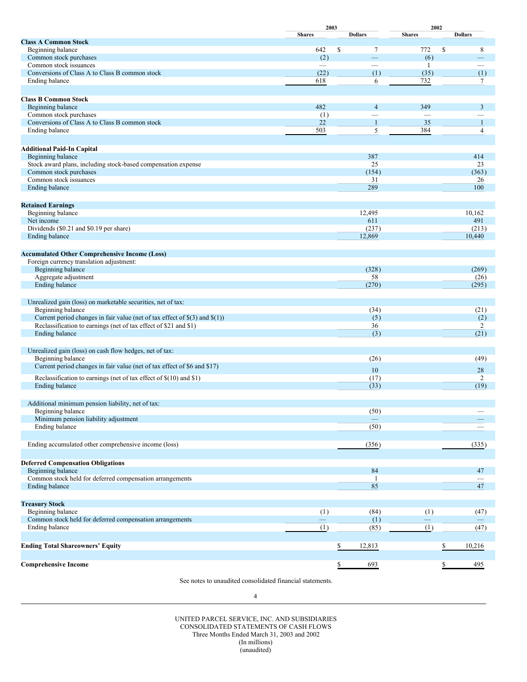|                                                                                               | 2003<br><b>Shares</b>    | <b>Dollars</b>           | 2002<br><b>Shares</b>    | <b>Dollars</b> |
|-----------------------------------------------------------------------------------------------|--------------------------|--------------------------|--------------------------|----------------|
| <b>Class A Common Stock</b>                                                                   |                          |                          |                          |                |
| Beginning balance                                                                             | 642                      | \$<br>$\tau$             | \$<br>772                | 8              |
| Common stock purchases                                                                        | (2)                      |                          | (6)                      |                |
| Common stock issuances                                                                        |                          |                          | 1                        |                |
| Conversions of Class A to Class B common stock                                                | (22)                     | (1)                      | (35)                     | (1)            |
| Ending balance                                                                                | 618                      | 6                        | 732                      | $\tau$         |
|                                                                                               |                          |                          |                          |                |
| <b>Class B Common Stock</b>                                                                   |                          |                          |                          |                |
| Beginning balance                                                                             | 482                      | $\overline{4}$           | 349                      | 3              |
| Common stock purchases<br>Conversions of Class A to Class B common stock                      | (1)                      | $\overline{\phantom{0}}$ | $\overline{\phantom{0}}$ |                |
|                                                                                               | 22<br>503                | $\mathbf{1}$<br>5        | 35<br>384                | $\mathbf{1}$   |
| Ending balance                                                                                |                          |                          |                          | 4              |
|                                                                                               |                          |                          |                          |                |
| <b>Additional Paid-In Capital</b><br>Beginning balance                                        |                          | 387                      |                          | 414            |
| Stock award plans, including stock-based compensation expense                                 |                          | 25                       |                          | 23             |
| Common stock purchases                                                                        |                          | (154)                    |                          | (363)          |
| Common stock issuances                                                                        |                          | 31                       |                          | 26             |
| Ending balance                                                                                |                          | 289                      |                          | 100            |
|                                                                                               |                          |                          |                          |                |
| <b>Retained Earnings</b>                                                                      |                          |                          |                          |                |
| Beginning balance                                                                             |                          | 12,495                   |                          | 10,162         |
| Net income                                                                                    |                          | 611                      |                          | 491            |
| Dividends (\$0.21 and \$0.19 per share)                                                       |                          | (237)                    |                          | (213)          |
| Ending balance                                                                                |                          | 12,869                   |                          | 10,440         |
|                                                                                               |                          |                          |                          |                |
| <b>Accumulated Other Comprehensive Income (Loss)</b>                                          |                          |                          |                          |                |
| Foreign currency translation adjustment:                                                      |                          |                          |                          |                |
| Beginning balance                                                                             |                          | (328)                    |                          | (269)          |
| Aggregate adjustment                                                                          |                          | 58                       |                          | (26)           |
| Ending balance                                                                                |                          | (270)                    |                          | (295)          |
|                                                                                               |                          |                          |                          |                |
| Unrealized gain (loss) on marketable securities, net of tax:                                  |                          |                          |                          |                |
| Beginning balance                                                                             |                          | (34)                     |                          | (21)           |
| Current period changes in fair value (net of tax effect of $\S(3)$ and $\S(1)$ )              |                          | (5)                      |                          | (2)            |
| Reclassification to earnings (net of tax effect of \$21 and \$1)                              |                          | 36                       |                          | 2              |
| Ending balance                                                                                |                          | (3)                      |                          | (21)           |
|                                                                                               |                          |                          |                          |                |
| Unrealized gain (loss) on cash flow hedges, net of tax:                                       |                          |                          |                          |                |
| Beginning balance<br>Current period changes in fair value (net of tax effect of \$6 and \$17) |                          | (26)                     |                          | (49)           |
|                                                                                               |                          | 10                       |                          | 28             |
| Reclassification to earnings (net of tax effect of $$(10)$ and $$1)$ )                        |                          | (17)                     |                          | 2              |
| Ending balance                                                                                |                          | (33)                     |                          | (19)           |
|                                                                                               |                          |                          |                          |                |
| Additional minimum pension liability, net of tax:                                             |                          |                          |                          |                |
| Beginning balance                                                                             |                          | (50)                     |                          |                |
| Minimum pension liability adjustment                                                          |                          |                          |                          |                |
| Ending balance                                                                                |                          | (50)                     |                          |                |
|                                                                                               |                          |                          |                          |                |
| Ending accumulated other comprehensive income (loss)                                          |                          | (356)                    |                          | (335)          |
|                                                                                               |                          |                          |                          |                |
| <b>Deferred Compensation Obligations</b>                                                      |                          |                          |                          |                |
| Beginning balance                                                                             |                          | 84                       |                          | 47             |
| Common stock held for deferred compensation arrangements                                      |                          | -1<br>85                 |                          |                |
| Ending balance                                                                                |                          |                          |                          | $47\,$         |
|                                                                                               |                          |                          |                          |                |
| <b>Treasury Stock</b>                                                                         |                          |                          |                          |                |
| Beginning balance<br>Common stock held for deferred compensation arrangements                 | (1)                      | (84)                     | (1)                      | (47)           |
| Ending balance                                                                                | $\qquad \qquad -$<br>(1) | (1)<br>(85)              | $\qquad \qquad -$<br>(1) | (47)           |
|                                                                                               |                          |                          |                          |                |
|                                                                                               |                          |                          |                          |                |
| <b>Ending Total Shareowners' Equity</b>                                                       |                          | 12,813<br>\$             | S                        | 10,216         |
|                                                                                               |                          |                          |                          |                |
| <b>Comprehensive Income</b>                                                                   |                          | 693<br>\$                |                          | 495            |
|                                                                                               |                          |                          |                          |                |

See notes to unaudited consolidated financial statements.

UNITED PARCEL SERVICE, INC. AND SUBSIDIARIES CONSOLIDATED STATEMENTS OF CASH FLOWS Three Months Ended March 31, 2003 and 2002 (In millions) (unaudited)

<sup>4</sup>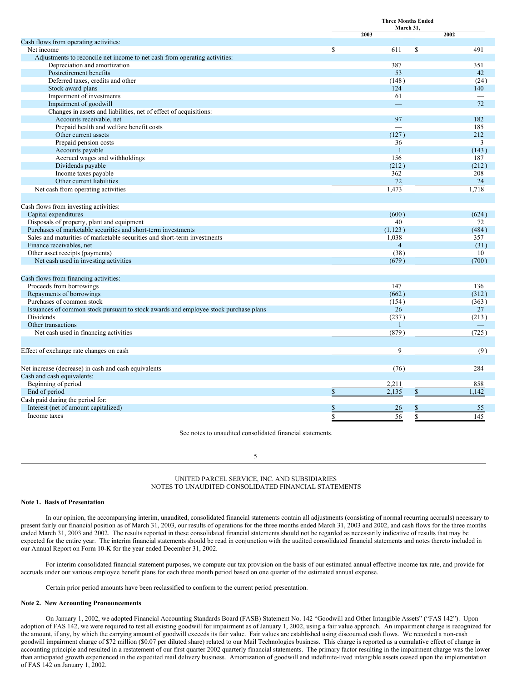|                                                                                      | <b>Three Months Ended</b><br>March 31, |                |    |       |
|--------------------------------------------------------------------------------------|----------------------------------------|----------------|----|-------|
|                                                                                      |                                        | 2003           |    | 2002  |
| Cash flows from operating activities:                                                |                                        |                |    |       |
| Net income                                                                           | S                                      | 611            | \$ | 491   |
| Adjustments to reconcile net income to net cash from operating activities:           |                                        |                |    |       |
| Depreciation and amortization                                                        |                                        | 387            |    | 351   |
| Postretirement benefits                                                              |                                        | 53             |    | 42    |
| Deferred taxes, credits and other                                                    |                                        | (148)          |    | (24)  |
| Stock award plans                                                                    |                                        | 124            |    | 140   |
| Impairment of investments                                                            |                                        | 61             |    |       |
| Impairment of goodwill                                                               |                                        |                |    | 72    |
| Changes in assets and liabilities, net of effect of acquisitions:                    |                                        |                |    |       |
| Accounts receivable, net                                                             |                                        | 97             |    | 182   |
| Prepaid health and welfare benefit costs                                             |                                        |                |    | 185   |
| Other current assets                                                                 |                                        | (127)          |    | 212   |
| Prepaid pension costs                                                                |                                        | 36             |    | 3     |
| Accounts payable                                                                     |                                        | $\mathbf{1}$   |    | (143) |
| Accrued wages and withholdings                                                       |                                        | 156            |    | 187   |
| Dividends payable                                                                    |                                        | (212)          |    | (212) |
| Income taxes payable                                                                 |                                        | 362            |    | 208   |
| Other current liabilities                                                            |                                        | $72\,$         |    | 24    |
| Net cash from operating activities                                                   |                                        | 1,473          |    | 1,718 |
|                                                                                      |                                        |                |    |       |
| Cash flows from investing activities:                                                |                                        |                |    |       |
| Capital expenditures                                                                 |                                        | (600)          |    | (624) |
| Disposals of property, plant and equipment                                           |                                        | 40             |    | 72    |
| Purchases of marketable securities and short-term investments                        |                                        | (1,123)        |    | (484) |
| Sales and maturities of marketable securities and short-term investments             |                                        | 1,038          |    | 357   |
| Finance receivables, net                                                             |                                        | $\overline{4}$ |    | (31)  |
| Other asset receipts (payments)                                                      |                                        | (38)           |    | 10    |
| Net cash used in investing activities                                                |                                        | (679)          |    | (700) |
|                                                                                      |                                        |                |    |       |
| Cash flows from financing activities:                                                |                                        |                |    |       |
| Proceeds from borrowings                                                             |                                        | 147            |    | 136   |
| Repayments of borrowings                                                             |                                        | (662)          |    | (312) |
| Purchases of common stock                                                            |                                        | (154)          |    | (363) |
| Issuances of common stock pursuant to stock awards and employee stock purchase plans |                                        | 26             |    | 27    |
| Dividends                                                                            |                                        | (237)          |    | (213) |
| Other transactions                                                                   |                                        | $\mathbf{1}$   |    |       |
| Net cash used in financing activities                                                |                                        | (879)          |    | (725) |
|                                                                                      |                                        |                |    |       |
| Effect of exchange rate changes on cash                                              |                                        | 9              |    | (9)   |
|                                                                                      |                                        |                |    |       |
| Net increase (decrease) in cash and cash equivalents                                 |                                        | (76)           |    | 284   |
| Cash and cash equivalents:                                                           |                                        |                |    |       |
| Beginning of period                                                                  |                                        | 2,211          |    | 858   |
| End of period                                                                        | \$                                     | 2,135          | \$ | 1,142 |
| Cash paid during the period for:                                                     |                                        |                |    |       |
| Interest (net of amount capitalized)                                                 | \$                                     | 26             | \$ | 55    |
| Income taxes                                                                         | $\mathbf S$                            | 56             | \$ | 145   |
|                                                                                      |                                        |                |    |       |

See notes to unaudited consolidated financial statements.

5

#### UNITED PARCEL SERVICE, INC. AND SUBSIDIARIES NOTES TO UNAUDITED CONSOLIDATED FINANCIAL STATEMENTS

#### **Note 1. Basis of Presentation**

In our opinion, the accompanying interim, unaudited, consolidated financial statements contain all adjustments (consisting of normal recurring accruals) necessary to present fairly our financial position as of March 31, 2003, our results of operations for the three months ended March 31, 2003 and 2002, and cash flows for the three months ended March 31, 2003 and 2002. The results reported in these consolidated financial statements should not be regarded as necessarily indicative of results that may be expected for the entire year. The interim financial statements should be read in conjunction with the audited consolidated financial statements and notes thereto included in our Annual Report on Form 10-K for the year ended December 31, 2002.

For interim consolidated financial statement purposes, we compute our tax provision on the basis of our estimated annual effective income tax rate, and provide for accruals under our various employee benefit plans for each three month period based on one quarter of the estimated annual expense.

Certain prior period amounts have been reclassified to conform to the current period presentation.

#### **Note 2. New Accounting Pronouncements**

On January 1, 2002, we adopted Financial Accounting Standards Board (FASB) Statement No. 142 "Goodwill and Other Intangible Assets" ("FAS 142"). Upon adoption of FAS 142, we were required to test all existing goodwill for impairment as of January 1, 2002, using a fair value approach. An impairment charge is recognized for the amount, if any, by which the carrying amount of goodwill exceeds its fair value. Fair values are established using discounted cash flows. We recorded a non-cash goodwill impairment charge of \$72 million (\$0.07 per diluted share) related to our Mail Technologies business. This charge is reported as a cumulative effect of change in accounting principle and resulted in a restatement of our first quarter 2002 quarterly financial statements. The primary factor resulting in the impairment charge was the lower than anticipated growth experienced in the expedited mail delivery business. Amortization of goodwill and indefinite-lived intangible assets ceased upon the implementation of FAS 142 on January 1, 2002.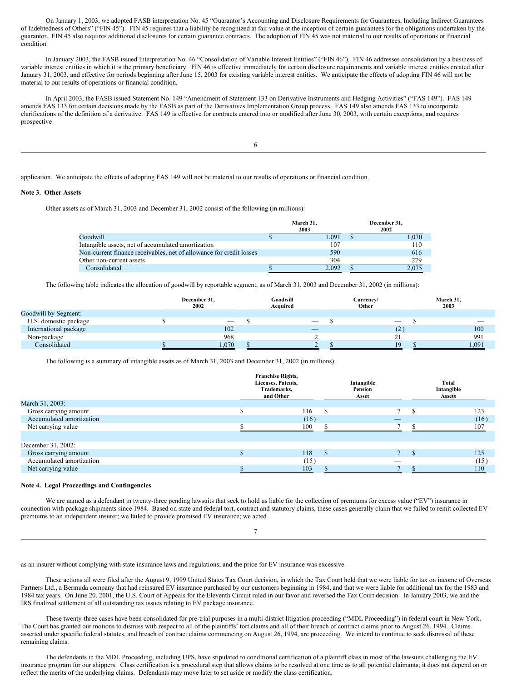On January 1, 2003, we adopted FASB interpretation No. 45 "Guarantor's Accounting and Disclosure Requirements for Guarantees, Including Indirect Guarantees of Indebtedness of Others" ("FIN 45"). FIN 45 requires that a liability be recognized at fair value at the inception of certain guarantees for the obligations undertaken by the guarantor. FIN 45 also requires additional disclosures for certain guarantee contracts. The adoption of FIN 45 was not material to our results of operations or financial condition.

In January 2003, the FASB issued Interpretation No. 46 "Consolidation of Variable Interest Entities" ("FIN 46"). FIN 46 addresses consolidation by a business of variable interest entities in which it is the primary beneficiary. FIN 46 is effective immediately for certain disclosure requirements and variable interest entities created after January 31, 2003, and effective for periods beginning after June 15, 2003 for existing variable interest entities. We anticipate the effects of adopting FIN 46 will not be material to our results of operations or financial condition.

In April 2003, the FASB issued Statement No. 149 "Amendment of Statement 133 on Derivative Instruments and Hedging Activities" ("FAS 149"). FAS 149 amends FAS 133 for certain decisions made by the FASB as part of the Derivatives Implementation Group process. FAS 149 also amends FAS 133 to incorporate clarifications of the definition of a derivative. FAS 149 is effective for contracts entered into or modified after June 30, 2003, with certain exceptions, and requires prospective

application. We anticipate the effects of adopting FAS 149 will not be material to our results of operations or financial condition.

#### **Note 3. Other Assets**

Other assets as of March 31, 2003 and December 31, 2002 consist of the following (in millions):

|                                                                     | March 31,<br>2003 |       | December 31.<br>2002 |
|---------------------------------------------------------------------|-------------------|-------|----------------------|
| Goodwill                                                            |                   | 1.091 | 1.070                |
| Intangible assets, net of accumulated amortization                  |                   | 107   | 110                  |
| Non-current finance receivables, net of allowance for credit losses |                   | 590   | 616                  |
| Other non-current assets                                            |                   | 304   | 279                  |
| Consolidated                                                        |                   | 2.092 | 2.075                |

The following table indicates the allocation of goodwill by reportable segment, as of March 31, 2003 and December 31, 2002 (in millions):

|                       | December 31.<br>2002 |                          | Goodwill<br>Acquired     | Currencv/<br>Other       | March 31,<br>2003 |
|-----------------------|----------------------|--------------------------|--------------------------|--------------------------|-------------------|
| Goodwill by Segment:  |                      |                          |                          |                          |                   |
| U.S. domestic package |                      | $\overline{\phantom{a}}$ |                          | $\overline{\phantom{a}}$ | $\sim$            |
| International package |                      | 102                      | $\overline{\phantom{a}}$ | ( Z                      | 100               |
| Non-package           |                      | 968                      |                          |                          | 991               |
| Consolidated          |                      | 1,070                    |                          | 19                       | 1,091             |

The following is a summary of intangible assets as of March 31, 2003 and December 31, 2002 (in millions):

| March 31, 2003:          | <b>Franchise Rights,</b><br>Licenses, Patents,<br>Trademarks,<br>and Other |      | Intangible<br>Pension<br>Asset |   | Total<br>Intangible<br>Assets |
|--------------------------|----------------------------------------------------------------------------|------|--------------------------------|---|-------------------------------|
|                          |                                                                            |      |                                |   |                               |
| Gross carrying amount    |                                                                            | 116  | -S                             |   | 123                           |
| Accumulated amortization |                                                                            | (16) |                                | _ | (16)                          |
| Net carrying value       |                                                                            | 100  |                                |   | 107                           |
|                          |                                                                            |      |                                |   |                               |
| December 31, 2002:       |                                                                            |      |                                |   |                               |
| Gross carrying amount    |                                                                            | 118  | $\mathcal{S}$                  |   | 125                           |
| Accumulated amortization |                                                                            | (15) |                                | _ | (15)                          |
| Net carrying value       |                                                                            | 103  |                                |   | 110                           |

#### **Note 4. Legal Proceedings and Contingencies**

We are named as a defendant in twenty-three pending lawsuits that seek to hold us liable for the collection of premiums for excess value ("EV") insurance in connection with package shipments since 1984. Based on state and federal tort, contract and statutory claims, these cases generally claim that we failed to remit collected EV premiums to an independent insurer; we failed to provide promised EV insurance; we acted

7

as an insurer without complying with state insurance laws and regulations; and the price for EV insurance was excessive.

These actions all were filed after the August 9, 1999 United States Tax Court decision, in which the Tax Court held that we were liable for tax on income of Overseas Partners Ltd., a Bermuda company that had reinsured EV insurance purchased by our customers beginning in 1984, and that we were liable for additional tax for the 1983 and 1984 tax years. On June 20, 2001, the U.S. Court of Appeals for the Eleventh Circuit ruled in our favor and reversed the Tax Court decision. In January 2003, we and the IRS finalized settlement of all outstanding tax issues relating to EV package insurance.

These twenty-three cases have been consolidated for pre-trial purposes in a multi-district litigation proceeding ("MDL Proceeding") in federal court in New York. The Court has granted our motions to dismiss with respect to all of the plaintiffs' tort claims and all of their breach of contract claims prior to August 26, 1994. Claims asserted under specific federal statutes, and breach of contract claims commencing on August 26, 1994, are proceeding. We intend to continue to seek dismissal of these remaining claims.

The defendants in the MDL Proceeding, including UPS, have stipulated to conditional certification of a plaintiff class in most of the lawsuits challenging the EV insurance program for our shippers. Class certification is a procedural step that allows claims to be resolved at one time as to all potential claimants; it does not depend on or reflect the merits of the underlying claims. Defendants may move later to set aside or modify the class certification.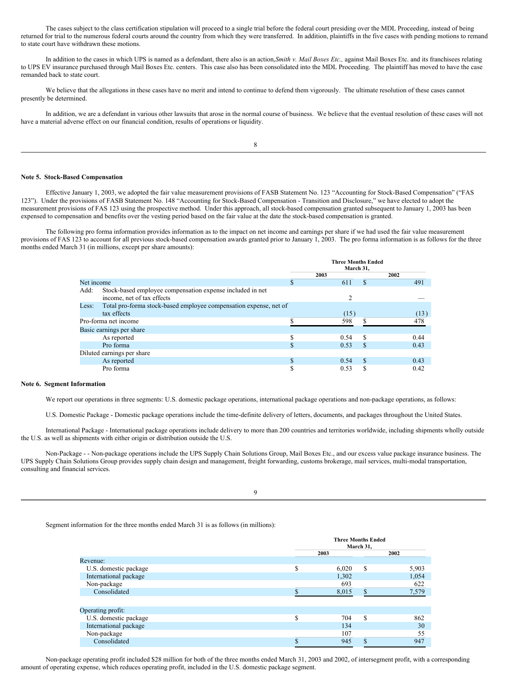The cases subject to the class certification stipulation will proceed to a single trial before the federal court presiding over the MDL Proceeding, instead of being returned for trial to the numerous federal courts around the country from which they were transferred. In addition, plaintiffs in the five cases with pending motions to remand to state court have withdrawn these motions.

In addition to the cases in which UPS is named as a defendant, there also is an action,*Smith v. Mail Boxes Etc.,* against Mail Boxes Etc. and its franchisees relating to UPS EV insurance purchased through Mail Boxes Etc. centers. This case also has been consolidated into the MDL Proceeding. The plaintiff has moved to have the case remanded back to state court.

We believe that the allegations in these cases have no merit and intend to continue to defend them vigorously. The ultimate resolution of these cases cannot presently be determined.

In addition, we are a defendant in various other lawsuits that arose in the normal course of business. We believe that the eventual resolution of these cases will not have a material adverse effect on our financial condition, results of operations or liquidity.

#### **Note 5. Stock-Based Compensation**

Effective January 1, 2003, we adopted the fair value measurement provisions of FASB Statement No. 123 "Accounting for Stock-Based Compensation" ("FAS 123"). Under the provisions of FASB Statement No. 148 "Accounting for Stock-Based Compensation - Transition and Disclosure," we have elected to adopt the measurement provisions of FAS 123 using the prospective method. Under this approach, all stock-based compensation granted subsequent to January 1, 2003 has been expensed to compensation and benefits over the vesting period based on the fair value at the date the stock-based compensation is granted.

The following pro forma information provides information as to the impact on net income and earnings per share if we had used the fair value measurement provisions of FAS 123 to account for all previous stock-based compensation awards granted prior to January 1, 2003. The pro forma information is as follows for the three months ended March 31 (in millions, except per share amounts):

|                                                                            |      | <b>Three Months Ended</b><br>March 31. |     |      |  |  |
|----------------------------------------------------------------------------|------|----------------------------------------|-----|------|--|--|
|                                                                            | 2003 |                                        |     | 2002 |  |  |
| Net income                                                                 | S    | 611                                    | \$  | 491  |  |  |
| Stock-based employee compensation expense included in net<br>Add:          |      |                                        |     |      |  |  |
| income, net of tax effects                                                 |      | $\mathfrak{D}$                         |     |      |  |  |
| Total pro-forma stock-based employee compensation expense, net of<br>Less: |      |                                        |     |      |  |  |
| tax effects                                                                |      | (15)                                   |     | (13) |  |  |
| Pro-forma net income                                                       |      | 598                                    |     | 478  |  |  |
| Basic earnings per share                                                   |      |                                        |     |      |  |  |
| As reported                                                                |      | 0.54                                   | S   | 0.44 |  |  |
| Pro forma                                                                  |      | 0.53                                   | S   | 0.43 |  |  |
| Diluted earnings per share                                                 |      |                                        |     |      |  |  |
| As reported                                                                |      | 0.54                                   | \$. | 0.43 |  |  |
| Pro forma                                                                  |      | 0.53                                   |     | 0.42 |  |  |

#### **Note 6. Segment Information**

We report our operations in three segments: U.S. domestic package operations, international package operations and non-package operations, as follows:

U.S. Domestic Package - Domestic package operations include the time-definite delivery of letters, documents, and packages throughout the United States.

International Package - International package operations include delivery to more than 200 countries and territories worldwide, including shipments wholly outside the U.S. as well as shipments with either origin or distribution outside the U.S.

Non-Package - - Non-package operations include the UPS Supply Chain Solutions Group, Mail Boxes Etc., and our excess value package insurance business. The UPS Supply Chain Solutions Group provides supply chain design and management, freight forwarding, customs brokerage, mail services, multi-modal transportation, consulting and financial services.

Segment information for the three months ended March 31 is as follows (in millions):

|                       |        | <b>Three Months Ended</b><br>March 31, |     |       |  |
|-----------------------|--------|----------------------------------------|-----|-------|--|
|                       |        | 2003                                   |     | 2002  |  |
| Revenue:              |        |                                        |     |       |  |
| U.S. domestic package | \$     | 6,020                                  | S   | 5,903 |  |
| International package |        | 1,302                                  |     | 1,054 |  |
| Non-package           |        | 693                                    |     | 622   |  |
| Consolidated          |        | 8,015                                  | S.  | 7,579 |  |
|                       |        |                                        |     |       |  |
| Operating profit:     |        |                                        |     |       |  |
| U.S. domestic package | S      | 704                                    | S   | 862   |  |
| International package |        | 134                                    |     | 30    |  |
| Non-package           |        | 107                                    |     | 55    |  |
| Consolidated          | ¢<br>ъ | 945                                    | \$. | 947   |  |

Non-package operating profit included \$28 million for both of the three months ended March 31, 2003 and 2002, of intersegment profit, with a corresponding amount of operating expense, which reduces operating profit, included in the U.S. domestic package segment.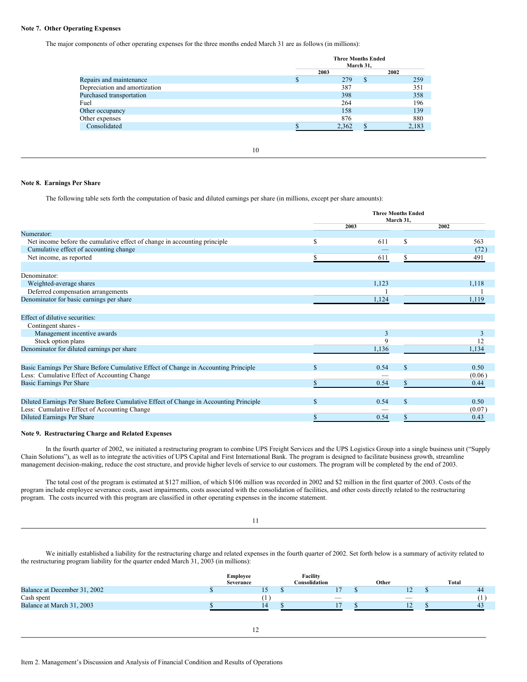## **Note 7. Other Operating Expenses**

The major components of other operating expenses for the three months ended March 31 are as follows (in millions):

|                               | <b>Three Months Ended</b><br>March 31, |  |       |  |  |  |
|-------------------------------|----------------------------------------|--|-------|--|--|--|
|                               | 2003                                   |  | 2002  |  |  |  |
| Repairs and maintenance       | 279                                    |  | 259   |  |  |  |
| Depreciation and amortization | 387                                    |  | 351   |  |  |  |
| Purchased transportation      | 398                                    |  | 358   |  |  |  |
| Fuel                          | 264                                    |  | 196   |  |  |  |
| Other occupancy               | 158                                    |  | 139   |  |  |  |
| Other expenses                | 876                                    |  | 880   |  |  |  |
| Consolidated                  | 2,362                                  |  | 2,183 |  |  |  |
|                               |                                        |  |       |  |  |  |

10

#### **Note 8. Earnings Per Share**

The following table sets forth the computation of basic and diluted earnings per share (in millions, except per share amounts):

|                                                                                       | <b>Three Months Ended</b><br>March 31, |       |   |        |
|---------------------------------------------------------------------------------------|----------------------------------------|-------|---|--------|
|                                                                                       |                                        | 2003  |   | 2002   |
| Numerator:                                                                            |                                        |       |   |        |
| Net income before the cumulative effect of change in accounting principle             | S                                      | 611   | S | 563    |
| Cumulative effect of accounting change                                                |                                        |       |   | (72)   |
| Net income, as reported                                                               |                                        | 611   |   | 491    |
|                                                                                       |                                        |       |   |        |
| Denominator:                                                                          |                                        |       |   |        |
| Weighted-average shares                                                               |                                        | 1,123 |   | 1,118  |
| Deferred compensation arrangements                                                    |                                        |       |   |        |
| Denominator for basic earnings per share                                              |                                        | 1,124 |   | 1,119  |
|                                                                                       |                                        |       |   |        |
| Effect of dilutive securities:                                                        |                                        |       |   |        |
| Contingent shares -                                                                   |                                        |       |   |        |
| Management incentive awards                                                           |                                        |       |   |        |
| Stock option plans                                                                    |                                        |       |   | 12     |
| Denominator for diluted earnings per share                                            |                                        | 1,136 |   | 1,134  |
|                                                                                       |                                        |       |   |        |
| Basic Earnings Per Share Before Cumulative Effect of Change in Accounting Principle   | S                                      | 0.54  |   | 0.50   |
| Less: Cumulative Effect of Accounting Change                                          |                                        |       |   | (0.06) |
| <b>Basic Earnings Per Share</b>                                                       |                                        | 0.54  |   | 0.44   |
|                                                                                       |                                        |       |   |        |
| Diluted Earnings Per Share Before Cumulative Effect of Change in Accounting Principle | <b>S</b>                               | 0.54  |   | 0.50   |
| Less: Cumulative Effect of Accounting Change                                          |                                        |       |   | (0.07) |
| <b>Diluted Earnings Per Share</b>                                                     |                                        | 0.54  |   | 0.43   |
|                                                                                       |                                        |       |   |        |

#### **Note 9. Restructuring Charge and Related Expenses**

In the fourth quarter of 2002, we initiated a restructuring program to combine UPS Freight Services and the UPS Logistics Group into a single business unit ("Supply Chain Solutions"), as well as to integrate the activities of UPS Capital and First International Bank. The program is designed to facilitate business growth, streamline management decision-making, reduce the cost structure, and provide higher levels of service to our customers. The program will be completed by the end of 2003.

The total cost of the program is estimated at \$127 million, of which \$106 million was recorded in 2002 and \$2 million in the first quarter of 2003. Costs of the program include employee severance costs, asset impairments, costs associated with the consolidation of facilities, and other costs directly related to the restructuring program. The costs incurred with this program are classified in other operating expenses in the income statement.

We initially established a liability for the restructuring charge and related expenses in the fourth quarter of 2002. Set forth below is a summary of activity related to the restructuring program liability for the quarter ended March 31, 2003 (in millions):

11

|                              | Employee<br>Severance | Facility<br>Consolidation | Other                    | Total |
|------------------------------|-----------------------|---------------------------|--------------------------|-------|
| Balance at December 31, 2002 | IJ                    |                           | 12                       | 44    |
| Cash spent                   |                       | $\overline{\phantom{a}}$  | $\overline{\phantom{a}}$ |       |
| Balance at March 31, 2003    | 14                    |                           | $\sim$                   | -43   |
|                              |                       |                           |                          |       |
|                              |                       |                           |                          |       |
|                              |                       |                           |                          |       |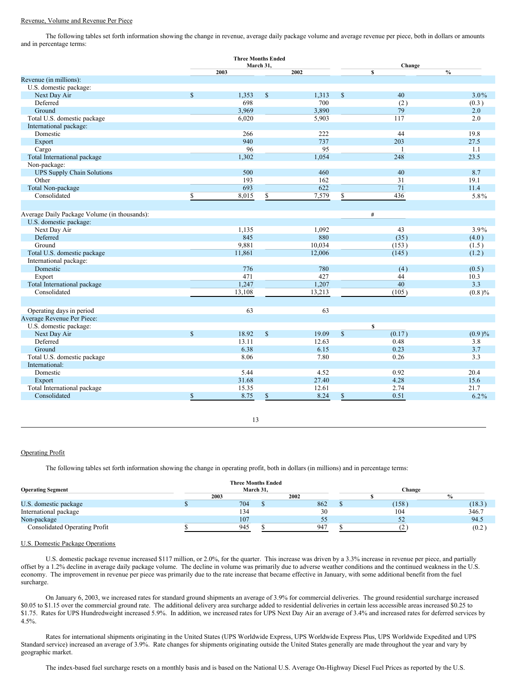#### Revenue, Volume and Revenue Per Piece

The following tables set forth information showing the change in revenue, average daily package volume and average revenue per piece, both in dollars or amounts and in percentage terms:

|                                              |             | <b>Three Months Ended</b> |               |        |               |                 |               |  |
|----------------------------------------------|-------------|---------------------------|---------------|--------|---------------|-----------------|---------------|--|
|                                              |             |                           | March 31.     |        |               | Change          |               |  |
| Revenue (in millions):                       |             | 2003                      |               | 2002   |               | \$              | $\frac{0}{0}$ |  |
| U.S. domestic package:                       |             |                           |               |        |               |                 |               |  |
| Next Day Air                                 | $\mathbf S$ | 1,353                     |               | 1,313  |               | 40              | $3.0\%$       |  |
|                                              |             | 698                       | \$            | 700    | $\mathbb{S}$  |                 |               |  |
| Deferred                                     |             |                           |               |        |               | (2)             | (0.3)         |  |
| Ground                                       |             | 3,969                     |               | 3,890  |               | 79              | 2.0           |  |
| Total U.S. domestic package                  |             | 6,020                     |               | 5,903  |               | 117             | 2.0           |  |
| International package:                       |             |                           |               |        |               |                 |               |  |
| Domestic                                     |             | 266                       |               | 222    |               | 44              | 19.8          |  |
| Export                                       |             | 940                       |               | 737    |               | 203             | 27.5          |  |
| Cargo                                        |             | 96                        |               | 95     |               |                 | 1.1           |  |
| Total International package                  |             | 1,302                     |               | 1,054  |               | 248             | 23.5          |  |
| Non-package:                                 |             |                           |               |        |               |                 |               |  |
| <b>UPS Supply Chain Solutions</b>            |             | 500                       |               | 460    |               | 40              | 8.7           |  |
| Other                                        |             | 193                       |               | 162    |               | 31              | 19.1          |  |
| Total Non-package                            |             | 693                       |               | 622    |               | 71              | 11.4          |  |
| Consolidated                                 | \$          | 8,015                     | \$            | 7,579  | \$            | 436             | 5.8%          |  |
|                                              |             |                           |               |        |               |                 |               |  |
| Average Daily Package Volume (in thousands): |             |                           |               |        |               | $\#$            |               |  |
| U.S. domestic package:                       |             |                           |               |        |               |                 |               |  |
|                                              |             |                           |               |        |               |                 |               |  |
| Next Day Air                                 |             | 1,135                     |               | 1,092  |               | 43              | $3.9\%$       |  |
| Deferred                                     |             | 845                       |               | 880    |               | (35)            | (4.0)         |  |
| Ground                                       |             | 9,881                     |               | 10,034 |               | (153)           | (1.5)         |  |
| Total U.S. domestic package                  |             | 11,861                    |               | 12,006 |               | (145)           | (1.2)         |  |
| International package:                       |             |                           |               |        |               |                 |               |  |
| Domestic                                     |             | 776                       |               | 780    |               | (4)             | (0.5)         |  |
| Export                                       |             | 471                       |               | 427    |               | 44              | 10.3          |  |
| Total International package                  |             | 1,247                     |               | 1,207  |               | $\overline{40}$ | 3.3           |  |
| Consolidated                                 |             | 13,108                    |               | 13,213 |               | (105)           | (0.8)%        |  |
|                                              |             |                           |               |        |               |                 |               |  |
| Operating days in period                     |             | 63                        |               | 63     |               |                 |               |  |
| Average Revenue Per Piece:                   |             |                           |               |        |               |                 |               |  |
| U.S. domestic package:                       |             |                           |               |        |               | \$              |               |  |
| Next Day Air                                 | $\mathbf S$ | 18.92                     | <sup>\$</sup> | 19.09  | $\mathsf{\$}$ | (0.17)          | (0.9)%        |  |
| Deferred                                     |             | 13.11                     |               | 12.63  |               | 0.48            | 3.8           |  |
| Ground                                       |             | 6.38                      |               | 6.15   |               | 0.23            | 3.7           |  |
|                                              |             | 8.06                      |               | 7.80   |               | 0.26            | 3.3           |  |
| Total U.S. domestic package                  |             |                           |               |        |               |                 |               |  |
| International:                               |             |                           |               |        |               |                 |               |  |
| Domestic                                     |             | 5.44                      |               | 4.52   |               | 0.92            | 20.4          |  |
| Export                                       |             | 31.68                     |               | 27.40  |               | 4.28            | 15.6          |  |
| Total International package                  |             | 15.35                     |               | 12.61  |               | 2.74            | 21.7          |  |
| Consolidated                                 | \$          | 8.75                      | \$            | 8.24   | \$            | 0.51            | $6.2\%$       |  |
|                                              |             |                           |               |        |               |                 |               |  |

## 13

#### Operating Profit

The following tables set forth information showing the change in operating profit, both in dollars (in millions) and in percentage terms:

| <b>Operating Segment</b>             | <b>Three Months Ended</b> | March 31, |      | Change |        |
|--------------------------------------|---------------------------|-----------|------|--------|--------|
|                                      | 2003                      |           | 2002 |        |        |
| U.S. domestic package                | 704                       |           | 862  | (158)  | (18.3) |
| International package                | 134                       |           | 30   | 104    | 346.7  |
| Non-package                          | 107                       |           |      | 52     | 94.5   |
| <b>Consolidated Operating Profit</b> | 945                       |           | 947  |        | (0.2)  |

#### U.S. Domestic Package Operations

U.S. domestic package revenue increased \$117 million, or 2.0%, for the quarter. This increase was driven by a 3.3% increase in revenue per piece, and partially offset by a 1.2% decline in average daily package volume. The decline in volume was primarily due to adverse weather conditions and the continued weakness in the U.S. economy. The improvement in revenue per piece was primarily due to the rate increase that became effective in January, with some additional benefit from the fuel surcharge.

On January 6, 2003, we increased rates for standard ground shipments an average of 3.9% for commercial deliveries. The ground residential surcharge increased \$0.05 to \$1.15 over the commercial ground rate. The additional delivery area surcharge added to residential deliveries in certain less accessible areas increased \$0.25 to \$1.75. Rates for UPS Hundredweight increased 5.9%. In addition, we increased rates for UPS Next Day Air an average of 3.4% and increased rates for deferred services by 4.5%.

Rates for international shipments originating in the United States (UPS Worldwide Express, UPS Worldwide Express Plus, UPS Worldwide Expedited and UPS Standard service) increased an average of 3.9%. Rate changes for shipments originating outside the United States generally are made throughout the year and vary by geographic market.

The index-based fuel surcharge resets on a monthly basis and is based on the National U.S. Average On-Highway Diesel Fuel Prices as reported by the U.S.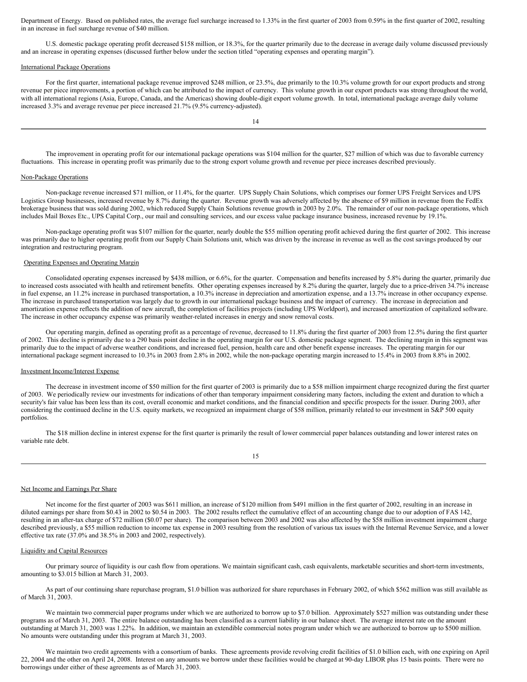Department of Energy. Based on published rates, the average fuel surcharge increased to 1.33% in the first quarter of 2003 from 0.59% in the first quarter of 2002, resulting in an increase in fuel surcharge revenue of \$40 million.

U.S. domestic package operating profit decreased \$158 million, or 18.3%, for the quarter primarily due to the decrease in average daily volume discussed previously and an increase in operating expenses (discussed further below under the section titled "operating expenses and operating margin").

#### International Package Operations

For the first quarter, international package revenue improved \$248 million, or 23.5%, due primarily to the 10.3% volume growth for our export products and strong revenue per piece improvements, a portion of which can be attributed to the impact of currency. This volume growth in our export products was strong throughout the world, with all international regions (Asia, Europe, Canada, and the Americas) showing double-digit export volume growth. In total, international package average daily volume increased 3.3% and average revenue per piece increased 21.7% (9.5% currency-adjusted).

14

The improvement in operating profit for our international package operations was \$104 million for the quarter, \$27 million of which was due to favorable currency fluctuations. This increase in operating profit was primarily due to the strong export volume growth and revenue per piece increases described previously.

#### Non-Package Operations

Non-package revenue increased \$71 million, or 11.4%, for the quarter. UPS Supply Chain Solutions, which comprises our former UPS Freight Services and UPS Logistics Group businesses, increased revenue by 8.7% during the quarter. Revenue growth was adversely affected by the absence of \$9 million in revenue from the FedEx brokerage business that was sold during 2002, which reduced Supply Chain Solutions revenue growth in 2003 by 2.0%. The remainder of our non-package operations, which includes Mail Boxes Etc., UPS Capital Corp., our mail and consulting services, and our excess value package insurance business, increased revenue by 19.1%.

Non-package operating profit was \$107 million for the quarter, nearly double the \$55 million operating profit achieved during the first quarter of 2002. This increase was primarily due to higher operating profit from our Supply Chain Solutions unit, which was driven by the increase in revenue as well as the cost savings produced by our integration and restructuring program.

#### Operating Expenses and Operating Margin

Consolidated operating expenses increased by \$438 million, or 6.6%, for the quarter. Compensation and benefits increased by 5.8% during the quarter, primarily due to increased costs associated with health and retirement benefits. Other operating expenses increased by 8.2% during the quarter, largely due to a price-driven 34.7% increase in fuel expense, an 11.2% increase in purchased transportation, a 10.3% increase in depreciation and amortization expense, and a 13.7% increase in other occupancy expense. The increase in purchased transportation was largely due to growth in our international package business and the impact of currency. The increase in depreciation and amortization expense reflects the addition of new aircraft, the completion of facilities projects (including UPS Worldport), and increased amortization of capitalized software. The increase in other occupancy expense was primarily weather-related increases in energy and snow removal costs.

Our operating margin, defined as operating profit as a percentage of revenue, decreased to 11.8% during the first quarter of 2003 from 12.5% during the first quarter of 2002. This decline is primarily due to a 290 basis point decline in the operating margin for our U.S. domestic package segment. The declining margin in this segment was primarily due to the impact of adverse weather conditions, and increased fuel, pension, health care and other benefit expense increases. The operating margin for our international package segment increased to 10.3% in 2003 from 2.8% in 2002, while the non-package operating margin increased to 15.4% in 2003 from 8.8% in 2002.

#### Investment Income/Interest Expense

The decrease in investment income of \$50 million for the first quarter of 2003 is primarily due to a \$58 million impairment charge recognized during the first quarter of 2003. We periodically review our investments for indications of other than temporary impairment considering many factors, including the extent and duration to which a security's fair value has been less than its cost, overall economic and market conditions, and the financial condition and specific prospects for the issuer. During 2003, after considering the continued decline in the U.S. equity markets, we recognized an impairment charge of \$58 million, primarily related to our investment in S&P 500 equity portfolios.

The \$18 million decline in interest expense for the first quarter is primarily the result of lower commercial paper balances outstanding and lower interest rates on variable rate debt.

| ۰.<br>$\sim$ |
|--------------|
|              |

#### Net Income and Earnings Per Share

Net income for the first quarter of 2003 was \$611 million, an increase of \$120 million from \$491 million in the first quarter of 2002, resulting in an increase in diluted earnings per share from \$0.43 in 2002 to \$0.54 in 2003. The 2002 results reflect the cumulative effect of an accounting change due to our adoption of FAS 142, resulting in an after-tax charge of \$72 million (\$0.07 per share). The comparison between 2003 and 2002 was also affected by the \$58 million investment impairment charge described previously, a \$55 million reduction to income tax expense in 2003 resulting from the resolution of various tax issues with the Internal Revenue Service, and a lower effective tax rate (37.0% and 38.5% in 2003 and 2002, respectively).

## Liquidity and Capital Resources

Our primary source of liquidity is our cash flow from operations. We maintain significant cash, cash equivalents, marketable securities and short-term investments, amounting to \$3.015 billion at March 31, 2003.

As part of our continuing share repurchase program, \$1.0 billion was authorized for share repurchases in February 2002, of which \$562 million was still available as of March 31, 2003.

We maintain two commercial paper programs under which we are authorized to borrow up to \$7.0 billion. Approximately \$527 million was outstanding under these programs as of March 31, 2003. The entire balance outstanding has been classified as a current liability in our balance sheet. The average interest rate on the amount outstanding at March 31, 2003 was 1.22%. In addition, we maintain an extendible commercial notes program under which we are authorized to borrow up to \$500 million. No amounts were outstanding under this program at March 31, 2003.

We maintain two credit agreements with a consortium of banks. These agreements provide revolving credit facilities of \$1.0 billion each, with one expiring on April 22, 2004 and the other on April 24, 2008. Interest on any amounts we borrow under these facilities would be charged at 90-day LIBOR plus 15 basis points. There were no borrowings under either of these agreements as of March 31, 2003.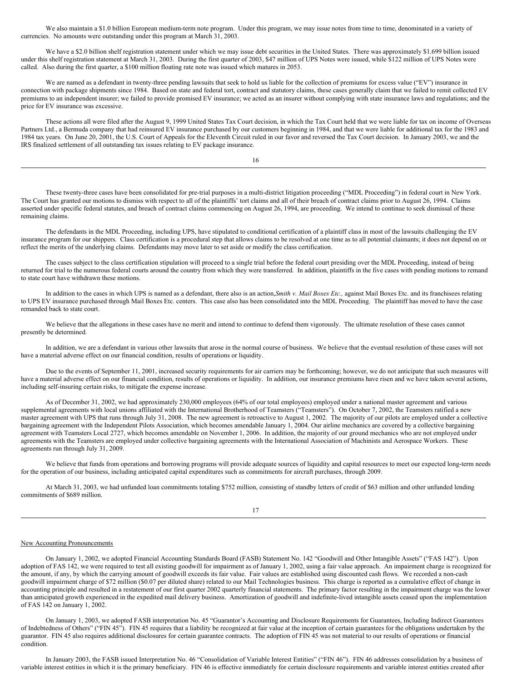We also maintain a \$1.0 billion European medium-term note program. Under this program, we may issue notes from time to time, denominated in a variety of currencies. No amounts were outstanding under this program at March 31, 2003.

We have a \$2.0 billion shelf registration statement under which we may issue debt securities in the United States. There was approximately \$1.699 billion issued under this shelf registration statement at March 31, 2003. During the first quarter of 2003, \$47 million of UPS Notes were issued, while \$122 million of UPS Notes were called. Also during the first quarter, a \$100 million floating rate note was issued which matures in 2053.

We are named as a defendant in twenty-three pending lawsuits that seek to hold us liable for the collection of premiums for excess value ("EV") insurance in connection with package shipments since 1984. Based on state and federal tort, contract and statutory claims, these cases generally claim that we failed to remit collected EV premiums to an independent insurer; we failed to provide promised EV insurance; we acted as an insurer without complying with state insurance laws and regulations; and the price for EV insurance was excessive.

These actions all were filed after the August 9, 1999 United States Tax Court decision, in which the Tax Court held that we were liable for tax on income of Overseas Partners Ltd., a Bermuda company that had reinsured EV insurance purchased by our customers beginning in 1984, and that we were liable for additional tax for the 1983 and 1984 tax years. On June 20, 2001, the U.S. Court of Appeals for the Eleventh Circuit ruled in our favor and reversed the Tax Court decision. In January 2003, we and the IRS finalized settlement of all outstanding tax issues relating to EV package insurance.

16

These twenty-three cases have been consolidated for pre-trial purposes in a multi-district litigation proceeding ("MDL Proceeding") in federal court in New York. The Court has granted our motions to dismiss with respect to all of the plaintiffs' tort claims and all of their breach of contract claims prior to August 26, 1994. Claims asserted under specific federal statutes, and breach of contract claims commencing on August 26, 1994, are proceeding. We intend to continue to seek dismissal of these remaining claims.

The defendants in the MDL Proceeding, including UPS, have stipulated to conditional certification of a plaintiff class in most of the lawsuits challenging the EV insurance program for our shippers. Class certification is a procedural step that allows claims to be resolved at one time as to all potential claimants; it does not depend on or reflect the merits of the underlying claims. Defendants may move later to set aside or modify the class certification.

The cases subject to the class certification stipulation will proceed to a single trial before the federal court presiding over the MDL Proceeding, instead of being returned for trial to the numerous federal courts around the country from which they were transferred. In addition, plaintiffs in the five cases with pending motions to remand to state court have withdrawn these motions.

In addition to the cases in which UPS is named as a defendant, there also is an action,*Smith v. Mail Boxes Etc.,* against Mail Boxes Etc. and its franchisees relating to UPS EV insurance purchased through Mail Boxes Etc. centers. This case also has been consolidated into the MDL Proceeding. The plaintiff has moved to have the case remanded back to state court.

We believe that the allegations in these cases have no merit and intend to continue to defend them vigorously. The ultimate resolution of these cases cannot presently be determined.

In addition, we are a defendant in various other lawsuits that arose in the normal course of business. We believe that the eventual resolution of these cases will not have a material adverse effect on our financial condition, results of operations or liquidity.

Due to the events of September 11, 2001, increased security requirements for air carriers may be forthcoming; however, we do not anticipate that such measures will have a material adverse effect on our financial condition, results of operations or liquidity. In addition, our insurance premiums have risen and we have taken several actions, including self-insuring certain risks, to mitigate the expense increase.

As of December 31, 2002, we had approximately 230,000 employees (64% of our total employees) employed under a national master agreement and various supplemental agreements with local unions affiliated with the International Brotherhood of Teamsters ("Teamsters"). On October 7, 2002, the Teamsters ratified a new master agreement with UPS that runs through July 31, 2008. The new agreement is retroactive to August 1, 2002. The majority of our pilots are employed under a collective bargaining agreement with the Independent Pilots Association, which becomes amendable January 1, 2004. Our airline mechanics are covered by a collective bargaining agreement with Teamsters Local 2727, which becomes amendable on November 1, 2006. In addition, the majority of our ground mechanics who are not employed under agreements with the Teamsters are employed under collective bargaining agreements with the International Association of Machinists and Aerospace Workers. These agreements run through July 31, 2009.

We believe that funds from operations and borrowing programs will provide adequate sources of liquidity and capital resources to meet our expected long-term needs for the operation of our business, including anticipated capital expenditures such as commitments for aircraft purchases, through 2009.

At March 31, 2003, we had unfunded loan commitments totaling \$752 million, consisting of standby letters of credit of \$63 million and other unfunded lending commitments of \$689 million.

17

#### New Accounting Pronouncements

On January 1, 2002, we adopted Financial Accounting Standards Board (FASB) Statement No. 142 "Goodwill and Other Intangible Assets" ("FAS 142"). Upon adoption of FAS 142, we were required to test all existing goodwill for impairment as of January 1, 2002, using a fair value approach. An impairment charge is recognized for the amount, if any, by which the carrying amount of goodwill exceeds its fair value. Fair values are established using discounted cash flows. We recorded a non-cash goodwill impairment charge of \$72 million (\$0.07 per diluted share) related to our Mail Technologies business. This charge is reported as a cumulative effect of change in accounting principle and resulted in a restatement of our first quarter 2002 quarterly financial statements. The primary factor resulting in the impairment charge was the lower than anticipated growth experienced in the expedited mail delivery business. Amortization of goodwill and indefinite-lived intangible assets ceased upon the implementation of FAS 142 on January 1, 2002.

On January 1, 2003, we adopted FASB interpretation No. 45 "Guarantor's Accounting and Disclosure Requirements for Guarantees, Including Indirect Guarantees of Indebtedness of Others" ("FIN 45"). FIN 45 requires that a liability be recognized at fair value at the inception of certain guarantees for the obligations undertaken by the guarantor. FIN 45 also requires additional disclosures for certain guarantee contracts. The adoption of FIN 45 was not material to our results of operations or financial condition.

In January 2003, the FASB issued Interpretation No. 46 "Consolidation of Variable Interest Entities" ("FIN 46"). FIN 46 addresses consolidation by a business of variable interest entities in which it is the primary beneficiary. FIN 46 is effective immediately for certain disclosure requirements and variable interest entities created after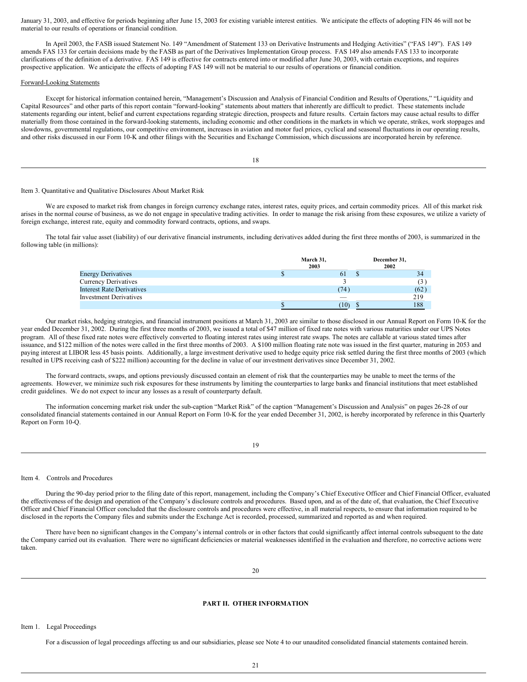January 31, 2003, and effective for periods beginning after June 15, 2003 for existing variable interest entities. We anticipate the effects of adopting FIN 46 will not be material to our results of operations or financial condition.

In April 2003, the FASB issued Statement No. 149 "Amendment of Statement 133 on Derivative Instruments and Hedging Activities" ("FAS 149"). FAS 149 amends FAS 133 for certain decisions made by the FASB as part of the Derivatives Implementation Group process. FAS 149 also amends FAS 133 to incorporate clarifications of the definition of a derivative. FAS 149 is effective for contracts entered into or modified after June 30, 2003, with certain exceptions, and requires prospective application. We anticipate the effects of adopting FAS 149 will not be material to our results of operations or financial condition.

#### Forward-Looking Statements

Except for historical information contained herein, "Management's Discussion and Analysis of Financial Condition and Results of Operations," "Liquidity and Capital Resources" and other parts of this report contain "forward-looking" statements about matters that inherently are difficult to predict. These statements include statements regarding our intent, belief and current expectations regarding strategic direction, prospects and future results. Certain factors may cause actual results to differ materially from those contained in the forward-looking statements, including economic and other conditions in the markets in which we operate, strikes, work stoppages and slowdowns, governmental regulations, our competitive environment, increases in aviation and motor fuel prices, cyclical and seasonal fluctuations in our operating results, and other risks discussed in our Form 10-K and other filings with the Securities and Exchange Commission, which discussions are incorporated herein by reference.

18

#### Item 3. Quantitative and Qualitative Disclosures About Market Risk

We are exposed to market risk from changes in foreign currency exchange rates, interest rates, equity prices, and certain commodity prices. All of this market risk arises in the normal course of business, as we do not engage in speculative trading activities. In order to manage the risk arising from these exposures, we utilize a variety of foreign exchange, interest rate, equity and commodity forward contracts, options, and swaps.

The total fair value asset (liability) of our derivative financial instruments, including derivatives added during the first three months of 2003, is summarized in the following table (in millions):

|                                  | March 31,<br>2003        | December 31,<br>2002 |      |
|----------------------------------|--------------------------|----------------------|------|
| <b>Energy Derivatives</b>        | 0 <sub>1</sub>           |                      | 34   |
| <b>Currency Derivatives</b>      |                          |                      |      |
| <b>Interest Rate Derivatives</b> | (74)                     |                      | (62) |
| <b>Investment Derivatives</b>    | $\overline{\phantom{a}}$ |                      | 219  |
|                                  | 10 <sub>0</sub>          |                      | 188  |

Our market risks, hedging strategies, and financial instrument positions at March 31, 2003 are similar to those disclosed in our Annual Report on Form 10-K for the year ended December 31, 2002. During the first three months of 2003, we issued a total of \$47 million of fixed rate notes with various maturities under our UPS Notes program. All of these fixed rate notes were effectively converted to floating interest rates using interest rate swaps. The notes are callable at various stated times after issuance, and \$122 million of the notes were called in the first three months of 2003. A \$100 million floating rate note was issued in the first quarter, maturing in 2053 and paying interest at LIBOR less 45 basis points. Additionally, a large investment derivative used to hedge equity price risk settled during the first three months of 2003 (which resulted in UPS receiving cash of \$222 million) accounting for the decline in value of our investment derivatives since December 31, 2002.

The forward contracts, swaps, and options previously discussed contain an element of risk that the counterparties may be unable to meet the terms of the agreements. However, we minimize such risk exposures for these instruments by limiting the counterparties to large banks and financial institutions that meet established credit guidelines. We do not expect to incur any losses as a result of counterparty default.

The information concerning market risk under the sub-caption "Market Risk" of the caption "Management's Discussion and Analysis" on pages 26-28 of our consolidated financial statements contained in our Annual Report on Form 10-K for the year ended December 31, 2002, is hereby incorporated by reference in this Quarterly Report on Form 10-Q.

19

#### Item 4. Controls and Procedures

During the 90-day period prior to the filing date of this report, management, including the Company's Chief Executive Officer and Chief Financial Officer, evaluated the effectiveness of the design and operation of the Company's disclosure controls and procedures. Based upon, and as of the date of, that evaluation, the Chief Executive Officer and Chief Financial Officer concluded that the disclosure controls and procedures were effective, in all material respects, to ensure that information required to be disclosed in the reports the Company files and submits under the Exchange Act is recorded, processed, summarized and reported as and when required.

There have been no significant changes in the Company's internal controls or in other factors that could significantly affect internal controls subsequent to the date the Company carried out its evaluation. There were no significant deficiencies or material weaknesses identified in the evaluation and therefore, no corrective actions were taken.

## **PART II. OTHER INFORMATION**

Item 1. Legal Proceedings

For a discussion of legal proceedings affecting us and our subsidiaries, please see Note 4 to our unaudited consolidated financial statements contained herein.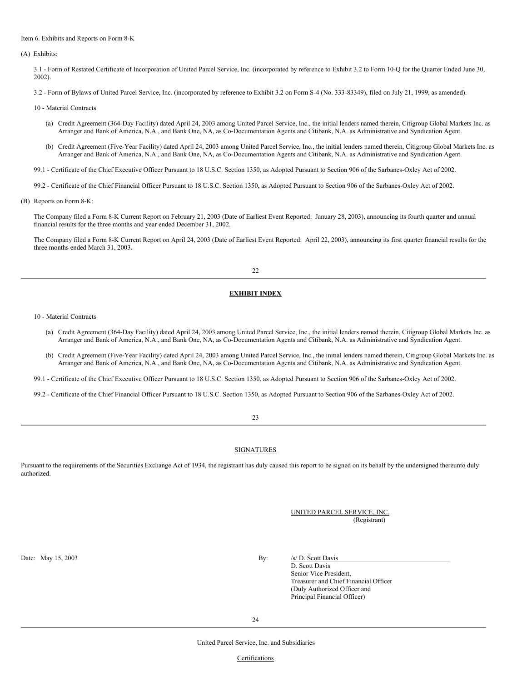#### Item 6. Exhibits and Reports on Form 8-K

(A) Exhibits:

3.1 - Form of Restated Certificate of Incorporation of United Parcel Service, Inc. (incorporated by reference to Exhibit 3.2 to Form 10-Q for the Quarter Ended June 30, 2002).

3.2 - Form of Bylaws of United Parcel Service, Inc. (incorporated by reference to Exhibit 3.2 on Form S-4 (No. 333-83349), filed on July 21, 1999, as amended).

- 10 Material Contracts
	- (a) Credit Agreement (364-Day Facility) dated April 24, 2003 among United Parcel Service, Inc., the initial lenders named therein, Citigroup Global Markets Inc. as Arranger and Bank of America, N.A., and Bank One, NA, as Co-Documentation Agents and Citibank, N.A. as Administrative and Syndication Agent.
	- (b) Credit Agreement (Five-Year Facility) dated April 24, 2003 among United Parcel Service, Inc., the initial lenders named therein, Citigroup Global Markets Inc. as Arranger and Bank of America, N.A., and Bank One, NA, as Co-Documentation Agents and Citibank, N.A. as Administrative and Syndication Agent.

99.1 - Certificate of the Chief Executive Officer Pursuant to 18 U.S.C. Section 1350, as Adopted Pursuant to Section 906 of the Sarbanes-Oxley Act of 2002.

99.2 - Certificate of the Chief Financial Officer Pursuant to 18 U.S.C. Section 1350, as Adopted Pursuant to Section 906 of the Sarbanes-Oxley Act of 2002.

(B) Reports on Form 8-K:

The Company filed a Form 8-K Current Report on February 21, 2003 (Date of Earliest Event Reported: January 28, 2003), announcing its fourth quarter and annual financial results for the three months and year ended December 31, 2002.

The Company filed a Form 8-K Current Report on April 24, 2003 (Date of Earliest Event Reported: April 22, 2003), announcing its first quarter financial results for the three months ended March 31, 2003.

#### 22

## **EXHIBIT INDEX**

10 - Material Contracts

- (a) Credit Agreement (364-Day Facility) dated April 24, 2003 among United Parcel Service, Inc., the initial lenders named therein, Citigroup Global Markets Inc. as Arranger and Bank of America, N.A., and Bank One, NA, as Co-Documentation Agents and Citibank, N.A. as Administrative and Syndication Agent.
- (b) Credit Agreement (Five-Year Facility) dated April 24, 2003 among United Parcel Service, Inc., the initial lenders named therein, Citigroup Global Markets Inc. as Arranger and Bank of America, N.A., and Bank One, NA, as Co-Documentation Agents and Citibank, N.A. as Administrative and Syndication Agent.
- 99.1 Certificate of the Chief Executive Officer Pursuant to 18 U.S.C. Section 1350, as Adopted Pursuant to Section 906 of the Sarbanes-Oxley Act of 2002.
- 99.2 Certificate of the Chief Financial Officer Pursuant to 18 U.S.C. Section 1350, as Adopted Pursuant to Section 906 of the Sarbanes-Oxley Act of 2002.

## 23

## **SIGNATURES**

Pursuant to the requirements of the Securities Exchange Act of 1934, the registrant has duly caused this report to be signed on its behalf by the undersigned thereunto duly authorized.

> UNITED PARCEL SERVICE, INC. (Registrant)

Date: May 15, 2003 By: /s/ D. Scott Davis

D. Scott Davis Senior Vice President, Treasurer and Chief Financial Officer (Duly Authorized Officer and Principal Financial Officer)

United Parcel Service, Inc. and Subsidiaries

**Certifications**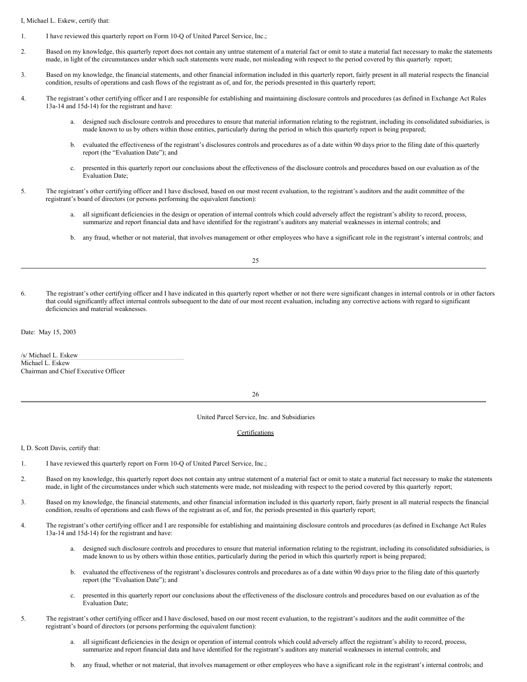I, Michael L. Eskew, certify that:

- 1. I have reviewed this quarterly report on Form 10-Q of United Parcel Service, Inc.;
- 2. Based on my knowledge, this quarterly report does not contain any untrue statement of a material fact or omit to state a material fact necessary to make the statements made, in light of the circumstances under which such statements were made, not misleading with respect to the period covered by this quarterly report;
- 3. Based on my knowledge, the financial statements, and other financial information included in this quarterly report, fairly present in all material respects the financial condition, results of operations and cash flows of the registrant as of, and for, the periods presented in this quarterly report;
- 4. The registrant's other certifying officer and I are responsible for establishing and maintaining disclosure controls and procedures (as defined in Exchange Act Rules 13a-14 and 15d-14) for the registrant and have:
	- a. designed such disclosure controls and procedures to ensure that material information relating to the registrant, including its consolidated subsidiaries, is made known to us by others within those entities, particularly during the period in which this quarterly report is being prepared;
	- b. evaluated the effectiveness of the registrant's disclosures controls and procedures as of a date within 90 days prior to the filing date of this quarterly report (the "Evaluation Date"); and
	- c. presented in this quarterly report our conclusions about the effectiveness of the disclosure controls and procedures based on our evaluation as of the Evaluation Date;
- 5. The registrant's other certifying officer and I have disclosed, based on our most recent evaluation, to the registrant's auditors and the audit committee of the registrant's board of directors (or persons performing the equivalent function):
	- a. all significant deficiencies in the design or operation of internal controls which could adversely affect the registrant's ability to record, process, summarize and report financial data and have identified for the registrant's auditors any material weaknesses in internal controls; and
	- b. any fraud, whether or not material, that involves management or other employees who have a significant role in the registrant's internal controls; and

6. The registrant's other certifying officer and I have indicated in this quarterly report whether or not there were significant changes in internal controls or in other factors that could significantly affect internal controls subsequent to the date of our most recent evaluation, including any corrective actions with regard to significant deficiencies and material weaknesses.

Date: May 15, 2003

/s/ Michael L. Eskew Michael L. Eskew Chairman and Chief Executive Officer

26

United Parcel Service, Inc. and Subsidiaries

#### Certifications

I, D. Scott Davis, certify that:

- 1. I have reviewed this quarterly report on Form 10-Q of United Parcel Service, Inc.;
- 2. Based on my knowledge, this quarterly report does not contain any untrue statement of a material fact or omit to state a material fact necessary to make the statements made, in light of the circumstances under which such statements were made, not misleading with respect to the period covered by this quarterly report;
- 3. Based on my knowledge, the financial statements, and other financial information included in this quarterly report, fairly present in all material respects the financial condition, results of operations and cash flows of the registrant as of, and for, the periods presented in this quarterly report;
- 4. The registrant's other certifying officer and I are responsible for establishing and maintaining disclosure controls and procedures (as defined in Exchange Act Rules 13a-14 and 15d-14) for the registrant and have:
	- a. designed such disclosure controls and procedures to ensure that material information relating to the registrant, including its consolidated subsidiaries, is made known to us by others within those entities, particularly during the period in which this quarterly report is being prepared;
	- b. evaluated the effectiveness of the registrant's disclosures controls and procedures as of a date within 90 days prior to the filing date of this quarterly report (the "Evaluation Date"); and
	- c. presented in this quarterly report our conclusions about the effectiveness of the disclosure controls and procedures based on our evaluation as of the Evaluation Date;
- 5. The registrant's other certifying officer and I have disclosed, based on our most recent evaluation, to the registrant's auditors and the audit committee of the registrant's board of directors (or persons performing the equivalent function):
	- a. all significant deficiencies in the design or operation of internal controls which could adversely affect the registrant's ability to record, process, summarize and report financial data and have identified for the registrant's auditors any material weaknesses in internal controls; and
	- b. any fraud, whether or not material, that involves management or other employees who have a significant role in the registrant's internal controls; and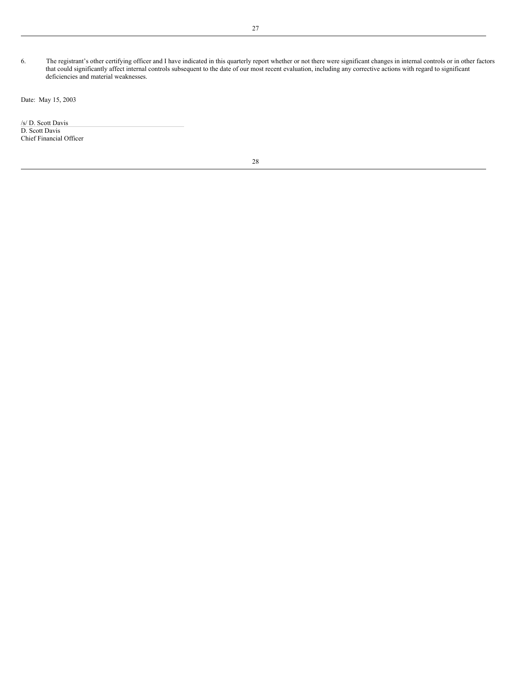6. The registrant's other certifying officer and I have indicated in this quarterly report whether or not there were significant changes in internal controls or in other factors that could significantly affect internal controls subsequent to the date of our most recent evaluation, including any corrective actions with regard to significant deficiencies and material weaknesses.

Date: May 15, 2003

/s/ D. Scott Davis D. Scott Davis Chief Financial Officer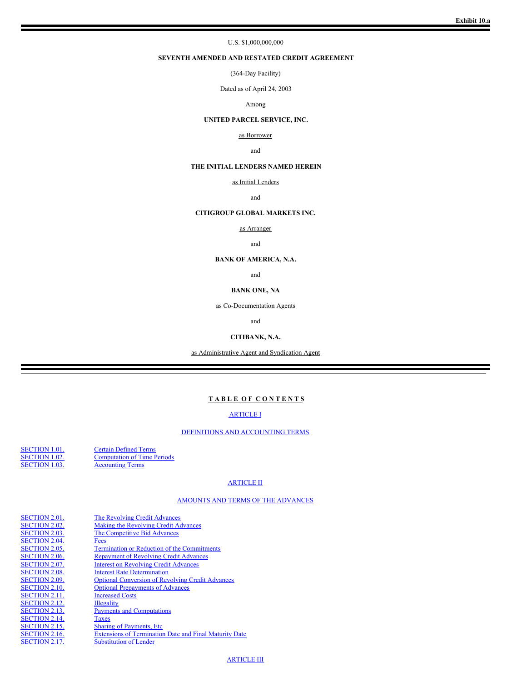## U.S. \$1,000,000,000

## **SEVENTH AMENDED AND RESTATED CREDIT AGREEMENT**

(364-Day Facility)

Dated as of April 24, 2003

### Among

## **UNITED PARCEL SERVICE, INC.**

## as Borrower

## and

## **THE INITIAL LENDERS NAMED HEREIN**

#### as Initial Lenders

### and

## **CITIGROUP GLOBAL MARKETS INC.**

as Arranger

#### and

#### **BANK OF AMERICA, N.A.**

and

## **BANK ONE, NA**

as Co-Documentation Agents

and

## **CITIBANK, N.A.**

as Administrative Agent and Syndication Agent

## **T A B L E O F C O N T E N T S**

## [ARTICLE](#page-16-0) I

## DEFINITIONS AND [ACCOUNTING](#page-16-1) TERMS

[SECTION](#page-16-2) 1.01.<br>SECTION 1.02. Computation of Time P<br>SECTION 1.03. Accounting Terms [SECTION](#page-22-0) 1.02. [Computation](#page-22-0) of Time Periods [SECTION](#page-22-1) 1.03. [Accounting](#page-22-1) Terms

## [ARTICLE](#page-22-2) II

### AMOUNTS AND TERMS OF THE [ADVANCES](#page-22-3)

| <b>SECTION 2.01.</b> | The Revolving Credit Advances                                 |
|----------------------|---------------------------------------------------------------|
| <b>SECTION 2.02.</b> | Making the Revolving Credit Advances                          |
| <b>SECTION 2.03.</b> | The Competitive Bid Advances                                  |
| <b>SECTION 2.04.</b> | Fees                                                          |
| <b>SECTION 2.05.</b> | <b>Termination or Reduction of the Commitments</b>            |
| <b>SECTION 2.06.</b> | <b>Repayment of Revolving Credit Advances</b>                 |
| <b>SECTION 2.07.</b> | <b>Interest on Revolving Credit Advances</b>                  |
| <b>SECTION 2.08.</b> | <b>Interest Rate Determination</b>                            |
| <b>SECTION 2.09.</b> | <b>Optional Conversion of Revolving Credit Advances</b>       |
| <b>SECTION 2.10.</b> | <b>Optional Prepayments of Advances</b>                       |
| <b>SECTION 2.11.</b> | <b>Increased Costs</b>                                        |
| <b>SECTION 2.12.</b> | <b>Illegality</b>                                             |
| <b>SECTION 2.13.</b> | <b>Payments and Computations</b>                              |
| <b>SECTION 2.14.</b> | Taxes                                                         |
| <b>SECTION 2.15.</b> | <b>Sharing of Payments, Etc.</b>                              |
| <b>SECTION 2.16.</b> | <b>Extensions of Termination Date and Final Maturity Date</b> |
| <b>SECTION 2.17.</b> | <b>Substitution of Lender</b>                                 |
|                      |                                                               |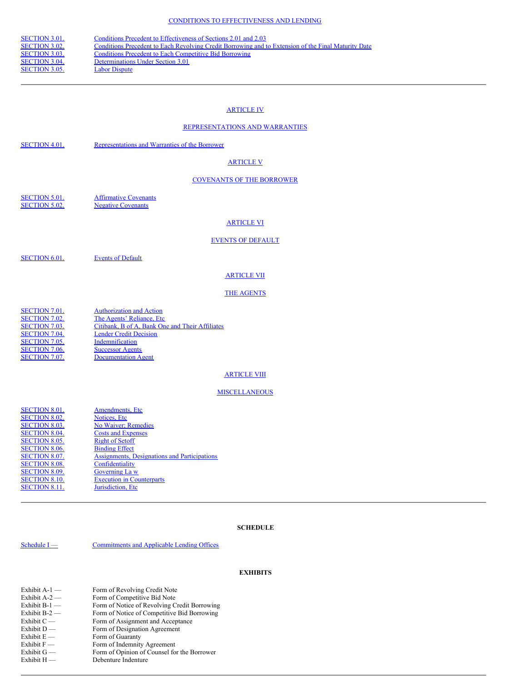| <b>SECTION 3.01.</b><br>Conditions Precedent to Effectiveness of Sections 2.01 and 2.03                                     |  |
|-----------------------------------------------------------------------------------------------------------------------------|--|
| <b>SECTION 3.02.</b><br>Conditions Precedent to Each Revolving Credit Borrowing and to Extension of the Final Maturity Date |  |
| <b>SECTION 3.03.</b><br>Conditions Precedent to Each Competitive Bid Borrowing                                              |  |
| <b>SECTION 3.04.</b><br>Determinations Under Section 3.01                                                                   |  |
| <b>SECTION 3.05.</b><br><b>Labor Dispute</b>                                                                                |  |

## [ARTICLE](#page-29-2) IV

## [REPRESENTATIONS](#page-29-3) AND WARRANTIES

## [ARTICLE](#page-30-0) V

## [COVENANTS](#page-30-1) OF THE BORROWER

[SECTION](#page-30-2) 5.01. **[Affirmative](#page-30-2) Covenants**<br>SECTION 5.02. **Negative Covenants Negative [Covenants](#page-32-0)** 

## [ARTICLE](#page-33-0) VI

## EVENTS OF [DEFAULT](#page-33-1)

[SECTION](#page-33-2) 6.01. Events of [Default](#page-33-2)

## [ARTICLE](#page-34-0) VII

## THE [AGENTS](#page-34-1)

| <b>SECTION 7.01.</b> | <b>Authorization and Action</b>                 |
|----------------------|-------------------------------------------------|
| <b>SECTION 7.02.</b> | The Agents' Reliance, Etc.                      |
| <b>SECTION 7.03.</b> | Citibank, B of A, Bank One and Their Affiliates |
| <b>SECTION 7.04.</b> | <b>Lender Credit Decision</b>                   |
| <b>SECTION 7.05.</b> | Indemnification                                 |
| SECTION 7.06.        | <b>Successor Agents</b>                         |
| <b>SECTION 7.07.</b> | <b>Documentation Agent</b>                      |

## **[ARTICLE](#page-35-2) VIII**

## **[MISCELLANEOUS](#page-35-3)**

| <b>SECTION 8.01.</b> | Amendments, Etc.                             |
|----------------------|----------------------------------------------|
| <b>SECTION 8.02.</b> | Notices, Etc.                                |
| <b>SECTION 8.03.</b> | No Waiver; Remedies                          |
| <b>SECTION 8.04.</b> | <b>Costs and Expenses</b>                    |
| <b>SECTION 8.05.</b> | <b>Right of Setoff</b>                       |
| <b>SECTION 8.06.</b> | <b>Binding Effect</b>                        |
| <b>SECTION 8.07.</b> | Assignments, Designations and Participations |
| <b>SECTION 8.08.</b> | Confidentiality                              |
| <b>SECTION 8.09.</b> | Governing La w                               |
| <b>SECTION 8.10.</b> | <b>Execution in Counterparts</b>             |
| <b>SECTION 8.11.</b> | Jurisdiction, Etc.                           |
|                      |                                              |

## **SCHEDULE**

[Schedule](#page-40-0) I — [Commitments](#page-40-0) and Applicable Lending Offices

## **EXHIBITS**

| Exhibit A-1 — | Form of Revolving Credit Note                |
|---------------|----------------------------------------------|
| Exhibit A-2 — | Form of Competitive Bid Note                 |
| Exhibit B-1 — | Form of Notice of Revolving Credit Borrowing |
| Exhibit B-2 — | Form of Notice of Competitive Bid Borrowing  |
| Exhibit C —   | Form of Assignment and Acceptance            |
| Exhibit D —   | Form of Designation Agreement                |
| Exhibit E —   | Form of Guaranty                             |
| Exhibit F —   | Form of Indemnity Agreement                  |
| Exhibit G —   | Form of Opinion of Counsel for the Borrower  |
| Exhibit H —   | Debenture Indenture                          |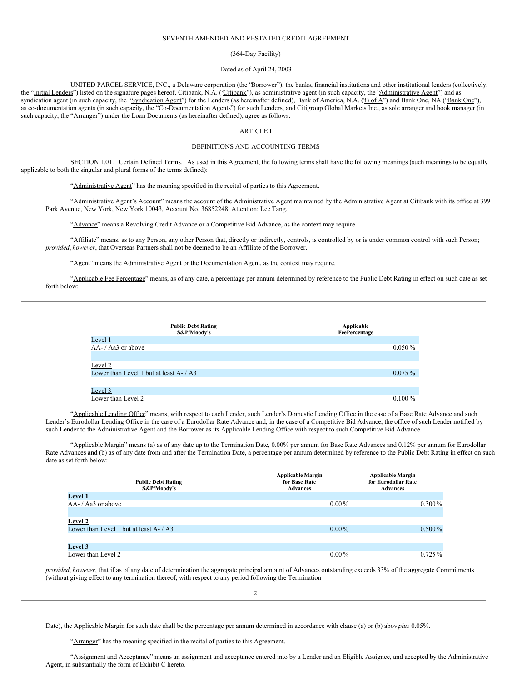#### SEVENTH AMENDED AND RESTATED CREDIT AGREEMENT

#### (364-Day Facility)

### Dated as of April 24, 2003

UNITED PARCEL SERVICE, INC., a Delaware corporation (the "Borrower"), the banks, financial institutions and other institutional lenders (collectively, the "Initial Lenders") listed on the signature pages hereof, Citibank, N.A. ("Citibank"), as administrative agent (in such capacity, the "Administrative Agent") and as syndication agent (in such capacity, the "Syndication Agent") for the Lenders (as hereinafter defined), Bank of America, N.A. ("Bof A") and Bank One, NA ("Bank One"), as co-documentation agents (in such capacity, the "Co-Documentation Agents") for such Lenders, and Citigroup Global Markets Inc., as sole arranger and book manager (in such capacity, the "Arranger") under the Loan Documents (as hereinafter defined), agree as follows:

## <span id="page-16-0"></span>ARTICLE I

#### <span id="page-16-1"></span>DEFINITIONS AND ACCOUNTING TERMS

SECTION 1.01. Certain Defined Terms. As used in this Agreement, the following terms shall have the following meanings (such meanings to be equally applicable to both the singular and plural forms of the terms defined):

<span id="page-16-2"></span>"Administrative Agent" has the meaning specified in the recital of parties to this Agreement.

"Administrative Agent's Account" means the account of the Administrative Agent maintained by the Administrative Agent at Citibank with its office at 399 Park Avenue, New York, New York 10043, Account No. 36852248, Attention: Lee Tang.

"Advance" means a Revolving Credit Advance or a Competitive Bid Advance, as the context may require.

"Affiliate" means, as to any Person, any other Person that, directly or indirectly, controlled by or is under common control with such Person; *provided*, *however*, that Overseas Partners shall not be deemed to be an Affiliate of the Borrower.

"Agent" means the Administrative Agent or the Documentation Agent, as the context may require.

"Applicable Fee Percentage" means, as of any date, a percentage per annum determined by reference to the Public Debt Rating in effect on such date as set forth below:

| <b>Public Debt Rating</b><br>S&P/Moody's   | Applicable<br>FeePercentage |
|--------------------------------------------|-----------------------------|
| Level 1                                    |                             |
| AA- / Aa3 or above                         | $0.050\%$                   |
|                                            |                             |
| Level 2                                    |                             |
| Lower than Level 1 but at least $A - / A3$ | $0.075\%$                   |
|                                            |                             |
| Level 3                                    |                             |
| Lower than Level 2                         | $0.100\%$                   |

"Applicable Lending Office" means, with respect to each Lender, such Lender's Domestic Lending Office in the case of a Base Rate Advance and such Lender's Eurodollar Lending Office in the case of a Eurodollar Rate Advance and, in the case of a Competitive Bid Advance, the office of such Lender notified by such Lender to the Administrative Agent and the Borrower as its Applicable Lending Office with respect to such Competitive Bid Advance.

"Applicable Margin" means (a) as of any date up to the Termination Date, 0.00% per annum for Base Rate Advances and 0.12% per annum for Eurodollar Rate Advances and (b) as of any date from and after the Termination Date, a percentage per annum determined by reference to the Public Debt Rating in effect on such date as set forth below:

| <b>Public Debt Rating</b><br>S&P/Moody's<br><b>Level 1</b> | <b>Applicable Margin</b><br>for Base Rate<br><b>Advances</b> | <b>Applicable Margin</b><br>for Eurodollar Rate<br><b>Advances</b> |
|------------------------------------------------------------|--------------------------------------------------------------|--------------------------------------------------------------------|
| $AA$ -/ $A$ a3 or above                                    | $0.00\%$                                                     | $0.300\%$                                                          |
| Level 2                                                    |                                                              |                                                                    |
| Lower than Level 1 but at least $A - / A3$                 | $0.00\%$                                                     | $0.500\%$                                                          |
| <b>Level 3</b>                                             |                                                              |                                                                    |
| Lower than Level 2                                         | $0.00\%$                                                     | $0.725\%$                                                          |

*provided*, *however*, that if as of any date of determination the aggregate principal amount of Advances outstanding exceeds 33% of the aggregate Commitments (without giving effect to any termination thereof, with respect to any period following the Termination

2

Date), the Applicable Margin for such date shall be the percentage per annum determined in accordance with clause (a) or (b) above*plus* 0.05%.

"Arranger" has the meaning specified in the recital of parties to this Agreement.

"Assignment and Acceptance" means an assignment and acceptance entered into by a Lender and an Eligible Assignee, and accepted by the Administrative Agent, in substantially the form of Exhibit C hereto.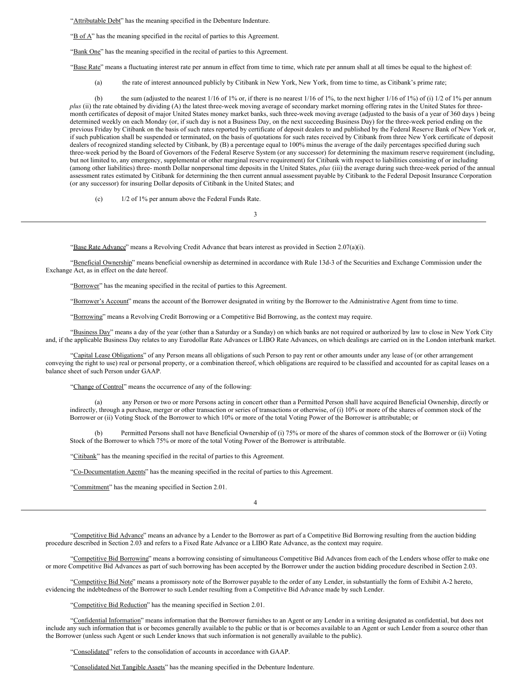"Attributable Debt" has the meaning specified in the Debenture Indenture.

" $B$  of  $A$ " has the meaning specified in the recital of parties to this Agreement.

"Bank One" has the meaning specified in the recital of parties to this Agreement.

"Base Rate" means a fluctuating interest rate per annum in effect from time to time, which rate per annum shall at all times be equal to the highest of:

(a) the rate of interest announced publicly by Citibank in New York, New York, from time to time, as Citibank's prime rate;

(b) the sum (adjusted to the nearest 1/16 of 1% or, if there is no nearest 1/16 of 1%, to the next higher 1/16 of 1%) of (i) 1/2 of 1% per annum *plus* (ii) the rate obtained by dividing (A) the latest three-week moving average of secondary market morning offering rates in the United States for threemonth certificates of deposit of major United States money market banks, such three-week moving average (adjusted to the basis of a year of 360 days ) being determined weekly on each Monday (or, if such day is not a Business Day, on the next succeeding Business Day) for the three-week period ending on the previous Friday by Citibank on the basis of such rates reported by certificate of deposit dealers to and published by the Federal Reserve Bank of New York or, if such publication shall be suspended or terminated, on the basis of quotations for such rates received by Citibank from three New York certificate of deposit dealers of recognized standing selected by Citibank, by (B) a percentage equal to 100% minus the average of the daily percentages specified during such three-week period by the Board of Governors of the Federal Reserve System (or any successor) for determining the maximum reserve requirement (including, but not limited to, any emergency, supplemental or other marginal reserve requirement) for Citibank with respect to liabilities consisting of or including (among other liabilities) three- month Dollar nonpersonal time deposits in the United States, *plus* (iii) the average during such three-week period of the annual assessment rates estimated by Citibank for determining the then current annual assessment payable by Citibank to the Federal Deposit Insurance Corporation (or any successor) for insuring Dollar deposits of Citibank in the United States; and

(c) 1/2 of 1% per annum above the Federal Funds Rate.

"Base Rate Advance" means a Revolving Credit Advance that bears interest as provided in Section 2.07(a)(i).

"Beneficial Ownership" means beneficial ownership as determined in accordance with Rule 13d-3 of the Securities and Exchange Commission under the Exchange Act, as in effect on the date hereof.

3

"Borrower" has the meaning specified in the recital of parties to this Agreement.

"Borrower's Account" means the account of the Borrower designated in writing by the Borrower to the Administrative Agent from time to time.

"Borrowing" means a Revolving Credit Borrowing or a Competitive Bid Borrowing, as the context may require.

"Business Day" means a day of the year (other than a Saturday or a Sunday) on which banks are not required or authorized by law to close in New York City and, if the applicable Business Day relates to any Eurodollar Rate Advances or LIBO Rate Advances, on which dealings are carried on in the London interbank market.

"Capital Lease Obligations" of any Person means all obligations of such Person to pay rent or other amounts under any lease of (or other arrangement conveying the right to use) real or personal property, or a combination thereof, which obligations are required to be classified and accounted for as capital leases on a balance sheet of such Person under GAAP.

"Change of Control" means the occurrence of any of the following:

(a) any Person or two or more Persons acting in concert other than a Permitted Person shall have acquired Beneficial Ownership, directly or indirectly, through a purchase, merger or other transaction or series of transactions or otherwise, of (i) 10% or more of the shares of common stock of the Borrower or (ii) Voting Stock of the Borrower to which 10% or more of the total Voting Power of the Borrower is attributable; or

Permitted Persons shall not have Beneficial Ownership of (i) 75% or more of the shares of common stock of the Borrower or (ii) Voting Stock of the Borrower to which 75% or more of the total Voting Power of the Borrower is attributable.

"Citibank" has the meaning specified in the recital of parties to this Agreement.

"Co-Documentation Agents" has the meaning specified in the recital of parties to this Agreement.

"Commitment" has the meaning specified in Section 2.01.

4

"Competitive Bid Advance" means an advance by a Lender to the Borrower as part of a Competitive Bid Borrowing resulting from the auction bidding procedure described in Section 2.03 and refers to a Fixed Rate Advance or a LIBO Rate Advance, as the context may require.

"Competitive Bid Borrowing" means a borrowing consisting of simultaneous Competitive Bid Advances from each of the Lenders whose offer to make one or more Competitive Bid Advances as part of such borrowing has been accepted by the Borrower under the auction bidding procedure described in Section 2.03.

"Competitive Bid Note" means a promissory note of the Borrower payable to the order of any Lender, in substantially the form of Exhibit A-2 hereto, evidencing the indebtedness of the Borrower to such Lender resulting from a Competitive Bid Advance made by such Lender.

"Competitive Bid Reduction" has the meaning specified in Section 2.01.

"Confidential Information" means information that the Borrower furnishes to an Agent or any Lender in a writing designated as confidential, but does not include any such information that is or becomes generally available to the public or that is or becomes available to an Agent or such Lender from a source other than the Borrower (unless such Agent or such Lender knows that such information is not generally available to the public).

"Consolidated" refers to the consolidation of accounts in accordance with GAAP.

"Consolidated Net Tangible Assets" has the meaning specified in the Debenture Indenture.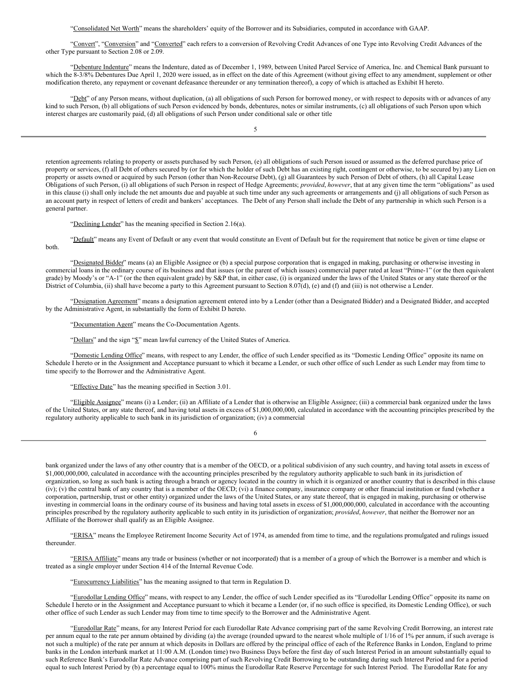"Consolidated Net Worth" means the shareholders' equity of the Borrower and its Subsidiaries, computed in accordance with GAAP.

"Convert", "Conversion" and "Converted" each refers to a conversion of Revolving Credit Advances of one Type into Revolving Credit Advances of the other Type pursuant to Section 2.08 or 2.09.

"Debenture Indenture" means the Indenture, dated as of December 1, 1989, between United Parcel Service of America, Inc. and Chemical Bank pursuant to which the 8-3/8% Debentures Due April 1, 2020 were issued, as in effect on the date of this Agreement (without giving effect to any amendment, supplement or other modification thereto, any repayment or covenant defeasance thereunder or any termination thereof), a copy of which is attached as Exhibit H hereto.

"Debt" of any Person means, without duplication, (a) all obligations of such Person for borrowed money, or with respect to deposits with or advances of any kind to such Person, (b) all obligations of such Person evidenced by bonds, debentures, notes or similar instruments, (c) all obligations of such Person upon which interest charges are customarily paid, (d) all obligations of such Person under conditional sale or other title

5

retention agreements relating to property or assets purchased by such Person, (e) all obligations of such Person issued or assumed as the deferred purchase price of property or services, (f) all Debt of others secured by (or for which the holder of such Debt has an existing right, contingent or otherwise, to be secured by) any Lien on property or assets owned or acquired by such Person (other than Non-Recourse Debt), (g) all Guarantees by such Person of Debt of others, (h) all Capital Lease Obligations of such Person, (i) all obligations of such Person in respect of Hedge Agreements; *provided*, *however*, that at any given time the term "obligations" as used in this clause (i) shall only include the net amounts due and payable at such time under any such agreements or arrangements and (j) all obligations of such Person as an account party in respect of letters of credit and bankers' acceptances. The Debt of any Person shall include the Debt of any partnership in which such Person is a general partner.

"Declining Lender" has the meaning specified in Section 2.16(a).

"Default" means any Event of Default or any event that would constitute an Event of Default but for the requirement that notice be given or time elapse or both.

"Designated Bidder" means (a) an Eligible Assignee or (b) a special purpose corporation that is engaged in making, purchasing or otherwise investing in commercial loans in the ordinary course of its business and that issues (or the parent of which issues) commercial paper rated at least "Prime-1" (or the then equivalent grade) by Moody's or "A-1" (or the then equivalent grade) by S&P that, in either case, (i) is organized under the laws of the United States or any state thereof or the District of Columbia, (ii) shall have become a party to this Agreement pursuant to Section 8.07(d), (e) and (f) and (iii) is not otherwise a Lender.

"Designation Agreement" means a designation agreement entered into by a Lender (other than a Designated Bidder) and a Designated Bidder, and accepted by the Administrative Agent, in substantially the form of Exhibit D hereto.

"Documentation Agent" means the Co-Documentation Agents.

"Dollars" and the sign "\$" mean lawful currency of the United States of America.

"Domestic Lending Office" means, with respect to any Lender, the office of such Lender specified as its "Domestic Lending Office" opposite its name on Schedule I hereto or in the Assignment and Acceptance pursuant to which it became a Lender, or such other office of such Lender as such Lender may from time to time specify to the Borrower and the Administrative Agent.

"Effective Date" has the meaning specified in Section 3.01.

"Eligible Assignee" means (i) a Lender; (ii) an Affiliate of a Lender that is otherwise an Eligible Assignee; (iii) a commercial bank organized under the laws of the United States, or any state thereof, and having total assets in excess of \$1,000,000,000, calculated in accordance with the accounting principles prescribed by the regulatory authority applicable to such bank in its jurisdiction of organization; (iv) a commercial

6

bank organized under the laws of any other country that is a member of the OECD, or a political subdivision of any such country, and having total assets in excess of \$1,000,000,000, calculated in accordance with the accounting principles prescribed by the regulatory authority applicable to such bank in its jurisdiction of organization, so long as such bank is acting through a branch or agency located in the country in which it is organized or another country that is described in this clause  $(iv)$ ; (v) the central bank of any country that is a member of the OECD; (vi) a finance company, insurance company or other financial institution or fund (whether a corporation, partnership, trust or other entity) organized under the laws of the United States, or any state thereof, that is engaged in making, purchasing or otherwise investing in commercial loans in the ordinary course of its business and having total assets in excess of \$1,000,000,000, calculated in accordance with the accounting principles prescribed by the regulatory authority applicable to such entity in its jurisdiction of organization; *provided*, *however*, that neither the Borrower nor an Affiliate of the Borrower shall qualify as an Eligible Assignee.

"ERISA" means the Employee Retirement Income Security Act of 1974, as amended from time to time, and the regulations promulgated and rulings issued thereunder.

"ERISA Affiliate" means any trade or business (whether or not incorporated) that is a member of a group of which the Borrower is a member and which is treated as a single employer under Section 414 of the Internal Revenue Code.

"Eurocurrency Liabilities" has the meaning assigned to that term in Regulation D.

"Eurodollar Lending Office" means, with respect to any Lender, the office of such Lender specified as its "Eurodollar Lending Office" opposite its name on Schedule I hereto or in the Assignment and Acceptance pursuant to which it became a Lender (or, if no such office is specified, its Domestic Lending Office), or such other office of such Lender as such Lender may from time to time specify to the Borrower and the Administrative Agent.

"Eurodollar Rate" means, for any Interest Period for each Eurodollar Rate Advance comprising part of the same Revolving Credit Borrowing, an interest rate per annum equal to the rate per annum obtained by dividing (a) the average (rounded upward to the nearest whole multiple of 1/16 of 1% per annum, if such average is not such a multiple) of the rate per annum at which deposits in Dollars are offered by the principal office of each of the Reference Banks in London, England to prime banks in the London interbank market at 11:00 A.M. (London time) two Business Days before the first day of such Interest Period in an amount substantially equal to such Reference Bank's Eurodollar Rate Advance comprising part of such Revolving Credit Borrowing to be outstanding during such Interest Period and for a period equal to such Interest Period by (b) a percentage equal to 100% minus the Eurodollar Rate Reserve Percentage for such Interest Period. The Eurodollar Rate for any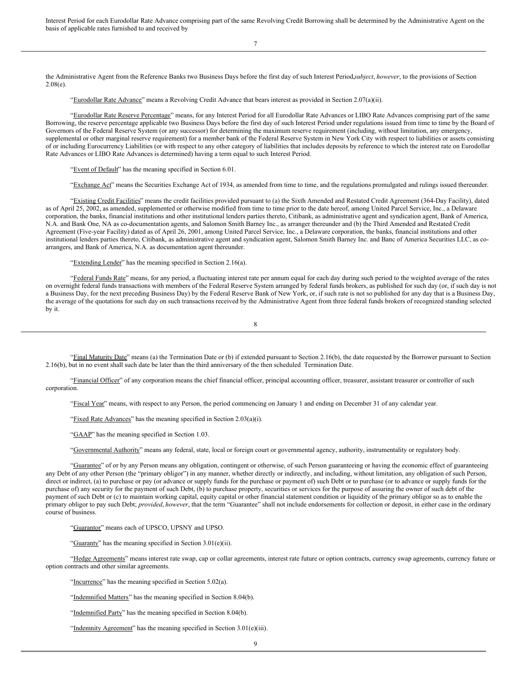Interest Period for each Eurodollar Rate Advance comprising part of the same Revolving Credit Borrowing shall be determined by the Administrative Agent on the basis of applicable rates furnished to and received by

7

the Administrative Agent from the Reference Banks two Business Days before the first day of such Interest Period,*subject*, *however*, to the provisions of Section  $2.08(e)$ .

"Eurodollar Rate Advance" means a Revolving Credit Advance that bears interest as provided in Section 2.07(a)(ii).

"Eurodollar Rate Reserve Percentage" means, for any Interest Period for all Eurodollar Rate Advances or LIBO Rate Advances comprising part of the same Borrowing, the reserve percentage applicable two Business Days before the first day of such Interest Period under regulations issued from time to time by the Board of Governors of the Federal Reserve System (or any successor) for determining the maximum reserve requirement (including, without limitation, any emergency, supplemental or other marginal reserve requirement) for a member bank of the Federal Reserve System in New York City with respect to liabilities or assets consisting of or including Eurocurrency Liabilities (or with respect to any other category of liabilities that includes deposits by reference to which the interest rate on Eurodollar Rate Advances or LIBO Rate Advances is determined) having a term equal to such Interest Period.

"Event of Default" has the meaning specified in Section 6.01.

"Exchange Act" means the Securities Exchange Act of 1934, as amended from time to time, and the regulations promulgated and rulings issued thereunder.

"Existing Credit Facilities" means the credit facilities provided pursuant to (a) the Sixth Amended and Restated Credit Agreement (364-Day Facility), dated as of April 25, 2002, as amended, supplemented or otherwise modified from time to time prior to the date hereof, among United Parcel Service, Inc., a Delaware corporation, the banks, financial institutions and other institutional lenders parties thereto, Citibank, as administrative agent and syndication agent, Bank of America, N.A. and Bank One, NA as co-documentation agents, and Salomon Smith Barney Inc., as arranger thereunder and (b) the Third Amended and Restated Credit Agreement (Five-year Facility) dated as of April 26, 2001, among United Parcel Service, Inc., a Delaware corporation, the banks, financial institutions and other institutional lenders parties thereto, Citibank, as administrative agent and syndication agent, Salomon Smith Barney Inc. and Banc of America Securities LLC, as coarrangers, and Bank of America, N.A. as documentation agent thereunder.

"Extending Lender" has the meaning specified in Section 2.16(a).

"Federal Funds Rate" means, for any period, a fluctuating interest rate per annum equal for each day during such period to the weighted average of the rates on overnight federal funds transactions with members of the Federal Reserve System arranged by federal funds brokers, as published for such day (or, if such day is not a Business Day, for the next preceding Business Day) by the Federal Reserve Bank of New York, or, if such rate is not so published for any day that is a Business Day, the average of the quotations for such day on such transactions received by the Administrative Agent from three federal funds brokers of recognized standing selected by it.

8

"Final Maturity Date" means (a) the Termination Date or (b) if extended pursuant to Section 2.16(b), the date requested by the Borrower pursuant to Section 2.16(b), but in no event shall such date be later than the third anniversary of the then scheduled Termination Date.

"Financial Officer" of any corporation means the chief financial officer, principal accounting officer, treasurer, assistant treasurer or controller of such corporation.

"Fiscal Year" means, with respect to any Person, the period commencing on January 1 and ending on December 31 of any calendar year.

"Fixed Rate Advances" has the meaning specified in Section 2.03(a)(i).

"GAAP" has the meaning specified in Section 1.03.

"Governmental Authority" means any federal, state, local or foreign court or governmental agency, authority, instrumentality or regulatory body.

"Guarantee" of or by any Person means any obligation, contingent or otherwise, of such Person guaranteeing or having the economic effect of guaranteeing any Debt of any other Person (the "primary obligor") in any manner, whether directly or indirectly, and including, without limitation, any obligation of such Person, direct or indirect, (a) to purchase or pay (or advance or supply funds for the purchase or payment of) such Debt or to purchase (or to advance or supply funds for the purchase of) any security for the payment of such Debt, (b) to purchase property, securities or services for the purpose of assuring the owner of such debt of the payment of such Debt or (c) to maintain working capital, equity capital or other financial statement condition or liquidity of the primary obligor so as to enable the primary obligor to pay such Debt; *provided*, *however*, that the term "Guarantee" shall not include endorsements for collection or deposit, in either case in the ordinary course of business.

"Guarantor" means each of UPSCO, UPSNY and UPSO.

"Guaranty" has the meaning specified in Section 3.01(e)(ii).

"Hedge Agreements" means interest rate swap, cap or collar agreements, interest rate future or option contracts, currency swap agreements, currency future or option contracts and other similar agreements.

"Incurrence" has the meaning specified in Section 5.02(a).

"Indemnified Matters" has the meaning specified in Section 8.04(b).

"Indemnified Party" has the meaning specified in Section 8.04(b).

"Indemnity Agreement" has the meaning specified in Section 3.01(e)(iii).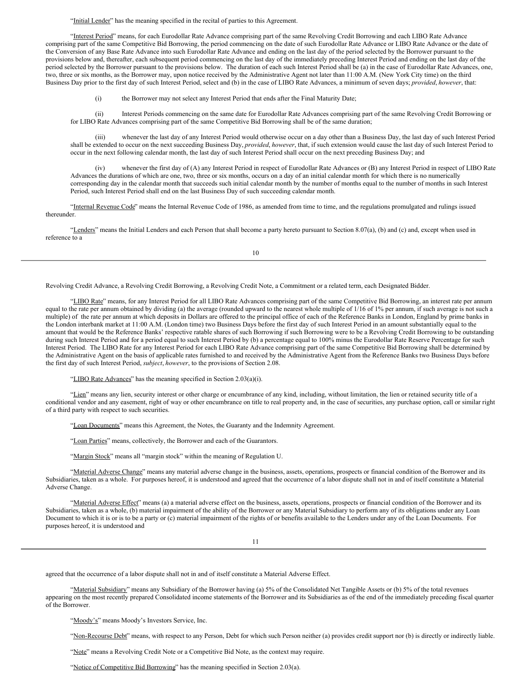"Initial Lender" has the meaning specified in the recital of parties to this Agreement.

"Interest Period" means, for each Eurodollar Rate Advance comprising part of the same Revolving Credit Borrowing and each LIBO Rate Advance comprising part of the same Competitive Bid Borrowing, the period commencing on the date of such Eurodollar Rate Advance or LIBO Rate Advance or the date of the Conversion of any Base Rate Advance into such Eurodollar Rate Advance and ending on the last day of the period selected by the Borrower pursuant to the provisions below and, thereafter, each subsequent period commencing on the last day of the immediately preceding Interest Period and ending on the last day of the period selected by the Borrower pursuant to the provisions below. The duration of each such Interest Period shall be (a) in the case of Eurodollar Rate Advances, one, two, three or six months, as the Borrower may, upon notice received by the Administrative Agent not later than 11:00 A.M. (New York City time) on the third Business Day prior to the first day of such Interest Period, select and (b) in the case of LIBO Rate Advances, a minimum of seven days; *provided*, *however*, that:

(i) the Borrower may not select any Interest Period that ends after the Final Maturity Date;

(ii) Interest Periods commencing on the same date for Eurodollar Rate Advances comprising part of the same Revolving Credit Borrowing or for LIBO Rate Advances comprising part of the same Competitive Bid Borrowing shall be of the same duration;

(iii) whenever the last day of any Interest Period would otherwise occur on a day other than a Business Day, the last day of such Interest Period shall be extended to occur on the next succeeding Business Day, *provided*, *however*, that, if such extension would cause the last day of such Interest Period to occur in the next following calendar month, the last day of such Interest Period shall occur on the next preceding Business Day; and

(iv) whenever the first day of (A) any Interest Period in respect of Eurodollar Rate Advances or (B) any Interest Period in respect of LIBO Rate Advances the durations of which are one, two, three or six months, occurs on a day of an initial calendar month for which there is no numerically corresponding day in the calendar month that succeeds such initial calendar month by the number of months equal to the number of months in such Interest Period, such Interest Period shall end on the last Business Day of such succeeding calendar month.

"Internal Revenue Code" means the Internal Revenue Code of 1986, as amended from time to time, and the regulations promulgated and rulings issued thereunder.

"Lenders" means the Initial Lenders and each Person that shall become a party hereto pursuant to Section 8.07(a), (b) and (c) and, except when used in reference to a

10

Revolving Credit Advance, a Revolving Credit Borrowing, a Revolving Credit Note, a Commitment or a related term, each Designated Bidder.

"LIBO Rate" means, for any Interest Period for all LIBO Rate Advances comprising part of the same Competitive Bid Borrowing, an interest rate per annum equal to the rate per annum obtained by dividing (a) the average (rounded upward to the nearest whole multiple of 1/16 of 1% per annum, if such average is not such a multiple) of the rate per annum at which deposits in Dollars are offered to the principal office of each of the Reference Banks in London, England by prime banks in the London interbank market at 11:00 A.M. (London time) two Business Days before the first day of such Interest Period in an amount substantially equal to the amount that would be the Reference Banks' respective ratable shares of such Borrowing if such Borrowing were to be a Revolving Credit Borrowing to be outstanding during such Interest Period and for a period equal to such Interest Period by (b) a percentage equal to 100% minus the Eurodollar Rate Reserve Percentage for such Interest Period. The LIBO Rate for any Interest Period for each LIBO Rate Advance comprising part of the same Competitive Bid Borrowing shall be determined by the Administrative Agent on the basis of applicable rates furnished to and received by the Administrative Agent from the Reference Banks two Business Days before the first day of such Interest Period, *subject*, *however*, to the provisions of Section 2.08.

"LIBO Rate Advances" has the meaning specified in Section 2.03(a)(i).

"Lien" means any lien, security interest or other charge or encumbrance of any kind, including, without limitation, the lien or retained security title of a conditional vendor and any easement, right of way or other encumbrance on title to real property and, in the case of securities, any purchase option, call or similar right of a third party with respect to such securities.

"Loan Documents" means this Agreement, the Notes, the Guaranty and the Indemnity Agreement.

"Loan Parties" means, collectively, the Borrower and each of the Guarantors.

"Margin Stock" means all "margin stock" within the meaning of Regulation U.

"Material Adverse Change" means any material adverse change in the business, assets, operations, prospects or financial condition of the Borrower and its Subsidiaries, taken as a whole. For purposes hereof, it is understood and agreed that the occurrence of a labor dispute shall not in and of itself constitute a Material Adverse Change.

"Material Adverse Effect" means (a) a material adverse effect on the business, assets, operations, prospects or financial condition of the Borrower and its Subsidiaries, taken as a whole, (b) material impairment of the ability of the Borrower or any Material Subsidiary to perform any of its obligations under any Loan Document to which it is or is to be a party or (c) material impairment of the rights of or benefits available to the Lenders under any of the Loan Documents. For purposes hereof, it is understood and

11

agreed that the occurrence of a labor dispute shall not in and of itself constitute a Material Adverse Effect.

"Material Subsidiary" means any Subsidiary of the Borrower having (a) 5% of the Consolidated Net Tangible Assets or (b) 5% of the total revenues appearing on the most recently prepared Consolidated income statements of the Borrower and its Subsidiaries as of the end of the immediately preceding fiscal quarter of the Borrower.

"Moody's" means Moody's Investors Service, Inc.

"Non-Recourse Debt" means, with respect to any Person, Debt for which such Person neither (a) provides credit support nor (b) is directly or indirectly liable.

"Note" means a Revolving Credit Note or a Competitive Bid Note, as the context may require.

"Notice of Competitive Bid Borrowing" has the meaning specified in Section 2.03(a).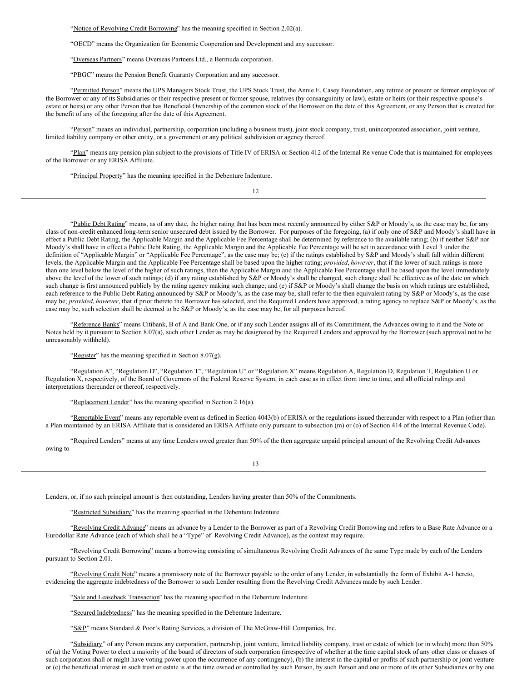"Notice of Revolving Credit Borrowing" has the meaning specified in Section 2.02(a).

"OECD" means the Organization for Economic Cooperation and Development and any successor.

"Overseas Partners" means Overseas Partners Ltd., a Bermuda corporation.

"PBGC" means the Pension Benefit Guaranty Corporation and any successor.

"Permitted Person" means the UPS Managers Stock Trust, the UPS Stock Trust, the Annie E. Casey Foundation, any retiree or present or former employee of the Borrower or any of its Subsidiaries or their respective present or former spouse, relatives (by consanguinity or law), estate or heirs (or their respective spouse's estate or heirs) or any other Person that has Beneficial Ownership of the common stock of the Borrower on the date of this Agreement, or any Person that is created for the benefit of any of the foregoing after the date of this Agreement.

"Person" means an individual, partnership, corporation (including a business trust), joint stock company, trust, unincorporated association, joint venture, limited liability company or other entity, or a government or any political subdivision or agency thereof.

"Plan" means any pension plan subject to the provisions of Title IV of ERISA or Section 412 of the Internal Re venue Code that is maintained for employees of the Borrower or any ERISA Affiliate.

"Principal Property" has the meaning specified in the Debenture Indenture.

12

"Public Debt Rating" means, as of any date, the higher rating that has been most recently announced by either S&P or Moody's, as the case may be, for any class of non-credit enhanced long-term senior unsecured debt issued by the Borrower. For purposes of the foregoing, (a) if only one of S&P and Moody's shall have in effect a Public Debt Rating, the Applicable Margin and the Applicable Fee Percentage shall be determined by reference to the available rating; (b) if neither S&P nor Moody's shall have in effect a Public Debt Rating, the Applicable Margin and the Applicable Fee Percentage will be set in accordance with Level 3 under the definition of "Applicable Margin" or "Applicable Fee Percentage", as the case may be; (c) if the ratings established by S&P and Moody's shall fall within different levels, the Applicable Margin and the Applicable Fee Percentage shall be based upon the higher rating; *provided*, *however*, that if the lower of such ratings is more than one level below the level of the higher of such ratings, then the Applicable Margin and the Applicable Fee Percentage shall be based upon the level immediately above the level of the lower of such ratings; (d) if any rating established by S&P or Moody's shall be changed, such change shall be effective as of the date on which such change is first announced publicly by the rating agency making such change; and (e) if S&P or Moody's shall change the basis on which ratings are established, each reference to the Public Debt Rating announced by S&P or Moody's, as the case may be, shall refer to the then equivalent rating by S&P or Moody's, as the case may be; *provided*, *however*, that if prior thereto the Borrower has selected, and the Required Lenders have approved, a rating agency to replace S&P or Moody's, as the case may be, such selection shall be deemed to be S&P or Moody's, as the case may be, for all purposes hereof.

"Reference Banks" means Citibank, B of A and Bank One, or if any such Lender assigns all of its Commitment, the Advances owing to it and the Note or Notes held by it pursuant to Section 8.07(a), such other Lender as may be designated by the Required Lenders and approved by the Borrower (such approval not to be unreasonably withheld).

"Register" has the meaning specified in Section 8.07(g).

"Regulation A", "Regulation D", "Regulation T", "Regulation U" or "Regulation X" means Regulation A, Regulation D, Regulation T, Regulation U or Regulation X, respectively, of the Board of Governors of the Federal Reserve System, in each case as in effect from time to time, and all official rulings and interpretations thereunder or thereof, respectively.

"Replacement Lender" has the meaning specified in Section 2.16(a).

"Reportable Event" means any reportable event as defined in Section 4043(b) of ERISA or the regulations issued thereunder with respect to a Plan (other than a Plan maintained by an ERISA Affiliate that is considered an ERISA Affiliate only pursuant to subsection (m) or (o) of Section 414 of the Internal Revenue Code).

"Required Lenders" means at any time Lenders owed greater than 50% of the then aggregate unpaid principal amount of the Revolving Credit Advances owing to

13

Lenders, or, if no such principal amount is then outstanding, Lenders having greater than 50% of the Commitments.

"Restricted Subsidiary" has the meaning specified in the Debenture Indenture.

"Revolving Credit Advance" means an advance by a Lender to the Borrower as part of a Revolving Credit Borrowing and refers to a Base Rate Advance or a Eurodollar Rate Advance (each of which shall be a "Type" of Revolving Credit Advance), as the context may require.

"Revolving Credit Borrowing" means a borrowing consisting of simultaneous Revolving Credit Advances of the same Type made by each of the Lenders pursuant to Section 2.01.

"Revolving Credit Note" means a promissory note of the Borrower payable to the order of any Lender, in substantially the form of Exhibit A-1 hereto, evidencing the aggregate indebtedness of the Borrower to such Lender resulting from the Revolving Credit Advances made by such Lender.

"Sale and Leaseback Transaction" has the meaning specified in the Debenture Indenture.

"Secured Indebtedness" has the meaning specified in the Debenture Indenture.

"S&P" means Standard & Poor's Rating Services, a division of The McGraw-Hill Companies, Inc.

"Subsidiary" of any Person means any corporation, partnership, joint venture, limited liability company, trust or estate of which (or in which) more than 50% of (a) the Voting Power to elect a majority of the board of directors of such corporation (irrespective of whether at the time capital stock of any other class or classes of such corporation shall or might have voting power upon the occurrence of any contingency), (b) the interest in the capital or profits of such partnership or joint venture or (c) the beneficial interest in such trust or estate is at the time owned or controlled by such Person, by such Person and one or more of its other Subsidiaries or by one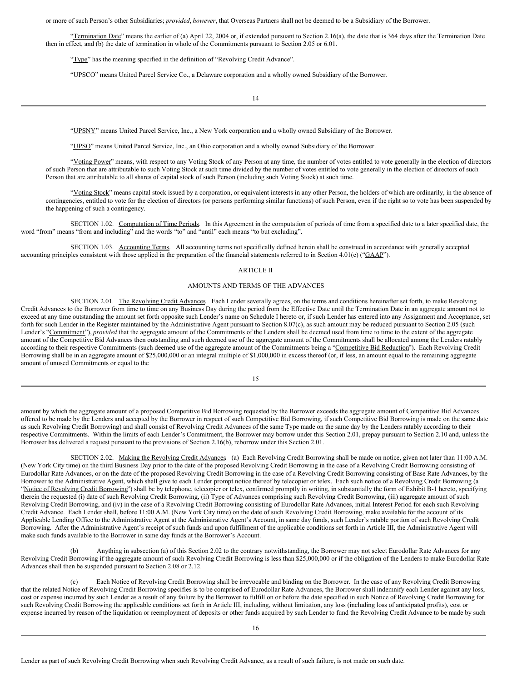or more of such Person's other Subsidiaries; *provided*, *however*, that Overseas Partners shall not be deemed to be a Subsidiary of the Borrower.

"Termination Date" means the earlier of (a) April 22, 2004 or, if extended pursuant to Section 2.16(a), the date that is 364 days after the Termination Date then in effect, and (b) the date of termination in whole of the Commitments pursuant to Section 2.05 or 6.01.

"Type" has the meaning specified in the definition of "Revolving Credit Advance".

"UPSCO" means United Parcel Service Co., a Delaware corporation and a wholly owned Subsidiary of the Borrower.

"UPSNY" means United Parcel Service, Inc., a New York corporation and a wholly owned Subsidiary of the Borrower.

"UPSO" means United Parcel Service, Inc., an Ohio corporation and a wholly owned Subsidiary of the Borrower.

"Voting Power" means, with respect to any Voting Stock of any Person at any time, the number of votes entitled to vote generally in the election of directors of such Person that are attributable to such Voting Stock at such time divided by the number of votes entitled to vote generally in the election of directors of such Person that are attributable to all shares of capital stock of such Person (including such Voting Stock) at such time.

<span id="page-22-0"></span>"Yoting Stock" means capital stock issued by a corporation, or equivalent interests in any other Person, the holders of which are ordinarily, in the absence of contingencies, entitled to vote for the election of directors (or persons performing similar functions) of such Person, even if the right so to vote has been suspended by the happening of such a contingency.

SECTION 1.02. Computation of Time Periods. In this Agreement in the computation of periods of time from a specified date to a later specified date, the word "from" means "from and including" and the words "to" and "until" each means "to but excluding".

<span id="page-22-1"></span>SECTION 1.03. Accounting Terms. All accounting terms not specifically defined herein shall be construed in accordance with generally accepted accounting principles consistent with those applied in the preparation of the financial statements referred to in Section 4.01(e) ("GAAP").

#### <span id="page-22-2"></span>ARTICLE II

#### <span id="page-22-3"></span>AMOUNTS AND TERMS OF THE ADVANCES

<span id="page-22-4"></span>SECTION 2.01. The Revolving Credit Advances Each Lender severally agrees, on the terms and conditions hereinafter set forth, to make Revolving Credit Advances to the Borrower from time to time on any Business Day during the period from the Effective Date until the Termination Date in an aggregate amount not to exceed at any time outstanding the amount set forth opposite such Lender's name on Schedule I hereto or, if such Lender has entered into any Assignment and Acceptance, set forth for such Lender in the Register maintained by the Administrative Agent pursuant to Section 8.07(c), as such amount may be reduced pursuant to Section 2.05 (such Lender's "Commitment"), *provided* that the aggregate amount of the Commitments of the Lenders shall be deemed used from time to time to the extent of the aggregate amount of the Competitive Bid Advances then outstanding and such deemed use of the aggregate amount of the Commitments shall be allocated among the Lenders ratably according to their respective Commitments (such deemed use of the aggregate amount of the Commitments being a "Competitive Bid Reduction"). Each Revolving Credit Borrowing shall be in an aggregate amount of \$25,000,000 or an integral multiple of \$1,000,000 in excess thereof (or, if less, an amount equal to the remaining aggregate amount of unused Commitments or equal to the

15

amount by which the aggregate amount of a proposed Competitive Bid Borrowing requested by the Borrower exceeds the aggregate amount of Competitive Bid Advances offered to be made by the Lenders and accepted by the Borrower in respect of such Competitive Bid Borrowing, if such Competitive Bid Borrowing is made on the same date as such Revolving Credit Borrowing) and shall consist of Revolving Credit Advances of the same Type made on the same day by the Lenders ratably according to their respective Commitments. Within the limits of each Lender's Commitment, the Borrower may borrow under this Section 2.01, prepay pursuant to Section 2.10 and, unless the Borrower has delivered a request pursuant to the provisions of Section 2.16(b), reborrow under this Section 2.01.

<span id="page-22-5"></span>SECTION 2.02. Making the Revolving Credit Advances (a) Each Revolving Credit Borrowing shall be made on notice, given not later than 11:00 A.M. (New York City time) on the third Business Day prior to the date of the proposed Revolving Credit Borrowing in the case of a Revolving Credit Borrowing consisting of Eurodollar Rate Advances, or on the date of the proposed Revolving Credit Borrowing in the case of a Revolving Credit Borrowing consisting of Base Rate Advances, by the Borrower to the Administrative Agent, which shall give to each Lender prompt notice thereof by telecopier or telex. Each such notice of a Revolving Credit Borrowing (a "Notice of Revolving Credit Borrowing") shall be by telephone, telecopier or telex, confirmed promptly in writing, in substantially the form of Exhibit B-1 hereto, specifying therein the requested (i) date of such Revolving Credit Borrowing, (ii) Type of Advances comprising such Revolving Credit Borrowing, (iii) aggregate amount of such Revolving Credit Borrowing, and (iv) in the case of a Revolving Credit Borrowing consisting of Eurodollar Rate Advances, initial Interest Period for each such Revolving Credit Advance. Each Lender shall, before 11:00 A.M. (New York City time) on the date of such Revolving Credit Borrowing, make available for the account of its Applicable Lending Office to the Administrative Agent at the Administrative Agent's Account, in same day funds, such Lender's ratable portion of such Revolving Credit Borrowing. After the Administrative Agent's receipt of such funds and upon fulfillment of the applicable conditions set forth in Article III, the Administrative Agent will make such funds available to the Borrower in same day funds at the Borrower's Account.

(b) Anything in subsection (a) of this Section 2.02 to the contrary notwithstanding, the Borrower may not select Eurodollar Rate Advances for any Revolving Credit Borrowing if the aggregate amount of such Revolving Credit Borrowing is less than \$25,000,000 or if the obligation of the Lenders to make Eurodollar Rate Advances shall then be suspended pursuant to Section 2.08 or 2.12.

(c) Each Notice of Revolving Credit Borrowing shall be irrevocable and binding on the Borrower. In the case of any Revolving Credit Borrowing that the related Notice of Revolving Credit Borrowing specifies is to be comprised of Eurodollar Rate Advances, the Borrower shall indemnify each Lender against any loss, cost or expense incurred by such Lender as a result of any failure by the Borrower to fulfill on or before the date specified in such Notice of Revolving Credit Borrowing for such Revolving Credit Borrowing the applicable conditions set forth in Article III, including, without limitation, any loss (including loss of anticipated profits), cost or expense incurred by reason of the liquidation or reemployment of deposits or other funds acquired by such Lender to fund the Revolving Credit Advance to be made by such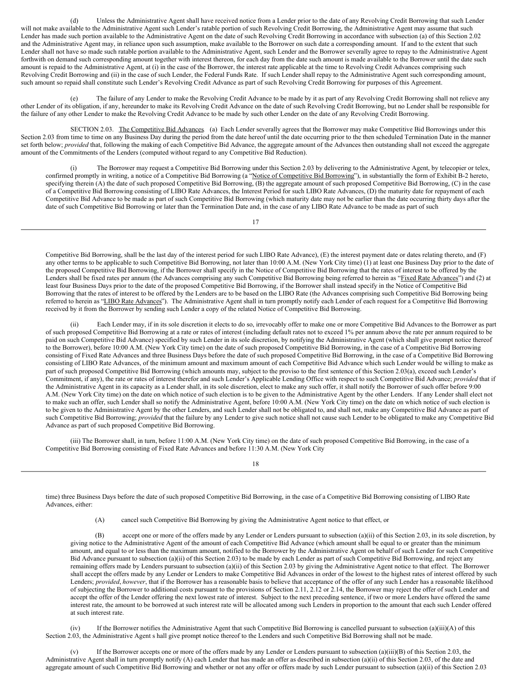(d) Unless the Administrative Agent shall have received notice from a Lender prior to the date of any Revolving Credit Borrowing that such Lender will not make available to the Administrative Agent such Lender's ratable portion of such Revolving Credit Borrowing, the Administrative Agent may assume that such Lender has made such portion available to the Administrative Agent on the date of such Revolving Credit Borrowing in accordance with subsection (a) of this Section 2.02 and the Administrative Agent may, in reliance upon such assumption, make available to the Borrower on such date a corresponding amount. If and to the extent that such Lender shall not have so made such ratable portion available to the Administrative Agent, such Lender and the Borrower severally agree to repay to the Administrative Agent forthwith on demand such corresponding amount together with interest thereon, for each day from the date such amount is made available to the Borrower until the date such amount is repaid to the Administrative Agent, at (i) in the case of the Borrower, the interest rate applicable at the time to Revolving Credit Advances comprising such Revolving Credit Borrowing and (ii) in the case of such Lender, the Federal Funds Rate. If such Lender shall repay to the Administrative Agent such corresponding amount, such amount so repaid shall constitute such Lender's Revolving Credit Advance as part of such Revolving Credit Borrowing for purposes of this Agreement.

(e) The failure of any Lender to make the Revolving Credit Advance to be made by it as part of any Revolving Credit Borrowing shall not relieve any other Lender of its obligation, if any, hereunder to make its Revolving Credit Advance on the date of such Revolving Credit Borrowing, but no Lender shall be responsible for the failure of any other Lender to make the Revolving Credit Advance to be made by such other Lender on the date of any Revolving Credit Borrowing.

SECTION 2.03. The Competitive Bid Advances. (a) Each Lender severally agrees that the Borrower may make Competitive Bid Borrowings under this Section 2.03 from time to time on any Business Day during the period from the date hereof until the date occurring prior to the then scheduled Termination Date in the manner set forth below; *provided* that, following the making of each Competitive Bid Advance, the aggregate amount of the Advances then outstanding shall not exceed the aggregate amount of the Commitments of the Lenders (computed without regard to any Competitive Bid Reduction).

<span id="page-23-0"></span>(i) The Borrower may request a Competitive Bid Borrowing under this Section 2.03 by delivering to the Administrative Agent, by telecopier or telex, confirmed promptly in writing, a notice of a Competitive Bid Borrowing (a "Notice of Competitive Bid Borrowing"), in substantially the form of Exhibit B-2 hereto, specifying therein (A) the date of such proposed Competitive Bid Borrowing, (B) the aggregate amount of such proposed Competitive Bid Borrowing, (C) in the case of a Competitive Bid Borrowing consisting of LIBO Rate Advances, the Interest Period for such LIBO Rate Advances, (D) the maturity date for repayment of each Competitive Bid Advance to be made as part of such Competitive Bid Borrowing (which maturity date may not be earlier than the date occurring thirty days after the date of such Competitive Bid Borrowing or later than the Termination Date and, in the case of any LIBO Rate Advance to be made as part of such

17

Competitive Bid Borrowing, shall be the last day of the interest period for such LIBO Rate Advance), (E) the interest payment date or dates relating thereto, and (F) any other terms to be applicable to such Competitive Bid Borrowing, not later than 10:00 A.M. (New York City time) (1) at least one Business Day prior to the date of the proposed Competitive Bid Borrowing, if the Borrower shall specify in the Notice of Competitive Bid Borrowing that the rates of interest to be offered by the Lenders shall be fixed rates per annum (the Advances comprising any such Competitive Bid Borrowing being referred to herein as "Fixed Rate Advances") and (2) at least four Business Days prior to the date of the proposed Competitive Bid Borrowing, if the Borrower shall instead specify in the Notice of Competitive Bid Borrowing that the rates of interest to be offered by the Lenders are to be based on the LIBO Rate (the Advances comprising such Competitive Bid Borrowing being referred to herein as "LIBO Rate Advances"). The Administrative Agent shall in turn promptly notify each Lender of each request for a Competitive Bid Borrowing received by it from the Borrower by sending such Lender a copy of the related Notice of Competitive Bid Borrowing.

Each Lender may, if in its sole discretion it elects to do so, irrevocably offer to make one or more Competitive Bid Advances to the Borrower as part of such proposed Competitive Bid Borrowing at a rate or rates of interest (including default rates not to exceed 1% per annum above the rate per annum required to be paid on such Competitive Bid Advance) specified by such Lender in its sole discretion, by notifying the Administrative Agent (which shall give prompt notice thereof to the Borrower), before 10:00 A.M. (New York City time) on the date of such proposed Competitive Bid Borrowing, in the case of a Competitive Bid Borrowing consisting of Fixed Rate Advances and three Business Days before the date of such proposed Competitive Bid Borrowing, in the case of a Competitive Bid Borrowing consisting of LIBO Rate Advances, of the minimum amount and maximum amount of each Competitive Bid Advance which such Lender would be willing to make as part of such proposed Competitive Bid Borrowing (which amounts may, subject to the proviso to the first sentence of this Section 2.03(a), exceed such Lender's Commitment, if any), the rate or rates of interest therefor and such Lender's Applicable Lending Office with respect to such Competitive Bid Advance; *provided* that if the Administrative Agent in its capacity as a Lender shall, in its sole discretion, elect to make any such offer, it shall notify the Borrower of such offer before 9:00 A.M. (New York City time) on the date on which notice of such election is to be given to the Administrative Agent by the other Lenders. If any Lender shall elect not to make such an offer, such Lender shall so notify the Administrative Agent, before 10:00 A.M. (New York City time) on the date on which notice of such election is to be given to the Administrative Agent by the other Lenders, and such Lender shall not be obligated to, and shall not, make any Competitive Bid Advance as part of such Competitive Bid Borrowing; *provided* that the failure by any Lender to give such notice shall not cause such Lender to be obligated to make any Competitive Bid Advance as part of such proposed Competitive Bid Borrowing.

(iii) The Borrower shall, in turn, before 11:00 A.M. (New York City time) on the date of such proposed Competitive Bid Borrowing, in the case of a Competitive Bid Borrowing consisting of Fixed Rate Advances and before 11:30 A.M. (New York City

18

time) three Business Days before the date of such proposed Competitive Bid Borrowing, in the case of a Competitive Bid Borrowing consisting of LIBO Rate Advances, either:

(A) cancel such Competitive Bid Borrowing by giving the Administrative Agent notice to that effect, or

(B) accept one or more of the offers made by any Lender or Lenders pursuant to subsection (a)(ii) of this Section 2.03, in its sole discretion, by giving notice to the Administrative Agent of the amount of each Competitive Bid Advance (which amount shall be equal to or greater than the minimum amount, and equal to or less than the maximum amount, notified to the Borrower by the Administrative Agent on behalf of such Lender for such Competitive Bid Advance pursuant to subsection (a)(ii) of this Section 2.03) to be made by each Lender as part of such Competitive Bid Borrowing, and reject any remaining offers made by Lenders pursuant to subsection (a)(ii) of this Section 2.03 by giving the Administrative Agent notice to that effect. The Borrower shall accept the offers made by any Lender or Lenders to make Competitive Bid Advances in order of the lowest to the highest rates of interest offered by such Lenders; *provided*, *however*, that if the Borrower has a reasonable basis to believe that acceptance of the offer of any such Lender has a reasonable likelihood of subjecting the Borrower to additional costs pursuant to the provisions of Section 2.11, 2.12 or 2.14, the Borrower may reject the offer of such Lender and accept the offer of the Lender offering the next lowest rate of interest. Subject to the next preceding sentence, if two or more Lenders have offered the same interest rate, the amount to be borrowed at such interest rate will be allocated among such Lenders in proportion to the amount that each such Lender offered at such interest rate.

(iv) If the Borrower notifies the Administrative Agent that such Competitive Bid Borrowing is cancelled pursuant to subsection (a)(iii)(A) of this Section 2.03, the Administrative Agent s hall give prompt notice thereof to the Lenders and such Competitive Bid Borrowing shall not be made.

If the Borrower accepts one or more of the offers made by any Lender or Lenders pursuant to subsection  $(a)(iii)(B)$  of this Section 2.03, the Administrative Agent shall in turn promptly notify (A) each Lender that has made an offer as described in subsection (a)(ii) of this Section 2.03, of the date and aggregate amount of such Competitive Bid Borrowing and whether or not any offer or offers made by such Lender pursuant to subsection (a)(ii) of this Section 2.03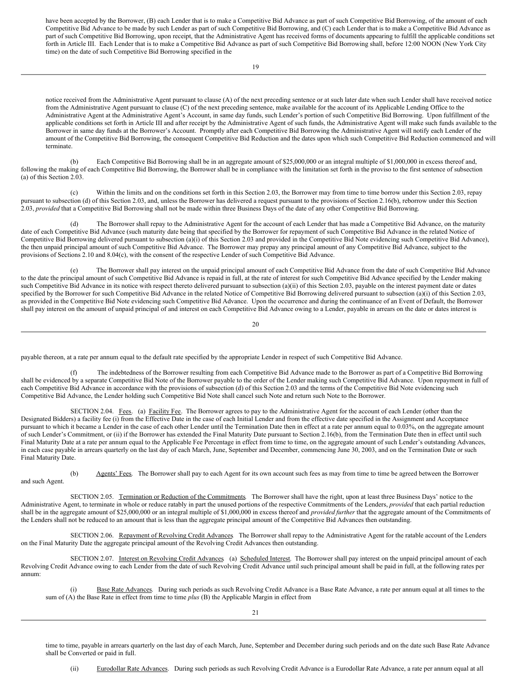have been accepted by the Borrower, (B) each Lender that is to make a Competitive Bid Advance as part of such Competitive Bid Borrowing, of the amount of each Competitive Bid Advance to be made by such Lender as part of such Competitive Bid Borrowing, and (C) each Lender that is to make a Competitive Bid Advance as part of such Competitive Bid Borrowing, upon receipt, that the Administrative Agent has received forms of documents appearing to fulfill the applicable conditions set forth in Article III. Each Lender that is to make a Competitive Bid Advance as part of such Competitive Bid Borrowing shall, before 12:00 NOON (New York City time) on the date of such Competitive Bid Borrowing specified in the

notice received from the Administrative Agent pursuant to clause (A) of the next preceding sentence or at such later date when such Lender shall have received notice from the Administrative Agent pursuant to clause (C) of the next preceding sentence, make available for the account of its Applicable Lending Office to the Administrative Agent at the Administrative Agent's Account, in same day funds, such Lender's portion of such Competitive Bid Borrowing. Upon fulfillment of the applicable conditions set forth in Article III and after receipt by the Administrative Agent of such funds, the Administrative Agent will make such funds available to the Borrower in same day funds at the Borrower's Account. Promptly after each Competitive Bid Borrowing the Administrative Agent will notify each Lender of the amount of the Competitive Bid Borrowing, the consequent Competitive Bid Reduction and the dates upon which such Competitive Bid Reduction commenced and will terminate.

(b) Each Competitive Bid Borrowing shall be in an aggregate amount of \$25,000,000 or an integral multiple of \$1,000,000 in excess thereof and, following the making of each Competitive Bid Borrowing, the Borrower shall be in compliance with the limitation set forth in the proviso to the first sentence of subsection (a) of this Section 2.03.

(c) Within the limits and on the conditions set forth in this Section 2.03, the Borrower may from time to time borrow under this Section 2.03, repay pursuant to subsection (d) of this Section 2.03, and, unless the Borrower has delivered a request pursuant to the provisions of Section 2.16(b), reborrow under this Section 2.03, *provided* that a Competitive Bid Borrowing shall not be made within three Business Days of the date of any other Competitive Bid Borrowing.

(d) The Borrower shall repay to the Administrative Agent for the account of each Lender that has made a Competitive Bid Advance, on the maturity date of each Competitive Bid Advance (such maturity date being that specified by the Borrower for repayment of such Competitive Bid Advance in the related Notice of Competitive Bid Borrowing delivered pursuant to subsection (a)(i) of this Section 2.03 and provided in the Competitive Bid Note evidencing such Competitive Bid Advance), the then unpaid principal amount of such Competitive Bid Advance. The Borrower may prepay any principal amount of any Competitive Bid Advance, subject to the provisions of Sections 2.10 and 8.04(c), with the consent of the respective Lender of such Competitive Bid Advance.

(e) The Borrower shall pay interest on the unpaid principal amount of each Competitive Bid Advance from the date of such Competitive Bid Advance to the date the principal amount of such Competitive Bid Advance is repaid in full, at the rate of interest for such Competitive Bid Advance specified by the Lender making such Competitive Bid Advance in its notice with respect thereto delivered pursuant to subsection (a)(ii) of this Section 2.03, payable on the interest payment date or dates specified by the Borrower for such Competitive Bid Advance in the related Notice of Competitive Bid Borrowing delivered pursuant to subsection (a)(i) of this Section 2.03, as provided in the Competitive Bid Note evidencing such Competitive Bid Advance. Upon the occurrence and during the continuance of an Event of Default, the Borrower shall pay interest on the amount of unpaid principal of and interest on each Competitive Bid Advance owing to a Lender, payable in arrears on the date or dates interest is

20

payable thereon, at a rate per annum equal to the default rate specified by the appropriate Lender in respect of such Competitive Bid Advance.

(f) The indebtedness of the Borrower resulting from each Competitive Bid Advance made to the Borrower as part of a Competitive Bid Borrowing shall be evidenced by a separate Competitive Bid Note of the Borrower payable to the order of the Lender making such Competitive Bid Advance. Upon repayment in full of each Competitive Bid Advance in accordance with the provisions of subsection (d) of this Section 2.03 and the terms of the Competitive Bid Note evidencing such Competitive Bid Advance, the Lender holding such Competitive Bid Note shall cancel such Note and return such Note to the Borrower.

<span id="page-24-0"></span>SECTION 2.04. Fees. (a) Facility Fee. The Borrower agrees to pay to the Administrative Agent for the account of each Lender (other than the Designated Bidders) a facility fee (i) from the Effective Date in the case of each Initial Lender and from the effective date specified in the Assignment and Acceptance pursuant to which it became a Lender in the case of each other Lender until the Termination Date then in effect at a rate per annum equal to 0.03%, on the aggregate amount of such Lender's Commitment, or (ii) if the Borrower has extended the Final Maturity Date pursuant to Section 2.16(b), from the Termination Date then in effect until such Final Maturity Date at a rate per annum equal to the Applicable Fee Percentage in effect from time to time, on the aggregate amount of such Lender's outstanding Advances, in each case payable in arrears quarterly on the last day of each March, June, September and December, commencing June 30, 2003, and on the Termination Date or such Final Maturity Date.

(b) Agents' Fees. The Borrower shall pay to each Agent for its own account such fees as may from time to time be agreed between the Borrower and such Agent.

<span id="page-24-1"></span>SECTION 2.05. Termination or Reduction of the Commitments. The Borrower shall have the right, upon at least three Business Days' notice to the Administrative Agent, to terminate in whole or reduce ratably in part the unused portions of the respective Commitments of the Lenders, *provided* that each partial reduction shall be in the aggregate amount of \$25,000,000 or an integral multiple of \$1,000,000 in excess thereof and *provided further* that the aggregate amount of the Commitments of the Lenders shall not be reduced to an amount that is less than the aggregate principal amount of the Competitive Bid Advances then outstanding.

<span id="page-24-2"></span>SECTION 2.06. Repayment of Revolving Credit Advances The Borrower shall repay to the Administrative Agent for the ratable account of the Lenders on the Final Maturity Date the aggregate principal amount of the Revolving Credit Advances then outstanding.

SECTION 2.07. Interest on Revolving Credit Advances (a) Scheduled Interest. The Borrower shall pay interest on the unpaid principal amount of each Revolving Credit Advance owing to each Lender from the date of such Revolving Credit Advance until such principal amount shall be paid in full, at the following rates per annum:

<span id="page-24-3"></span>(i) Base Rate Advances. During such periods as such Revolving Credit Advance is a Base Rate Advance, a rate per annum equal at all times to the sum of (A) the Base Rate in effect from time to time *plus* (B) the Applicable Margin in effect from

time to time, payable in arrears quarterly on the last day of each March, June, September and December during such periods and on the date such Base Rate Advance shall be Converted or paid in full.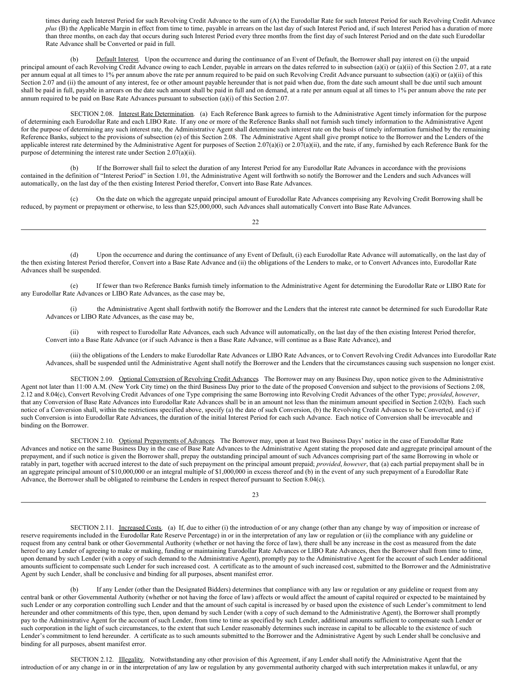times during each Interest Period for such Revolving Credit Advance to the sum of (A) the Eurodollar Rate for such Interest Period for such Revolving Credit Advance *plus* (B) the Applicable Margin in effect from time to time, payable in arrears on the last day of such Interest Period and, if such Interest Period has a duration of more than three months, on each day that occurs during such Interest Period every three months from the first day of such Interest Period and on the date such Eurodollar Rate Advance shall be Converted or paid in full.

(b) Default Interest. Upon the occurrence and during the continuance of an Event of Default, the Borrower shall pay interest on (i) the unpaid principal amount of each Revolving Credit Advance owing to each Lender, payable in arrears on the dates referred to in subsection (a)(i) or (a)(ii) of this Section 2.07, at a rate per annum equal at all times to 1% per annum above the rate per annum required to be paid on such Revolving Credit Advance pursuant to subsection (a)(i) or (a)(ii) of this Section 2.07 and (ii) the amount of any interest, fee or other amount payable hereunder that is not paid when due, from the date such amount shall be due until such amount shall be paid in full, payable in arrears on the date such amount shall be paid in full and on demand, at a rate per annum equal at all times to 1% per annum above the rate per annum required to be paid on Base Rate Advances pursuant to subsection (a)(i) of this Section 2.07.

<span id="page-25-0"></span>SECTION 2.08. Interest Rate Determination. (a) Each Reference Bank agrees to furnish to the Administrative Agent timely information for the purpose of determining each Eurodollar Rate and each LIBO Rate. If any one or more of the Reference Banks shall not furnish such timely information to the Administrative Agent for the purpose of determining any such interest rate, the Administrative Agent shall determine such interest rate on the basis of timely information furnished by the remaining Reference Banks, subject to the provisions of subsection (e) of this Section 2.08. The Administrative Agent shall give prompt notice to the Borrower and the Lenders of the applicable interest rate determined by the Administrative Agent for purposes of Section 2.07(a)(i) or 2.07(a)(ii), and the rate, if any, furnished by each Reference Bank for the purpose of determining the interest rate under Section 2.07(a)(ii).

(b) If the Borrower shall fail to select the duration of any Interest Period for any Eurodollar Rate Advances in accordance with the provisions contained in the definition of "Interest Period" in Section 1.01, the Administrative Agent will forthwith so notify the Borrower and the Lenders and such Advances will automatically, on the last day of the then existing Interest Period therefor, Convert into Base Rate Advances.

(c) On the date on which the aggregate unpaid principal amount of Eurodollar Rate Advances comprising any Revolving Credit Borrowing shall be reduced, by payment or prepayment or otherwise, to less than \$25,000,000, such Advances shall automatically Convert into Base Rate Advances.

22

(d) Upon the occurrence and during the continuance of any Event of Default, (i) each Eurodollar Rate Advance will automatically, on the last day of the then existing Interest Period therefor, Convert into a Base Rate Advance and (ii) the obligations of the Lenders to make, or to Convert Advances into, Eurodollar Rate Advances shall be suspended.

(e) If fewer than two Reference Banks furnish timely information to the Administrative Agent for determining the Eurodollar Rate or LIBO Rate for any Eurodollar Rate Advances or LIBO Rate Advances, as the case may be,

(i) the Administrative Agent shall forthwith notify the Borrower and the Lenders that the interest rate cannot be determined for such Eurodollar Rate Advances or LIBO Rate Advances, as the case may be,

(ii) with respect to Eurodollar Rate Advances, each such Advance will automatically, on the last day of the then existing Interest Period therefor, Convert into a Base Rate Advance (or if such Advance is then a Base Rate Advance, will continue as a Base Rate Advance), and

<span id="page-25-1"></span>(iii) the obligations of the Lenders to make Eurodollar Rate Advances or LIBO Rate Advances, or to Convert Revolving Credit Advances into Eurodollar Rate Advances, shall be suspended until the Administrative Agent shall notify the Borrower and the Lenders that the circumstances causing such suspension no longer exist.

SECTION 2.09. Optional Conversion of Revolving Credit Advances The Borrower may on any Business Day, upon notice given to the Administrative Agent not later than 11:00 A.M. (New York City time) on the third Business Day prior to the date of the proposed Conversion and subject to the provisions of Sections 2.08, 2.12 and 8.04(c), Convert Revolving Credit Advances of one Type comprising the same Borrowing into Revolving Credit Advances of the other Type; *provided*, *however*, that any Conversion of Base Rate Advances into Eurodollar Rate Advances shall be in an amount not less than the minimum amount specified in Section 2.02(b). Each such notice of a Conversion shall, within the restrictions specified above, specify (a) the date of such Conversion, (b) the Revolving Credit Advances to be Converted, and (c) if such Conversion is into Eurodollar Rate Advances, the duration of the initial Interest Period for each such Advance. Each notice of Conversion shall be irrevocable and binding on the Borrower.

<span id="page-25-2"></span>SECTION 2.10. Optional Prepayments of Advances The Borrower may, upon at least two Business Days' notice in the case of Eurodollar Rate Advances and notice on the same Business Day in the case of Base Rate Advances to the Administrative Agent stating the proposed date and aggregate principal amount of the prepayment, and if such notice is given the Borrower shall, prepay the outstanding principal amount of such Advances comprising part of the same Borrowing in whole or ratably in part, together with accrued interest to the date of such prepayment on the principal amount prepaid; *provided*, *however*, that (a) each partial prepayment shall be in an aggregate principal amount of \$10,000,000 or an integral multiple of \$1,000,000 in excess thereof and (b) in the event of any such prepayment of a Eurodollar Rate Advance, the Borrower shall be obligated to reimburse the Lenders in respect thereof pursuant to Section 8.04(c).

23

<span id="page-25-3"></span>SECTION 2.11. Increased Costs. (a) If, due to either (i) the introduction of or any change (other than any change by way of imposition or increase of reserve requirements included in the Eurodollar Rate Reserve Percentage) in or in the interpretation of any law or regulation or (ii) the compliance with any guideline or request from any central bank or other Governmental Authority (whether or not having the force of law), there shall be any increase in the cost as measured from the date hereof to any Lender of agreeing to make or making, funding or maintaining Eurodollar Rate Advances or LIBO Rate Advances, then the Borrower shall from time to time, upon demand by such Lender (with a copy of such demand to the Administrative Agent), promptly pay to the Administrative Agent for the account of such Lender additional amounts sufficient to compensate such Lender for such increased cost. A certificate as to the amount of such increased cost, submitted to the Borrower and the Administrative Agent by such Lender, shall be conclusive and binding for all purposes, absent manifest error.

If any Lender (other than the Designated Bidders) determines that compliance with any law or regulation or any guideline or request from any central bank or other Governmental Authority (whether or not having the force of law) affects or would affect the amount of capital required or expected to be maintained by such Lender or any corporation controlling such Lender and that the amount of such capital is increased by or based upon the existence of such Lender's commitment to lend hereunder and other commitments of this type, then, upon demand by such Lender (with a copy of such demand to the Administrative Agent), the Borrower shall promptly pay to the Administrative Agent for the account of such Lender, from time to time as specified by such Lender, additional amounts sufficient to compensate such Lender or such corporation in the light of such circumstances, to the extent that such Lender reasonably determines such increase in capital to be allocable to the existence of such Lender's commitment to lend hereunder. A certificate as to such amounts submitted to the Borrower and the Administrative Agent by such Lender shall be conclusive and binding for all purposes, absent manifest error.

<span id="page-25-4"></span>SECTION 2.12. Illegality. Notwithstanding any other provision of this Agreement, if any Lender shall notify the Administrative Agent that the introduction of or any change in or in the interpretation of any law or regulation by any governmental authority charged with such interpretation makes it unlawful, or any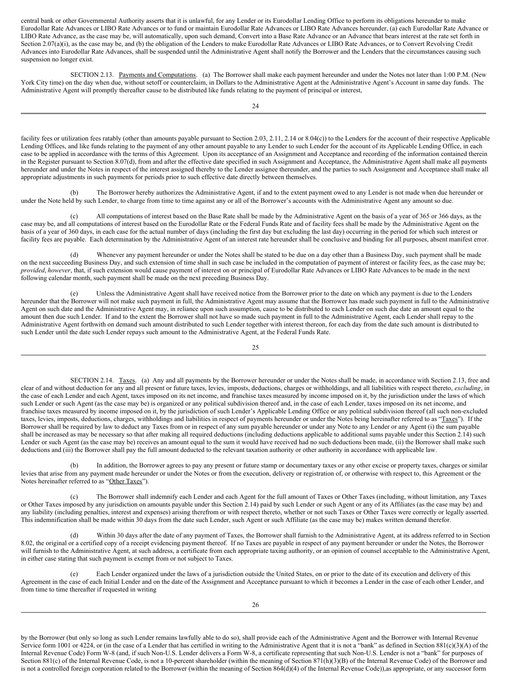central bank or other Governmental Authority asserts that it is unlawful, for any Lender or its Eurodollar Lending Office to perform its obligations hereunder to make Eurodollar Rate Advances or LIBO Rate Advances or to fund or maintain Eurodollar Rate Advances or LIBO Rate Advances hereunder, (a) each Eurodollar Rate Advance or LIBO Rate Advance, as the case may be, will automatically, upon such demand, Convert into a Base Rate Advance or an Advance that bears interest at the rate set forth in Section 2.07(a)(i), as the case may be, and (b) the obligation of the Lenders to make Eurodollar Rate Advances or LIBO Rate Advances, or to Convert Revolving Credit Advances into Eurodollar Rate Advances, shall be suspended until the Administrative Agent shall notify the Borrower and the Lenders that the circumstances causing such suspension no longer exist.

<span id="page-26-0"></span>SECTION 2.13. Payments and Computations. (a) The Borrower shall make each payment hereunder and under the Notes not later than 1:00 P.M. (New York City time) on the day when due, without setoff or counterclaim, in Dollars to the Administrative Agent at the Administrative Agent's Account in same day funds. The Administrative Agent will promptly thereafter cause to be distributed like funds relating to the payment of principal or interest,

facility fees or utilization fees ratably (other than amounts payable pursuant to Section 2.03, 2.11, 2.14 or 8.04(c)) to the Lenders for the account of their respective Applicable Lending Offices, and like funds relating to the payment of any other amount payable to any Lender to such Lender for the account of its Applicable Lending Office, in each case to be applied in accordance with the terms of this Agreement. Upon its acceptance of an Assignment and Acceptance and recording of the information contained therein in the Register pursuant to Section 8.07(d), from and after the effective date specified in such Assignment and Acceptance, the Administrative Agent shall make all payments hereunder and under the Notes in respect of the interest assigned thereby to the Lender assignee thereunder, and the parties to such Assignment and Acceptance shall make all appropriate adjustments in such payments for periods prior to such effective date directly between themselves.

(b) The Borrower hereby authorizes the Administrative Agent, if and to the extent payment owed to any Lender is not made when due hereunder or under the Note held by such Lender, to charge from time to time against any or all of the Borrower's accounts with the Administrative Agent any amount so due.

(c) All computations of interest based on the Base Rate shall be made by the Administrative Agent on the basis of a year of 365 or 366 days, as the case may be, and all computations of interest based on the Eurodollar Rate or the Federal Funds Rate and of facility fees shall be made by the Administrative Agent on the basis of a year of 360 days, in each case for the actual number of days (including the first day but excluding the last day) occurring in the period for which such interest or facility fees are payable. Each determination by the Administrative Agent of an interest rate hereunder shall be conclusive and binding for all purposes, absent manifest error.

(d) Whenever any payment hereunder or under the Notes shall be stated to be due on a day other than a Business Day, such payment shall be made on the next succeeding Business Day, and such extension of time shall in such case be included in the computation of payment of interest or facility fees, as the case may be; *provided*, *however*, that, if such extension would cause payment of interest on or principal of Eurodollar Rate Advances or LIBO Rate Advances to be made in the next following calendar month, such payment shall be made on the next preceding Business Day.

(e) Unless the Administrative Agent shall have received notice from the Borrower prior to the date on which any payment is due to the Lenders hereunder that the Borrower will not make such payment in full, the Administrative Agent may assume that the Borrower has made such payment in full to the Administrative Agent on such date and the Administrative Agent may, in reliance upon such assumption, cause to be distributed to each Lender on such due date an amount equal to the amount then due such Lender. If and to the extent the Borrower shall not have so made such payment in full to the Administrative Agent, each Lender shall repay to the Administrative Agent forthwith on demand such amount distributed to such Lender together with interest thereon, for each day from the date such amount is distributed to such Lender until the date such Lender repays such amount to the Administrative Agent, at the Federal Funds Rate.

25

<span id="page-26-1"></span>SECTION 2.14. Taxes. (a) Any and all payments by the Borrower hereunder or under the Notes shall be made, in accordance with Section 2.13, free and clear of and without deduction for any and all present or future taxes, levies, imposts, deductions, charges or withholdings, and all liabilities with respect thereto, *excluding*, in the case of each Lender and each Agent, taxes imposed on its net income, and franchise taxes measured by income imposed on it, by the jurisdiction under the laws of which such Lender or such Agent (as the case may be) is organized or any political subdivision thereof and, in the case of each Lender, taxes imposed on its net income, and franchise taxes measured by income imposed on it, by the jurisdiction of such Lender's Applicable Lending Office or any political subdivision thereof (all such non-excluded taxes, levies, imposts, deductions, charges, withholdings and liabilities in respect of payments hereunder or under the Notes being hereinafter referred to as "Taxes"). If the Borrower shall be required by law to deduct any Taxes from or in respect of any sum payable hereunder or under any Note to any Lender or any Agent (i) the sum payable shall be increased as may be necessary so that after making all required deductions (including deductions applicable to additional sums payable under this Section 2.14) such Lender or such Agent (as the case may be) receives an amount equal to the sum it would have received had no such deductions been made, (ii) the Borrower shall make such deductions and (iii) the Borrower shall pay the full amount deducted to the relevant taxation authority or other authority in accordance with applicable law.

(b) In addition, the Borrower agrees to pay any present or future stamp or documentary taxes or any other excise or property taxes, charges or similar levies that arise from any payment made hereunder or under the Notes or from the execution, delivery or registration of, or otherwise with respect to, this Agreement or the Notes hereinafter referred to as "Other Taxes").

(c) The Borrower shall indemnify each Lender and each Agent for the full amount of Taxes or Other Taxes (including, without limitation, any Taxes or Other Taxes imposed by any jurisdiction on amounts payable under this Section 2.14) paid by such Lender or such Agent or any of its Affiliates (as the case may be) and any liability (including penalties, interest and expenses) arising therefrom or with respect thereto, whether or not such Taxes or Other Taxes were correctly or legally asserted. This indemnification shall be made within 30 days from the date such Lender, such Agent or such Affiliate (as the case may be) makes written demand therefor.

(d) Within 30 days after the date of any payment of Taxes, the Borrower shall furnish to the Administrative Agent, at its address referred to in Section 8.02, the original or a certified copy of a receipt evidencing payment thereof. If no Taxes are payable in respect of any payment hereunder or under the Notes, the Borrower will furnish to the Administrative Agent, at such address, a certificate from each appropriate taxing authority, or an opinion of counsel acceptable to the Administrative Agent, in either case stating that such payment is exempt from or not subject to Taxes.

(e) Each Lender organized under the laws of a jurisdiction outside the United States, on or prior to the date of its execution and delivery of this Agreement in the case of each Initial Lender and on the date of the Assignment and Acceptance pursuant to which it becomes a Lender in the case of each other Lender, and from time to time thereafter if requested in writing

by the Borrower (but only so long as such Lender remains lawfully able to do so), shall provide each of the Administrative Agent and the Borrower with Internal Revenue Service form 1001 or 4224, or (in the case of a Lender that has certified in writing to the Administrative Agent that it is not a "bank" as defined in Section 881(c)(3)(A) of the Internal Revenue Code) Form W-8 (and, if such Non-U.S. Lender delivers a Form W-8, a certificate representing that such Non-U.S. Lender is not a "bank" for purposes of Section 881(c) of the Internal Revenue Code, is not a 10-percent shareholder (within the meaning of Section 871(h)(3)(B) of the Internal Revenue Code) of the Borrower and is not a controlled foreign corporation related to the Borrower (within the meaning of Section 864(d)(4) of the Internal Revenue Code)),as appropriate, or any successor form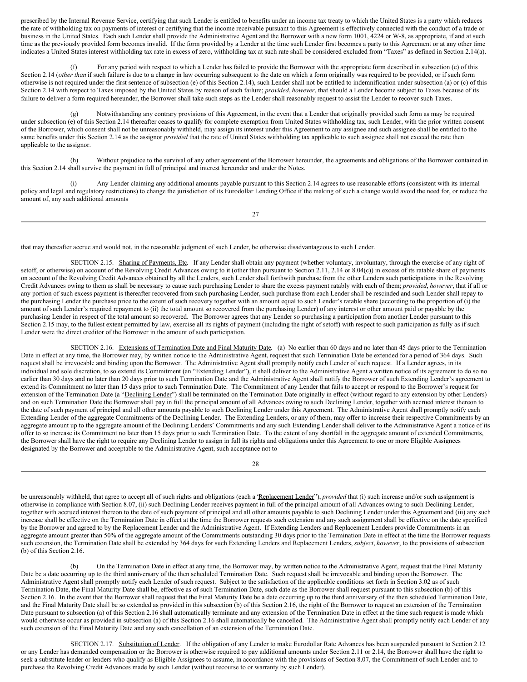prescribed by the Internal Revenue Service, certifying that such Lender is entitled to benefits under an income tax treaty to which the United States is a party which reduces the rate of withholding tax on payments of interest or certifying that the income receivable pursuant to this Agreement is effectively connected with the conduct of a trade or business in the United States. Each such Lender shall provide the Administrative Agent and the Borrower with a new form 1001, 4224 or W-8, as appropriate, if and at such time as the previously provided form becomes invalid. If the form provided by a Lender at the time such Lender first becomes a party to this Agreement or at any other time indicates a United States interest withholding tax rate in excess of zero, withholding tax at such rate shall be considered excluded from "Taxes" as defined in Section 2.14(a).

For any period with respect to which a Lender has failed to provide the Borrower with the appropriate form described in subsection (e) of this Section 2.14 (*other than* if such failure is due to a change in law occurring subsequent to the date on which a form originally was required to be provided, or if such form otherwise is not required under the first sentence of subsection (e) of this Section 2.14), such Lender shall not be entitled to indemnification under subsection (a) or (c) of this Section 2.14 with respect to Taxes imposed by the United States by reason of such failure; *provided*, *however*, that should a Lender become subject to Taxes because of its failure to deliver a form required hereunder, the Borrower shall take such steps as the Lender shall reasonably request to assist the Lender to recover such Taxes.

(g) Notwithstanding any contrary provisions of this Agreement, in the event that a Lender that originally provided such form as may be required under subsection (e) of this Section 2.14 thereafter ceases to qualify for complete exemption from United States withholding tax, such Lender, with the prior written consent of the Borrower, which consent shall not be unreasonably withheld, may assign its interest under this Agreement to any assignee and such assignee shall be entitled to the same benefits under this Section 2.14 as the assignor *provided* that the rate of United States withholding tax applicable to such assignee shall not exceed the rate then applicable to the assignor.

(h) Without prejudice to the survival of any other agreement of the Borrower hereunder, the agreements and obligations of the Borrower contained in this Section 2.14 shall survive the payment in full of principal and interest hereunder and under the Notes.

Any Lender claiming any additional amounts payable pursuant to this Section 2.14 agrees to use reasonable efforts (consistent with its internal policy and legal and regulatory restrictions) to change the jurisdiction of its Eurodollar Lending Office if the making of such a change would avoid the need for, or reduce the amount of, any such additional amounts

27

that may thereafter accrue and would not, in the reasonable judgment of such Lender, be otherwise disadvantageous to such Lender.

<span id="page-27-0"></span>SECTION 2.15. Sharing of Payments, Etc. If any Lender shall obtain any payment (whether voluntary, involuntary, through the exercise of any right of setoff, or otherwise) on account of the Revolving Credit Advances owing to it (other than pursuant to Section 2.11, 2.14 or 8.04(c)) in excess of its ratable share of payments on account of the Revolving Credit Advances obtained by all the Lenders, such Lender shall forthwith purchase from the other Lenders such participations in the Revolving Credit Advances owing to them as shall be necessary to cause such purchasing Lender to share the excess payment ratably with each of them; *provided*, *however*, that if all or any portion of such excess payment is thereafter recovered from such purchasing Lender, such purchase from each Lender shall be rescinded and such Lender shall repay to the purchasing Lender the purchase price to the extent of such recovery together with an amount equal to such Lender's ratable share (according to the proportion of (i) the amount of such Lender's required repayment to (ii) the total amount so recovered from the purchasing Lender) of any interest or other amount paid or payable by the purchasing Lender in respect of the total amount so recovered. The Borrower agrees that any Lender so purchasing a participation from another Lender pursuant to this Section 2.15 may, to the fullest extent permitted by law, exercise all its rights of payment (including the right of setoff) with respect to such participation as fully as if such Lender were the direct creditor of the Borrower in the amount of such participation.

<span id="page-27-1"></span>SECTION 2.16. Extensions of Termination Date and Final Maturity Date. (a) No earlier than 60 days and no later than 45 days prior to the Termination Date in effect at any time, the Borrower may, by written notice to the Administrative Agent, request that such Termination Date be extended for a period of 364 days. Such request shall be irrevocable and binding upon the Borrower. The Administrative Agent shall promptly notify each Lender of such request. If a Lender agrees, in its individual and sole discretion, to so extend its Commitment (an "Extending Lender"), it shall deliver to the Administrative Agent a written notice of its agreement to do so no earlier than 30 days and no later than 20 days prior to such Termination Date and the Administrative Agent shall notify the Borrower of such Extending Lender's agreement to extend its Commitment no later than 15 days prior to such Termination Date. The Commitment of any Lender that fails to accept or respond to the Borrower's request for extension of the Termination Date (a "Declining Lender") shall be terminated on the Termination Date originally in effect (without regard to any extension by other Lenders) and on such Termination Date the Borrower shall pay in full the principal amount of all Advances owing to such Declining Lender, together with accrued interest thereon to the date of such payment of principal and all other amounts payable to such Declining Lender under this Agreement. The Administrative Agent shall promptly notify each Extending Lender of the aggregate Commitments of the Declining Lender. The Extending Lenders, or any of them, may offer to increase their respective Commitments by an aggregate amount up to the aggregate amount of the Declining Lenders' Commitments and any such Extending Lender shall deliver to the Administrative Agent a notice of its offer to so increase its Commitment no later than 15 days prior to such Termination Date. To the extent of any shortfall in the aggregate amount of extended Commitments, the Borrower shall have the right to require any Declining Lender to assign in full its rights and obligations under this Agreement to one or more Eligible Assignees designated by the Borrower and acceptable to the Administrative Agent, such acceptance not to

28

be unreasonably withheld, that agree to accept all of such rights and obligations (each a 'Replacement Lender"), *provided* that (i) such increase and/or such assignment is otherwise in compliance with Section 8.07, (ii) such Declining Lender receives payment in full of the principal amount of all Advances owing to such Declining Lender, together with accrued interest thereon to the date of such payment of principal and all other amounts payable to such Declining Lender under this Agreement and (iii) any such increase shall be effective on the Termination Date in effect at the time the Borrower requests such extension and any such assignment shall be effective on the date specified by the Borrower and agreed to by the Replacement Lender and the Administrative Agent. If Extending Lenders and Replacement Lenders provide Commitments in an aggregate amount greater than 50% of the aggregate amount of the Commitments outstanding 30 days prior to the Termination Date in effect at the time the Borrower requests such extension, the Termination Date shall be extended by 364 days for such Extending Lenders and Replacement Lenders, *subject*, *however*, to the provisions of subsection (b) of this Section 2.16.

(b) On the Termination Date in effect at any time, the Borrower may, by written notice to the Administrative Agent, request that the Final Maturity Date be a date occurring up to the third anniversary of the then scheduled Termination Date. Such request shall be irrevocable and binding upon the Borrower. The Administrative Agent shall promptly notify each Lender of such request. Subject to the satisfaction of the applicable conditions set forth in Section 3.02 as of such Termination Date, the Final Maturity Date shall be, effective as of such Termination Date, such date as the Borrower shall request pursuant to this subsection (b) of this Section 2.16. In the event that the Borrower shall request that the Final Maturity Date be a date occurring up to the third anniversary of the then scheduled Termination Date, and the Final Maturity Date shall be so extended as provided in this subsection (b) of this Section 2.16, the right of the Borrower to request an extension of the Termination Date pursuant to subsection (a) of this Section 2.16 shall automatically terminate and any extension of the Termination Date in effect at the time such request is made which would otherwise occur as provided in subsection (a) of this Section 2.16 shall automatically be cancelled. The Administrative Agent shall promptly notify each Lender of any such extension of the Final Maturity Date and any such cancellation of an extension of the Termination Date.

<span id="page-27-2"></span>SECTION 2.17. Substitution of Lender. If the obligation of any Lender to make Eurodollar Rate Advances has been suspended pursuant to Section 2.12 or any Lender has demanded compensation or the Borrower is otherwise required to pay additional amounts under Section 2.11 or 2.14, the Borrower shall have the right to seek a substitute lender or lenders who qualify as Eligible Assignees to assume, in accordance with the provisions of Section 8.07, the Commitment of such Lender and to purchase the Revolving Credit Advances made by such Lender (without recourse to or warranty by such Lender).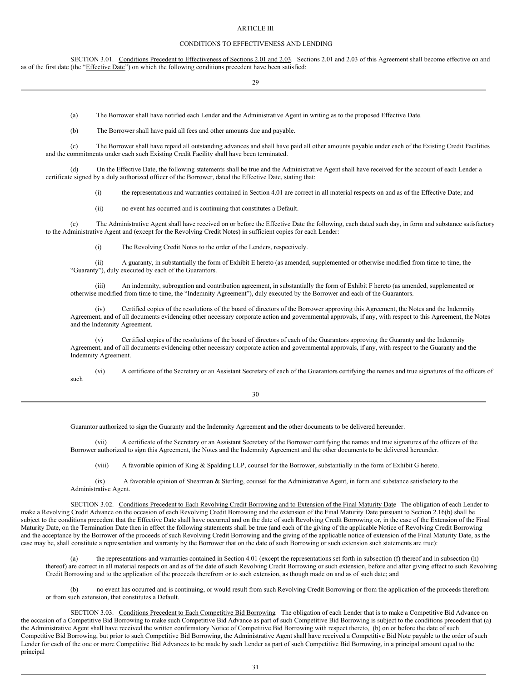#### <span id="page-28-0"></span>ARTICLE III

#### <span id="page-28-1"></span>CONDITIONS TO EFFECTIVENESS AND LENDING

<span id="page-28-2"></span>SECTION 3.01. Conditions Precedent to Effectiveness of Sections 2.01 and 2.03. Sections 2.01 and 2.03 of this Agreement shall become effective on and as of the first date (the "*Effective Date*") on which the following conditions precedent have been satisfied:

29

(a) The Borrower shall have notified each Lender and the Administrative Agent in writing as to the proposed Effective Date.

(b) The Borrower shall have paid all fees and other amounts due and payable.

(c) The Borrower shall have repaid all outstanding advances and shall have paid all other amounts payable under each of the Existing Credit Facilities and the commitments under each such Existing Credit Facility shall have been terminated.

(d) On the Effective Date, the following statements shall be true and the Administrative Agent shall have received for the account of each Lender a certificate signed by a duly authorized officer of the Borrower, dated the Effective Date, stating that:

(i) the representations and warranties contained in Section 4.01 are correct in all material respects on and as of the Effective Date; and

(ii) no event has occurred and is continuing that constitutes a Default.

(e) The Administrative Agent shall have received on or before the Effective Date the following, each dated such day, in form and substance satisfactory to the Administrative Agent and (except for the Revolving Credit Notes) in sufficient copies for each Lender:

(i) The Revolving Credit Notes to the order of the Lenders, respectively.

(ii) A guaranty, in substantially the form of Exhibit E hereto (as amended, supplemented or otherwise modified from time to time, the "Guaranty"), duly executed by each of the Guarantors.

An indemnity, subrogation and contribution agreement, in substantially the form of Exhibit F hereto (as amended, supplemented or otherwise modified from time to time, the "Indemnity Agreement"), duly executed by the Borrower and each of the Guarantors.

(iv) Certified copies of the resolutions of the board of directors of the Borrower approving this Agreement, the Notes and the Indemnity Agreement, and of all documents evidencing other necessary corporate action and governmental approvals, if any, with respect to this Agreement, the Notes and the Indemnity Agreement.

(v) Certified copies of the resolutions of the board of directors of each of the Guarantors approving the Guaranty and the Indemnity Agreement, and of all documents evidencing other necessary corporate action and governmental approvals, if any, with respect to the Guaranty and the Indemnity Agreement.

(vi) A certificate of the Secretary or an Assistant Secretary of each of the Guarantors certifying the names and true signatures of the officers of such

| v<br>I<br>$\sim$ | ۰.<br>۰.<br>v<br>۰. |
|------------------|---------------------|

Guarantor authorized to sign the Guaranty and the Indemnity Agreement and the other documents to be delivered hereunder.

(vii) A certificate of the Secretary or an Assistant Secretary of the Borrower certifying the names and true signatures of the officers of the Borrower authorized to sign this Agreement, the Notes and the Indemnity Agreement and the other documents to be delivered hereunder.

(viii) A favorable opinion of King & Spalding LLP, counsel for the Borrower, substantially in the form of Exhibit G hereto.

<span id="page-28-3"></span>(ix) A favorable opinion of Shearman & Sterling, counsel for the Administrative Agent, in form and substance satisfactory to the Administrative Agent.

SECTION 3.02. Conditions Precedent to Each Revolving Credit Borrowing and to Extension of the Final Maturity Date The obligation of each Lender to make a Revolving Credit Advance on the occasion of each Revolving Credit Borrowing and the extension of the Final Maturity Date pursuant to Section 2.16(b) shall be subject to the conditions precedent that the Effective Date shall have occurred and on the date of such Revolving Credit Borrowing or, in the case of the Extension of the Final Maturity Date, on the Termination Date then in effect the following statements shall be true (and each of the giving of the applicable Notice of Revolving Credit Borrowing and the acceptance by the Borrower of the proceeds of such Revolving Credit Borrowing and the giving of the applicable notice of extension of the Final Maturity Date, as the case may be, shall constitute a representation and warranty by the Borrower that on the date of such Borrowing or such extension such statements are true):

the representations and warranties contained in Section 4.01 (except the representations set forth in subsection (f) thereof and in subsection (h) thereof) are correct in all material respects on and as of the date of such Revolving Credit Borrowing or such extension, before and after giving effect to such Revolving Credit Borrowing and to the application of the proceeds therefrom or to such extension, as though made on and as of such date; and

<span id="page-28-4"></span>(b) no event has occurred and is continuing, or would result from such Revolving Credit Borrowing or from the application of the proceeds therefrom or from such extension, that constitutes a Default.

SECTION 3.03. Conditions Precedent to Each Competitive Bid Borrowing The obligation of each Lender that is to make a Competitive Bid Advance on the occasion of a Competitive Bid Borrowing to make such Competitive Bid Advance as part of such Competitive Bid Borrowing is subject to the conditions precedent that (a) the Administrative Agent shall have received the written confirmatory Notice of Competitive Bid Borrowing with respect thereto, (b) on or before the date of such Competitive Bid Borrowing, but prior to such Competitive Bid Borrowing, the Administrative Agent shall have received a Competitive Bid Note payable to the order of such Lender for each of the one or more Competitive Bid Advances to be made by such Lender as part of such Competitive Bid Borrowing, in a principal amount equal to the principal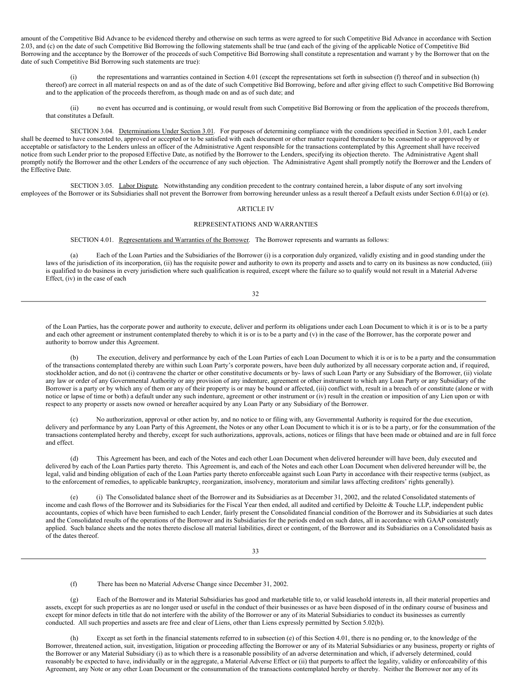amount of the Competitive Bid Advance to be evidenced thereby and otherwise on such terms as were agreed to for such Competitive Bid Advance in accordance with Section 2.03, and (c) on the date of such Competitive Bid Borrowing the following statements shall be true (and each of the giving of the applicable Notice of Competitive Bid Borrowing and the acceptance by the Borrower of the proceeds of such Competitive Bid Borrowing shall constitute a representation and warrant y by the Borrower that on the date of such Competitive Bid Borrowing such statements are true):

(i) the representations and warranties contained in Section 4.01 (except the representations set forth in subsection (f) thereof and in subsection (h) thereof) are correct in all material respects on and as of the date of such Competitive Bid Borrowing, before and after giving effect to such Competitive Bid Borrowing and to the application of the proceeds therefrom, as though made on and as of such date; and

<span id="page-29-0"></span>(ii) no event has occurred and is continuing, or would result from such Competitive Bid Borrowing or from the application of the proceeds therefrom, that constitutes a Default.

SECTION 3.04. Determinations Under Section 3.01. For purposes of determining compliance with the conditions specified in Section 3.01, each Lender shall be deemed to have consented to, approved or accepted or to be satisfied with each document or other matter required thereunder to be consented to or approved by or acceptable or satisfactory to the Lenders unless an officer of the Administrative Agent responsible for the transactions contemplated by this Agreement shall have received notice from such Lender prior to the proposed Effective Date, as notified by the Borrower to the Lenders, specifying its objection thereto. The Administrative Agent shall promptly notify the Borrower and the other Lenders of the occurrence of any such objection. The Administrative Agent shall promptly notify the Borrower and the Lenders of the Effective Date.

<span id="page-29-1"></span>SECTION 3.05. Labor Dispute. Notwithstanding any condition precedent to the contrary contained herein, a labor dispute of any sort involving employees of the Borrower or its Subsidiaries shall not prevent the Borrower from borrowing hereunder unless as a result thereof a Default exists under Section 6.01(a) or (e).

#### <span id="page-29-2"></span>ARTICLE IV

#### <span id="page-29-3"></span>REPRESENTATIONS AND WARRANTIES

<span id="page-29-4"></span>SECTION 4.01. Representations and Warranties of the Borrower. The Borrower represents and warrants as follows:

(a) Each of the Loan Parties and the Subsidiaries of the Borrower (i) is a corporation duly organized, validly existing and in good standing under the laws of the jurisdiction of its incorporation, (ii) has the requisite power and authority to own its property and assets and to carry on its business as now conducted, (iii) is qualified to do business in every jurisdiction where such qualification is required, except where the failure so to qualify would not result in a Material Adverse Effect, (iv) in the case of each

32

of the Loan Parties, has the corporate power and authority to execute, deliver and perform its obligations under each Loan Document to which it is or is to be a party and each other agreement or instrument contemplated thereby to which it is or is to be a party and (v) in the case of the Borrower, has the corporate power and authority to borrow under this Agreement.

The execution, delivery and performance by each of the Loan Parties of each Loan Document to which it is or is to be a party and the consummation of the transactions contemplated thereby are within such Loan Party's corporate powers, have been duly authorized by all necessary corporate action and, if required, stockholder action, and do not (i) contravene the charter or other constitutive documents or by- laws of such Loan Party or any Subsidiary of the Borrower, (ii) violate any law or order of any Governmental Authority or any provision of any indenture, agreement or other instrument to which any Loan Party or any Subsidiary of the Borrower is a party or by which any of them or any of their property is or may be bound or affected, (iii) conflict with, result in a breach of or constitute (alone or with notice or lapse of time or both) a default under any such indenture, agreement or other instrument or (iv) result in the creation or imposition of any Lien upon or with respect to any property or assets now owned or hereafter acquired by any Loan Party or any Subsidiary of the Borrower.

(c) No authorization, approval or other action by, and no notice to or filing with, any Governmental Authority is required for the due execution, delivery and performance by any Loan Party of this Agreement, the Notes or any other Loan Document to which it is or is to be a party, or for the consummation of the transactions contemplated hereby and thereby, except for such authorizations, approvals, actions, notices or filings that have been made or obtained and are in full force and effect.

(d) This Agreement has been, and each of the Notes and each other Loan Document when delivered hereunder will have been, duly executed and delivered by each of the Loan Parties party thereto. This Agreement is, and each of the Notes and each other Loan Document when delivered hereunder will be, the legal, valid and binding obligation of each of the Loan Parties party thereto enforceable against such Loan Party in accordance with their respective terms (subject, as to the enforcement of remedies, to applicable bankruptcy, reorganization, insolvency, moratorium and similar laws affecting creditors' rights generally).

(e) (i) The Consolidated balance sheet of the Borrower and its Subsidiaries as at December 31, 2002, and the related Consolidated statements of income and cash flows of the Borrower and its Subsidiaries for the Fiscal Year then ended, all audited and certified by Deloitte & Touche LLP, independent public accountants, copies of which have been furnished to each Lender, fairly present the Consolidated financial condition of the Borrower and its Subsidiaries at such dates and the Consolidated results of the operations of the Borrower and its Subsidiaries for the periods ended on such dates, all in accordance with GAAP consistently applied. Such balance sheets and the notes thereto disclose all material liabilities, direct or contingent, of the Borrower and its Subsidiaries on a Consolidated basis as of the dates thereof.

(f) There has been no Material Adverse Change since December 31, 2002.

Each of the Borrower and its Material Subsidiaries has good and marketable title to, or valid leasehold interests in, all their material properties and assets, except for such properties as are no longer used or useful in the conduct of their businesses or as have been disposed of in the ordinary course of business and except for minor defects in title that do not interfere with the ability of the Borrower or any of its Material Subsidiaries to conduct its businesses as currently conducted. All such properties and assets are free and clear of Liens, other than Liens expressly permitted by Section 5.02(b).

(h) Except as set forth in the financial statements referred to in subsection (e) of this Section 4.01, there is no pending or, to the knowledge of the Borrower, threatened action, suit, investigation, litigation or proceeding affecting the Borrower or any of its Material Subsidiaries or any business, property or rights of the Borrower or any Material Subsidiary (i) as to which there is a reasonable possibility of an adverse determination and which, if adversely determined, could reasonably be expected to have, individually or in the aggregate, a Material Adverse Effect or (ii) that purports to affect the legality, validity or enforceability of this Agreement, any Note or any other Loan Document or the consummation of the transactions contemplated hereby or thereby. Neither the Borrower nor any of its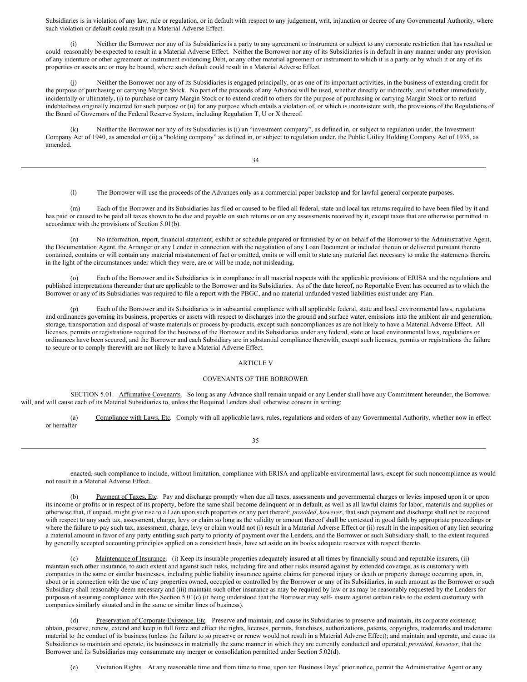Subsidiaries is in violation of any law, rule or regulation, or in default with respect to any judgement, writ, injunction or decree of any Governmental Authority, where such violation or default could result in a Material Adverse Effect.

(i) Neither the Borrower nor any of its Subsidiaries is a party to any agreement or instrument or subject to any corporate restriction that has resulted or could reasonably be expected to result in a Material Adverse Effect. Neither the Borrower nor any of its Subsidiaries is in default in any manner under any provision of any indenture or other agreement or instrument evidencing Debt, or any other material agreement or instrument to which it is a party or by which it or any of its properties or assets are or may be bound, where such default could result in a Material Adverse Effect.

Neither the Borrower nor any of its Subsidiaries is engaged principally, or as one of its important activities, in the business of extending credit for the purpose of purchasing or carrying Margin Stock. No part of the proceeds of any Advance will be used, whether directly or indirectly, and whether immediately, incidentally or ultimately, (i) to purchase or carry Margin Stock or to extend credit to others for the purpose of purchasing or carrying Margin Stock or to refund indebtedness originally incurred for such purpose or (ii) for any purpose which entails a violation of, or which is inconsistent with, the provisions of the Regulations of the Board of Governors of the Federal Reserve System, including Regulation T, U or X thereof.

(k) Neither the Borrower nor any of its Subsidiaries is (i) an "investment company", as defined in, or subject to regulation under, the Investment Company Act of 1940, as amended or (ii) a "holding company" as defined in, or subject to regulation under, the Public Utility Holding Company Act of 1935, as amended.

(l) The Borrower will use the proceeds of the Advances only as a commercial paper backstop and for lawful general corporate purposes.

(m) Each of the Borrower and its Subsidiaries has filed or caused to be filed all federal, state and local tax returns required to have been filed by it and has paid or caused to be paid all taxes shown to be due and payable on such returns or on any assessments received by it, except taxes that are otherwise permitted in accordance with the provisions of Section 5.01(b).

(n) No information, report, financial statement, exhibit or schedule prepared or furnished by or on behalf of the Borrower to the Administrative Agent, the Documentation Agent, the Arranger or any Lender in connection with the negotiation of any Loan Document or included therein or delivered pursuant thereto contained, contains or will contain any material misstatement of fact or omitted, omits or will omit to state any material fact necessary to make the statements therein, in the light of the circumstances under which they were, are or will be made, not misleading.

(o) Each of the Borrower and its Subsidiaries is in compliance in all material respects with the applicable provisions of ERISA and the regulations and published interpretations thereunder that are applicable to the Borrower and its Subsidiaries. As of the date hereof, no Reportable Event has occurred as to which the Borrower or any of its Subsidiaries was required to file a report with the PBGC, and no material unfunded vested liabilities exist under any Plan.

Each of the Borrower and its Subsidiaries is in substantial compliance with all applicable federal, state and local environmental laws, regulations and ordinances governing its business, properties or assets with respect to discharges into the ground and surface water, emissions into the ambient air and generation, storage, transportation and disposal of waste materials or process by-products, except such noncompliances as are not likely to have a Material Adverse Effect. All licenses, permits or registrations required for the business of the Borrower and its Subsidiaries under any federal, state or local environmental laws, regulations or ordinances have been secured, and the Borrower and each Subsidiary are in substantial compliance therewith, except such licenses, permits or registrations the failure to secure or to comply therewith are not likely to have a Material Adverse Effect.

#### <span id="page-30-0"></span>ARTICLE V

#### <span id="page-30-1"></span>COVENANTS OF THE BORROWER

SECTION 5.01. Affirmative Covenants. So long as any Advance shall remain unpaid or any Lender shall have any Commitment hereunder, the Borrower will, and will cause each of its Material Subsidiaries to, unless the Required Lenders shall otherwise consent in writing:

<span id="page-30-2"></span>(a) Compliance with Laws, Etc. Comply with all applicable laws, rules, regulations and orders of any Governmental Authority, whether now in effect or hereafter

35

enacted, such compliance to include, without limitation, compliance with ERISA and applicable environmental laws, except for such noncompliance as would not result in a Material Adverse Effect.

(b) Payment of Taxes, Etc. Pay and discharge promptly when due all taxes, assessments and governmental charges or levies imposed upon it or upon its income or profits or in respect of its property, before the same shall become delinquent or in default, as well as all lawful claims for labor, materials and supplies or otherwise that, if unpaid, might give rise to a Lien upon such properties or any part thereof; *provided*, *however*, that such payment and discharge shall not be required with respect to any such tax, assessment, charge, levy or claim so long as the validity or amount thereof shall be contested in good faith by appropriate proceedings or where the failure to pay such tax, assessment, charge, levy or claim would not (i) result in a Material Adverse Effect or (ii) result in the imposition of any lien securing a material amount in favor of any party entitling such party to priority of payment over the Lenders, and the Borrower or such Subsidiary shall, to the extent required by generally accepted accounting principles applied on a consistent basis, have set aside on its books adequate reserves with respect thereto.

Maintenance of Insurance. (i) Keep its insurable properties adequately insured at all times by financially sound and reputable insurers, (ii) maintain such other insurance, to such extent and against such risks, including fire and other risks insured against by extended coverage, as is customary with companies in the same or similar businesses, including public liability insurance against claims for personal injury or death or property damage occurring upon, in, about or in connection with the use of any properties owned, occupied or controlled by the Borrower or any of its Subsidiaries, in such amount as the Borrower or such Subsidiary shall reasonably deem necessary and (iii) maintain such other insurance as may be required by law or as may be reasonably requested by the Lenders for purposes of assuring compliance with this Section 5.01(c) (it being understood that the Borrower may self- insure against certain risks to the extent customary with companies similarly situated and in the same or similar lines of business).

Preservation of Corporate Existence, Etc. Preserve and maintain, and cause its Subsidiaries to preserve and maintain, its corporate existence; obtain, preserve, renew, extend and keep in full force and effect the rights, licenses, permits, franchises, authorizations, patents, copyrights, trademarks and tradename material to the conduct of its business (unless the failure to so preserve or renew would not result in a Material Adverse Effect); and maintain and operate, and cause its Subsidiaries to maintain and operate, its businesses in materially the same manner in which they are currently conducted and operated; *provided*, *however*, that the Borrower and its Subsidiaries may consummate any merger or consolidation permitted under Section 5.02(d).

(e) Visitation Rights. At any reasonable time and from time to time, upon ten Business Days' prior notice, permit the Administrative Agent or any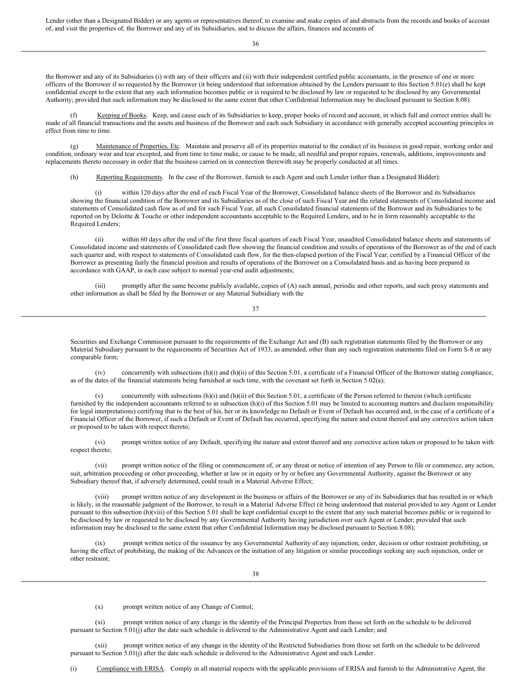Lender (other than a Designated Bidder) or any agents or representatives thereof, to examine and make copies of and abstracts from the records and books of account of, and visit the properties of, the Borrower and any of its Subsidiaries, and to discuss the affairs, finances and accounts of

36

the Borrower and any of its Subsidiaries (i) with any of their officers and (ii) with their independent certified public accountants, in the presence of one or more officers of the Borrower if so requested by the Borrower (it being understood that information obtained by the Lenders pursuant to this Section 5.01(e) shall be kept confidential except to the extent that any such information becomes public or is required to be disclosed by law or requested to be disclosed by any Governmental Authority; provided that such information may be disclosed to the same extent that other Confidential Information may be disclosed pursuant to Section 8.08).

Keeping of Books. Keep, and cause each of its Subsidiaries to keep, proper books of record and account, in which full and correct entries shall be made of all financial transactions and the assets and business of the Borrower and each such Subsidiary in accordance with generally accepted accounting principles in effect from time to time.

(g) Maintenance of Properties, Etc. Maintain and preserve all of its properties material to the conduct of its business in good repair, working order and condition, ordinary wear and tear excepted, and from time to time make, or cause to be made, all needful and proper repairs, renewals, additions, improvements and replacements thereto necessary in order that the business carried on in connection therewith may be properly conducted at all times.

(h) Reporting Requirements. In the case of the Borrower, furnish to each Agent and each Lender (other than a Designated Bidder):

within 120 days after the end of each Fiscal Year of the Borrower, Consolidated balance sheets of the Borrower and its Subsidiaries showing the financial condition of the Borrower and its Subsidiaries as of the close of such Fiscal Year and the related statements of Consolidated income and statements of Consolidated cash flow as of and for such Fiscal Year, all such Consolidated financial statements of the Borrower and its Subsidiaries to be reported on by Deloitte & Touche or other independent accountants acceptable to the Required Lenders, and to be in form reasonably acceptable to the Required Lenders;

(ii) within 60 days after the end of the first three fiscal quarters of each Fiscal Year, unaudited Consolidated balance sheets and statements of Consolidated income and statements of Consolidated cash flow showing the financial condition and results of operations of the Borrower as of the end of each such quarter and, with respect to statements of Consolidated cash flow, for the then-elapsed portion of the Fiscal Year, certified by a Financial Officer of the Borrower as presenting fairly the financial position and results of operations of the Borrower on a Consolidated basis and as having been prepared in accordance with GAAP, in each case subject to normal year-end audit adjustments;

(iii) promptly after the same become publicly available, copies of (A) such annual, periodic and other reports, and such proxy statements and other information as shall be filed by the Borrower or any Material Subsidiary with the

37

Securities and Exchange Commission pursuant to the requirements of the Exchange Act and (B) such registration statements filed by the Borrower or any Material Subsidiary pursuant to the requirements of Securities Act of 1933, as amended, other than any such registration statements filed on Form S-8 or any comparable form;

(iv) concurrently with subsections (h)(i) and (h)(ii) of this Section 5.01, a certificate of a Financial Officer of the Borrower stating compliance, as of the dates of the financial statements being furnished at such time, with the covenant set forth in Section 5.02(a);

concurrently with subsections  $(h)(i)$  and  $(h)(ii)$  of this Section 5.01, a certificate of the Person referred to therein (which certificate furnished by the independent accountants referred to in subsection (h)(i) of this Section 5.01 may be limited to accounting matters and disclaim responsibility for legal interpretations) certifying that to the best of his, her or its knowledge no Default or Event of Default has occurred and, in the case of a certificate of a Financial Officer of the Borrower, if such a Default or Event of Default has occurred, specifying the nature and extent thereof and any corrective action taken or proposed to be taken with respect thereto;

(vi) prompt written notice of any Default, specifying the nature and extent thereof and any corrective action taken or proposed to be taken with respect thereto;

(vii) prompt written notice of the filing or commencement of, or any threat or notice of intention of any Person to file or commence, any action, suit, arbitration proceeding or other proceeding, whether at law or in equity or by or before any Governmental Authority, against the Borrower or any Subsidiary thereof that, if adversely determined, could result in a Material Adverse Effect;

(viii) prompt written notice of any development in the business or affairs of the Borrower or any of its Subsidiaries that has resulted in or which is likely, in the reasonable judgment of the Borrower, to result in a Material Adverse Effect (it being understood that material provided to any Agent or Lender pursuant to this subsection (h)(viii) of this Section 5.01 shall be kept confidential except to the extent that any such material becomes public or is required to be disclosed by law or requested to be disclosed by any Governmental Authority having jurisdiction over such Agent or Lender; provided that such information may be disclosed to the same extent that other Confidential Information may be disclosed pursuant to Section 8.08);

prompt written notice of the issuance by any Governmental Authority of any injunction, order, decision or other restraint prohibiting, or having the effect of prohibiting, the making of the Advances or the initiation of any litigation or similar proceedings seeking any such injunction, order or other restraint;

(x) prompt written notice of any Change of Control;

(xi) prompt written notice of any change in the identity of the Principal Properties from those set forth on the schedule to be delivered pursuant to Section 5.01(j) after the date such schedule is delivered to the Administrative Agent and each Lender; and

(xii) prompt written notice of any change in the identity of the Restricted Subsidiaries from those set forth on the schedule to be delivered pursuant to Section 5.01(j) after the date such schedule is delivered to the Administrative Agent and each Lender.

(i) Compliance with ERISA. Comply in all material respects with the applicable provisions of ERISA and furnish to the Administrative Agent, the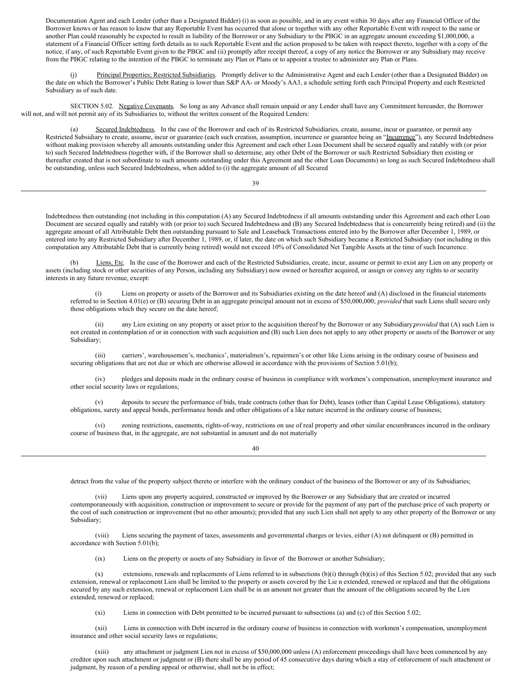Documentation Agent and each Lender (other than a Designated Bidder) (i) as soon as possible, and in any event within 30 days after any Financial Officer of the Borrower knows or has reason to know that any Reportable Event has occurred that alone or together with any other Reportable Event with respect to the same or another Plan could reasonably be expected to result in liability of the Borrower or any Subsidiary to the PBGC in an aggregate amount exceeding \$1,000,000, a statement of a Financial Officer setting forth details as to such Reportable Event and the action proposed to be taken with respect thereto, together with a copy of the notice, if any, of such Reportable Event given to the PBGC and (ii) promptly after receipt thereof, a copy of any notice the Borrower or any Subsidiary may receive from the PBGC relating to the intention of the PBGC to terminate any Plan or Plans or to appoint a trustee to administer any Plan or Plans.

(j) Principal Properties; Restricted Subsidiaries. Promptly deliver to the Administrative Agent and each Lender (other than a Designated Bidder) on the date on which the Borrower's Public Debt Rating is lower than S&P AA- or Moody's AA3, a schedule setting forth each Principal Property and each Restricted Subsidiary as of such date.

SECTION 5.02. Negative Covenants. So long as any Advance shall remain unpaid or any Lender shall have any Commitment hereunder, the Borrower will not, and will not permit any of its Subsidiaries to, without the written consent of the Required Lenders:

<span id="page-32-0"></span>(a) Secured Indebtedness. In the case of the Borrower and each of its Restricted Subsidiaries, create, assume, incur or guarantee, or permit any Restricted Subsidiary to create, assume, incur or guarantee (each such creation, assumption, incurrence or guarantee being an "Incurrence"), any Secured Indebtedness without making provision whereby all amounts outstanding under this Agreement and each other Loan Document shall be secured equally and ratably with (or prior to) such Secured Indebtedness (together with, if the Borrower shall so determine, any other Debt of the Borrower or such Restricted Subsidiary then existing or thereafter created that is not subordinate to such amounts outstanding under this Agreement and the other Loan Documents) so long as such Secured Indebtedness shall be outstanding, unless such Secured Indebtedness, when added to (i) the aggregate amount of all Secured

39

Indebtedness then outstanding (not including in this computation (A) any Secured Indebtedness if all amounts outstanding under this Agreement and each other Loan Document are secured equally and ratably with (or prior to) such Secured Indebtedness and (B) any Secured Indebtedness that is concurrently being retired) and (ii) the aggregate amount of all Attributable Debt then outstanding pursuant to Sale and Leaseback Transactions entered into by the Borrower after December 1, 1989, or entered into by any Restricted Subsidiary after December 1, 1989, or, if later, the date on which such Subsidiary became a Restricted Subsidiary (not including in this computation any Attributable Debt that is currently being retired) would not exceed 10% of Consolidated Net Tangible Assets at the time of such Incurrence.

(b) Liens, Etc. In the case of the Borrower and each of the Restricted Subsidiaries, create, incur, assume or permit to exist any Lien on any property or assets (including stock or other securities of any Person, including any Subsidiary) now owned or hereafter acquired, or assign or convey any rights to or security interests in any future revenue, except:

(i) Liens on property or assets of the Borrower and its Subsidiaries existing on the date hereof and (A) disclosed in the financial statements referred to in Section 4.01(e) or (B) securing Debt in an aggregate principal amount not in excess of \$50,000,000; *provided* that such Liens shall secure only those obligations which they secure on the date hereof;

any Lien existing on any property or asset prior to the acquisition thereof by the Borrower or any Subsidiary;*provided* that (A) such Lien is not created in contemplation of or in connection with such acquisition and (B) such Lien does not apply to any other property or assets of the Borrower or any Subsidiary;

(iii) carriers', warehousemen's, mechanics', materialmen's, repairmen's or other like Liens arising in the ordinary course of business and securing obligations that are not due or which are otherwise allowed in accordance with the provisions of Section 5.01(b);

(iv) pledges and deposits made in the ordinary course of business in compliance with workmen's compensation, unemployment insurance and other social security laws or regulations;

(v) deposits to secure the performance of bids, trade contracts (other than for Debt), leases (other than Capital Lease Obligations), statutory obligations, surety and appeal bonds, performance bonds and other obligations of a like nature incurred in the ordinary course of business;

(vi) zoning restrictions, easements, rights-of-way, restrictions on use of real property and other similar encumbrances incurred in the ordinary course of business that, in the aggregate, are not substantial in amount and do not materially

40

detract from the value of the property subject thereto or interfere with the ordinary conduct of the business of the Borrower or any of its Subsidiaries;

(vii) Liens upon any property acquired, constructed or improved by the Borrower or any Subsidiary that are created or incurred contemporaneously with acquisition, construction or improvement to secure or provide for the payment of any part of the purchase price of such property or the cost of such construction or improvement (but no other amounts); provided that any such Lien shall not apply to any other property of the Borrower or any Subsidiary;

(viii) Liens securing the payment of taxes, assessments and governmental charges or levies, either (A) not delinquent or (B) permitted in accordance with Section 5.01(b);

(ix) Liens on the property or assets of any Subsidiary in favor of the Borrower or another Subsidiary;

 $(x)$  extensions, renewals and replacements of Liens referred to in subsections  $(b)(i)$  through  $(b)(ix)$  of this Section 5.02; provided that any such extension, renewal or replacement Lien shall be limited to the property or assets covered by the Lie n extended, renewed or replaced and that the obligations secured by any such extension, renewal or replacement Lien shall be in an amount not greater than the amount of the obligations secured by the Lien extended, renewed or replaced;

(xi) Liens in connection with Debt permitted to be incurred pursuant to subsections (a) and (c) of this Section 5.02;

(xii) Liens in connection with Debt incurred in the ordinary course of business in connection with workmen's compensation, unemployment insurance and other social security laws or regulations;

any attachment or judgment Lien not in excess of \$50,000,000 unless (A) enforcement proceedings shall have been commenced by any creditor upon such attachment or judgment or (B) there shall be any period of 45 consecutive days during which a stay of enforcement of such attachment or judgment, by reason of a pending appeal or otherwise, shall not be in effect;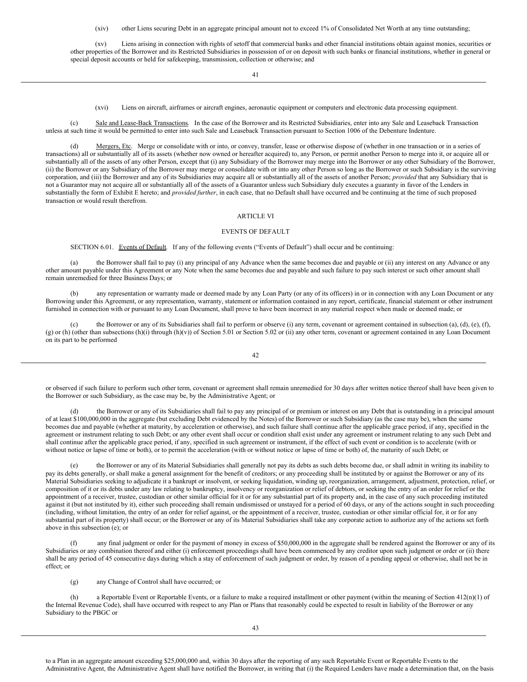(xiv) other Liens securing Debt in an aggregate principal amount not to exceed 1% of Consolidated Net Worth at any time outstanding;

(xv) Liens arising in connection with rights of setoff that commercial banks and other financial institutions obtain against monies, securities or other properties of the Borrower and its Restricted Subsidiaries in possession of or on deposit with such banks or financial institutions, whether in general or special deposit accounts or held for safekeeping, transmission, collection or otherwise; and

41

(xvi) Liens on aircraft, airframes or aircraft engines, aeronautic equipment or computers and electronic data processing equipment.

(c) Sale and Lease-Back Transactions. In the case of the Borrower and its Restricted Subsidiaries, enter into any Sale and Leaseback Transaction unless at such time it would be permitted to enter into such Sale and Leaseback Transaction pursuant to Section 1006 of the Debenture Indenture.

(d) Mergers, Etc. Merge or consolidate with or into, or convey, transfer, lease or otherwise dispose of (whether in one transaction or in a series of transactions) all or substantially all of its assets (whether now owned or hereafter acquired) to, any Person, or permit another Person to merge into it, or acquire all or substantially all of the assets of any other Person, except that (i) any Subsidiary of the Borrower may merge into the Borrower or any other Subsidiary of the Borrower, (ii) the Borrower or any Subsidiary of the Borrower may merge or consolidate with or into any other Person so long as the Borrower or such Subsidiary is the surviving corporation, and (iii) the Borrower and any of its Subsidiaries may acquire all or substantially all of the assets of another Person; *provided* that any Subsidiary that is not a Guarantor may not acquire all or substantially all of the assets of a Guarantor unless such Subsidiary duly executes a guaranty in favor of the Lenders in substantially the form of Exhibit E hereto; and *provided further*, in each case, that no Default shall have occurred and be continuing at the time of such proposed transaction or would result therefrom.

## <span id="page-33-0"></span>ARTICLE VI

#### <span id="page-33-1"></span>EVENTS OF DEFAULT

<span id="page-33-2"></span>SECTION 6.01. Events of Default. If any of the following events ("Events of Default") shall occur and be continuing:

(a) the Borrower shall fail to pay (i) any principal of any Advance when the same becomes due and payable or (ii) any interest on any Advance or any other amount payable under this Agreement or any Note when the same becomes due and payable and such failure to pay such interest or such other amount shall remain unremedied for three Business Days; or

(b) any representation or warranty made or deemed made by any Loan Party (or any of its officers) in or in connection with any Loan Document or any Borrowing under this Agreement, or any representation, warranty, statement or information contained in any report, certificate, financial statement or other instrument furnished in connection with or pursuant to any Loan Document, shall prove to have been incorrect in any material respect when made or deemed made; or

the Borrower or any of its Subsidiaries shall fail to perform or observe (i) any term, covenant or agreement contained in subsection (a), (d), (e), (f), (g) or (h) (other than subsections (h)(i) through (h)(v)) of Section 5.01 or Section 5.02 or (ii) any other term, covenant or agreement contained in any Loan Document on its part to be performed

42

or observed if such failure to perform such other term, covenant or agreement shall remain unremedied for 30 days after written notice thereof shall have been given to the Borrower or such Subsidiary, as the case may be, by the Administrative Agent; or

the Borrower or any of its Subsidiaries shall fail to pay any principal of or premium or interest on any Debt that is outstanding in a principal amount of at least \$100,000,000 in the aggregate (but excluding Debt evidenced by the Notes) of the Borrower or such Subsidiary (as the case may be), when the same becomes due and payable (whether at maturity, by acceleration or otherwise), and such failure shall continue after the applicable grace period, if any, specified in the agreement or instrument relating to such Debt; or any other event shall occur or condition shall exist under any agreement or instrument relating to any such Debt and shall continue after the applicable grace period, if any, specified in such agreement or instrument, if the effect of such event or condition is to accelerate (with or without notice or lapse of time or both), or to permit the acceleration (with or without notice or lapse of time or both) of, the maturity of such Debt; or

(e) the Borrower or any of its Material Subsidiaries shall generally not pay its debts as such debts become due, or shall admit in writing its inability to pay its debts generally, or shall make a general assignment for the benefit of creditors; or any proceeding shall be instituted by or against the Borrower or any of its Material Subsidiaries seeking to adjudicate it a bankrupt or insolvent, or seeking liquidation, winding up, reorganization, arrangement, adjustment, protection, relief, or composition of it or its debts under any law relating to bankruptcy, insolvency or reorganization or relief of debtors, or seeking the entry of an order for relief or the appointment of a receiver, trustee, custodian or other similar official for it or for any substantial part of its property and, in the case of any such proceeding instituted against it (but not instituted by it), either such proceeding shall remain undismissed or unstayed for a period of 60 days, or any of the actions sought in such proceeding (including, without limitation, the entry of an order for relief against, or the appointment of a receiver, trustee, custodian or other similar official for, it or for any substantial part of its property) shall occur; or the Borrower or any of its Material Subsidiaries shall take any corporate action to authorize any of the actions set forth above in this subsection (e); or

any final judgment or order for the payment of money in excess of \$50,000,000 in the aggregate shall be rendered against the Borrower or any of its Subsidiaries or any combination thereof and either (i) enforcement proceedings shall have been commenced by any creditor upon such judgment or order or (ii) there shall be any period of 45 consecutive days during which a stay of enforcement of such judgment or order, by reason of a pending appeal or otherwise, shall not be in effect; or

(g) any Change of Control shall have occurred; or

(h) a Reportable Event or Reportable Events, or a failure to make a required installment or other payment (within the meaning of Section  $412(n)(1)$  of the Internal Revenue Code), shall have occurred with respect to any Plan or Plans that reasonably could be expected to result in liability of the Borrower or any Subsidiary to the PBGC or

to a Plan in an aggregate amount exceeding \$25,000,000 and, within 30 days after the reporting of any such Reportable Event or Reportable Events to the Administrative Agent, the Administrative Agent shall have notified the Borrower, in writing that (i) the Required Lenders have made a determination that, on the basis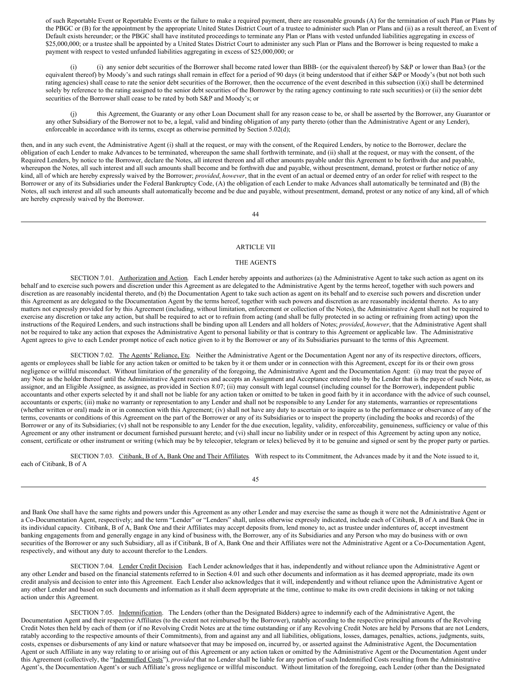of such Reportable Event or Reportable Events or the failure to make a required payment, there are reasonable grounds (A) for the termination of such Plan or Plans by the PBGC or (B) for the appointment by the appropriate United States District Court of a trustee to administer such Plan or Plans and (ii) as a result thereof, an Event of Default exists hereunder; or the PBGC shall have instituted proceedings to terminate any Plan or Plans with vested unfunded liabilities aggregating in excess of \$25,000,000; or a trustee shall be appointed by a United States District Court to administer any such Plan or Plans and the Borrower is being requested to make a payment with respect to vested unfunded liabilities aggregating in excess of \$25,000,000; or

(i) (i) any senior debt securities of the Borrower shall become rated lower than BBB- (or the equivalent thereof) by S&P or lower than Baa3 (or the equivalent thereof) by Moody's and such ratings shall remain in effect for a period of 90 days (it being understood that if either S&P or Moody's (but not both such rating agencies) shall cease to rate the senior debt securities of the Borrower, then the occurrence of the event described in this subsection (i)(i) shall be determined solely by reference to the rating assigned to the senior debt securities of the Borrower by the rating agency continuing to rate such securities) or (ii) the senior debt securities of the Borrower shall cease to be rated by both S&P and Moody's; or

(j) this Agreement, the Guaranty or any other Loan Document shall for any reason cease to be, or shall be asserted by the Borrower, any Guarantor or any other Subsidiary of the Borrower not to be, a legal, valid and binding obligation of any party thereto (other than the Administrative Agent or any Lender), enforceable in accordance with its terms, except as otherwise permitted by Section 5.02(d);

then, and in any such event, the Administrative Agent (i) shall at the request, or may with the consent, of the Required Lenders, by notice to the Borrower, declare the obligation of each Lender to make Advances to be terminated, whereupon the same shall forthwith terminate, and (ii) shall at the request, or may with the consent, of the Required Lenders, by notice to the Borrower, declare the Notes, all interest thereon and all other amounts payable under this Agreement to be forthwith due and payable, whereupon the Notes, all such interest and all such amounts shall become and be forthwith due and payable, without presentment, demand, protest or further notice of any kind, all of which are hereby expressly waived by the Borrower; *provided*, *however*, that in the event of an actual or deemed entry of an order for relief with respect to the Borrower or any of its Subsidiaries under the Federal Bankruptcy Code, (A) the obligation of each Lender to make Advances shall automatically be terminated and (B) the Notes, all such interest and all such amounts shall automatically become and be due and payable, without presentment, demand, protest or any notice of any kind, all of which are hereby expressly waived by the Borrower.

44

#### <span id="page-34-0"></span>ARTICLE VII

#### <span id="page-34-1"></span>THE AGENTS

<span id="page-34-2"></span>SECTION 7.01. Authorization and Action. Each Lender hereby appoints and authorizes (a) the Administrative Agent to take such action as agent on its behalf and to exercise such powers and discretion under this Agreement as are delegated to the Administrative Agent by the terms hereof, together with such powers and discretion as are reasonably incidental thereto, and (b) the Documentation Agent to take such action as agent on its behalf and to exercise such powers and discretion under this Agreement as are delegated to the Documentation Agent by the terms hereof, together with such powers and discretion as are reasonably incidental thereto. As to any matters not expressly provided for by this Agreement (including, without limitation, enforcement or collection of the Notes), the Administrative Agent shall not be required to exercise any discretion or take any action, but shall be required to act or to refrain from acting (and shall be fully protected in so acting or refraining from acting) upon the instructions of the Required Lenders, and such instructions shall be binding upon all Lenders and all holders of Notes; *provided*, *however*, that the Administrative Agent shall not be required to take any action that exposes the Administrative Agent to personal liability or that is contrary to this Agreement or applicable law. The Administrative Agent agrees to give to each Lender prompt notice of each notice given to it by the Borrower or any of its Subsidiaries pursuant to the terms of this Agreement.

<span id="page-34-3"></span>SECTION 7.02. The Agents' Reliance, Etc. Neither the Administrative Agent or the Documentation Agent nor any of its respective directors, officers, agents or employees shall be liable for any action taken or omitted to be taken by it or them under or in connection with this Agreement, except for its or their own gross negligence or willful misconduct. Without limitation of the generality of the foregoing, the Administrative Agent and the Documentation Agent: (i) may treat the payee of any Note as the holder thereof until the Administrative Agent receives and accepts an Assignment and Acceptance entered into by the Lender that is the payee of such Note, as assignor, and an Eligible Assignee, as assignee, as provided in Section 8.07; (ii) may consult with legal counsel (including counsel for the Borrower), independent public accountants and other experts selected by it and shall not be liable for any action taken or omitted to be taken in good faith by it in accordance with the advice of such counsel, accountants or experts; (iii) make no warranty or representation to any Lender and shall not be responsible to any Lender for any statements, warranties or representations (whether written or oral) made in or in connection with this Agreement; (iv) shall not have any duty to ascertain or to inquire as to the performance or observance of any of the terms, covenants or conditions of this Agreement on the part of the Borrower or any of its Subsidiaries or to inspect the property (including the books and records) of the Borrower or any of its Subsidiaries; (v) shall not be responsible to any Lender for the due execution, legality, validity, enforceability, genuineness, sufficiency or value of this Agreement or any other instrument or document furnished pursuant hereto; and (vi) shall incur no liability under or in respect of this Agreement by acting upon any notice, consent, certificate or other instrument or writing (which may be by telecopier, telegram or telex) believed by it to be genuine and signed or sent by the proper party or parties.

<span id="page-34-4"></span>

|                          |  | SECTION 7.03. Citibank, B of A, Bank One and Their Affiliates. With respect to its Commitment, the Advances made by it and the Note issued to it, |  |
|--------------------------|--|---------------------------------------------------------------------------------------------------------------------------------------------------|--|
| each of Citibank. B of A |  |                                                                                                                                                   |  |

45

and Bank One shall have the same rights and powers under this Agreement as any other Lender and may exercise the same as though it were not the Administrative Agent or a Co-Documentation Agent, respectively; and the term "Lender" or "Lenders" shall, unless otherwise expressly indicated, include each of Citibank, B of A and Bank One in its individual capacity. Citibank, B of A, Bank One and their Affiliates may accept deposits from, lend money to, act as trustee under indentures of, accept investment banking engagements from and generally engage in any kind of business with, the Borrower, any of its Subsidiaries and any Person who may do business with or own securities of the Borrower or any such Subsidiary, all as if Citibank, B of A, Bank One and their Affiliates were not the Administrative Agent or a Co-Documentation Agent, respectively, and without any duty to account therefor to the Lenders.

<span id="page-34-5"></span>SECTION 7.04. Lender Credit Decision. Each Lender acknowledges that it has, independently and without reliance upon the Administrative Agent or any other Lender and based on the financial statements referred to in Section 4.01 and such other documents and information as it has deemed appropriate, made its own credit analysis and decision to enter into this Agreement. Each Lender also acknowledges that it will, independently and without reliance upon the Administrative Agent or any other Lender and based on such documents and information as it shall deem appropriate at the time, continue to make its own credit decisions in taking or not taking action under this Agreement.

<span id="page-34-6"></span>SECTION 7.05. Indemnification. The Lenders (other than the Designated Bidders) agree to indemnify each of the Administrative Agent, the Documentation Agent and their respective Affiliates (to the extent not reimbursed by the Borrower), ratably according to the respective principal amounts of the Revolving Credit Notes then held by each of them (or if no Revolving Credit Notes are at the time outstanding or if any Revolving Credit Notes are held by Persons that are not Lenders, ratably according to the respective amounts of their Commitments), from and against any and all liabilities, obligations, losses, damages, penalties, actions, judgments, suits, costs, expenses or disbursements of any kind or nature whatsoever that may be imposed on, incurred by, or asserted against the Administrative Agent, the Documentation Agent or such Affiliate in any way relating to or arising out of this Agreement or any action taken or omitted by the Administrative Agent or the Documentation Agent under this Agreement (collectively, the "Indemnified Costs"), *provided* that no Lender shall be liable for any portion of such Indemnified Costs resulting from the Administrative Agent's, the Documentation Agent's or such Affiliate's gross negligence or willful misconduct. Without limitation of the foregoing, each Lender (other than the Designated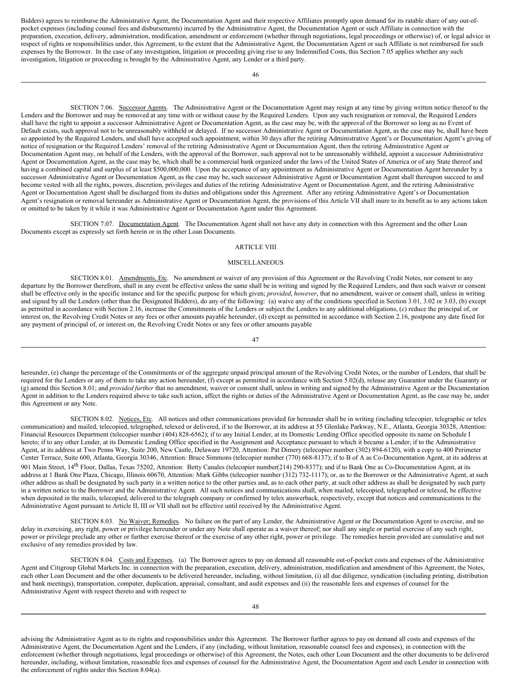Bidders) agrees to reimburse the Administrative Agent, the Documentation Agent and their respective Affiliates promptly upon demand for its ratable share of any out-ofpocket expenses (including counsel fees and disbursements) incurred by the Administrative Agent, the Documentation Agent or such Affiliate in connection with the preparation, execution, delivery, administration, modification, amendment or enforcement (whether through negotiations, legal proceedings or otherwise) of, or legal advice in respect of rights or responsibilities under, this Agreement, to the extent that the Administrative Agent, the Documentation Agent or such Affiliate is not reimbursed for such expenses by the Borrower. In the case of any investigation, litigation or proceeding giving rise to any Indemnified Costs, this Section 7.05 applies whether any such investigation, litigation or proceeding is brought by the Administrative Agent, any Lender or a third party.

46

<span id="page-35-0"></span>SECTION 7.06. Successor Agents. The Administrative Agent or the Documentation Agent may resign at any time by giving written notice thereof to the Lenders and the Borrower and may be removed at any time with or without cause by the Required Lenders. Upon any such resignation or removal, the Required Lenders shall have the right to appoint a successor Administrative Agent or Documentation Agent, as the case may be, with the approval of the Borrower so long as no Event of Default exists, such approval not to be unreasonably withheld or delayed. If no successor Administrative Agent or Documentation Agent, as the case may be, shall have been so appointed by the Required Lenders, and shall have accepted such appointment, within 30 days after the retiring Administrative Agent's or Documentation Agent's giving of notice of resignation or the Required Lenders' removal of the retiring Administrative Agent or Documentation Agent, then the retiring Administrative Agent or Documentation Agent may, on behalf of the Lenders, with the approval of the Borrower, such approval not to be unreasonably withheld, appoint a successor Administrative Agent or Documentation Agent, as the case may be, which shall be a commercial bank organized under the laws of the United States of America or of any State thereof and having a combined capital and surplus of at least \$500,000,000. Upon the acceptance of any appointment as Administrative Agent or Documentation Agent hereunder by a successor Administrative Agent or Documentation Agent, as the case may be, such successor Administrative Agent or Documentation Agent shall thereupon succeed to and become vested with all the rights, powers, discretion, privileges and duties of the retiring Administrative Agent or Documentation Agent, and the retiring Administrative Agent or Documentation Agent shall be discharged from its duties and obligations under this Agreement. After any retiring Administrative Agent's or Documentation Agent's resignation or removal hereunder as Administrative Agent or Documentation Agent, the provisions of this Article VII shall inure to its benefit as to any actions taken or omitted to be taken by it while it was Administrative Agent or Documentation Agent under this Agreement.

<span id="page-35-1"></span>SECTION 7.07. Documentation Agent. The Documentation Agent shall not have any duty in connection with this Agreement and the other Loan Documents except as expressly set forth herein or in the other Loan Documents.

#### <span id="page-35-2"></span>ARTICLE VIII

#### <span id="page-35-3"></span>MISCELLANEOUS

<span id="page-35-4"></span>SECTION 8.01. Amendments, Etc. No amendment or waiver of any provision of this Agreement or the Revolving Credit Notes, nor consent to any departure by the Borrower therefrom, shall in any event be effective unless the same shall be in writing and signed by the Required Lenders, and then such waiver or consent shall be effective only in the specific instance and for the specific purpose for which given; *provided*, *however*, that no amendment, waiver or consent shall, unless in writing and signed by all the Lenders (other than the Designated Bidders), do any of the following: (a) waive any of the conditions specified in Section 3.01, 3.02 or 3.03, (b) except as permitted in accordance with Section 2.16, increase the Commitments of the Lenders or subject the Lenders to any additional obligations, (c) reduce the principal of, or interest on, the Revolving Credit Notes or any fees or other amounts payable hereunder, (d) except as permitted in accordance with Section 2.16, postpone any date fixed for any payment of principal of, or interest on, the Revolving Credit Notes or any fees or other amounts payable

#### 47

hereunder, (e) change the percentage of the Commitments or of the aggregate unpaid principal amount of the Revolving Credit Notes, or the number of Lenders, that shall be required for the Lenders or any of them to take any action hereunder, (f) except as permitted in accordance with Section 5.02(d), release any Guarantor under the Guaranty or (g) amend this Section 8.01; and *provided further* that no amendment, waiver or consent shall, unless in writing and signed by the Administrative Agent or the Documentation Agent in addition to the Lenders required above to take such action, affect the rights or duties of the Administrative Agent or Documentation Agent, as the case may be, under this Agreement or any Note.

<span id="page-35-5"></span>SECTION 8.02. Notices, Etc. All notices and other communications provided for hereunder shall be in writing (including telecopier, telegraphic or telex communication) and mailed, telecopied, telegraphed, telexed or delivered, if to the Borrower, at its address at 55 Glenlake Parkway, N.E., Atlanta, Georgia 30328, Attention: Financial Resources Department (telecopier number (404) 828-6562); if to any Initial Lender, at its Domestic Lending Office specified opposite its name on Schedule I hereto; if to any other Lender, at its Domestic Lending Office specified in the Assignment and Acceptance pursuant to which it became a Lender; if to the Administrative Agent, at its address at Two Penns Way, Suite 200, New Castle, Delaware 19720, Attention: Pat Dimery (telecopier number (302) 894-6120), with a copy to 400 Perimeter Center Terrace, Suite 600, Atlanta, Georgia 30346, Attention: Bruce Simmons (telecopier number (770) 668-8137); if to B of A as Co-Documentation Agent, at its address at 901 Main Street, 14<sup>th</sup> Floor, Dallas, Texas 75202, Attention: Betty Canales (telecopier number(214) 290-8377); and if to Bank One as Co-Documentation Agent, at its address at 1 Bank One Plaza, Chicago, Illinois 60670, Attention: Mark Gibbs (telecopier number (312) 732-1117); or, as to the Borrower or the Administrative Agent, at such other address as shall be designated by such party in a written notice to the other parties and, as to each other party, at such other address as shall be designated by such party in a written notice to the Borrower and the Administrative Agent. All such notices and communications shall, when mailed, telecopied, telegraphed or telexed, be effective when deposited in the mails, telecopied, delivered to the telegraph company or confirmed by telex answerback, respectively, except that notices and communications to the Administrative Agent pursuant to Article II, III or VII shall not be effective until received by the Administrative Agent.

<span id="page-35-6"></span>SECTION 8.03. No Waiver; Remedies. No failure on the part of any Lender, the Administrative Agent or the Documentation Agent to exercise, and no delay in exercising, any right, power or privilege hereunder or under any Note shall operate as a waiver thereof; nor shall any single or partial exercise of any such right, power or privilege preclude any other or further exercise thereof or the exercise of any other right, power or privilege. The remedies herein provided are cumulative and not exclusive of any remedies provided by law.

<span id="page-35-7"></span>SECTION 8.04. Costs and Expenses. (a) The Borrower agrees to pay on demand all reasonable out-of-pocket costs and expenses of the Administrative Agent and Citigroup Global Markets Inc. in connection with the preparation, execution, delivery, administration, modification and amendment of this Agreement, the Notes, each other Loan Document and the other documents to be delivered hereunder, including, without limitation, (i) all due diligence, syndication (including printing, distribution and bank meetings), transportation, computer, duplication, appraisal, consultant, and audit expenses and (ii) the reasonable fees and expenses of counsel for the Administrative Agent with respect thereto and with respect to

advising the Administrative Agent as to its rights and responsibilities under this Agreement. The Borrower further agrees to pay on demand all costs and expenses of the Administrative Agent, the Documentation Agent and the Lenders, if any (including, without limitation, reasonable counsel fees and expenses), in connection with the enforcement (whether through negotiations, legal proceedings or otherwise) of this Agreement, the Notes, each other Loan Document and the other documents to be delivered hereunder, including, without limitation, reasonable fees and expenses of counsel for the Administrative Agent, the Documentation Agent and each Lender in connection with the enforcement of rights under this Section 8.04(a).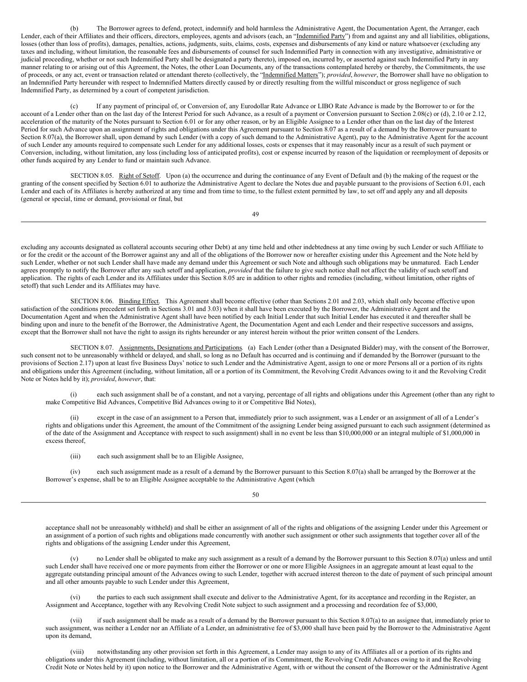(b) The Borrower agrees to defend, protect, indemnify and hold harmless the Administrative Agent, the Documentation Agent, the Arranger, each Lender, each of their Affiliates and their officers, directors, employees, agents and advisors (each, an "Indemnified Party") from and against any and all liabilities, obligations, losses (other than loss of profits), damages, penalties, actions, judgments, suits, claims, costs, expenses and disbursements of any kind or nature whatsoever (excluding any taxes and including, without limitation, the reasonable fees and disbursements of counsel for such Indemnified Party in connection with any investigative, administrative or judicial proceeding, whether or not such Indemnified Party shall be designated a party thereto), imposed on, incurred by, or asserted against such Indemnified Party in any manner relating to or arising out of this Agreement, the Notes, the other Loan Documents, any of the transactions contemplated hereby or thereby, the Commitments, the use of proceeds, or any act, event or transaction related or attendant thereto (collectively, the "Indemnified Matters"); *provided*, *however*, the Borrower shall have no obligation to an Indemnified Party hereunder with respect to Indemnified Matters directly caused by or directly resulting from the willful misconduct or gross negligence of such Indemnified Party, as determined by a court of competent jurisdiction.

If any payment of principal of, or Conversion of, any Eurodollar Rate Advance or LIBO Rate Advance is made by the Borrower to or for the account of a Lender other than on the last day of the Interest Period for such Advance, as a result of a payment or Conversion pursuant to Section 2.08(c) or (d), 2.10 or 2.12, acceleration of the maturity of the Notes pursuant to Section 6.01 or for any other reason, or by an Eligible Assignee to a Lender other than on the last day of the Interest Period for such Advance upon an assignment of rights and obligations under this Agreement pursuant to Section 8.07 as a result of a demand by the Borrower pursuant to Section 8.07(a), the Borrower shall, upon demand by such Lender (with a copy of such demand to the Administrative Agent), pay to the Administrative Agent for the account of such Lender any amounts required to compensate such Lender for any additional losses, costs or expenses that it may reasonably incur as a result of such payment or Conversion, including, without limitation, any loss (including loss of anticipated profits), cost or expense incurred by reason of the liquidation or reemployment of deposits or other funds acquired by any Lender to fund or maintain such Advance.

<span id="page-36-0"></span>SECTION 8.05. Right of Setoff. Upon (a) the occurrence and during the continuance of any Event of Default and (b) the making of the request or the granting of the consent specified by Section 6.01 to authorize the Administrative Agent to declare the Notes due and payable pursuant to the provisions of Section 6.01, each Lender and each of its Affiliates is hereby authorized at any time and from time to time, to the fullest extent permitted by law, to set off and apply any and all deposits (general or special, time or demand, provisional or final, but

49

excluding any accounts designated as collateral accounts securing other Debt) at any time held and other indebtedness at any time owing by such Lender or such Affiliate to or for the credit or the account of the Borrower against any and all of the obligations of the Borrower now or hereafter existing under this Agreement and the Note held by such Lender, whether or not such Lender shall have made any demand under this Agreement or such Note and although such obligations may be unmatured. Each Lender agrees promptly to notify the Borrower after any such setoff and application, *provided* that the failure to give such notice shall not affect the validity of such setoff and application. The rights of each Lender and its Affiliates under this Section 8.05 are in addition to other rights and remedies (including, without limitation, other rights of setoff) that such Lender and its Affiliates may have.

<span id="page-36-1"></span>SECTION 8.06. Binding Effect. This Agreement shall become effective (other than Sections 2.01 and 2.03, which shall only become effective upon satisfaction of the conditions precedent set forth in Sections 3.01 and 3.03) when it shall have been executed by the Borrower, the Administrative Agent and the Documentation Agent and when the Administrative Agent shall have been notified by each Initial Lender that such Initial Lender has executed it and thereafter shall be binding upon and inure to the benefit of the Borrower, the Administrative Agent, the Documentation Agent and each Lender and their respective successors and assigns, except that the Borrower shall not have the right to assign its rights hereunder or any interest herein without the prior written consent of the Lenders.

<span id="page-36-2"></span>SECTION 8.07. Assignments, Designations and Participations. (a) Each Lender (other than a Designated Bidder) may, with the consent of the Borrower, such consent not to be unreasonably withheld or delayed, and shall, so long as no Default has occurred and is continuing and if demanded by the Borrower (pursuant to the provisions of Section 2.17) upon at least five Business Days' notice to such Lender and the Administrative Agent, assign to one or more Persons all or a portion of its rights and obligations under this Agreement (including, without limitation, all or a portion of its Commitment, the Revolving Credit Advances owing to it and the Revolving Credit Note or Notes held by it); *provided*, *however*, that:

(i) each such assignment shall be of a constant, and not a varying, percentage of all rights and obligations under this Agreement (other than any right to make Competitive Bid Advances, Competitive Bid Advances owing to it or Competitive Bid Notes),

except in the case of an assignment to a Person that, immediately prior to such assignment, was a Lender or an assignment of all of a Lender's rights and obligations under this Agreement, the amount of the Commitment of the assigning Lender being assigned pursuant to each such assignment (determined as of the date of the Assignment and Acceptance with respect to such assignment) shall in no event be less than \$10,000,000 or an integral multiple of \$1,000,000 in excess thereof,

(iii) each such assignment shall be to an Eligible Assignee,

(iv) each such assignment made as a result of a demand by the Borrower pursuant to this Section 8.07(a) shall be arranged by the Borrower at the Borrower's expense, shall be to an Eligible Assignee acceptable to the Administrative Agent (which

50

acceptance shall not be unreasonably withheld) and shall be either an assignment of all of the rights and obligations of the assigning Lender under this Agreement or an assignment of a portion of such rights and obligations made concurrently with another such assignment or other such assignments that together cover all of the rights and obligations of the assigning Lender under this Agreement,

no Lender shall be obligated to make any such assignment as a result of a demand by the Borrower pursuant to this Section 8.07(a) unless and until such Lender shall have received one or more payments from either the Borrower or one or more Eligible Assignees in an aggregate amount at least equal to the aggregate outstanding principal amount of the Advances owing to such Lender, together with accrued interest thereon to the date of payment of such principal amount and all other amounts payable to such Lender under this Agreement,

(vi) the parties to each such assignment shall execute and deliver to the Administrative Agent, for its acceptance and recording in the Register, an Assignment and Acceptance, together with any Revolving Credit Note subject to such assignment and a processing and recordation fee of \$3,000,

(vii) if such assignment shall be made as a result of a demand by the Borrower pursuant to this Section 8.07(a) to an assignee that, immediately prior to such assignment, was neither a Lender nor an Affiliate of a Lender, an administrative fee of \$3,000 shall have been paid by the Borrower to the Administrative Agent upon its demand,

(viii) notwithstanding any other provision set forth in this Agreement, a Lender may assign to any of its Affiliates all or a portion of its rights and obligations under this Agreement (including, without limitation, all or a portion of its Commitment, the Revolving Credit Advances owing to it and the Revolving Credit Note or Notes held by it) upon notice to the Borrower and the Administrative Agent, with or without the consent of the Borrower or the Administrative Agent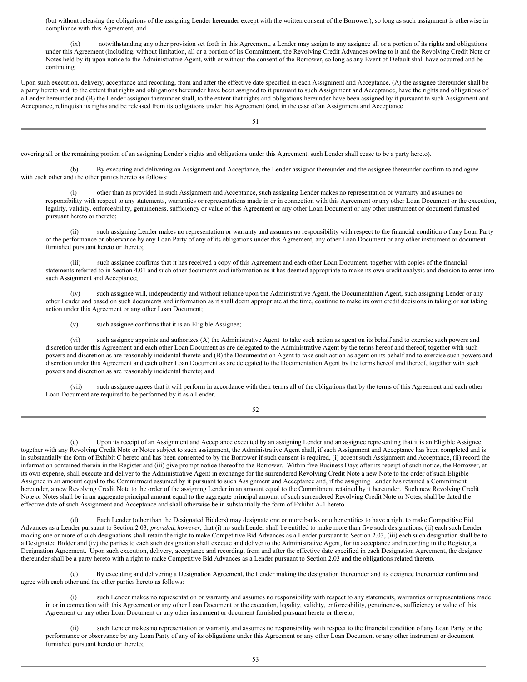(but without releasing the obligations of the assigning Lender hereunder except with the written consent of the Borrower), so long as such assignment is otherwise in compliance with this Agreement, and

(ix) notwithstanding any other provision set forth in this Agreement, a Lender may assign to any assignee all or a portion of its rights and obligations under this Agreement (including, without limitation, all or a portion of its Commitment, the Revolving Credit Advances owing to it and the Revolving Credit Note or Notes held by it) upon notice to the Administrative Agent, with or without the consent of the Borrower, so long as any Event of Default shall have occurred and be continuing.

Upon such execution, delivery, acceptance and recording, from and after the effective date specified in each Assignment and Acceptance, (A) the assignee thereunder shall be a party hereto and, to the extent that rights and obligations hereunder have been assigned to it pursuant to such Assignment and Acceptance, have the rights and obligations of a Lender hereunder and (B) the Lender assignor thereunder shall, to the extent that rights and obligations hereunder have been assigned by it pursuant to such Assignment and Acceptance, relinquish its rights and be released from its obligations under this Agreement (and, in the case of an Assignment and Acceptance

51

covering all or the remaining portion of an assigning Lender's rights and obligations under this Agreement, such Lender shall cease to be a party hereto).

(b) By executing and delivering an Assignment and Acceptance, the Lender assignor thereunder and the assignee thereunder confirm to and agree with each other and the other parties hereto as follows:

(i) other than as provided in such Assignment and Acceptance, such assigning Lender makes no representation or warranty and assumes no responsibility with respect to any statements, warranties or representations made in or in connection with this Agreement or any other Loan Document or the execution, legality, validity, enforceability, genuineness, sufficiency or value of this Agreement or any other Loan Document or any other instrument or document furnished pursuant hereto or thereto;

(ii) such assigning Lender makes no representation or warranty and assumes no responsibility with respect to the financial condition o f any Loan Party or the performance or observance by any Loan Party of any of its obligations under this Agreement, any other Loan Document or any other instrument or document furnished pursuant hereto or thereto;

(iii) such assignee confirms that it has received a copy of this Agreement and each other Loan Document, together with copies of the financial statements referred to in Section 4.01 and such other documents and information as it has deemed appropriate to make its own credit analysis and decision to enter into such Assignment and Acceptance;

(iv) such assignee will, independently and without reliance upon the Administrative Agent, the Documentation Agent, such assigning Lender or any other Lender and based on such documents and information as it shall deem appropriate at the time, continue to make its own credit decisions in taking or not taking action under this Agreement or any other Loan Document;

(v) such assignee confirms that it is an Eligible Assignee;

(vi) such assignee appoints and authorizes (A) the Administrative Agent to take such action as agent on its behalf and to exercise such powers and discretion under this Agreement and each other Loan Document as are delegated to the Administrative Agent by the terms hereof and thereof, together with such powers and discretion as are reasonably incidental thereto and (B) the Documentation Agent to take such action as agent on its behalf and to exercise such powers and discretion under this Agreement and each other Loan Document as are delegated to the Documentation Agent by the terms hereof and thereof, together with such powers and discretion as are reasonably incidental thereto; and

(vii) such assignee agrees that it will perform in accordance with their terms all of the obligations that by the terms of this Agreement and each other Loan Document are required to be performed by it as a Lender.

52

(c) Upon its receipt of an Assignment and Acceptance executed by an assigning Lender and an assignee representing that it is an Eligible Assignee, together with any Revolving Credit Note or Notes subject to such assignment, the Administrative Agent shall, if such Assignment and Acceptance has been completed and is in substantially the form of Exhibit C hereto and has been consented to by the Borrower if such consent is required, (i) accept such Assignment and Acceptance, (ii) record the information contained therein in the Register and (iii) give prompt notice thereof to the Borrower. Within five Business Days after its receipt of such notice, the Borrower, at its own expense, shall execute and deliver to the Administrative Agent in exchange for the surrendered Revolving Credit Note a new Note to the order of such Eligible Assignee in an amount equal to the Commitment assumed by it pursuant to such Assignment and Acceptance and, if the assigning Lender has retained a Commitment hereunder, a new Revolving Credit Note to the order of the assigning Lender in an amount equal to the Commitment retained by it hereunder. Such new Revolving Credit Note or Notes shall be in an aggregate principal amount equal to the aggregate principal amount of such surrendered Revolving Credit Note or Notes, shall be dated the effective date of such Assignment and Acceptance and shall otherwise be in substantially the form of Exhibit A-1 hereto.

(d) Each Lender (other than the Designated Bidders) may designate one or more banks or other entities to have a right to make Competitive Bid Advances as a Lender pursuant to Section 2.03; *provided*, *however*, that (i) no such Lender shall be entitled to make more than five such designations, (ii) each such Lender making one or more of such designations shall retain the right to make Competitive Bid Advances as a Lender pursuant to Section 2.03, (iii) each such designation shall be to a Designated Bidder and (iv) the parties to each such designation shall execute and deliver to the Administrative Agent, for its acceptance and recording in the Register, a Designation Agreement. Upon such execution, delivery, acceptance and recording, from and after the effective date specified in each Designation Agreement, the designee thereunder shall be a party hereto with a right to make Competitive Bid Advances as a Lender pursuant to Section 2.03 and the obligations related thereto.

(e) By executing and delivering a Designation Agreement, the Lender making the designation thereunder and its designee thereunder confirm and agree with each other and the other parties hereto as follows:

such Lender makes no representation or warranty and assumes no responsibility with respect to any statements, warranties or representations made in or in connection with this Agreement or any other Loan Document or the execution, legality, validity, enforceability, genuineness, sufficiency or value of this Agreement or any other Loan Document or any other instrument or document furnished pursuant hereto or thereto;

(ii) such Lender makes no representation or warranty and assumes no responsibility with respect to the financial condition of any Loan Party or the performance or observance by any Loan Party of any of its obligations under this Agreement or any other Loan Document or any other instrument or document furnished pursuant hereto or thereto;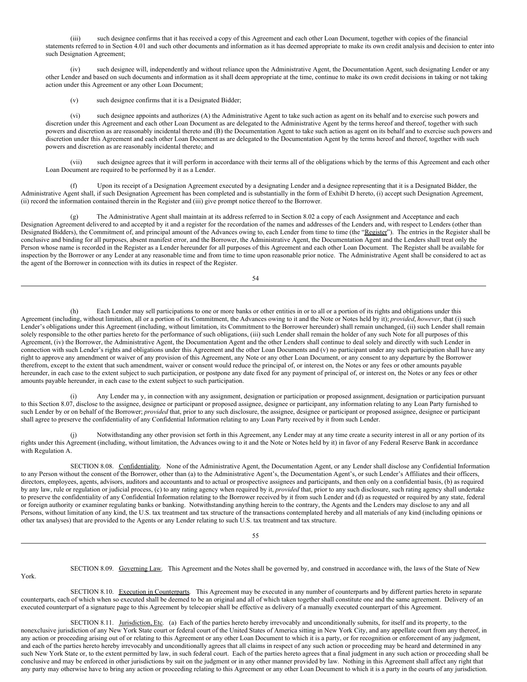such designee confirms that it has received a copy of this Agreement and each other Loan Document, together with copies of the financial statements referred to in Section 4.01 and such other documents and information as it has deemed appropriate to make its own credit analysis and decision to enter into such Designation Agreement;

(iv) such designee will, independently and without reliance upon the Administrative Agent, the Documentation Agent, such designating Lender or any other Lender and based on such documents and information as it shall deem appropriate at the time, continue to make its own credit decisions in taking or not taking action under this Agreement or any other Loan Document;

(v) such designee confirms that it is a Designated Bidder;

York.

(vi) such designee appoints and authorizes (A) the Administrative Agent to take such action as agent on its behalf and to exercise such powers and discretion under this Agreement and each other Loan Document as are delegated to the Administrative Agent by the terms hereof and thereof, together with such powers and discretion as are reasonably incidental thereto and (B) the Documentation Agent to take such action as agent on its behalf and to exercise such powers and discretion under this Agreement and each other Loan Document as are delegated to the Documentation Agent by the terms hereof and thereof, together with such powers and discretion as are reasonably incidental thereto; and

(vii) such designee agrees that it will perform in accordance with their terms all of the obligations which by the terms of this Agreement and each other Loan Document are required to be performed by it as a Lender.

(f) Upon its receipt of a Designation Agreement executed by a designating Lender and a designee representing that it is a Designated Bidder, the Administrative Agent shall, if such Designation Agreement has been completed and is substantially in the form of Exhibit D hereto, (i) accept such Designation Agreement, (ii) record the information contained therein in the Register and (iii) give prompt notice thereof to the Borrower.

The Administrative Agent shall maintain at its address referred to in Section 8.02 a copy of each Assignment and Acceptance and each Designation Agreement delivered to and accepted by it and a register for the recordation of the names and addresses of the Lenders and, with respect to Lenders (other than Designated Bidders), the Commitment of, and principal amount of the Advances owing to, each Lender from time to time (the "Register"). The entries in the Register shall be conclusive and binding for all purposes, absent manifest error, and the Borrower, the Administrative Agent, the Documentation Agent and the Lenders shall treat only the Person whose name is recorded in the Register as a Lender hereunder for all purposes of this Agreement and each other Loan Document. The Register shall be available for inspection by the Borrower or any Lender at any reasonable time and from time to time upon reasonable prior notice. The Administrative Agent shall be considered to act as the agent of the Borrower in connection with its duties in respect of the Register.

54

Each Lender may sell participations to one or more banks or other entities in or to all or a portion of its rights and obligations under this Agreement (including, without limitation, all or a portion of its Commitment, the Advances owing to it and the Note or Notes held by it); *provided*, *however*, that (i) such Lender's obligations under this Agreement (including, without limitation, its Commitment to the Borrower hereunder) shall remain unchanged, (ii) such Lender shall remain solely responsible to the other parties hereto for the performance of such obligations, (iii) such Lender shall remain the holder of any such Note for all purposes of this Agreement, (iv) the Borrower, the Administrative Agent, the Documentation Agent and the other Lenders shall continue to deal solely and directly with such Lender in connection with such Lender's rights and obligations under this Agreement and the other Loan Documents and (v) no participant under any such participation shall have any right to approve any amendment or waiver of any provision of this Agreement, any Note or any other Loan Document, or any consent to any departure by the Borrower therefrom, except to the extent that such amendment, waiver or consent would reduce the principal of, or interest on, the Notes or any fees or other amounts payable hereunder, in each case to the extent subject to such participation, or postpone any date fixed for any payment of principal of, or interest on, the Notes or any fees or other amounts payable hereunder, in each case to the extent subject to such participation.

Any Lender ma y, in connection with any assignment, designation or participation or proposed assignment, designation or participation pursuant to this Section 8.07, disclose to the assignee, designee or participant or proposed assignee, designee or participant, any information relating to any Loan Party furnished to such Lender by or on behalf of the Borrower; *provided* that, prior to any such disclosure, the assignee, designee or participant or proposed assignee, designee or participant shall agree to preserve the confidentiality of any Confidential Information relating to any Loan Party received by it from such Lender.

(j) Notwithstanding any other provision set forth in this Agreement, any Lender may at any time create a security interest in all or any portion of its rights under this Agreement (including, without limitation, the Advances owing to it and the Note or Notes held by it) in favor of any Federal Reserve Bank in accordance with Regulation A.

<span id="page-38-0"></span>SECTION 8.08. Confidentiality. None of the Administrative Agent, the Documentation Agent, or any Lender shall disclose any Confidential Information to any Person without the consent of the Borrower, other than (a) to the Administrative Agent's, the Documentation Agent's, or such Lender's Affiliates and their officers, directors, employees, agents, advisors, auditors and accountants and to actual or prospective assignees and participants, and then only on a confidential basis, (b) as required by any law, rule or regulation or judicial process, (c) to any rating agency when required by it, *provided* that, prior to any such disclosure, such rating agency shall undertake to preserve the confidentiality of any Confidential Information relating to the Borrower received by it from such Lender and (d) as requested or required by any state, federal or foreign authority or examiner regulating banks or banking. Notwithstanding anything herein to the contrary, the Agents and the Lenders may disclose to any and all Persons, without limitation of any kind, the U.S. tax treatment and tax structure of the transactions contemplated hereby and all materials of any kind (including opinions or other tax analyses) that are provided to the Agents or any Lender relating to such U.S. tax treatment and tax structure.

55

<span id="page-38-2"></span><span id="page-38-1"></span>SECTION 8.09. Governing Law. This Agreement and the Notes shall be governed by, and construed in accordance with, the laws of the State of New

SECTION 8.10. Execution in Counterparts. This Agreement may be executed in any number of counterparts and by different parties hereto in separate counterparts, each of which when so executed shall be deemed to be an original and all of which taken together shall constitute one and the same agreement. Delivery of an executed counterpart of a signature page to this Agreement by telecopier shall be effective as delivery of a manually executed counterpart of this Agreement.

<span id="page-38-3"></span>SECTION 8.11. Jurisdiction, Etc. (a) Each of the parties hereto hereby irrevocably and unconditionally submits, for itself and its property, to the nonexclusive jurisdiction of any New York State court or federal court of the United States of America sitting in New York City, and any appellate court from any thereof, in any action or proceeding arising out of or relating to this Agreement or any other Loan Document to which it is a party, or for recognition or enforcement of any judgment, and each of the parties hereto hereby irrevocably and unconditionally agrees that all claims in respect of any such action or proceeding may be heard and determined in any such New York State or, to the extent permitted by law, in such federal court. Each of the parties hereto agrees that a final judgment in any such action or proceeding shall be conclusive and may be enforced in other jurisdictions by suit on the judgment or in any other manner provided by law. Nothing in this Agreement shall affect any right that any party may otherwise have to bring any action or proceeding relating to this Agreement or any other Loan Document to which it is a party in the courts of any jurisdiction.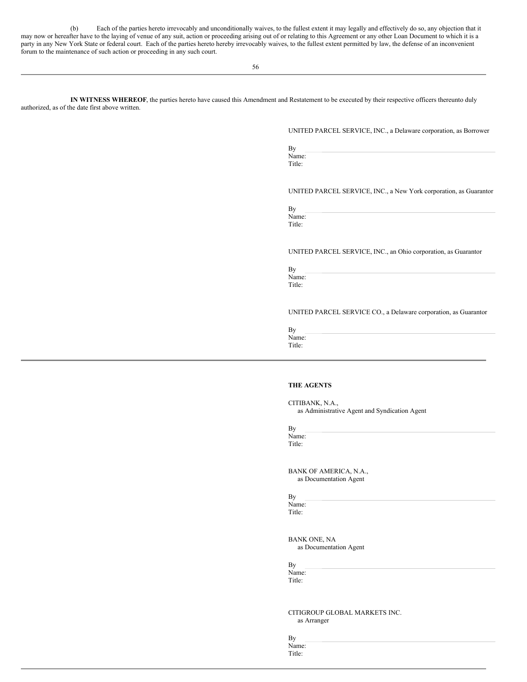(b) Each of the parties hereto irrevocably and unconditionally waives, to the fullest extent it may legally and effectively do so, any objection that it may now or hereafter have to the laying of venue of any suit, action or proceeding arising out of or relating to this Agreement or any other Loan Document to which it is a party in any New York State or federal court. Each of the parties hereto hereby irrevocably waives, to the fullest extent permitted by law, the defense of an inconvenient forum to the maintenance of such action or proceeding in any such court.

56

**IN WITNESS WHEREOF**, the parties hereto have caused this Amendment and Restatement to be executed by their respective officers thereunto duly authorized, as of the date first above written.

UNITED PARCEL SERVICE, INC., a Delaware corporation, as Borrower

By Name:

Title:

UNITED PARCEL SERVICE, INC., a New York corporation, as Guarantor

By Name: Title:

## UNITED PARCEL SERVICE, INC., an Ohio corporation, as Guarantor

By Name: Title:

## UNITED PARCEL SERVICE CO., a Delaware corporation, as Guarantor

By Name: Title:

#### **THE AGENTS**

CITIBANK, N.A., as Administrative Agent and Syndication Agent

By Name: Title:

BANK OF AMERICA, N.A., as Documentation Agent

By Name:

Title:

BANK ONE, NA as Documentation Agent

By Name:

Title:

CITIGROUP GLOBAL MARKETS INC. as Arranger

By Name: Title: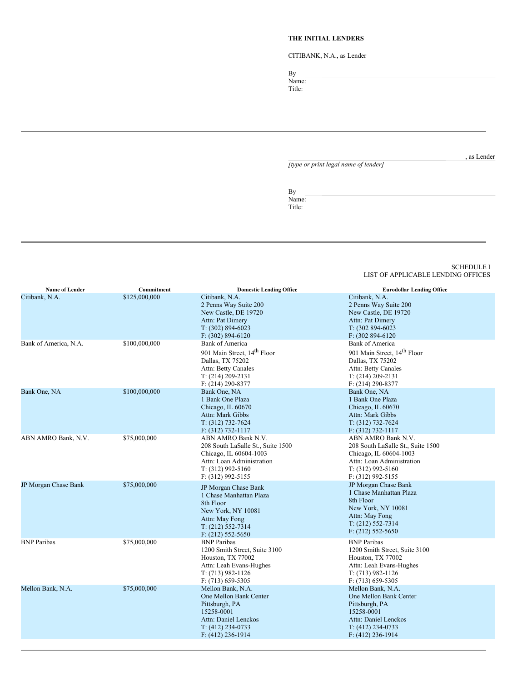## **THE INITIAL LENDERS**

CITIBANK, N.A., as Lender

By Name:

Title:

, as Lender

*[type or print legal name of lender]*

By Name: Title:

#### <span id="page-40-0"></span>SCHEDULE I LIST OF APPLICABLE LENDING OFFICES

| Name of Lender        | Commitment    | <b>Domestic Lending Office</b>                                                                                                                                 | <b>Eurodollar Lending Office</b>                                                                                                                             |
|-----------------------|---------------|----------------------------------------------------------------------------------------------------------------------------------------------------------------|--------------------------------------------------------------------------------------------------------------------------------------------------------------|
| Citibank, N.A.        | \$125,000,000 | Citibank, N.A.<br>2 Penns Way Suite 200<br>New Castle, DE 19720<br>Attn: Pat Dimery<br>$T: (302) 894-6023$<br>$F: (302) 894 - 6120$                            | Citibank, N.A.<br>2 Penns Way Suite 200<br>New Castle, DE 19720<br>Attn: Pat Dimery<br>$T: (302894-6023)$<br>F: (302 894-6120)                               |
| Bank of America, N.A. | \$100,000,000 | <b>Bank of America</b><br>901 Main Street, 14 <sup>th</sup> Floor<br>Dallas, TX 75202<br>Attn: Betty Canales<br>$T: (214) 209 - 2131$<br>$F: (214) 290 - 8377$ | Bank of America<br>901 Main Street, 14 <sup>th</sup> Floor<br>Dallas, TX 75202<br>Attn: Betty Canales<br>$T: (214) 209 - 2131$<br>$F: (214) 290 - 8377$      |
| Bank One, NA          | \$100,000,000 | Bank One, NA<br>1 Bank One Plaza<br>Chicago, IL 60670<br>Attn: Mark Gibbs<br>$T: (312) 732 - 7624$<br>$F: (312) 732 - 1117$                                    | Bank One, NA<br>1 Bank One Plaza<br>Chicago, IL 60670<br>Attn: Mark Gibbs<br>$T: (312) 732 - 7624$<br>$F: (312) 732 - 1117$                                  |
| ABN AMRO Bank, N.V.   | \$75,000,000  | ABN AMRO Bank N.V.<br>208 South LaSalle St., Suite 1500<br>Chicago, IL 60604-1003<br>Attn: Loan Administration<br>$T: (312)$ 992-5160<br>F: (312) 992-5155     | ABN AMRO Bank N.V.<br>208 South LaSalle St., Suite 1500<br>Chicago, IL 60604-1003<br>Attn: Loan Administration<br>$T: (312)$ 992-5160<br>$F: (312)$ 992-5155 |
| JP Morgan Chase Bank  | \$75,000,000  | JP Morgan Chase Bank<br>1 Chase Manhattan Plaza<br>8th Floor<br>New York, NY 10081<br>Attn: May Fong<br>$T: (212) 552 - 7314$<br>$F: (212) 552 - 5650$         | JP Morgan Chase Bank<br>1 Chase Manhattan Plaza<br>8th Floor<br>New York, NY 10081<br>Attn: May Fong<br>$T: (212) 552 - 7314$<br>$F: (212)$ 552-5650         |
| <b>BNP</b> Paribas    | \$75,000,000  | <b>BNP</b> Paribas<br>1200 Smith Street, Suite 3100<br>Houston, TX 77002<br>Attn: Leah Evans-Hughes<br>$T: (713) 982 - 1126$<br>$F: (713) 659 - 5305$          | <b>BNP</b> Paribas<br>1200 Smith Street, Suite 3100<br>Houston, TX 77002<br>Attn: Leah Evans-Hughes<br>$T: (713) 982 - 1126$<br>$F: (713) 659 - 5305$        |
| Mellon Bank, N.A.     | \$75,000,000  | Mellon Bank, N.A.<br>One Mellon Bank Center<br>Pittsburgh, PA<br>15258-0001<br>Attn: Daniel Lenckos<br>$T: (412)$ 234-0733<br>$F: (412)$ 236-1914              | Mellon Bank, N.A.<br>One Mellon Bank Center<br>Pittsburgh, PA<br>15258-0001<br>Attn: Daniel Lenckos<br>$T: (412)$ 234-0733<br>$F: (412)$ 236-1914            |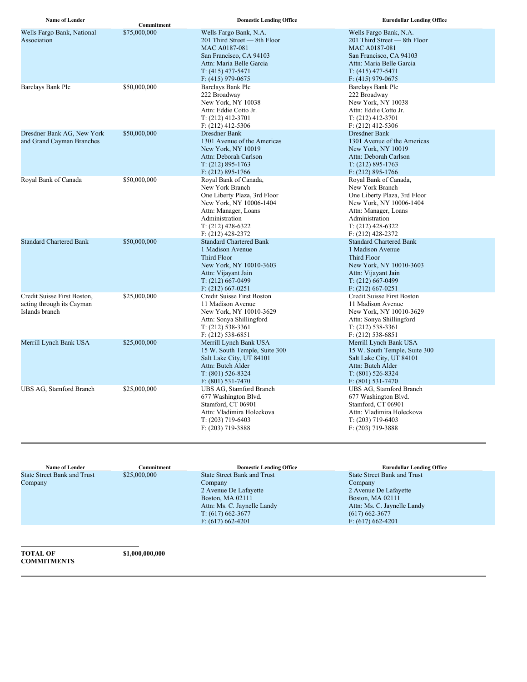| <b>Name of Lender</b>                                                      | Commitment   | <b>Domestic Lending Office</b>                                                                                                                                                              | <b>Eurodollar Lending Office</b>                                                                                                                                                            |
|----------------------------------------------------------------------------|--------------|---------------------------------------------------------------------------------------------------------------------------------------------------------------------------------------------|---------------------------------------------------------------------------------------------------------------------------------------------------------------------------------------------|
| Wells Fargo Bank, National<br>Association                                  | \$75,000,000 | Wells Fargo Bank, N.A.<br>201 Third Street - 8th Floor<br>MAC A0187-081<br>San Francisco, CA 94103<br>Attn: Maria Belle Garcia<br>$T: (415)$ 477-5471<br>$F: (415)$ 979-0675                | Wells Fargo Bank, N.A.<br>201 Third Street - 8th Floor<br>MAC A0187-081<br>San Francisco, CA 94103<br>Attn: Maria Belle Garcia<br>$T: (415)$ 477-5471<br>$F: (415)$ 979-0675                |
| Barclays Bank Plc                                                          | \$50,000,000 | Barclays Bank Plc<br>222 Broadway<br>New York, NY 10038<br>Attn: Eddie Cotto Jr.<br>$T: (212)$ 412-3701<br>$F: (212)$ 412-5306                                                              | Barclays Bank Plc<br>222 Broadway<br>New York, NY 10038<br>Attn: Eddie Cotto Jr.<br>$T: (212)$ 412-3701<br>$F: (212)$ 412-5306                                                              |
| Dresdner Bank AG, New York<br>and Grand Cayman Branches                    | \$50,000,000 | Dresdner Bank<br>1301 Avenue of the Americas<br>New York, NY 10019<br>Attn: Deborah Carlson<br>$T: (212) 895 - 1763$<br>$F: (212) 895 - 1766$                                               | Dresdner Bank<br>1301 Avenue of the Americas<br>New York, NY 10019<br>Attn: Deborah Carlson<br>$T: (212) 895 - 1763$<br>$F: (212) 895 - 1766$                                               |
| Royal Bank of Canada                                                       | \$50,000,000 | Royal Bank of Canada,<br>New York Branch<br>One Liberty Plaza, 3rd Floor<br>New York, NY 10006-1404<br>Attn: Manager, Loans<br>Administration<br>$T: (212)$ 428-6322<br>$F: (212)$ 428-2372 | Royal Bank of Canada,<br>New York Branch<br>One Liberty Plaza, 3rd Floor<br>New York, NY 10006-1404<br>Attn: Manager, Loans<br>Administration<br>$T: (212)$ 428-6322<br>$F: (212)$ 428-2372 |
| <b>Standard Chartered Bank</b>                                             | \$50,000,000 | <b>Standard Chartered Bank</b><br>1 Madison Avenue<br><b>Third Floor</b><br>New York, NY 10010-3603<br>Attn: Vijayant Jain<br>$T: (212)$ 667-0499<br>$F: (212) 667 - 0251$                  | <b>Standard Chartered Bank</b><br>1 Madison Avenue<br><b>Third Floor</b><br>New York, NY 10010-3603<br>Attn: Vijayant Jain<br>$T: (212)$ 667-0499<br>$F: (212) 667 - 0251$                  |
| Credit Suisse First Boston,<br>acting through its Cayman<br>Islands branch | \$25,000,000 | Credit Suisse First Boston<br>11 Madison Avenue<br>New York, NY 10010-3629<br>Attn: Sonya Shillingford<br>$T: (212) 538-3361$<br>$F: (212) 538-6851$                                        | Credit Suisse First Boston<br>11 Madison Avenue<br>New York, NY 10010-3629<br>Attn: Sonya Shillingford<br>$T: (212) 538-3361$<br>$F: (212) 538-6851$                                        |
| Merrill Lynch Bank USA                                                     | \$25,000,000 | Merrill Lynch Bank USA<br>15 W. South Temple, Suite 300<br>Salt Lake City, UT 84101<br>Attn: Butch Alder<br>$T: (801) 526 - 8324$<br>$F: (801) 531 - 7470$                                  | Merrill Lynch Bank USA<br>15 W. South Temple, Suite 300<br>Salt Lake City, UT 84101<br>Attn: Butch Alder<br>$T: (801) 526 - 8324$<br>$F: (801) 531 - 7470$                                  |
| UBS AG, Stamford Branch                                                    | \$25,000,000 | UBS AG, Stamford Branch<br>677 Washington Blvd.<br>Stamford, CT 06901<br>Attn: Vladimira Holeckova<br>$T: (203)$ 719-6403<br>$F: (203)$ 719-3888                                            | UBS AG, Stamford Branch<br>677 Washington Blvd.<br>Stamford, CT 06901<br>Attn: Vladimira Holeckova<br>$T: (203)$ 719-6403<br>$F: (203)$ 719-3888                                            |

| <b>Name of Lender</b>              | Commitment   | <b>Domestic Lending Office</b>     | <b>Eurodollar Lending Office</b>   |
|------------------------------------|--------------|------------------------------------|------------------------------------|
| <b>State Street Bank and Trust</b> | \$25,000,000 | <b>State Street Bank and Trust</b> | <b>State Street Bank and Trust</b> |
| Company                            |              | Company                            | Company                            |
|                                    |              | 2 Avenue De Lafayette              | 2 Avenue De Lafayette              |
|                                    |              | Boston, MA 02111                   | Boston, MA 02111                   |
|                                    |              | Attn: Ms. C. Jaynelle Landy        | Attn: Ms. C. Jaynelle Landy        |
|                                    |              | $T: (617) 662 - 3677$              | $(617)$ 662-3677                   |
|                                    |              | $F: (617) 662 - 4201$              | $F: (617) 662 - 4201$              |
|                                    |              |                                    |                                    |

**TOTAL OF COMMITMENTS** **\$1,000,000,000**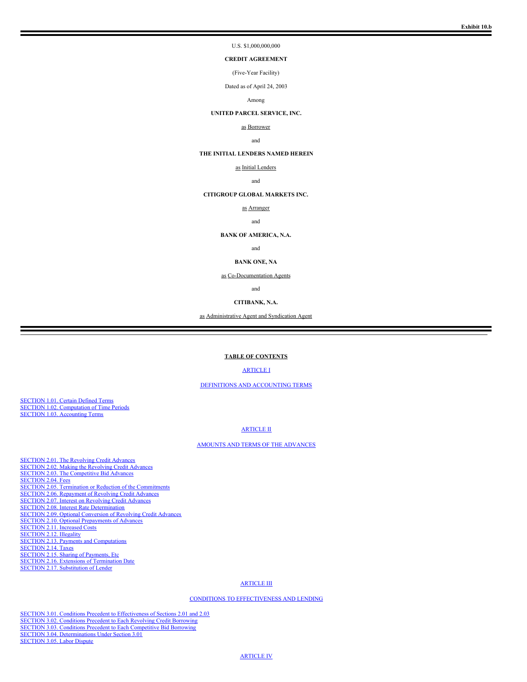#### U.S. \$1,000,000,000

## **CREDIT AGREEMENT**

(Five-Year Facility)

Dated as of April 24, 2003

#### Among

#### **UNITED PARCEL SERVICE, INC.**

#### as Borrower

#### and

#### **THE INITIAL LENDERS NAMED HEREIN**

as Initial Lenders

and

#### **CITIGROUP GLOBAL MARKETS INC.**

as Arranger

and

#### **BANK OF AMERICA, N.A.**

and

#### **BANK ONE, NA**

as Co-Documentation Agents

and

#### **CITIBANK, N.A.**

as Administrative Agent and Syndication Agent

#### **TABLE OF CONTENTS**

[ARTICLE](#page-43-0) I

#### DEFINITIONS AND [ACCOUNTING](#page-43-0) TERMS

[SECTION](#page-43-1) 1.01. Certain Defined Terms SECTION 1.02. [Computation](#page-48-0) of Time Periods SECTION 1.03. [Accounting](#page-48-1) Terms

#### [ARTICLE](#page-48-2) II

#### AMOUNTS AND TERMS OF THE [ADVANCES](#page-48-2)

[SECTION](#page-48-3) 2.01. The Revolving Credit Advances [SECTION](#page-48-4) 2.02. Making the Revolving Credit Advances SECTION 2.03. The [Competitive](#page-49-0) Bid Advances [SECTION](#page-50-0) 2.04. Fees SECTION 2.05. Termination or Reduction of the [Commitments](#page-50-1) SECTION 2.06. [Repayment](#page-50-2) of Revolving Credit Advances [SECTION](#page-50-3) 2.07. Interest on Revolving Credit Advances SECTION 2.08. Interest Rate [Determination](#page-50-4) SECTION 2.09. Optional [Conversion](#page-50-5) of Revolving Credit Advances SECTION 2.10. Optional [Prepayments](#page-51-0) of Advances [SECTION](#page-51-1) 2.11. Increased Costs [SECTION](#page-51-2) 2.12. Illegality SECTION 2.13. Payments and [Computations](#page-51-3) [SECTION](#page-51-4) 2.14. Taxes [SECTION](#page-52-0) 2.15. Sharing of Payments, Etc. SECTION 2.16. Extensions of [Termination](#page-52-1) Date SECTION 2.17. [Substitution](#page-52-2) of Lender

#### [ARTICLE](#page-52-3) III

#### CONDITIONS TO [EFFECTIVENESS](#page-52-3) AND LENDING

SECTION 3.01. Conditions Precedent to [Effectiveness](#page-52-4) of Sections 2.01 and 2.03 SECTION 3.02. [Conditions](#page-53-0) Precedent to Each Revolving Credit Borrowing SECTION 3.03. Conditions Precedent to Each [Competitive](#page-53-1) Bid Borrowing SECTION 3.04. [Determinations](#page-53-2) Under Section 3.01 [SECTION](#page-53-3) 3.05. Labor Dispute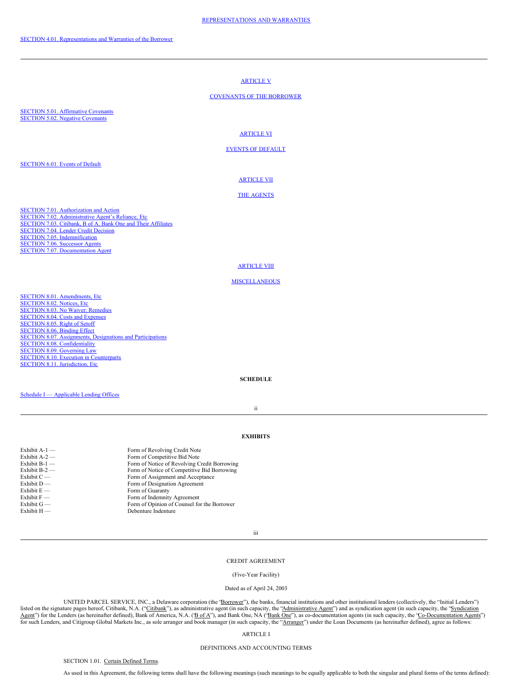# [ARTICLE](#page-54-0) V [COVENANTS](#page-54-0) OF THE BORROWER SECTION 5.01. [Affirmative](#page-54-1) Covenants [SECTION](#page-55-0) 5.02. Negative Covenants [ARTICLE](#page-56-0) VI EVENTS OF [DEFAULT](#page-56-0) [SECTION](#page-56-1) 6.01. Events of Default [ARTICLE](#page-57-0) VII

## THE [AGENTS](#page-57-0)

SECTION 7.01. [Authorization](#page-57-1) and Action SECTION 7.02. [Administrative](#page-57-2) Agent's Reliance, Etc [SECTION](#page-57-3) 7.03. Citibank, B of A, Bank One and Their Affiliates [SECTION](#page-58-0) 7.04. Lender Credit Decision SECTION 7.05. [Indemnification](#page-58-1) [SECTION](#page-58-2) 7.06. Successor Agents SECTION 7.07. [Documentation](#page-58-3) Agent

#### **[ARTICLE](#page-58-4) VIII**

#### **[MISCELLANEOUS](#page-58-4)**

SECTION 8.01. [Amendments,](#page-58-5) Etc [SECTION](#page-58-6) 8.02. Notices, Etc [SECTION](#page-58-7) 8.03. No Waiver; Remedies [SECTION](#page-58-8) 8.04. Costs and Expenses [SECTION](#page-59-0) 8.05. Right of Setoff [SECTION](#page-59-1) 8.06. Binding Effect SECTION 8.07. [Assignments,](#page-59-2) Designations and Participations SECTION 8.08. [Confidentiality](#page-60-0) SECTION 8.09. [Governing](#page-61-0) Law SECTION 8.10. Execution in [Counterparts](#page-61-1) SECTION 8.11. [Jurisdiction,](#page-61-2) Etc.

#### **SCHEDULE**

Schedule I — [Applicable](#page-62-0) Lending Offices

ii

#### **EXHIBITS**

| Exhibit $A-1$ — | Form of Revolving Credit Note                |
|-----------------|----------------------------------------------|
| Exhibit $A-2$ — | Form of Competitive Bid Note                 |
| Exhibit $B-1$ — | Form of Notice of Revolving Credit Borrowing |
| Exhibit $B-2$ — | Form of Notice of Competitive Bid Borrowing  |
| Exhibit $C$ —   | Form of Assignment and Acceptance            |
| Exhibit $D$ —   | Form of Designation Agreement                |
| Exhibit $E -$   | Form of Guaranty                             |
| Exhibit $F -$   | Form of Indemnity Agreement                  |
| Exhibit $G$ —   | Form of Opinion of Counsel for the Borrower  |
| Exhibit $H$ —   | Debenture Indenture                          |
|                 |                                              |

iii

#### CREDIT AGREEMENT

#### (Five-Year Facility)

#### Dated as of April 24, 2003

UNITED PARCEL SERVICE, INC., a Delaware corporation (the "Borrower"), the banks, financial institutions and other institutional lenders (collectively, the "Initial Lenders") listed on the signature pages hereof, Citibank, N.A. ("Citibank"), as administrative agent (in such capacity, the "Administrative Agent") and as syndication agent (in such capacity, the "Syndication Agent") for the Lenders (as hereinafter defined), Bank of America, N.A. ('Bof A"), and Bank One, NA ('Bank One''), as co-documentation agents (in such capacity, the 'Co-Documentation Agents'') for such Lenders, and Citigroup Global Markets Inc., as sole arranger and book manager (in such capacity, the "Arranger") under the Loan Documents (as hereinafter defined), agree as follows:

#### <span id="page-43-0"></span>ARTICLE I

#### DEFINITIONS AND ACCOUNTING TERMS

<span id="page-43-1"></span>SECTION 1.01. Certain Defined Terms.

As used in this Agreement, the following terms shall have the following meanings (such meanings to be equally applicable to both the singular and plural forms of the terms defined):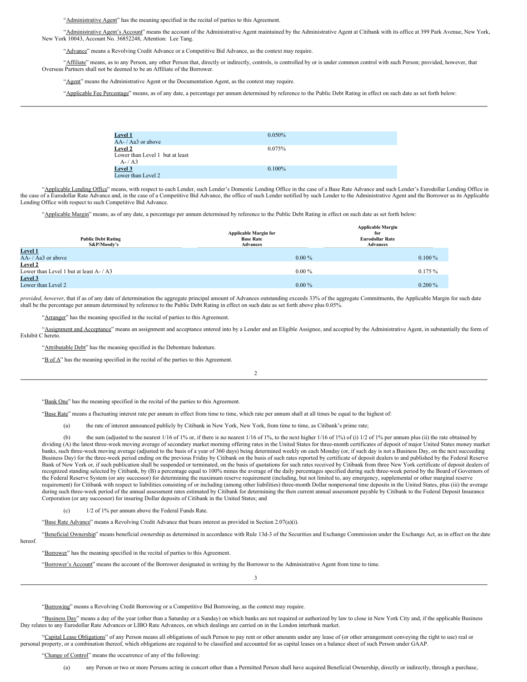"Administrative Agent" has the meaning specified in the recital of parties to this Agreement.

"Administrative Agent's Account" means the account of the Administrative Agent maintained by the Administrative Agent at Citibank with its office at 399 Park Avenue, New York, New York 10043, Account No. 36852248, Attention: Lee Tang.

"Advance" means a Revolving Credit Advance or a Competitive Bid Advance, as the context may require.

"Affiliate" means, as to any Person, any other Person that, directly or indirectly, controls, is controlled by or is under common control with such Person; provided, however, that Overseas Partners shall not be deemed to be an Affiliate of the Borrower.

"Agent" means the Administrative Agent or the Documentation Agent, as the context may require.

"Applicable Fee Percentage" means, as of any date, a percentage per annum determined by reference to the Public Debt Rating in effect on such date as set forth below:

| <b>Level 1</b>                  | $0.050\%$ |  |
|---------------------------------|-----------|--|
| $AA$ -/ $A$ a $3$ or above      |           |  |
| Level 2                         | 0.075%    |  |
| Lower than Level 1 but at least |           |  |
| $A - / A3$                      |           |  |
| <b>Level 3</b>                  | $0.100\%$ |  |
| Lower than Level 2              |           |  |

"Applicable Lending Office" means, with respect to each Lender, such Lender's Domestic Lending Office in the case of a Base Rate Advance and such Lender's Eurodollar Lending Office in the case of a Eurodollar Rate Advance and, in the case of a Competitive Bid Advance, the office of such Lender notified by such Lender to the Administrative Agent and the Borrower as its Applicable Lending Office with respect to such Competitive Bid Advance.

"Applicable Margin" means, as of any date, a percentage per annum determined by reference to the Public Debt Rating in effect on such date as set forth below:

|                                         |                              | <b>Applicable Margin</b> |
|-----------------------------------------|------------------------------|--------------------------|
|                                         | <b>Applicable Margin for</b> | for                      |
| <b>Public Debt Rating</b>               | <b>Base Rate</b>             | <b>Eurodollar Rate</b>   |
| S&P/Moody's                             | <b>Advances</b>              | <b>Advances</b>          |
| Level 1                                 |                              |                          |
| $AA$ - / $Aa3$ or above                 | $0.00\%$                     | $0.100\%$                |
| Level 2                                 |                              |                          |
| Lower than Level 1 but at least A- / A3 | $0.00\%$                     | $0.175\%$                |
| Level 3                                 |                              |                          |
| Lower than Level 2                      | $0.00\%$                     | $0.200\%$                |

*provided, however*, that if as of any date of determination the aggregate principal amount of Advances outstanding exceeds 33% of the aggregate Commitments, the Applicable Margin for such date shall be the percentage per annum determined by reference to the Public Debt Rating in effect on such date as set forth above plus 0.05%.

"Arranger" has the meaning specified in the recital of parties to this Agreement.

'Assignment and Acceptance" means an assignment and acceptance entered into by a Lender and an Eligible Assignee, and accepted by the Administrative Agent, in substantially the form of Exhibit C hereto.

"Attributable Debt" has the meaning specified in the Debenture Indenture.

"B of A" has the meaning specified in the recital of the parties to this Agreement.

 $\overline{2}$ 

"Bank One" has the meaning specified in the recital of the parties to this Agreement.

"Base Rate" means a fluctuating interest rate per annum in effect from time to time, which rate per annum shall at all times be equal to the highest of:

(a) the rate of interest announced publicly by Citibank in New York, New York, from time to time, as Citibank's prime rate;

the sum (adjusted to the nearest  $1/16$  of  $1\%$  or, if there is no nearest  $1/16$  of  $1\%$ , to the next higher  $1/16$  of  $1\%$ ) of (i)  $1/2$  of  $1\%$  per annum plus (ii) the rate obtained by dividing (A) the latest three-week moving average of secondary market morning offering rates in the United States for three-month certificates of deposit of major United States money market banks, such three-week moving average (adjusted to the basis of a year of 360 days) being determined weekly on each Monday (or, if such day is not a Business Day, on the next succeeding Business Day) for the three-week period ending on the previous Friday by Citibank on the basis of such rates reported by certificate of deposit dealers to and published by the Federal Reserve Bank of New York or, if such publication shall be suspended or terminated, on the basis of quotations for such rates received by Citibank from three New York certificate of deposit dealers of recognized standing selected by Citibank, by (B) a percentage equal to 100% minus the average of the daily percentages specified during such three-week period by the Board of Governors of the Federal Reserve System (or any successor) for determining the maximum reserve requirement (including, but not limited to, any emergency, supplemental or other marginal reserve requirement) for Citibank with respect to liabilities consisting of or including (among other liabilities) three-month Dollar nonpersonal time deposits in the United States, plus (iii) the average during such three-week period of the annual assessment rates estimated by Citibank for determining the then current annual assessment payable by Citibank to the Federal Deposit Insurance Corporation (or any successor) for insuring Dollar deposits of Citibank in the United States; and

(c) 1/2 of 1% per annum above the Federal Funds Rate.

"Base Rate Advance" means a Revolving Credit Advance that bears interest as provided in Section 2.07(a)(i).

"Beneficial Ownership" means beneficial ownership as determined in accordance with Rule 13d-3 of the Securities and Exchange Commission under the Exchange Act, as in effect on the date hereof.

"Borrower" has the meaning specified in the recital of parties to this Agreement.

"Borrower's Account" means the account of the Borrower designated in writing by the Borrower to the Administrative Agent from time to time.

"Borrowing" means a Revolving Credit Borrowing or a Competitive Bid Borrowing, as the context may require.

"Business Day" means a day of the year (other than a Saturday or a Sunday) on which banks are not required or authorized by law to close in New York City and, if the applicable Business Day relates to any Eurodollar Rate Advances or LIBO Rate Advances, on which dealings are carried on in the London interbank market.

3

"Capital Lease Obligations" of any Person means all obligations of such Person to pay rent or other amounts under any lease of (or other arrangement conveying the right to use) real or personal property, or a combination thereof, which obligations are required to be classified and accounted for as capital leases on a balance sheet of such Person under GAAP.

"Change of Control" means the occurrence of any of the following: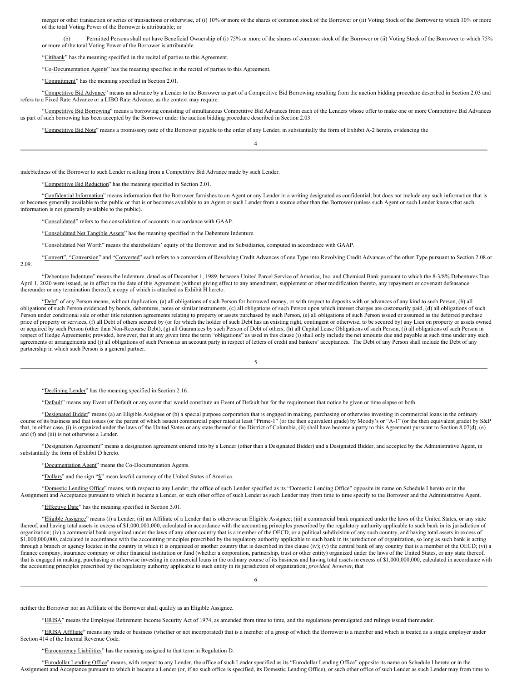merger or other transaction or series of transactions or otherwise, of (i) 10% or more of the shares of common stock of the Borrower or (ii) Voting Stock of the Borrower to which 10% or more of the total Voting Power of the Borrower is attributable; or

(b) Permitted Persons shall not have Beneficial Ownership of (i) 75% or more of the shares of common stock of the Borrower or (ii) Voting Stock of the Borrower to which 75% or more of the total Voting Power of the Borrower is attributable.

"Citibank" has the meaning specified in the recital of parties to this Agreement.

"Co-Documentation Agents" has the meaning specified in the recital of parties to this Agreement.

"Commitment" has the meaning specified in Section 2.01.

"Competitive Bid Advance" means an advance by a Lender to the Borrower as part of a Competitive Bid Borrowing resulting from the auction bidding procedure described in Section 2.03 and refers to a Fixed Rate Advance or a LIBO Rate Advance, as the context may require.

"Competitive Bid Borrowing" means a borrowing consisting of simultaneous Competitive Bid Advances from each of the Lenders whose offer to make one or more Competitive Bid Advances as part of such borrowing has been accepted by the Borrower under the auction bidding procedure described in Section 2.03.

4

"Competitive Bid Note" means a promissory note of the Borrower payable to the order of any Lender, in substantially the form of Exhibit A-2 hereto, evidencing the

indebtedness of the Borrower to such Lender resulting from a Competitive Bid Advance made by such Lender.

"Competitive Bid Reduction" has the meaning specified in Section 2.01.

"Confidential Information" means information that the Borrower furnishes to an Agent or any Lender in a writing designated as confidential, but does not include any such information that is or becomes generally available to the public or that is or becomes available to an Agent or such Lender from a source other than the Borrower (unless such Agent or such Lender knows that such information is not generally available to the public).

"Consolidated" refers to the consolidation of accounts in accordance with GAAP.

"Consolidated Net Tangible Assets" has the meaning specified in the Debenture Indenture.

"Consolidated Net Worth" means the shareholders' equity of the Borrower and its Subsidiaries, computed in accordance with GAAP.

"Convert", "Conversion" and "Converted" each refers to a conversion of Revolving Credit Advances of one Type into Revolving Credit Advances of the other Type pursuant to Section 2.08 or 2.09.

"Debenture Indenture" means the Indenture, dated as of December 1, 1989, between United Parcel Service of America, Inc. and Chemical Bank pursuant to which the 8-3/8% Debentures Due April 1, 2020 were issued, as in effect on the date of this Agreement (without giving effect to any amendment, supplement or other modification thereto, any repayment or covenant defeasance thereunder or any termination thereof), a copy of which is attached as Exhibit H hereto.

"Debt" of any Person means, without duplication, (a) all obligations of such Person for borrowed money, or with respect to deposits with or advances of any kind to such Person, (b) all obligations of such Person evidenced by bonds, debentures, notes or similar instruments, (c) all obligations of such Person upon which interest charges are customarily paid, (d) all obligations of such Person under conditional sale or other title retention agreements relating to property or assets purchased by such Person, (e) all obligations of such Person issued or assumed as the deferred purchase price of property or services, (f) all Debt of others secured by (or for which the holder of such Debt has an existing right, contingent or otherwise, to be secured by) any Lien on property or assets owned or acquired by such Person (other than Non-Recourse Debt), (g) all Guarantees by such Person of Debt of others, (h) all Capital Lease Obligations of such Person, (i) all obligations of such Person in respect of Hedge Agreements; provided, however, that at any given time the term "obligations" as used in this clause (i) shall only include the net amounts due and payable at such time under any such agreements or arrangements and (j) all obligations of such Person as an account party in respect of letters of credit and bankers' acceptances. The Debt of any Person shall include the Debt of any partnership in which such Person is a general partner.

5

"Declining Lender" has the meaning specified in Section 2.16.

"Default" means any Event of Default or any event that would constitute an Event of Default but for the requirement that notice be given or time elapse or both.

"Designated Bidder" means (a) an Eligible Assignee or (b) a special purpose corporation that is engaged in making, purchasing or otherwise investing in commercial loans in the ordinary course of its business and that issues (or the parent of which issues) commercial paper rated at least "Prime-1" (or the then equivalent grade) by Moody's or "A-1" (or the then equivalent grade) by S&P that, in either case, (i) is organized under the laws of the United States or any state thereof or the District of Columbia, (ii) shall have become a party to this Agreement pursuant to Section 8.07(d), (e) and (f) and (iii) is not otherwise a Lender.

"Designation Agreement" means a designation agreement entered into by a Lender (other than a Designated Bidder) and a Designated Bidder, and accepted by the Administrative Agent, in substantially the form of Exhibit D hereto.

"Documentation Agent" means the Co-Documentation Agents.

"Dollars" and the sign "\$" mean lawful currency of the United States of America.

"Domestic Lending Office" means, with respect to any Lender, the office of such Lender specified as its "Domestic Lending Office" opposite its name on Schedule I hereto or in the Assignment and Acceptance pursuant to which it became a Lender, or such other office of such Lender as such Lender may from time to time specify to the Borrower and the Administrative Agent.

"Effective Date" has the meaning specified in Section 3.01.

"Eligible Assignee" means (i) a Lender; (ii) an Affiliate of a Lender that is otherwise an Eligible Assignee; (iii) a commercial bank organized under the laws of the United States, or any state thereof, and having total assets in excess of \$1,000,000,000, calculated in accordance with the accounting principles prescribed by the regulatory authority applicable to such bank in its jurisdiction of organization; (iv) a commercial bank organized under the laws of any other country that is a member of the OECD, or a political subdivision of any such country, and having total assets in excess of \$1,000,000,000, calculated in accordance with the accounting principles prescribed by the regulatory authority applicable to such bank in its jurisdiction of organization, so long as such bank is acting through a branch or agency located in the country in which it is organized or another country that is described in this clause (iv); (v) the central bank of any country that is a member of the OECD; (vi) a finance company, insurance company or other financial institution or fund (whether a corporation, partnership, trust or other entity) organized under the laws of the United States, or any state thereof, that is engaged in making, purchasing or otherwise investing in commercial loans in the ordinary course of its business and having total assets in excess of \$1,000,000,000, calculated in accordance with the accounting principles prescribed by the regulatory authority applicable to such entity in its jurisdiction of organization; *provided, however*, that

6

neither the Borrower nor an Affiliate of the Borrower shall qualify as an Eligible Assignee.

"ERISA" means the Employee Retirement Income Security Act of 1974, as amended from time to time, and the regulations promulgated and rulings issued thereunder.

"ERISA Affiliate" means any trade or business (whether or not incorporated) that is a member of a group of which the Borrower is a member and which is treated as a single employer under Section 414 of the Internal Revenue Code.

"Eurocurrency Liabilities" has the meaning assigned to that term in Regulation D.

"Eurodollar Lending Office" means, with respect to any Lender, the office of such Lender specified as its "Eurodollar Lending Office" opposite its name on Schedule I hereto or in the Assignment and Acceptance pursuant to which it became a Lender (or, if no such office is specified, its Domestic Lending Office), or such other office of such Lender as such Lender may from time to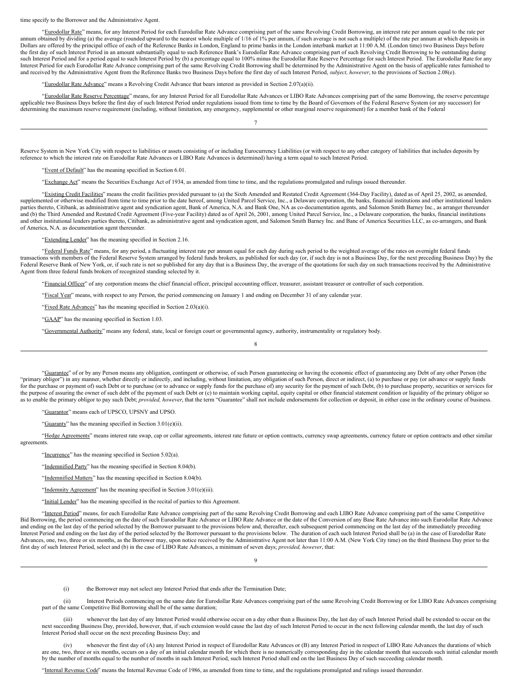time specify to the Borrower and the Administrative Agent.

"Eurodollar Rate" means, for any Interest Period for each Eurodollar Rate Advance comprising part of the same Revolving Credit Borrowing, an interest rate per annum equal to the rate per annum obtained by dividing (a) the average (rounded upward to the nearest whole multiple of 1/16 of 1% per annum, if such average is not such a multiple) of the rate per annum at which deposits in Dollars are offered by the principal office of each of the Reference Banks in London, England to prime banks in the London interbank market at 11:00 A.M. (London time) two Business Days before the first day of such Interest Period in an amount substantially equal to such Reference Bank's Eurodollar Rate Advance comprising part of such Revolving Credit Borrowing to be outstanding during such Interest Period and for a period equal to such Interest Period by (b) a percentage equal to 100% minus the Eurodollar Rate Reserve Percentage for such Interest Period. The Eurodollar Rate for any Interest Period for each Eurodollar Rate Advance comprising part of the same Revolving Credit Borrowing shall be determined by the Administrative Agent on the basis of applicable rates furnished to and received by the Administrative Agent from the Reference Banks two Business Days before the first day of such Interest Period, *subject, however*, to the provisions of Section 2.08(e).

"Eurodollar Rate Advance" means a Revolving Credit Advance that bears interest as provided in Section 2.07(a)(ii).

"Eurodollar Rate Reserve Percentage" means, for any Interest Period for all Eurodollar Rate Advances or LIBO Rate Advances comprising part of the same Borrowing, the reserve percentage applicable two Business Days before the first day of such Interest Period under regulations issued from time to time by the Board of Governors of the Federal Reserve System (or any successor) for determining the maximum reserve requirement (including, without limitation, any emergency, supplemental or other marginal reserve requirement) for a member bank of the Federal

7

Reserve System in New York City with respect to liabilities or assets consisting of or including Eurocurrency Liabilities (or with respect to any other category of liabilities that includes deposits by reference to which the interest rate on Eurodollar Rate Advances or LIBO Rate Advances is determined) having a term equal to such Interest Period.

"Event of Default" has the meaning specified in Section 6.01.

"Exchange Act" means the Securities Exchange Act of 1934, as amended from time to time, and the regulations promulgated and rulings issued thereunder.

"Existing Credit Facilities" means the credit facilities provided pursuant to (a) the Sixth Amended and Restated Credit Agreement (364-Day Facility), dated as of April 25, 2002, as amended, supplemented or otherwise modified from time to time prior to the date hereof, among United Parcel Service, Inc., a Delaware corporation, the banks, financial institutions and other institutional lenders parties thereto, Citibank, as administrative agent and syndication agent, Bank of America, N.A. and Bank One, NA as co-documentation agents, and Salomon Smith Barney Inc., as arranger thereunder and (b) the Third Amended and Restated Credit Agreement (Five-year Facility) dated as of April 26, 2001, among United Parcel Service, Inc., a Delaware corporation, the banks, financial institutions and other institutional lenders parties thereto, Citibank, as administrative agent and syndication agent, and Salomon Smith Barney Inc. and Banc of America Securities LLC, as co-arrangers, and Bank of America, N.A. as documentation agent thereunder.

"Extending Lender" has the meaning specified in Section 2.16.

"Federal Funds Rate" means, for any period, a fluctuating interest rate per annum equal for each day during such period to the weighted average of the rates on overnight federal funds transactions with members of the Federal Reserve System arranged by federal funds brokers, as published for such day (or, if such day is not a Business Day, for the next preceding Business Day) by the Federal Reserve Bank of New York, or, if such rate is not so published for any day that is a Business Day, the average of the quotations for such day on such transactions received by the Administrative Agent from three federal funds brokers of recognized standing selected by it.

"Financial Officer" of any corporation means the chief financial officer, principal accounting officer, treasurer, assistant treasurer or controller of such corporation.

"Fiscal Year" means, with respect to any Person, the period commencing on January 1 and ending on December 31 of any calendar year.

"Fixed Rate Advances" has the meaning specified in Section 2.03(a)(i).

"GAAP" has the meaning specified in Section 1.03.

"Governmental Authority" means any federal, state, local or foreign court or governmental agency, authority, instrumentality or regulatory body.

"Guarantee" of or by any Person means any obligation, contingent or otherwise, of such Person guaranteeing or having the economic effect of guaranteeing any Debt of any other Person (the "primary obligor") in any manner, whether directly or indirectly, and including, without limitation, any obligation of such Person, direct or indirect, (a) to purchase or pay (or advance or supply funds for the purchase or payment of) such Debt or to purchase (or to advance or supply funds for the purchase of) any security for the payment of such Debt, (b) to purchase property, securities or services for the purpose of assuring the owner of such debt of the payment of such Debt or (c) to maintain working capital, equity capital or other financial statement condition or liquidity of the primary obligor so as to enable the primary obligor to pay such Debt; *provided, however*, that the term "Guarantee" shall not include endorsements for collection or deposit, in either case in the ordinary course of business.

8

"Guarantor" means each of UPSCO, UPSNY and UPSO.

"Guaranty" has the meaning specified in Section 3.01(e)(ii).

"Hedge Agreements" means interest rate swap, cap or collar agreements, interest rate future or option contracts, currency swap agreements, currency future or option contracts and other similar agreements.

- "Incurrence" has the meaning specified in Section 5.02(a).
- "Indemnified Party" has the meaning specified in Section 8.04(b).
- "Indemnified Matters" has the meaning specified in Section 8.04(b).
- "Indemnity Agreement" has the meaning specified in Section 3.01(e)(iii).
- "Initial Lender" has the meaning specified in the recital of parties to this Agreement.

"Interest Period" means, for each Eurodollar Rate Advance comprising part of the same Revolving Credit Borrowing and each LIBO Rate Advance comprising part of the same Competitive Bid Borrowing, the period commencing on the date of such Eurodollar Rate Advance or LIBO Rate Advance or the date of the Conversion of any Base Rate Advance into such Eurodollar Rate Advance and ending on the last day of the period selected by the Borrower pursuant to the provisions below and, thereafter, each subsequent period commencing on the last day of the immediately preceding Interest Period and ending on the last day of the period selected by the Borrower pursuant to the provisions below. The duration of each such Interest Period shall be (a) in the case of Eurodollar Rate Advances, one, two, three or six months, as the Borrower may, upon notice received by the Administrative Agent not later than 11:00 A.M. (New York City time) on the third Business Day prior to the first day of such Interest Period, select and (b) in the case of LIBO Rate Advances, a minimum of seven days; *provided, however*, that:

9

(i) the Borrower may not select any Interest Period that ends after the Termination Date;

(ii) Interest Periods commencing on the same date for Eurodollar Rate Advances comprising part of the same Revolving Credit Borrowing or for LIBO Rate Advances comprising part of the same Competitive Bid Borrowing shall be of the same duration;

(iii) whenever the last day of any Interest Period would otherwise occur on a day other than a Business Day, the last day of such Interest Period shall be extended to occur on the next succeeding Business Day, provided, however, that, if such extension would cause the last day of such Interest Period to occur in the next following calendar month, the last day of such Interest Period shall occur on the next preceding Business Day; and

(iv) whenever the first day of (A) any Interest Period in respect of Eurodollar Rate Advances or (B) any Interest Period in respect of LIBO Rate Advances the durations of which are one, two, three or six months, occurs on a day of an initial calendar month for which there is no numerically corresponding day in the calendar month that succeeds such initial calendar month by the number of months equal to the number of months in such Interest Period, such Interest Period shall end on the last Business Day of such succeeding calendar month.

"Internal Revenue Code" means the Internal Revenue Code of 1986, as amended from time to time, and the regulations promulgated and rulings issued thereunder.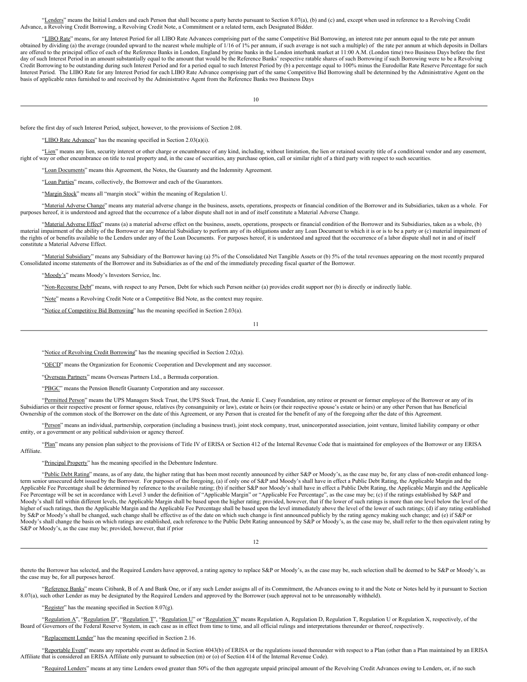"Lenders" means the Initial Lenders and each Person that shall become a party hereto pursuant to Section 8.07(a), (b) and (c) and, except when used in reference to a Revolving Credit Advance, a Revolving Credit Borrowing, a Revolving Credit Note, a Commitment or a related term, each Designated Bidder.

"LIBO Rate" means, for any Interest Period for all LIBO Rate Advances comprising part of the same Competitive Bid Borrowing, an interest rate per annum equal to the rate per annum obtained by dividing (a) the average (rounded upward to the nearest whole multiple of 1/16 of 1% per annum, if such average is not such a multiple) of the rate per annum at which deposits in Dollars are offered to the principal office of each of the Reference Banks in London, England by prime banks in the London interbank market at 11:00 A.M. (London time) two Business Days before the first day of such Interest Period in an amount substantially equal to the amount that would be the Reference Banks' respective ratable shares of such Borrowing if such Borrowing were to be a Revolving Credit Borrowing to be outstanding during such Interest Period and for a period equal to such Interest Period by (b) a percentage equal to 100% minus the Eurodollar Rate Reserve Percentage for such Interest Period. The LIBO Rate for any Interest Period for each LIBO Rate Advance comprising part of the same Competitive Bid Borrowing shall be determined by the Administrative Agent on the basis of applicable rates furnished to and received by the Administrative Agent from the Reference Banks two Business Days

10

before the first day of such Interest Period, subject, however, to the provisions of Section 2.08.

LIBO Rate Advances" has the meaning specified in Section 2.03(a)(i).

"Lien" means any lien, security interest or other charge or encumbrance of any kind, including, without limitation, the lien or retained security title of a conditional vendor and any easement, right of way or other encumbrance on title to real property and, in the case of securities, any purchase option, call or similar right of a third party with respect to such securities.

"Loan Documents" means this Agreement, the Notes, the Guaranty and the Indemnity Agreement.

"Loan Parties" means, collectively, the Borrower and each of the Guarantors.

"Margin Stock" means all "margin stock" within the meaning of Regulation U.

"Material Adverse Change" means any material adverse change in the business, assets, operations, prospects or financial condition of the Borrower and its Subsidiaries, taken as a whole. For purposes hereof, it is understood and agreed that the occurrence of a labor dispute shall not in and of itself constitute a Material Adverse Change.

"Material Adverse Effect" means (a) a material adverse effect on the business, assets, operations, prospects or financial condition of the Borrower and its Subsidiaries, taken as a whole, (b) material impairment of the ability of the Borrower or any Material Subsidiary to perform any of its obligations under any Loan Document to which it is or is to be a party or (c) material impairment of the rights of or benefits available to the Lenders under any of the Loan Documents. For purposes hereof, it is understood and agreed that the occurrence of a labor dispute shall not in and of itself constitute a Material Adverse Effect.

"Material Subsidiary" means any Subsidiary of the Borrower having (a) 5% of the Consolidated Net Tangible Assets or (b) 5% of the total revenues appearing on the most recently prepared Consolidated income statements of the Borrower and its Subsidiaries as of the end of the immediately preceding fiscal quarter of the Borrower.

"Moody's" means Moody's Investors Service, Inc.

"Non-Recourse Debt" means, with respect to any Person, Debt for which such Person neither (a) provides credit support nor (b) is directly or indirectly liable.

"Note" means a Revolving Credit Note or a Competitive Bid Note, as the context may require.

"Notice of Competitive Bid Borrowing" has the meaning specified in Section 2.03(a).

11

"Notice of Revolving Credit Borrowing" has the meaning specified in Section 2.02(a).

"OECD" means the Organization for Economic Cooperation and Development and any successor.

"Overseas Partners" means Overseas Partners Ltd., a Bermuda corporation.

"PBGC" means the Pension Benefit Guaranty Corporation and any successor.

"Permitted Person" means the UPS Managers Stock Trust, the UPS Stock Trust, the Annie E. Casey Foundation, any retiree or present or former employee of the Borrower or any of its Subsidiaries or their respective present or former spouse, relatives (by consanguinity or law), estate or heirs (or their respective spouse's estate or heirs) or any other Person that has Beneficial Ownership of the common stock of the Borrower on the date of this Agreement, or any Person that is created for the benefit of any of the foregoing after the date of this Agreement.

"Person" means an individual, partnership, corporation (including a business trust), joint stock company, trust, unincorporated association, joint venture, limited liability company or other entity, or a government or any political subdivision or agency thereof.

"Plan" means any pension plan subject to the provisions of Title IV of ERISA or Section 412 of the Internal Revenue Code that is maintained for employees of the Borrower or any ERISA Affiliate.

"Principal Property" has the meaning specified in the Debenture Indenture.

"Public Debt Rating" means, as of any date, the higher rating that has been most recently announced by either S&P or Moody's, as the case may be, for any class of non-credit enhanced longterm senior unsecured debt issued by the Borrower. For purposes of the foregoing, (a) if only one of S&P and Moody's shall have in effect a Public Debt Rating, the Applicable Margin and the Applicable Fee Percentage shall be determined by reference to the available rating; (b) if neither S&P nor Moody's shall have in effect a Public Debt Rating, the Applicable Margin and the Applicable Fee Percentage will be set in accordance with Level 3 under the definition of "Applicable Margin" or "Applicable Fee Percentage", as the case may be; (c) if the ratings established by S&P and Moody's shall fall within different levels, the Applicable Margin shall be based upon the higher rating; provided, however, that if the lower of such ratings is more than one level below the level of the higher of such ratings, then the Applicable Margin and the Applicable Fee Percentage shall be based upon the level immediately above the level of the lower of such ratings; (d) if any rating established by S&P or Moody's shall be changed, such change shall be effective as of the date on which such change is first announced publicly by the rating agency making such change; and (e) if S&P or Moody's shall change the basis on which ratings are established, each reference to the Public Debt Rating announced by S&P or Moody's, as the case may be, shall refer to the then equivalent rating by S&P or Moody's, as the case may be; provided, however, that if prior

12

thereto the Borrower has selected, and the Required Lenders have approved, a rating agency to replace S&P or Moody's, as the case may be, such selection shall be deemed to be S&P or Moody's, as the case may be, for all purposes hereof.

"Reference Banks" means Citibank, B of A and Bank One, or if any such Lender assigns all of its Commitment, the Advances owing to it and the Note or Notes held by it pursuant to Section 8.07(a), such other Lender as may be designated by the Required Lenders and approved by the Borrower (such approval not to be unreasonably withheld).

"Register" has the meaning specified in Section  $8.07(g)$ .

"Regulation A", "Regulation D", "Regulation T", "Regulation U" or "Regulation X" means Regulation A, Regulation D, Regulation T, Regulation U or Regulation X, respectively, of the Board of Governors of the Federal Reserve System, in each case as in effect from time to time, and all official rulings and interpretations thereunder or thereof, respectively.

"Replacement Lender" has the meaning specified in Section 2.16.

"Reportable Event" means any reportable event as defined in Section 4043(b) of ERISA or the regulations issued thereunder with respect to a Plan (other than a Plan maintained by an ERISA Affiliate that is considered an ERISA Affiliate only pursuant to subsection (m) or (o) of Section 414 of the Internal Revenue Code).

"Required Lenders" means at any time Lenders owed greater than 50% of the then aggregate unpaid principal amount of the Revolving Credit Advances owing to Lenders, or, if no such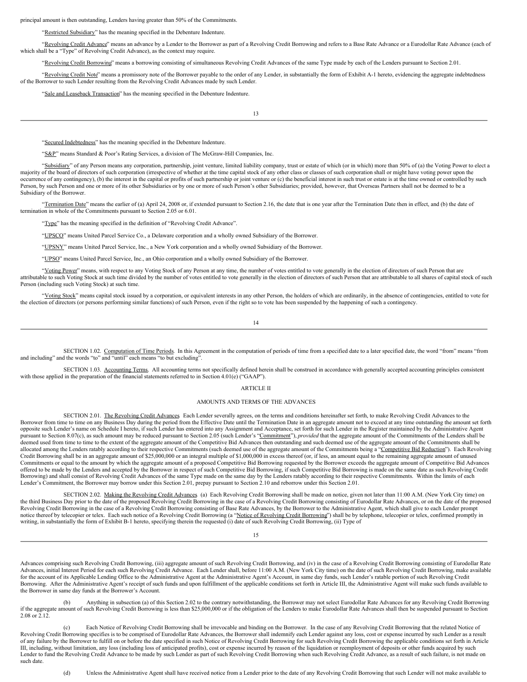principal amount is then outstanding, Lenders having greater than 50% of the Commitments.

"Restricted Subsidiary" has the meaning specified in the Debenture Indenture.

"Revolving Credit Advance" means an advance by a Lender to the Borrower as part of a Revolving Credit Borrowing and refers to a Base Rate Advance or a Eurodollar Rate Advance (each of which shall be a "Type" of Revolving Credit Advance), as the context may require.

ing Credit Borrowing" means a borrowing consisting of simultaneous Revolving Credit Advances of the same Type made by each of the Lenders pursuant to Section 2.01.

"Revolving Credit Note" means a promissory note of the Borrower payable to the order of any Lender, in substantially the form of Exhibit A-1 hereto, evidencing the aggregate indebtedness of the Borrower to such Lender resulting from the Revolving Credit Advances made by such Lender.

"Sale and Leaseback Transaction" has the meaning specified in the Debenture Indenture.

13

"Secured Indebtedness" has the meaning specified in the Debenture Indenture.

"S&P" means Standard & Poor's Rating Services, a division of The McGraw-Hill Companies, Inc.

"Subsidiary" of any Person means any corporation, partnership, joint venture, limited liability company, trust or estate of which (or in which) more than 50% of (a) the Voting Power to elect a majority of the board of directors of such corporation (irrespective of whether at the time capital stock of any other class or classes of such corporation shall or might have voting power upon the occurrence of any contingency), (b) the interest in the capital or profits of such partnership or joint venture or (c) the beneficial interest in such trust or estate is at the time owned or controlled by such Person, by such Person and one or more of its other Subsidiaries or by one or more of such Person's other Subsidiaries; provided, however, that Overseas Partners shall not be deemed to be a Subsidiary of the Borrower.

"Termination Date" means the earlier of (a) April 24, 2008 or, if extended pursuant to Section 2.16, the date that is one year after the Termination Date then in effect, and (b) the date of termination in whole of the Commitments pursuant to Section 2.05 or 6.01.

"Type" has the meaning specified in the definition of "Revolving Credit Advance".

"UPSCO" means United Parcel Service Co., a Delaware corporation and a wholly owned Subsidiary of the Borrower.

"UPSNY" means United Parcel Service, Inc., a New York corporation and a wholly owned Subsidiary of the Borrower.

"UPSO" means United Parcel Service, Inc., an Ohio corporation and a wholly owned Subsidiary of the Borrower.

"Voting Power" means, with respect to any Voting Stock of any Person at any time, the number of votes entitled to vote generally in the election of directors of such Person that are attributable to such Voting Stock at such time divided by the number of votes entitled to vote generally in the election of directors of such Person that are attributable to all shares of capital stock of such Person (including such Voting Stock) at such time.

"Voting Stock" means capital stock issued by a corporation, or equivalent interests in any other Person, the holders of which are ordinarily, in the absence of contingencies, entitled to vote for the election of directors (or persons performing similar functions) of such Person, even if the right so to vote has been suspended by the happening of such a contingency.

14

<span id="page-48-0"></span>SECTION 1.02. Computation of Time Periods. In this Agreement in the computation of periods of time from a specified date to a later specified date, the word "from" means "from and including" and the words "to" and "until" each means "to but excluding".

<span id="page-48-1"></span>SECTION 1.03. Accounting Terms. All accounting terms not specifically defined herein shall be construed in accordance with generally accepted accounting principles consistent with those applied in the preparation of the financial statements referred to in Section 4.01(e) ("GAAP").

#### <span id="page-48-2"></span>ARTICLE II

#### AMOUNTS AND TERMS OF THE ADVANCES

<span id="page-48-3"></span>SECTION 2.01. The Revolving Credit Advances Each Lender severally agrees, on the terms and conditions hereinafter set forth, to make Revolving Credit Advances to the Borrower from time to time on any Business Day during the period from the Effective Date until the Termination Date in an aggregate amount not to exceed at any time outstanding the amount set forth opposite such Lender's name on Schedule I hereto, if such Lender has entered into any Assignment and Acceptance, set forth for such Lender in the Register maintained by the Administrative Agent pursuant to Section 8.07(c), as such amount may be reduced pursuant to Section 2.05 (such Lender's "Commitment"), *provided* that the aggregate amount of the Commitments of the Lenders shall be deemed used from time to time to the extent of the aggregate amount of the Competitive Bid Advances then outstanding and such deemed use of the aggregate amount of the Commitments shall be allocated among the Lenders ratably according to their respective Commitments (such deemed use of the aggregate amount of the Commitments being a "Competitive Bid Reduction"). Each Revolving Credit Borrowing shall be in an aggregate amount of \$25,000,000 or an integral multiple of \$1,000,000 in excess thereof (or, if less, an amount equal to the remaining aggregate amount of unused Commitments or equal to the amount by which the aggregate amount of a proposed Competitive Bid Borrowing requested by the Borrower exceeds the aggregate amount of Competitive Bid Advances offered to be made by the Lenders and accepted by the Borrower in respect of such Competitive Bid Borrowing, if such Competitive Bid Borrowing is made on the same date as such Revolving Credit Borrowing) and shall consist of Revolving Credit Advances of the same Type made on the same day by the Lenders ratably according to their respective Commitments. Within the limits of each Lender's Commitment, the Borrower may borrow under this Section 2.01, prepay pursuant to Section 2.10 and reborrow under this Section 2.01.

<span id="page-48-4"></span>SECTION 2.02. Making the Revolving Credit Advances. (a) Each Revolving Credit Borrowing shall be made on notice, given not later than 11:00 A.M. (New York City time) on the third Business Day prior to the date of the proposed Revolving Credit Borrowing in the case of a Revolving Credit Borrowing consisting of Eurodollar Rate Advances, or on the date of the proposed Revolving Credit Borrowing in the case of a Revolving Credit Borrowing consisting of Base Rate Advances, by the Borrower to the Administrative Agent, which shall give to each Lender prompt notice thereof by telecopier or telex. Each such notice of a Revolving Credit Borrowing (a "Notice of Revolving Credit Borrowing") shall be by telephone, telecopier or telex, confirmed promptly in writing, in substantially the form of Exhibit B-1 hereto, specifying therein the requested (i) date of such Revolving Credit Borrowing, (ii) Type of

15

Advances comprising such Revolving Credit Borrowing, (iii) aggregate amount of such Revolving Credit Borrowing, and (iv) in the case of a Revolving Credit Borrowing consisting of Eurodollar Rate Advances, initial Interest Period for each such Revolving Credit Advance. Each Lender shall, before 11:00 A.M. (New York City time) on the date of such Revolving Credit Borrowing, make available for the account of its Applicable Lending Office to the Administrative Agent at the Administrative Agent's Account, in same day funds, such Lender's ratable portion of such Revolving Credit Borrowing. After the Administrative Agent's receipt of such funds and upon fulfillment of the applicable conditions set forth in Article III, the Administrative Agent will make such funds available to the Borrower in same day funds at the Borrower's Account.

(b) Anything in subsection (a) of this Section 2.02 to the contrary notwithstanding, the Borrower may not select Eurodollar Rate Advances for any Revolving Credit Borrowing if the aggregate amount of such Revolving Credit Borrowing is less than \$25,000,000 or if the obligation of the Lenders to make Eurodollar Rate Advances shall then be suspended pursuant to Section 2.08 or 2.12.

(c) Each Notice of Revolving Credit Borrowing shall be irrevocable and binding on the Borrower. In the case of any Revolving Credit Borrowing that the related Notice of Revolving Credit Borrowing specifies is to be comprised of Eurodollar Rate Advances, the Borrower shall indemnify each Lender against any loss, cost or expense incurred by such Lender as a result of any failure by the Borrower to fulfill on or before the date specified in such Notice of Revolving Credit Borrowing for such Revolving Credit Borrowing the applicable conditions set forth in Article III, including, without limitation, any loss (including loss of anticipated profits), cost or expense incurred by reason of the liquidation or reemployment of deposits or other funds acquired by such Lender to fund the Revolving Credit Advance to be made by such Lender as part of such Revolving Credit Borrowing when such Revolving Credit Advance, as a result of such failure, is not made on such date.

(d) Unless the Administrative Agent shall have received notice from a Lender prior to the date of any Revolving Credit Borrowing that such Lender will not make available to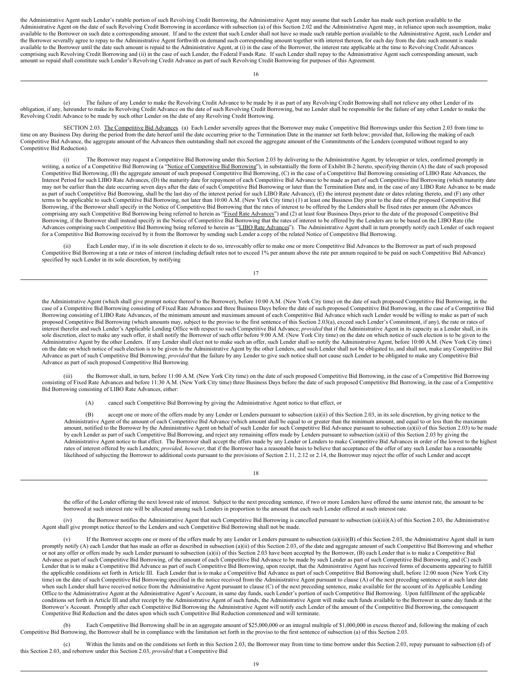the Administrative Agent such Lender's ratable portion of such Revolving Credit Borrowing, the Administrative Agent may assume that such Lender has made such portion available to the Administrative Agent on the date of such Revolving Credit Borrowing in accordance with subsection (a) of this Section 2.02 and the Administrative Agent may, in reliance upon such assumption, make available to the Borrower on such date a corresponding amount. If and to the extent that such Lender shall not have so made such ratable portion available to the Administrative Agent, such Lender and the Borrower severally agree to repay to the Administrative Agent forthwith on demand such corresponding amount together with interest thereon, for each day from the date such amount is made available to the Borrower until the date such amount is repaid to the Administrative Agent, at (i) in the case of the Borrower, the interest rate applicable at the time to Revolving Credit Advances comprising such Revolving Credit Borrowing and (ii) in the case of such Lender, the Federal Funds Rate. If such Lender shall repay to the Administrative Agent such corresponding amount, such amount so repaid shall constitute such Lender's Revolving Credit Advance as part of such Revolving Credit Borrowing for purposes of this Agreement.

16

(e) The failure of any Lender to make the Revolving Credit Advance to be made by it as part of any Revolving Credit Borrowing shall not relieve any other Lender of its obligation, if any, hereunder to make its Revolving Credit Advance on the date of such Revolving Credit Borrowing, but no Lender shall be responsible for the failure of any other Lender to make the Revolving Credit Advance to be made by such other Lender on the date of any Revolving Credit Borrowing.

SECTION 2.03. The Competitive Bid Advances (a) Each Lender severally agrees that the Borrower may make Competitive Bid Borrowings under this Section 2.03 from time to time on any Business Day during the period from the dat Competitive Bid Advance, the aggregate amount of the Advances then outstanding shall not exceed the aggregate amount of the Commitments of the Lenders (computed without regard to any Competitive Bid Reduction).

<span id="page-49-0"></span>(i) The Borrower may request a Competitive Bid Borrowing under this Section 2.03 by delivering to the Administrative Agent, by telecopier or telex, confirmed promptly in writing, a notice of a Competitive Bid Borrowing (a "<u>Notice of Competitive Bid Borrowing</u>"), in substantially the form of Exhibit B-2 hereto, specifying therein (A) the date of such proposed Competitive Bid Borrowing cons Interest Period for such LIBO Rate Advances, (D) the maturity date for repayment of each Competitive Bid Advance to be made as part of such Competitive Bid Borrowing (which maturity date may not be earlier than the date occurring seven days after the date of such Competitive Bid Borrowing or later than the Termination Date and, in the case of any LIBO Rate Advance to be made as part of such Competitive Bid Borrowing, shall be the last day of the interest period for such LIBO Rate Advance), (E) the interest payment date or dates relating thereto, and (F) any other terms to be applicable to such Competitive Bid Borrowing, not later than 10:00 A.M. (New York City time) (1) at least one Business Day prior to the date of the proposed Competitive Bid Borrowing, if the Borrower shall specify in the Notice of Competitive Bid Borrowing that the rates of interest to be offered by the Lenders shall be fixed rates per annum (the Advances comprising any such Competitive Bid Borrowing being referred to herein as "Fixed Rate Advances") and (2) at least four Business Days prior to the date of the proposed Competitive Bid Borrowing, if the Borrower shall instead specify in the Notice of Competitive Bid Borrowing that the rates of interest to be offered by the Lenders are to be based on the LIBO Rate (the Advances comprising such Competitive Bid Borrowing being referred to herein as "LIBO Rate Advances"). The Administrative Agent shall in turn promptly notify each Lender of each request for a Competitive Bid Borrowing received by it from the Borrower by sending such Lender a copy of the related Notice of Competitive Bid Borrowing.

(ii) Each Lender may, if in its sole discretion it elects to do so, irrevocably offer to make one or more Competitive Bid Advances to the Borrower as part of such proposed Competitive Bid Borrowing at a rate or rates of interest (including default rates not to exceed 1% per annum above the rate per annum required to be paid on such Competitive Bid Advance) specified by such Lender in its sole discretion, by notifying

17

the Administrative Agent (which shall give prompt notice thereof to the Borrower), before 10:00 A.M. (New York City time) on the date of such proposed Competitive Bid Borrowing, in the case of a Competitive Bid Borrowing consisting of Fixed Rate Advances and three Business Days before the date of such proposed Competitive Bid Borrowing, in the case of a Competitive Bid Borrowing consisting of LIBO Rate Advances, of the minimum amount and maximum amount of each Competitive Bid Advance which such Lender would be willing to make as part of such proposed Competitive Bid Borrowing (which amounts may, subject to the proviso to the first sentence of this Section 2.03(a), exceed such Lender's Commitment, if any), the rate or rates of interest therefor and such Lender's Applicable Lending Office with respect to such Competitive Bid Advance; *provided* that if the Administrative Agent in its capacity as a Lender shall, in its<br>sole discretion, elect to ma Administrative Agent by the other Lenders. If any Lender shall elect not to make such an offer, such Lender shall so notify the Administrative Agent, before 10:00 A.M. (New York City time) on the date on which notice of such election is to be given to the Administrative Agent by the other Lenders, and such Lender shall not be obligated to, and shall not, make any Competitive Bid Advance as part of such Competitive Bid Borrowing; *provided* that the failure by any Lender to give such notice shall not cause such Lender to be obligated to make any Competitive Bid Advance as part of such proposed Competitive Bid Borrowing.

(iii) the Borrower shall, in turn, before 11:00 A.M. (New York City time) on the date of such proposed Competitive Bid Borrowing, in the case of a Competitive Bid Borrowing consisting of Fixed Rate Advances and before 11:30 A.M. (New York City time) three Business Days before the date of such proposed Competitive Bid Borrowing, in the case of a Competitive Bid Borrowing consisting of LIBO Rate Advances, either:

(A) cancel such Competitive Bid Borrowing by giving the Administrative Agent notice to that effect, or

(B) accept one or more of the offers made by any Lender or Lenders pursuant to subsection (a)(ii) of this Section 2.03, in its sole discretion, by giving notice to the Administrative Agent of the amount of each Competitive Bid Advance (which amount shall be equal to or greater than the minimum amount, and equal to or less than the maximum amount, notified to the Borrower by the Administrative Agent on behalf of such Lender for such Competitive Bid Advance pursuant to subsection (a)(ii) of this Section 2.03) to be made<br>by each Lender as part of such Competit Administrative Agent notice to that effect. The Borrower shall accept the offers made by any Lender or Lenders to make Competitive Bid Advances in order of the lowest to the highest rates of interest offered by such Lenders; *provided, however*, that if the Borrower has a reasonable basis to believe that acceptance of the offer of any such Lender has a reasonable likelihood of subjecting the Borrower to additional costs pursuant to the provisions of Section 2.11, 2.12 or 2.14, the Borrower may reject the offer of such Lender and accept

18

the offer of the Lender offering the next lowest rate of interest. Subject to the next preceding sentence, if two or more Lenders have offered the same interest rate, the amount to be borrowed at such interest rate will be allocated among such Lenders in proportion to the amount that each such Lender offered at such interest rate.

(iv) the Borrower notifies the Administrative Agent that such Competitive Bid Borrowing is cancelled pursuant to subsection (a)(iii)(A) of this Section 2.03, the Administrative Agent shall give prompt notice thereof to the Lenders and such Competitive Bid Borrowing shall not be made.

(v) If the Borrower accepts one or more of the offers made by any Lender or Lenders pursuant to subsection (a)(iii)(B) of this Section 2.03, the Administrative Agent shall in turn promptly notify (A) each Lender that has made an offer as described in subsection (a)(ii) of this Section 2.03, of the date and aggregate amount of such Competitive Bid Borrowing and whether or not any offer or offers made by such Lender pursuant to subsection (a)(ii) of this Section 2.03 have been accepted by the Borrower, (B) each Lender that is to make a Competitive Bid Advance as part of such Competitive Bid Borrowing, of the amount of each Competitive Bid Advance to be made by such Lender as part of such Competitive Bid Borrowing, and (C) each Lender that is to make a Competitive Bid Advance as part of such Competitive Bid Borrowing, upon receipt, that the Administrative Agent has received forms of documents appearing to fulfill the applicable conditions set forth in Article III. Each Lender that is to make a Competitive Bid Advance as part of such Competitive Bid Borrowing shall, before 12:00 noon (New York City time) on the date of such Competitive Bid Borrowing specified in the notice received from the Administrative Agent pursuant to clause (A) of the next preceding sentence or at such later date when such Lender shall have received notice from the Administrative Agent pursuant to clause (C) of the next preceding sentence, make available for the account of its Applicable Lending Office to the Administrative Agent at the Administrative Agent's Account, in same day funds, such Lender's portion of such Competitive Bid Borrowing. Upon fulfillment of the applicable conditions set forth in Article III and after receipt by the Administrative Agent of such funds, the Administrative Agent will make such funds available to the Borrower in same day funds at the Borrower's Account. Promptly after each Competitive Bid Borrowing the Administrative Agent will notify each Lender of the amount of the Competitive Bid Borrowing, the consequent Competitive Bid Reduction and the dates upon which such Competitive Bid Reduction commenced and will terminate.

(b) Each Competitive Bid Borrowing shall be in an aggregate amount of \$25,000,000 or an integral multiple of \$1,000,000 in excess thereof and, following the making of each Competitive Bid Borrowing, the Borrower shall be in compliance with the limitation set forth in the proviso to the first sentence of subsection (a) of this Section 2.03.

(c) Within the limits and on the conditions set forth in this Section 2.03, the Borrower may from time to time borrow under this Section 2.03, repay pursuant to subsection (d) of this Section 2.03, and reborrow under this Section 2.03, *provided* that a Competitive Bid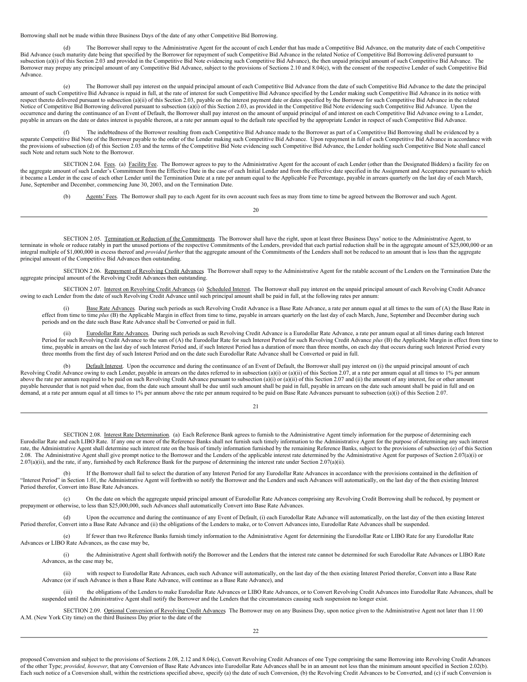Borrowing shall not be made within three Business Days of the date of any other Competitive Bid Borrowing.

(d) The Borrower shall repay to the Administrative Agent for the account of each Lender that has made a Competitive Bid Advance, on the maturity date of each Competitive Bid Advance (such maturity date being that specified by the Borrower for repayment of such Competitive Bid Advance in the related Notice of Competitive Bid Borrowing delivered pursuant to subsection (a)(i) of this Section 2.03 and provided in the Competitive Bid Note evidencing such Competitive Bid Advance), the then unpaid principal amount of such Competitive Bid Advance. The Borrower may prepay any principal amount of any Competitive Bid Advance, subject to the provisions of Sections 2.10 and 8.04(c), with the consent of the respective Lender of such Competitive Bid Advance.

(e) The Borrower shall pay interest on the unpaid principal amount of each Competitive Bid Advance from the date of such Competitive Bid Advance to the date the principal amount of such Competitive Bid Advance is repaid in full, at the rate of interest for such Competitive Bid Advance specified by the Lender making such Competitive Bid Advance in its notice with respect thereto delivered pursuant to subsection (a)(ii) of this Section 2.03, payable on the interest payment date or dates specified by the Borrower for such Competitive Bid Advance in the related Notice of Competitive Bid Borrowing delivered pursuant to subsection (a)(i) of this Section 2.03, as provided in the Competitive Bid Note evidencing such Competitive Bid Advance. Upon the occurrence and during the continuance of an Event of Default, the Borrower shall pay interest on the amount of unpaid principal of and interest on each Competitive Bid Advance owing to a Lender, payable in arrears on the date or dates interest is payable thereon, at a rate per annum equal to the default rate specified by the appropriate Lender in respect of such Competitive Bid Advance.

(f) The indebtedness of the Borrower resulting from each Competitive Bid Advance made to the Borrower as part of a Competitive Bid Borrowing shall be evidenced by a<br>separate Competitive Bid Advance in accordance with separ the provisions of subsection (d) of this Section 2.03 and the terms of the Competitive Bid Note evidencing such Competitive Bid Advance, the Lender holding such Competitive Bid Note shall cancel such Note and return such Note to the Borrower.

SECTION 2.04. Fees. (a) Facility Fee. The Borrower agrees to pay to the Administrative Agent for the account of each Lender (other than the Designated Bidders) a facility fee on the aggregate amount of such Lender's Commitment from the Effective Date in the case of each Initial Lender and from the effective date specified in the Assignment and Acceptance pursuant to which it became a Lender in the case of each other Lender until the Termination Date at a rate per annum equal to the Applicable Fee Percentage, payable in arrears quarterly on the last day of each March, June, September and December, commencing June 30, 2003, and on the Termination Date.

<span id="page-50-1"></span><span id="page-50-0"></span>(b) Agents' Fees. The Borrower shall pay to each Agent for its own account such fees as may from time to time be agreed between the Borrower and such Agent.

20

SECTION 2.05. Termination or Reduction of the Commitments. The Borrower shall have the right, upon at least three Business Days' notice to the Administrative Agent, to terminate in whole or reduce ratably in part the unused portions of the respective Commitments of the Lenders, provided that each partial reduction shall be in the aggregate amount of \$25,000,000 or an integral multiple of \$1,000,000 in excess thereof and *provided further* that the aggregate amount of the Commitments of the Lenders shall not be reduced to an amount that is less than the aggregate principal amount of the Competitive Bid Advances then outstanding.

<span id="page-50-2"></span>SECTION 2.06. Repayment of Revolving Credit Advances. The Borrower shall repay to the Administrative Agent for the ratable account of the Lenders on the Termination Date the aggregate principal amount of the Revolving Credit Advances then outstanding.

SECTION 2.07. Interest on Revolving Credit Advances (a) Scheduled Interest. The Borrower shall pay interest on the unpaid principal amount of each Revolving Credit Advance owing to each Lender from the date of such Revolving Credit Advance until such principal amount shall be paid in full, at the following rates per annum:

<span id="page-50-3"></span>Base Rate Advances. During such periods as such Revolving Credit Advance is a Base Rate Advance, a rate per annum equal at all times to the sum of (A) the Base Rate in effect from time to time *plus* (B) the Applicable Margin in effect from time to time, payable in arrears quarterly on the last day of each March, June, September and December during such periods and on the date such Base Rate Advance shall be Converted or paid in full.

Eurodollar Rate Advances. During such periods as such Revolving Credit Advance is a Eurodollar Rate Advance, a rate per annum equal at all times during each Interest Period for such Revolving Credit Advance to the sum of (A) the Eurodollar Rate for such Interest Period for such Revolving Credit Advance *plus* (B) the Applicable Margin in effect from time to time, payable in arrears on the last day of such Interest Period and, if such Interest Period has a duration of more than three months, on each day that occurs during such Interest Period every three months from the first day of such Interest Period and on the date such Eurodollar Rate Advance shall be Converted or paid in full.

(b) Default Interest. Upon the occurrence and during the continuance of an Event of Default, the Borrower shall pay interest on (i) the unpaid principal amount of each Revolving Credit Advance owing to each Lender, payable in arrears on the dates referred to in subsection (a)(i) or (a)(ii) of this Section 2.07, at a rate per annum equal at all times to 1% per annum above the rate per annum required to be paid on such Revolving Credit Advance pursuant to subsection (a)(i) or (a)(ii) of this Section 2.07 and (ii) the amount of any interest, fee or other amount payable hereunder that is not paid when due, from the date such amount shall be due until such amount shall be paid in full, payable in arrears on the date such amount shall be paid in full and on demand, at a rate per annum equal at all times to 1% per annum above the rate per annum required to be paid on Base Rate Advances pursuant to subsection (a)(i) of this Section 2.07.

 $21$ 

<span id="page-50-4"></span>SECTION 2.08. Interest Rate Determination. (a) Each Reference Bank agrees to furnish to the Administrative Agent timely information for the purpose of determining each Eurodollar Rate and each LIBO Rate. If any one or more of the Reference Banks shall not furnish such timely information to the Administrative Agent for the purpose of determining any such interest rate, the Administrative Agent shall determine such interest rate on the basis of timely information furnished by the remaining Reference Banks, subject to the provisions of subsection (e) of this Section 2.08. The Administrative Agent shall give prompt notice to the Borrower and the Lenders of the applicable interest rate determined by the Administrative Agent for purposes of Section 2.07(a)(i) or  $2.07(a)(ii)$ , and the rate, if any, furnished by each Reference Bank for the purpose of determining the interest rate under Section  $2.07(a)(ii)$ .

(b) If the Borrower shall fail to select the duration of any Interest Period for any Eurodollar Rate Advances in accordance with the provisions contained in the definition of "Interest Period" in Section 1.01, the Administrative Agent will forthwith so notify the Borrower and the Lenders and such Advances will automatically, on the last day of the then existing Interest Period therefor, Convert into Base Rate Advances.

(c) On the date on which the aggregate unpaid principal amount of Eurodollar Rate Advances comprising any Revolving Credit Borrowing shall be reduced, by payment or prepayment or otherwise, to less than \$25,000,000, such Advances shall automatically Convert into Base Rate Advances.

(d) Upon the occurrence and during the continuance of any Event of Default, (i) each Eurodollar Rate Advance will automatically, on the last day of the then existing Interest Period therefor, Convert into a Base Rate Advance and (ii) the obligations of the Lenders to make, or to Convert Advances into, Eurodollar Rate Advances shall be suspended.

(e) If fewer than two Reference Banks furnish timely information to the Administrative Agent for determining the Eurodollar Rate or LIBO Rate for any Eurodollar Rate Advances or LIBO Rate Advances, as the case may be,

(i) the Administrative Agent shall forthwith notify the Borrower and the Lenders that the interest rate cannot be determined for such Eurodollar Rate Advances or LIBO Rate Advances, as the case may be,

(ii) with respect to Eurodollar Rate Advances, each such Advance will automatically, on the last day of the then existing Interest Period therefor, Convert into a Base Rate Advance (or if such Advance is then a Base Rate Advance, will continue as a Base Rate Advance), and

<span id="page-50-5"></span>(iii) the obligations of the Lenders to make Eurodollar Rate Advances or LIBO Rate Advances, or to Convert Revolving Credit Advances into Eurodollar Rate Advances, shall be suspended until the Administrative Agent shall notify the Borrower and the Lenders that the circumstances causing such suspension no longer exist.

SECTION 2.09. Optional Conversion of Revolving Credit Advances The Borrower may on any Business Day, upon notice given to the Administrative Agent not later than 11:00 A.M. (New York City time) on the third Business Day prior to the date of the

 $22$ 

proposed Conversion and subject to the provisions of Sections 2.08, 2.12 and 8.04(c), Convert Revolving Credit Advances of one Type comprising the same Borrowing into Revolving Credit Advances of the other Type; *provided, however*, that any Conversion of Base Rate Advances into Eurodollar Rate Advances shall be in an amount not less than the minimum amount specified in Section 2.02(b). Each such notice of a Conversion shall, within the restrictions specified above, specify (a) the date of such Conversion, (b) the Revolving Credit Advances to be Converted, and (c) if such Conversion is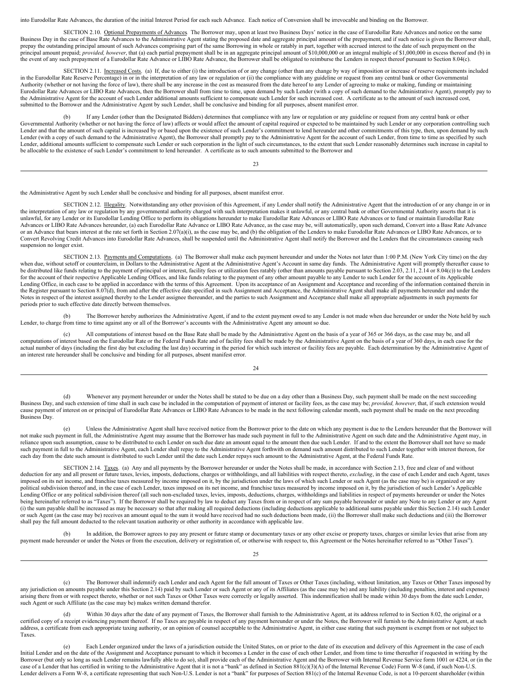into Eurodollar Rate Advances, the duration of the initial Interest Period for each such Advance. Each notice of Conversion shall be irrevocable and binding on the Borrower.

<span id="page-51-0"></span>SECTION 2.10. Optional Prepayments of Advances. The Borrower may, upon at least two Business Days' notice in the case of Eurodollar Rate Advances and notice on the same Business Day in the case of Base Rate Advances to the Administrative Agent stating the proposed date and aggregate principal amount of the prepayment, and if such notice is given the Borrower shall, prepay the outstanding principal amount prepaid; *provided, however*, that (a) each partial prepayment shall be in an aggregate principal amount of \$10,000,000 or an integral multiple of \$1,000,000 in excess thereof and (b) in<br>the event of any s

<span id="page-51-1"></span>SECTION 2.11. Increased Costs. (a) If, due to either (i) the introduction of or any change (other than any change by way of imposition or increase of reserve requirements included in the Eurodollar Rate Reserve Percentage) in or in the interpretation of any law or regulation or (ii) the compliance with any guideline or request from any central bank or other Governmental<br>Authority (whether or not hav Eurodollar Rate Advances or LIBO Rate Advances, then the Borrower shall from time to time, upon demand by such Lender (with a copy of such demand to the Administrative Agent), promptly pay to the Administrative Agent for the account of such Lender additional amounts sufficient to compensate such Lender for such increased cost. A certificate as to the amount of such increased cost, submitted to the Borrower and the Administrative Agent by such Lender, shall be conclusive and binding for all purposes, absent manifest error.

(b) If any Lender (other than the Designated Bidders) determines that compliance with any law or regulation or any guideline or request from any central bank or other Governmental Authority (whether or not having the force of law) affects or would affect the amount of capital required or expected to be maintained by such Lender or any corporation controlling such<br>Lender and that the amo Lender (with a copy of such demand to the Administrative Agent), the Borrower shall promptly pay to the Administrative Agent for the account of such Lender, from time to time as specified by such Lender, additional amounts sufficient to compensate such Lender or such corporation in the light of such circumstances, to the extent that such Lender reasonably determines such increase in capital to be allocable to the existence of such Lender's commitment to lend hereunder. A certificate as to such amounts submitted to the Borrower and

 $23$ 

the Administrative Agent by such Lender shall be conclusive and binding for all purposes, absent manifest error.

<span id="page-51-2"></span>SECTION 2.12. Illegality. Notwithstanding any other provision of this Agreement, if any Lender shall notify the Administrative Agent that the introduction of or any change in or in the interpretation of any law or regulation by any governmental authority charged with such interpretation makes it unlawful, or any central bank or other Governmental Authority asserts that it is unlawful, for any Lender or its Eurodollar Lending Office to perform its obligations hereunder to make Eurodollar Rate Advances or LIBO Rate Advances or to fund or maintain Eurodollar Rate Advances or LIBO Rate Advances hereunder, (a) each Eurodollar Rate Advance or LIBO Rate Advance, as the case may be, will automatically, upon such demand, Convert into a Base Rate Advance or an Advance that bears interest at the rate set forth in Section 2.07(a)(i), as the case may be, and (b) the obligation of the Lenders to make Eurodollar Rate Advances or LIBO Rate Advances, or to Convert Revolving Credit Advances into Eurodollar Rate Advances, shall be suspended until the Administrative Agent shall notify the Borrower and the Lenders that the circumstances causing such suspension no longer exist.

<span id="page-51-3"></span>SECTION 2.13. Payments and Computations. (a) The Borrower shall make each payment hereunder and under the Notes not later than 1:00 P.M. (New York City time) on the day when due, without setoff or counterclaim, in Dollars to the Administrative Agent at the Administrative Agent's Account in same day funds. The Administrative Agent will promptly thereafter cause to be distributed like funds relating to the payment of principal or interest, facility fees or utilization fees ratably (other than amounts payable pursuant to Section 2.03, 2.11, 2.14 or 8.04(c)) to the Lenders for the account of their respective Applicable Lending Offices, and like funds relating to the payment of any other amount payable to any Lender to such Lender for the account of its Applicable Lending Office, in each case to be applied in accordance with the terms of this Agreement. Upon its acceptance of an Assignment and Acceptance and recording of the information contained therein in the Register pursuant to Section 8.07(d), from and after the effective date specified in such Assignment and Acceptance, the Administrative Agent shall make all payments hereunder and under the Notes in respect of the interest assigned thereby to the Lender assignee thereunder, and the parties to such Assignment and Acceptance shall make all appropriate adjustments in such payments for periods prior to such effective date directly between themselves.

(b) The Borrower hereby authorizes the Administrative Agent, if and to the extent payment owed to any Lender is not made when due hereunder or under the Note held by such Lender, to charge from time to time against any or all of the Borrower's accounts with the Administrative Agent any amount so due.

(c) All computations of interest based on the Base Rate shall be made by the Administrative Agent on the basis of a year of 365 or 366 days, as the case may be, and all computations of interest based on the Eurodollar Rate or the Federal Funds Rate and of facility fees shall be made by the Administrative Agent on the basis of a year of 360 days, in each case for the actual number of days (including the first day but excluding the last day) occurring in the period for which such interest or facility fees are payable. Each determination by the Administrative Agent of an interest rate hereunder shall be conclusive and binding for all purposes, absent manifest error.

24

(d) Whenever any payment hereunder or under the Notes shall be stated to be due on a day other than a Business Day, such payment shall be made on the next succeeding Business Day, and such extension of time shall in such case be included in the computation of payment of interest or facility fees, as the case may be; *provided, however*, that, if such extension would cause payment of interest on or principal of Eurodollar Rate Advances or LIBO Rate Advances to be made in the next following calendar month, such payment shall be made on the next preceding Business Day.

Unless the Administrative Agent shall have received notice from the Borrower prior to the date on which any payment is due to the Lenders hereunder that the Borrower will not make such payment in full, the Administrative Agent may assume that the Borrower has made such payment in full to the Administrative Agent on such date and the Administrative Agent may, in reliance upon such assumption, cause to be distributed to each Lender on such due date an amount equal to the amount then due such Lender. If and to the extent the Borrower shall not have so made such payment in full to the Administrative Agent, each Lender shall repay to the Administrative Agent forthwith on demand such amount distributed to such Lender together with interest thereon, for each day from the date such amount is distributed to such Lender until the date such Lender repays such amount to the Administrative Agent, at the Federal Funds Rate.

<span id="page-51-4"></span>SECTION 2.14. Taxes. (a) Any and all payments by the Borrower hereunder or under the Notes shall be made, in accordance with Section 2.13, free and clear of and without deduction for any and all present or future taxes, levies, imposts, deductions, charges or withholdings, and all liabilities with respect thereto, *excluding*, in the case of each Lender and each Agent, taxes imposed on its net income, and franchise taxes measured by income imposed on it, by the jurisdiction under the laws of which such Lender or such Agent (as the case may be) is organized or any political subdivision thereof and, in the case of each Lender, taxes imposed on its net income, and franchise taxes measured by income imposed on it, by the jurisdiction of such Lender's Applicable Lending Office or any political subdivision thereof (all such non-excluded taxes, levies, imposts, deductions, charges, withholdings and liabilities in respect of payments hereunder or under the Notes being hereinafter referred to as "Taxes"). If the Borrower shall be required by law to deduct any Taxes from or in respect of any sum payable hereunder or under any Note to any Lender or any Agent (i) the sum payable shall be increased as may be necessary so that after making all required deductions (including deductions applicable to additional sums payable under this Section 2.14) such Lender or such Agent (as the case may be) receives an amount equal to the sum it would have received had no such deductions been made, (ii) the Borrower shall make such deductions and (iii) the Borrower shall pay the full amount deducted to the relevant taxation authority or other authority in accordance with applicable law.

(b) In addition, the Borrower agrees to pay any present or future stamp or documentary taxes or any other excise or property taxes, charges or similar levies that arise from any payment made hereunder or under the Notes or from the execution, delivery or registration of, or otherwise with respect to, this Agreement or the Notes hereinafter referred to as "Other Taxes").

(c) The Borrower shall indemnify each Lender and each Agent for the full amount of Taxes or Other Taxes (including, without limitation, any Taxes or Other Taxes imposed by any jurisdiction on amounts payable under this Section 2.14) paid by such Lender or such Agent or any of its Affiliates (as the case may be) and any liability (including penalties, interest and expenses) arising there from or with respect thereto, whether or not such Taxes or Other Taxes were correctly or legally asserted. This indemnification shall be made within 30 days from the date such Lender, such Agent or such Affiliate (as the case may be) makes written demand therefor.

Within 30 days after the date of any payment of Taxes, the Borrower shall furnish to the Administrative Agent, at its address referred to in Section 8.02, the original or a certified copy of a receipt evidencing payment thereof. If no Taxes are payable in respect of any payment hereunder or under the Notes, the Borrower will furnish to the Administrative Agent, at such address, a certificate from each appropriate taxing authority, or an opinion of counsel acceptable to the Administrative Agent, in either case stating that such payment is exempt from or not subject to Taxes.

(e) Each Lender organized under the laws of a jurisdiction outside the United States, on or prior to the date of its execution and delivery of this Agreement in the case of each Initial Lender and on the date of the Assignment and Acceptance pursuant to which it becomes a Lender in the case of each other Lender, and from time to time thereafter if requested in writing by the Borrower (but only so long as such Lender remains lawfully able to do so), shall provide each of the Administrative Agent and the Borrower with Internal Revenue Service form 1001 or 4224, or (in the case of a Lender that has certified in writing to the Administrative Agent that it is not a "bank" as defined in Section 881(c)(3)(A) of the Internal Revenue Code) Form W-8 (and, if such Non-U.S. Lender delivers a Form W-8, a certificate representing that such Non-U.S. Lender is not a "bank" for purposes of Section 881(c) of the Internal Revenue Code, is not a 10-percent shareholder (within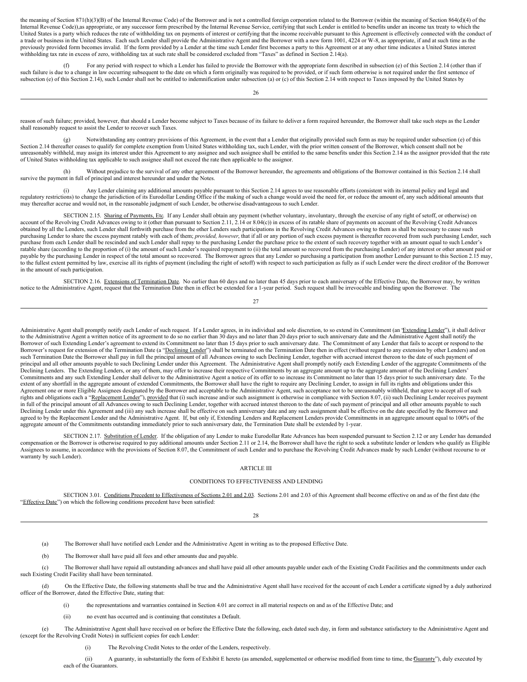the meaning of Section 871(h)(3)(B) of the Internal Revenue Code) of the Borrower and is not a controlled foreign corporation related to the Borrower (within the meaning of Section 864(d)(4) of the Internal Revenue Code)),as appropriate, or any successor form prescribed by the Internal Revenue Service, certifying that such Lender is entitled to benefits under an income tax treaty to which the United States is a party which reduces the rate of withholding tax on payments of interest or certifying that the income receivable pursuant to this Agreement is effectively connected with the conduct of a trade or business in the United States. Each such Lender shall provide the Administrative Agent and the Borrower with a new form 1001, 4224 or W-8, as appropriate, if and at such time as the previously provided form becomes invalid. If the form provided by a Lender at the time such Lender first becomes a party to this Agreement or at any other time indicates a United States interest withholding tax rate in excess of zero, withholding tax at such rate shall be considered excluded from "Taxes" as defined in Section 2.14(a).

(f) For any period with respect to which a Lender has failed to provide the Borrower with the appropriate form described in subsection (e) of this Section 2.14 (other than if such failure is due to a change in law occurring subsequent to the date on which a form originally was required to be provided, or if such form otherwise is not required under the first sentence of subsection (e) of this Section 2.14), such Lender shall not be entitled to indemnification under subsection (a) or (c) of this Section 2.14 with respect to Taxes imposed by the United States by

26

reason of such failure; provided, however, that should a Lender become subject to Taxes because of its failure to deliver a form required hereunder, the Borrower shall take such steps as the Lender shall reasonably request to assist the Lender to recover such Taxes.

(g) Notwithstanding any contrary provisions of this Agreement, in the event that a Lender that originally provided such form as may be required under subsection (e) of this Section 2.14 thereafter ceases to qualify for complete exemption from United States withholding tax, such Lender, with the prior written consent of the Borrower, which consent shall not be unreasonably withheld, may assign its interest under this Agreement to any assignee and such assignee shall be entitled to the same benefits under this Section 2.14 as the assignor provided that the rate of United States withholding tax applicable to such assignee shall not exceed the rate then applicable to the assignor.

(h) Without prejudice to the survival of any other agreement of the Borrower hereunder, the agreements and obligations of the Borrower contained in this Section 2.14 shall survive the payment in full of principal and interest hereunder and under the Notes.

(i) Any Lender claiming any additional amounts payable pursuant to this Section 2.14 agrees to use reasonable efforts (consistent with its internal policy and legal and regulatory restrictions) to change the jurisdiction of its Eurodollar Lending Office if the making of such a change would avoid the need for, or reduce the amount of, any such additional amounts that may thereafter accrue and would not, in the reasonable judgment of such Lender, be otherwise disadvantageous to such Lender.

<span id="page-52-0"></span>SECTION 2.15. Sharing of Payments, Etc. If any Lender shall obtain any payment (whether voluntary, involuntary, through the exercise of any right of setoff, or otherwise) on account of the Revolving Credit Advances owing t obtained by all the Lenders, such Lender shall forthwith purchase from the other Lenders such participations in the Revolving Credit Advances owing to them as shall be necessary to cause such purchasing Lender to share the excess payment ratably with each of them; *provided, however*, that if all or any portion of such excess payment is thereafter recovered from such purchasing Lender, such purchase from each Lender shall be rescinded and such Lender shall repay to the purchasing Lender the purchase price to the extent of such recovery together with an amount equal to such Lender's ratable share (according to the proportion of (i) the amount of such Lender's required repayment to (ii) the total amount so recovered from the purchasing Lender) of any interest or other amount paid or payable by the purchasing Lender in respect of the total amount so recovered. The Borrower agrees that any Lender so purchasing a participation from another Lender pursuant to this Section 2.15 may, to the fullest extent permitted by law, exercise all its rights of payment (including the right of setoff) with respect to such participation as fully as if such Lender were the direct creditor of the Borrower in the amount of such participation.

<span id="page-52-1"></span>SECTION 2.16. Extensions of Termination Date. No earlier than 60 days and no later than 45 days prior to each anniversary of the Effective Date, the Borrower may, by written notice to the Administrative Agent, request that the Termination Date then in effect be extended for a 1-year period. Such request shall be irrevocable and binding upon the Borrower. The

27

Administrative Agent shall promptly notify each Lender of such request. If a Lender agrees, in its individual and sole discretion, to so extend its Commitment (an "Extending Lender"), it shall deliver to the Administrative Agent a written notice of its agreement to do so no earlier than 30 days and no later than 20 days prior to such anniversary date and the Administrative Agent shall notify the Borrower of such Extending Lender's agreement to extend its Commitment no later than 15 days prior to such anniversary date. The Commitment of any Lender that fails to accept or respond to the Borrower's request for extension of the Termination Date (a "Declining Lender") shall be terminated on the Termination Date then in effect (without regard to any extension by other Lenders) and on such Termination Date the Borrower shall pay in full the principal amount of all Advances owing to such Declining Lender, together with accrued interest thereon to the date of such payment of principal and all other amounts payable to such Declining Lender under this Agreement. The Administrative Agent shall promptly notify each Extending Lender of the aggregate Commitments of the Declining Lenders. The Extending Lenders, or any of them, may offer to increase their respective Commitments by an aggregate amount up to the aggregate amount of the Declining Lenders' Commitments and any such Extending Lender shall deliver to the Administrative Agent a notice of its offer to so increase its Commitment no later than 15 days prior to such anniversary date. To the extent of any shortfall in the aggregate amount of extended Commitments, the Borrower shall have the right to require any Declining Lender, to assign in full its rights and obligations under this Agreement one or more Eligible Assignees designated by the Borrower and acceptable to the Administrative Agent, such acceptance not to be unreasonably withheld, that agree to accept all of such rights and obligations each a "Replacement Lender"), provided that (i) such increase and/or such assignment is otherwise in compliance with Section 8.07, (ii) such Declining Lender receives payment in full of the principal amount of all Advances owing to such Declining Lender, together with accrued interest thereon to the date of such payment of principal and all other amounts payable to such Declining Lender under this Agreement and (iii) any such increase shall be effective on such anniversary date and any such assignment shall be effective on the date specified by the Borrower and agreed to by the Replacement Lender and the Administrative Agent. If, but only if, Extending Lenders and Replacement Lenders provide Commitments in an aggregate amount equal to 100% of the aggregate amount of the Commitments outstanding immediately prior to such anniversary date, the Termination Date shall be extended by 1-year.

<span id="page-52-2"></span>SECTION 2.17. Substitution of Lender. If the obligation of any Lender to make Eurodollar Rate Advances has been suspended pursuant to Section 2.12 or any Lender has demanded compensation or the Borrower is otherwise required to pay additional amounts under Section 2.11 or 2.14, the Borrower shall have the right to seek a substitute lender or lenders who qualify as Eligible Assignees to assume, in accordance with the provisions of Section 8.07, the Commitment of such Lender and to purchase the Revolving Credit Advances made by such Lender (without recourse to or warranty by such Lender).

#### <span id="page-52-3"></span>ARTICLE III

#### CONDITIONS TO EFFECTIVENESS AND LENDING

<span id="page-52-4"></span>SECTION 3.01. Conditions Precedent to Effectiveness of Sections 2.01 and 2.03. Sections 2.01 and 2.03 of this Agreement shall become effective on and as of the first date (the "Effective Date") on which the following conditions precedent have been satisfied:

28

(a) The Borrower shall have notified each Lender and the Administrative Agent in writing as to the proposed Effective Date.

(b) The Borrower shall have paid all fees and other amounts due and payable.

(c) The Borrower shall have repaid all outstanding advances and shall have paid all other amounts payable under each of the Existing Credit Facilities and the commitments under each such Existing Credit Facility shall have been terminated.

(d) On the Effective Date, the following statements shall be true and the Administrative Agent shall have received for the account of each Lender a certificate signed by a duly authorized officer of the Borrower, dated the Effective Date, stating that:

(i) the representations and warranties contained in Section 4.01 are correct in all material respects on and as of the Effective Date; and

(ii) no event has occurred and is continuing that constitutes a Default.

(e) The Administrative Agent shall have received on or before the Effective Date the following, each dated such day, in form and substance satisfactory to the Administrative Agent and (except for the Revolving Credit Notes) in sufficient copies for each Lender:

(i) The Revolving Credit Notes to the order of the Lenders, respectively.

(ii) A guaranty, in substantially the form of Exhibit E hereto (as amended, supplemented or otherwise modified from time to time, the Guaranty"), duly executed by each of the Guarantors.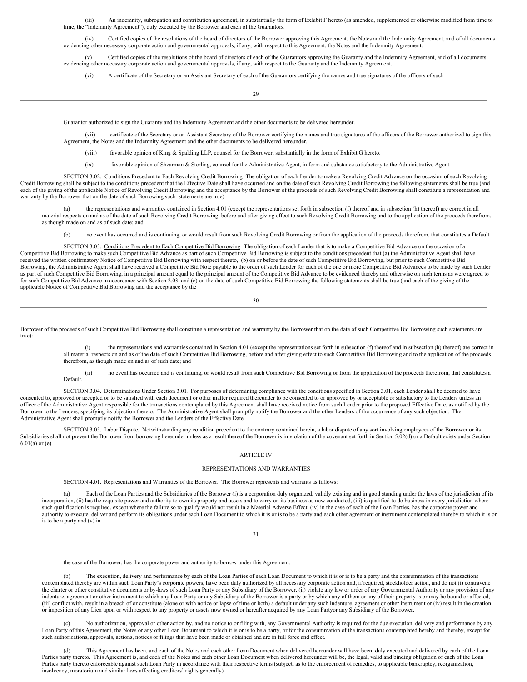(iii) An indemnity, subrogation and contribution agreement, in substantially the form of Exhibit F hereto (as amended, supplemented or otherwise modified from time to time. the "Indemnity Agreement"). duly executed by the the Executed by the Borrower and each of the Guarantors.

(iv) Certified copies of the resolutions of the board of directors of the Borrower approving this Agreement, the Notes and the Indemnity Agreement, and of all documents evidencing other necessary corporate action and governmental approvals, if any, with respect to this Agreement, the Notes and the Indemnity Agreement.

(v) Certified copies of the resolutions of the board of directors of each of the Guarantors approving the Guaranty and the Indemnity Agreement, and of all documents evidencing other necessary corporate action and governmental approvals, if any, with respect to the Guaranty and the Indemnity Agreement.

(vi) A certificate of the Secretary or an Assistant Secretary of each of the Guarantors certifying the names and true signatures of the officers of such

29

Guarantor authorized to sign the Guaranty and the Indemnity Agreement and the other documents to be delivered hereunder.

(vii) certificate of the Secretary or an Assistant Secretary of the Borrower certifying the names and true signatures of the officers of the Borrower authorized to sign this Agreement, the Notes and the Indemnity Agreement and the other documents to be delivered hereunder.

(viii) favorable opinion of King & Spalding LLP, counsel for the Borrower, substantially in the form of Exhibit G hereto.

<span id="page-53-0"></span>(ix) favorable opinion of Shearman & Sterling, counsel for the Administrative Agent, in form and substance satisfactory to the Administrative Agent.

SECTION 3.02. Conditions Precedent to Each Revolving Credit Borrowing The obligation of each Lender to make a Revolving Credit Advance on the occasion of each Revolving Credit Borrowing shall be subject to the conditions precedent that the Effective Date shall have occurred and on the date of such Revolving Credit Borrowing the following statements shall be true (and each of the giving of the applicable Notice of Revolving Credit Borrowing and the acceptance by the Borrower of the proceeds of such Revolving Credit Borrowing shall constitute a representation and warranty by the Borrower that on the date of such Borrowing such statements are true):

the representations and warranties contained in Section 4.01 (except the representations set forth in subsection (f) thereof and in subsection (h) thereof) are correct in all material respects on and as of the date of such Revolving Credit Borrowing, before and after giving effect to such Revolving Credit Borrowing and to the application of the proceeds therefrom, as though made on and as of such date; and

<span id="page-53-1"></span>(b) no event has occurred and is continuing, or would result from such Revolving Credit Borrowing or from the application of the proceeds therefrom, that constitutes a Default.

SECTION 3.03. Conditions Precedent to Each Competitive Bid Borrowing. The obligation of each Lender that is to make a Competitive Bid Advance on the occasion of a Competitive Bid Borrowing to make such Competitive Bid Advance as part of such Competitive Bid Borrowing is subject to the conditions precedent that (a) the Administrative Agent shall have received the written confirmatory Notice of Competitive Bid Borrowing with respect thereto, (b) on or before the date of such Competitive Bid Borrowing, but prior to such Competitive Bid Borrowing, the Administrative Agent shall have received a Competitive Bid Note payable to the order of such Lender for each of the one or more Competitive Bid Advances to be made by such Lender as part of such Competitive Bid Borrowing, in a principal amount equal to the principal amount of the Competitive Bid Advance to be evidenced thereby and otherwise on such terms as were agreed to for such Competitive Bid Advance in accordance with Section 2.03, and (c) on the date of such Competitive Bid Borrowing the following statements shall be true (and each of the giving of the statements shall be true (and ea applicable Notice of Competitive Bid Borrowing and the acceptance by the

30

Borrower of the proceeds of such Competitive Bid Borrowing shall constitute a representation and warranty by the Borrower that on the date of such Competitive Bid Borrowing such statements are true):

the representations and warranties contained in Section 4.01 (except the representations set forth in subsection (f) thereof and in subsection (h) thereof) are correct in all material respects on and as of the date of such Competitive Bid Borrowing, before and after giving effect to such Competitive Bid Borrowing and to the application of the proceeds therefrom, as though made on and as of such date; and

<span id="page-53-2"></span>(ii) no event has occurred and is continuing, or would result from such Competitive Bid Borrowing or from the application of the proceeds therefrom, that constitutes a Default.

SECTION 3.04. Determinations Under Section 3.01. For purposes of determining compliance with the conditions specified in Section 3.01, each Lender shall be deemed to have consented to, approved or accepted or to be satisfied with each document or other matter required thereunder to be consented to or approved by or acceptable or satisfactory to the Lenders unless an officer of the Administrative Agent responsible for the transactions contemplated by this Agreement shall have received notice from such Lender prior to the proposed Effective Date, as notified by the Borrower to the Lenders, specifying its objection thereto. The Administrative Agent shall promptly notify the Borrower and the other Lenders of the occurrence of any such objection. The Administrative Agent shall promptly notify the Borrower and the Lenders of the Effective Date.

<span id="page-53-3"></span>SECTION 3.05. Labor Dispute. Notwithstanding any condition precedent to the contrary contained herein, a labor dispute of any sort involving employees of the Borrower or its Subsidiaries shall not prevent the Borrower from borrowing hereunder unless as a result thereof the Borrower is in violation of the covenant set forth in Section 5.02(d) or a Default exists under Section 6.01(a) or (e).

#### <span id="page-53-4"></span>ARTICLE IV

#### REPRESENTATIONS AND WARRANTIES

<span id="page-53-5"></span>SECTION 4.01. Representations and Warranties of the Borrower. The Borrower represents and warrants as follows:

(a) Each of the Loan Parties and the Subsidiaries of the Borrower (i) is a corporation duly organized, validly existing and in good standing under the laws of the jurisdiction of its incorporation, (ii) has the requisite power and authority to own its property and assets and to carry on its business as now conducted, (iii) is qualified to do business in every jurisdiction where such qualification is required, except where the failure so to qualify would not result in a Material Adverse Effect, (iv) in the case of each of the Loan Parties, has the corporate power and authority to execute, deliver and perform its obligations under each Loan Document to which it is or is to be a party and each other agreement or instrument contemplated thereby to which it is or is to be a party and (v) in

31

the case of the Borrower, has the corporate power and authority to borrow under this Agreement.

The execution, delivery and performance by each of the Loan Parties of each Loan Document to which it is or is to be a party and the consummation of the transactions contemplated thereby are within such Loan Party's corporate powers, have been duly authorized by all necessary corporate action and, if required, stockholder action, and do not (i) contravene the charter or other constitutive documents or by-laws of such Loan Party or any Subsidiary of the Borrower, (ii) violate any law or order of any Governmental Authority or any provision of any indenture, agreement or other instrument to which any Loan Party or any Subsidiary of the Borrower is a party or by which any of them or any of their property is or may be bound or affected, (iii) conflict with, result in a breach of or constitute (alone or with notice or lapse of time or both) a default under any such indenture, agreement or other instrument or (iv) result in the creation or imposition of any Lien upon or with respect to any property or assets now owned or hereafter acquired by any Loan Partyor any Subsidiary of the Borrower.

(c) No authorization, approval or other action by, and no notice to or filing with, any Governmental Authority is required for the due execution, delivery and performance by any Loan Party of this Agreement, the Notes or any other Loan Document to which it is or is to be a party, or for the consummation of the transactions contemplated hereby and thereby, except for such authorizations, approvals, actions, notices or filings that have been made or obtained and are in full force and effect.

This Agreement has been, and each of the Notes and each other Loan Document when delivered hereunder will have been, duly executed and delivered by each of the Loan Parties party thereto. This Agreement is, and each of the Notes and each other Loan Document when delivered hereunder will be, the legal, valid and binding obligation of each of the Loan Parties party thereto enforceable against such Loan Party in accordance with their respective terms (subject, as to the enforcement of remedies, to applicable bankruptcy, reorganization, insolvency, moratorium and similar laws affecting creditors' rights generally).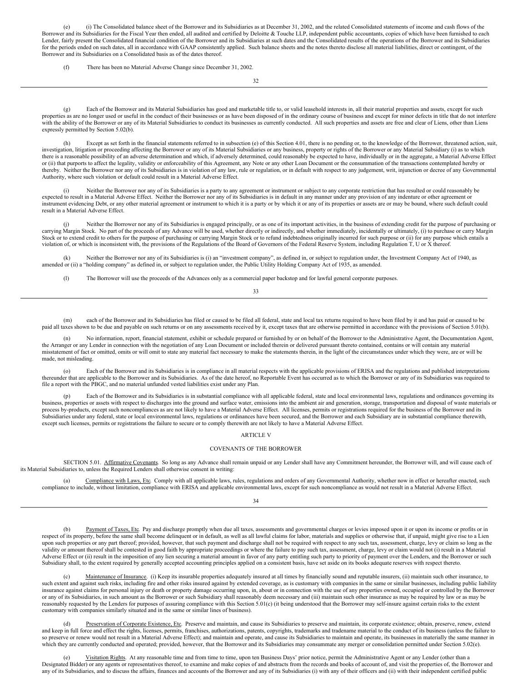(e) (i) The Consolidated balance sheet of the Borrower and its Subsidiaries as at December 31, 2002, and the related Consolidated statements of income and cash flows of the Borrower and its Subsidiaries for the Fiscal Year then ended, all audited and certified by Deloitte & Touche LLP, independent public accountants, copies of which have been furnished to each Lender, fairly present the Consolidated financial condition of the Borrower and its Subsidiaries at such dates and the Consolidated results of the operations of the Borrower and its Subsidiaries for the periods ended on such dates, all in accordance with GAAP consistently applied. Such balance sheets and the notes thereto disclose all material liabilities, direct or contingent, of the Borrower and its Subsidiaries on a Consolidated basis as of the dates thereof.

(f) There has been no Material Adverse Change since December 31, 2002.

32

(g) Each of the Borrower and its Material Subsidiaries has good and marketable title to, or valid leasehold interests in, all their material properties and assets, except for such properties as are no longer used or useful in the conduct of their businesses or as have been disposed of in the ordinary course of business and except for minor defects in title that do not interfere with the ability of the Borrower or any of its Material Subsidiaries to conduct its businesses as currently conducted. All such properties and assets are free and clear of Liens, other than Liens expressly permitted by Section 5.02(b).

Except as set forth in the financial statements referred to in subsection (e) of this Section 4.01, there is no pending or, to the knowledge of the Borrower, threatened action, suit, investigation, litigation or proceeding affecting the Borrower or any of its Material Subsidiaries or any business, property or rights of the Borrower or any Material Subsidiary (i) as to which there is a reasonable possibility of an adverse determination and which, if adversely determined, could reasonably be expected to have, individually or in the aggregate, a Material Adverse Effect or (ii) that purports to affect the legality, validity or enforceability of this Agreement, any Note or any other Loan Document or the consummation of the transactions contemplated hereby or thereby. Neither the Borrower nor any of its Subsidiaries is in violation of any law, rule or regulation, or in default with respect to any judgement, writ, injunction or decree of any Governmental Authority, where such violation or default could result in a Material Adverse Effect.

Neither the Borrower nor any of its Subsidiaries is a party to any agreement or instrument or subject to any corporate restriction that has resulted or could reasonably be expected to result in a Material Adverse Effect. Neither the Borrower nor any of its Subsidiaries is in default in any manner under any provision of any indenture or other agreement or instrument evidencing Debt, or any other material agreement or instrument to which it is a party or by which it or any of its properties or assets are or may be bound, where such default could result in a Material Adverse Effect.

(j) Neither the Borrower nor any of its Subsidiaries is engaged principally, or as one of its important activities, in the business of extending credit for the purpose of purchasing or carrying Margin Stock. No part of the proceeds of any Advance will be used, whether directly or indirectly, and whether immediately, incidentally or ultimately, (i) to purchase or carry Margin Stock or to extend credit to others for the purpose of purchasing or carrying Margin Stock or to refund indebtedness originally incurred for such purpose or (ii) for any purpose which entails a violation of, or which is inconsistent with, the provisions of the Regulations of the Board of Governors of the Federal Reserve System, including Regulation T, U or X thereof.

(k) Neither the Borrower nor any of its Subsidiaries is (i) an "investment company", as defined in, or subject to regulation under, the Investment Company Act of 1940, as amended or (ii) a "holding company" as defined in, or subject to regulation under, the Public Utility Holding Company Act of 1935, as amended.

(l) The Borrower will use the proceeds of the Advances only as a commercial paper backstop and for lawful general corporate purposes.

33

(m) each of the Borrower and its Subsidiaries has filed or caused to be filed all federal, state and local tax returns required to have been filed by it and has paid or caused to be paid all taxes shown to be due and payable on such returns or on any assessments received by it, except taxes that are otherwise permitted in accordance with the provisions of Section 5.01(b).

No information, report, financial statement, exhibit or schedule prepared or furnished by or on behalf of the Borrower to the Administrative Agent, the Documentation Agent, the Arranger or any Lender in connection with the negotiation of any Loan Document or included therein or delivered pursuant thereto contained, contains or will contain any material misstatement of fact or omitted, omits or will omit to state any material fact necessary to make the statements therein, in the light of the circumstances under which they were, are or will be made, not misleading.

(o) Each of the Borrower and its Subsidiaries is in compliance in all material respects with the applicable provisions of ERISA and the regulations and published interpretations thereunder that are applicable to the Borrower and its Subsidiaries. As of the date hereof, no Reportable Event has occurred as to which the Borrower or any of its Subsidiaries was required to file a report with the PBGC, and no material unfunded vested liabilities exist under any Plan.

Each of the Borrower and its Subsidiaries is in substantial compliance with all applicable federal, state and local environmental laws, regulations and ordinances governing its business, properties or assets with respect to discharges into the ground and surface water, emissions into the ambient air and generation, storage, transportation and disposal of waste materials or process by-products, except such noncompliances as are not likely to have a Material Adverse Effect. All licenses, permits or registrations required for the business of the Borrower and its Subsidiaries under any federal, state or local environmental laws, regulations or ordinances have been secured, and the Borrower and each Subsidiary are in substantial compliance therewith. except such licenses, permits or registrations the failure to secure or to comply therewith are not likely to have a Material Adverse Effect.

#### <span id="page-54-0"></span>ARTICLE V

#### COVENANTS OF THE BORROWER

SECTION 5.01. Affirmative Covenants. So long as any Advance shall remain unpaid or any Lender shall have any Commitment hereunder, the Borrower will, and will cause each of its Material Subsidiaries to, unless the Required Lenders shall otherwise consent in writing:

<span id="page-54-1"></span>(a) Compliance with Laws, Etc. Comply with all applicable laws, rules, regulations and orders of any Governmental Authority, whether now in effect or hereafter enacted, such compliance to include, without limitation, compliance with ERISA and applicable environmental laws, except for such noncompliance as would not result in a Material Adverse Effect.

34

Payment of Taxes, Etc. Pay and discharge promptly when due all taxes, assessments and governmental charges or levies imposed upon it or upon its income or profits or in respect of its property, before the same shall become delinquent or in default, as well as all lawful claims for labor, materials and supplies or otherwise that, if unpaid, might give rise to a Lien upon such properties or any part thereof; provided, however, that such payment and discharge shall not be required with respect to any such tax, assessment, charge, levy or claim so long as the validity or amount thereof shall be contested in good faith by appropriate proceedings or where the failure to pay such tax, assessment, charge, levy or claim would not (i) result in a Material Adverse Effect or (ii) result in the imposition of any lien securing a material amount in favor of any party entitling such party to priority of payment over the Lenders, and the Borrower or such Subsidiary shall, to the extent required by generally accepted accounting principles applied on a consistent basis, have set aside on its books adequate reserves with respect thereto.

Maintenance of Insurance. (i) Keep its insurable properties adequately insured at all times by financially sound and reputable insurers, (ii) maintain such other insurance, to such extent and against such risks, including fire and other risks insured against by extended coverage, as is customary with companies in the same or similar businesses, including public liability insurance against claims for personal injury or death or property damage occurring upon, in, about or in connection with the use of any properties owned, occupied or controlled by the Borrower or any of its Subsidiaries, in such amount as the Borrower or such Subsidiary shall reasonably deem necessary and (iii) maintain such other insurance as may be required by law or as may be reasonably requested by the Lenders for purposes of assuring compliance with this Section 5.01(c) (it being understood that the Borrower may self-insure against certain risks to the extent customary with companies similarly situated and in the same or similar lines of business).

(d) Preservation of Corporate Existence, Etc. Preserve and maintain, and cause its Subsidiaries to preserve and maintain, its corporate existence; obtain, preserve, renew, extend and keep in full force and effect the rights, licenses, permits, franchises, authorizations, patents, copyrights, trademarks and tradename material to the conduct of its business (unless the failure to so preserve or renew would not result in a Material Adverse Effect); and maintain and operate, and cause its Subsidiaries to maintain and operate, its businesses in materially the same manner in which they are currently conducted and operated; provided, however, that the Borrower and its Subsidiaries may consummate any merger or consolidation permitted under Section 5.02(e).

Visitation Rights. At any reasonable time and from time to time, upon ten Business Days' prior notice, permit the Administrative Agent or any Lender (other than a Designated Bidder) or any agents or representatives thereof, to examine and make copies of and abstracts from the records and books of account of, and visit the properties of, the Borrower and any of its Subsidiaries, and to discuss the affairs, finances and accounts of the Borrower and any of its Subsidiaries (i) with any of their officers and (ii) with their independent certified public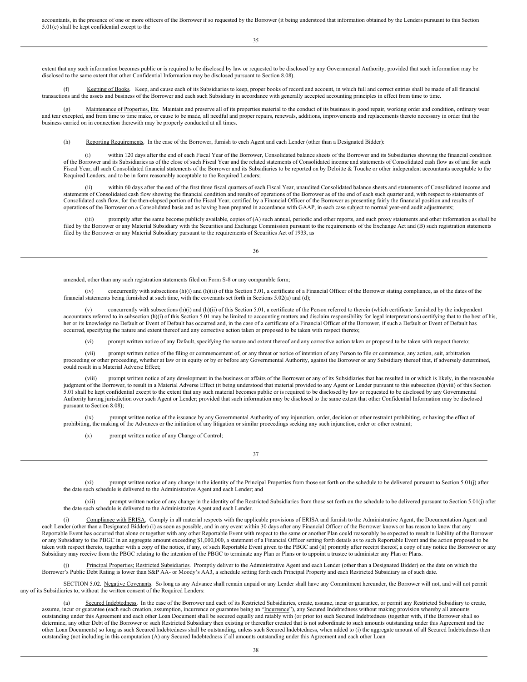accountants, in the presence of one or more officers of the Borrower if so requested by the Borrower (it being understood that information obtained by the Lenders pursuant to this Section 5.01(e) shall be kept confidential except to the

35

extent that any such information becomes public or is required to be disclosed by law or requested to be disclosed by any Governmental Authority; provided that such information may be disclosed to the same extent that other Confidential Information may be disclosed pursuant to Section 8.08).

(f) Keeping of Books. Keep, and cause each of its Subsidiaries to keep, proper books of record and account, in which full and correct entries shall be made of all financial transactions and the assets and business of the Borrower and each such Subsidiary in accordance with generally accepted accounting principles in effect from time to time.

(g) Maintenance of Properties, Etc. Maintain and preserve all of its properties material to the conduct of its business in good repair, working order and condition, ordinary wear and tear excepted, and from time to time make, or cause to be made, all needful and proper repairs, renewals, additions, improvements and replacements thereto necessary in order that the business carried on in connection therewith may be properly conducted at all times.

(h) Reporting Requirements. In the case of the Borrower, furnish to each Agent and each Lender (other than a Designated Bidder):

(i) within 120 days after the end of each Fiscal Year of the Borrower, Consolidated balance sheets of the Borrower and its Subsidiaries showing the financial condition of the Borrower and its Subsidiaries as of the close of such Fiscal Year and the related statements of Consolidated income and statements of Consolidated cash flow as of and for such Fiscal Year, all such Consolidated financial statements of the Borrower and its Subsidiaries to be reported on by Deloitte & Touche or other independent accountants acceptable to the Required Lenders, and to be in form reasonably acceptable to the Required Lenders;

(ii) within 60 days after the end of the first three fiscal quarters of each Fiscal Year, unaudited Consolidated balance sheets and statements of Consolidated income and statements of Consolidated cash flow showing the financial condition and results of operations of the Borrower as of the end of each such quarter and, with respect to statements of statements of Consolidated cash flow, for the then-elapsed portion of the Fiscal Year, certified by a Financial Officer of the Borrower as presenting fairly the financial position and results of operations of the Borrower on a Consolidated basis and as having been prepared in accordance with GAAP, in each case subject to normal year-end audit adjustments;

(iii) promptly after the same become publicly available, copies of (A) such annual, periodic and other reports, and such proxy statements and other information as shall be filed by the Borrower or any Material Subsidiary with the Securities and Exchange Commission pursuant to the requirements of the Exchange Act and (B) such registration statements filed by the Borrower or any Material Subsidiary pursuant to the requirements of Securities Act of 1933, as

36

amended, other than any such registration statements filed on Form S-8 or any comparable form;

(iv) concurrently with subsections (h)(i) and (h)(ii) of this Section 5.01, a certificate of a Financial Officer of the Borrower stating compliance, as of the dates of the financial statements being furnished at such time, with the covenants set forth in Sections 5.02(a) and (d);

(v) concurrently with subsections (h)(i) and (h)(ii) of this Section 5.01, a certificate of the Person referred to therein (which certificate furnished by the independent accountants referred to in subsection (h)(i) of this Section 5.01 may be limited to accounting matters and disclaim responsibility for legal interpretations) certifying that to the best of his, her or its knowledge no Default or Event of Default has occurred and, in the case of a certificate of a Financial Officer of the Borrower, if such a Default or Event of Default has occurred, specifying the nature and extent thereof and any corrective action taken or proposed to be taken with respect thereto;

(vi) prompt written notice of any Default, specifying the nature and extent thereof and any corrective action taken or proposed to be taken with respect thereto;

(vii) prompt written notice of the filing or commencement of, or any threat or notice of intention of any Person to file or commence, any action, suit, arbitration proceeding or other proceeding, whether at law or in equity or by or before any Governmental Authority, against the Borrower or any Subsidiary thereof that, if adversely determined, could result in a Material Adverse Effect;

prompt written notice of any development in the business or affairs of the Borrower or any of its Subsidiaries that has resulted in or which is likely, in the reasonable judgment of the Borrower, to result in a Material Adverse Effect (it being understood that material provided to any Agent or Lender pursuant to this subsection (h)(viii) of this Section 5.01 shall be kept confidential except to the extent that any such material becomes public or is required to be disclosed by law or requested to be disclosed by any Governmental Authority having jurisdiction over such Agent or Lender; provided that such information may be disclosed to the same extent that other Confidential Information may be disclosed pursuant to Section 8.08);

(ix) prompt written notice of the issuance by any Governmental Authority of any injunction, order, decision or other restraint prohibiting, or having the effect of prohibiting, the making of the Advances or the initiation of any litigation or similar proceedings seeking any such injunction, order or other restraint;

(x) prompt written notice of any Change of Control;

37

(xi) prompt written notice of any change in the identity of the Principal Properties from those set forth on the schedule to be delivered pursuant to Section 5.01(j) after the date such schedule is delivered to the Administrative Agent and each Lender; and

(xii) prompt written notice of any change in the identity of the Restricted Subsidiaries from those set forth on the schedule to be delivered pursuant to Section 5.01(j) after the date such schedule is delivered to the Administrative Agent and each Lender.

Compliance with ERISA. Comply in all material respects with the applicable provisions of ERISA and furnish to the Administrative Agent, the Documentation Agent and each Lender (other than a Designated Bidder) (i) as soon as possible, and in any event within 30 days after any Financial Officer of the Borrower knows or has reason to know that any Reportable Event has occurred that alone or together with any other Reportable Event with respect to the same or another Plan could reasonably be expected to result in liability of the Borrower or any Subsidiary to the PBGC in an aggregate amount exceeding \$1,000,000, a statement of a Financial Officer setting forth details as to such Reportable Event and the action proposed to be taken with respect thereto, together with a copy of the notice, if any, of such Reportable Event given to the PBGC and (ii) promptly after receipt thereof, a copy of any notice the Borrower or any Subsidiary may receive from the PBGC relating to the intention of the PBGC to terminate any Plan or Plans or to appoint a trustee to administer any Plan or Plans.

<span id="page-55-0"></span>(j) Principal Properties; Restricted Subsidiaries. Promptly deliver to the Administrative Agent and each Lender (other than a Designated Bidder) on the date on which the Borrower's Public Debt Rating is lower than S&P AA- or Moody's AA3, a schedule setting forth each Principal Property and each Restricted Subsidiary as of such date.

SECTION 5.02. Negative Covenants. So long as any Advance shall remain unpaid or any Lender shall have any Commitment hereunder, the Borrower will not, and will not permit any of its Subsidiaries to, without the written consent of the Required Lenders:

(a) Secured Indebtedness. In the case of the Borrower and each of its Restricted Subsidiaries, create, assume, incur or guarantee, or permit any Restricted Subsidiary to create, assume, incur or guarantee (each such creation, assumption, incurrence or guarantee being an "Incurrence"), any Secured Indebtedness without making provision whereby all amounts outstanding under this Agreement and each other Loan Document shall be secured equally and ratably with (or prior to) such Secured Indebtedness (together with, if the Borrower shall so determine, any other Debt of the Borrower or such Restricted Subsidiary then existing or thereafter created that is not subordinate to such amounts outstanding under this Agreement and the other Loan Documents) so long as such Secured Indebtedness shall be outstanding, unless such Secured Indebtedness, when added to (i) the aggregate amount of all Secured Indebtedness then outstanding (not including in this computation (A) any Secured Indebtedness if all amounts outstanding under this Agreement and each other Loan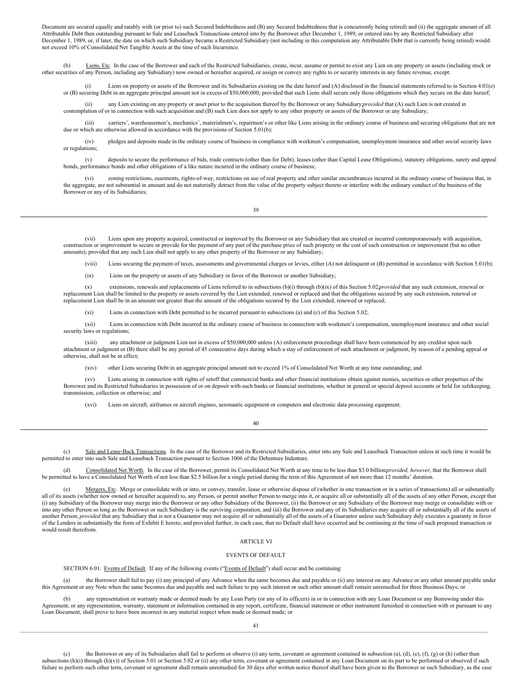Document are secured equally and ratably with (or prior to) such Secured Indebtedness and (B) any Secured Indebtedness that is concurrently being retired) and (ii) the aggregate amount of all Attributable Debt then outstanding pursuant to Sale and Leaseback Transactions entered into by the Borrower after December 1, 1989, or entered into by any Restricted Subsidiary after December 1, 1989, or, if later, the date on which such Subsidiary became a Restricted Subsidiary (not including in this computation any Attributable Debt that is currently being retired) would not exceed 10% of Consolidated Net Tangible Assets at the time of such Incurrence.

(b) Liens, Etc. In the case of the Borrower and each of the Restricted Subsidiaries, create, incur, assume or permit to exist any Lien on any property or assets (including stock or other securities of any Person, including any Subsidiary) now owned or hereafter acquired, or assign or convey any rights to or security interests in any future revenue, except:

(i) Liens on property or assets of the Borrower and its Subsidiaries existing on the date hereof and (A) disclosed in the financial statements referred to in Section 4.01(e) or (B) securing Debt in an aggregate principal amount not in excess of \$50,000,000; provided that such Liens shall secure only those obligations which they secure on the date hereof;

(ii) any Lien existing on any property or asset prior to the acquisition thereof by the Borrower or any Subsidiary *provided* that (A) such Lien is not created in contemplation of or in connection with such acquisition and (B) such Lien does not apply to any other property or assets of the Borrower or any Subsidiary;

(iii) carriers', warehousemen's, mechanics', materialmen's, repairmen's or other like Liens arising in the ordinary course of business and securing obligations that are not due or which are otherwise allowed in accordance with the provisions of Section 5.01(b);

(iv) pledges and deposits made in the ordinary course of business in compliance with workmen's compensation, unemployment insurance and other social security laws or regulations;

(v) deposits to secure the performance of bids, trade contracts (other than for Debt), leases (other than Capital Lease Obligations), statutory obligations, surety and appeal bonds, performance bonds and other obligations of a like nature incurred in the ordinary course of business;

(vi) zoning restrictions, easements, rights-of-way, restrictions on use of real property and other similar encumbrances incurred in the ordinary course of business that, in the aggregate, are not substantial in amount and do not materially detract from the value of the property subject thereto or interfere with the ordinary conduct of the business of the Borrower or any of its Subsidiaries;

39

Liens upon any property acquired, constructed or improved by the Borrower or any Subsidiary that are created or incurred contemporaneously with acquisition, construction or improvement to secure or provide for the payment of any part of the purchase price of such property or the cost of such construction or improvement (but no other amounts); provided that any such Lien shall not apply to any other property of the Borrower or any Subsidiary;

(viii) Liens securing the payment of taxes, assessments and governmental charges or levies, either (A) not delinquent or (B) permitted in accordance with Section 5.01(b);

(ix) Liens on the property or assets of any Subsidiary in favor of the Borrower or another Subsidiary;

(x) extensions, renewals and replacements of Liens referred to in subsections (b)(i) through (b)(ix) of this Section 5.02;*provided* that any such extension, renewal or replacement Lien shall be limited to the property or assets covered by the Lien extended, renewed or replaced and that the obligations secured by any such extension, renewal or replacement Lien shall be in an amount not greater than the amount of the obligations secured by the Lien extended, renewed or replaced;

(xi) Liens in connection with Debt permitted to be incurred pursuant to subsections (a) and (c) of this Section 5.02;

(xii) Liens in connection with Debt incurred in the ordinary course of business in connection with workmen's compensation, unemployment insurance and other social security laws or regulations;

(xiii) any attachment or judgment Lien not in excess of \$50,000,000 unless (A) enforcement proceedings shall have been commenced by any creditor upon such attachment or judgment or (B) there shall be any period of 45 consecutive days during which a stay of enforcement of such attachment or judgment, by reason of a pending appeal or otherwise, shall not be in effect;

(xiv) other Liens securing Debt in an aggregate principal amount not to exceed 1% of Consolidated Net Worth at any time outstanding; and

(xv) Liens arising in connection with rights of setoff that commercial banks and other financial institutions obtain against monies, securities or other properties of the Borrower and its Restricted Subsidiaries in possession of or on deposit with such banks or financial institutions, whether in general or special deposit accounts or held for safekeeping, transmission, collection or otherwise; and

(xvi) Liens on aircraft, airframes or aircraft engines, aeronautic equipment or computers and electronic data processing equipment.

40

(c) Sale and Lease-Back Transactions. In the case of the Borrower and its Restricted Subsidiaries, enter into any Sale and Leaseback Transaction unless at such time it would be permitted to enter into such Sale and Leaseback Transaction pursuant to Section 1006 of the Debenture Indenture.

(d) Consolidated Net Worth. In the case of the Borrower, permit its Consolidated Net Worth at any time to be less than \$3.0 billion;*provided, however*, that the Borrower shall be permitted to have a Consolidated Net Worth of not less than \$2.5 billion for a single period during the term of this Agreement of not more than 12 months' duration.

(e) Mergers, Etc. Merge or consolidate with or into, or convey, transfer, lease or otherwise dispose of (whether in one transaction or in a series of transactions) all or substantially all of its assets (whether now owned or hereafter acquired) to, any Person, or permit another Person to merge into it, or acquire all or substantially all of the assets of any other Person, except that (i) any Subsidiary of the Borrower may merge into the Borrower or any other Subsidiary of the Borrower, (ii) the Borrower or any Subsidiary of the Borrower may merge or consolidate with or into any other Person so long as the Borrower or such Subsidiary is the surviving corporation, and (iii) the Borrower and any of its Subsidiaries may acquire all or substantially all of the assets of another Person; *provided* that any Subsidiary that is not a Guarantor may not acquire all or substantially all of the assets of a Guarantor unless such Subsidiary duly executes a guaranty in favor of the Lenders in substantially the form of Exhibit E hereto; and provided further, in each case, that no Default shall have occurred and be continuing at the time of such proposed transaction or would result therefrom.

## <span id="page-56-0"></span>ARTICLE VI

### EVENTS OF DEFAULT

<span id="page-56-1"></span>SECTION 6.01. Events of Default. If any of the following events ("Events of Default") shall occur and be continuing:

(a) the Borrower shall fail to pay (i) any principal of any Advance when the same becomes due and payable or (ii) any interest on any Advance or any other amount payable under this Agreement or any Note when the same becomes due and payable and such failure to pay such interest or such other amount shall remain unremedied for three Business Days; or

(b) any representation or warranty made or deemed made by any Loan Party (or any of its officers) in or in connection with any Loan Document or any Borrowing under this Agreement, or any representation, warranty, statement or information contained in any report, certificate, financial statement or other instrument furnished in connection with or pursuant to any Loan Document, shall prove to have been incorrect in any material respect when made or deemed made; or

the Borrower or any of its Subsidiaries shall fail to perform or observe (i) any term, covenant or agreement contained in subsection (a), (d), (e), (f), (g) or (h) (other than subsections (h)(i) through (h)(v)) of Section 5.01 or Section 5.02 or (ii) any other term, covenant or agreement contained in any Loan Document on its part to be performed or observed if such failure to perform such other term, covenant or agreement shall remain unremedied for 30 days after written notice thereof shall have been given to the Borrower or such Subsidiary, as the case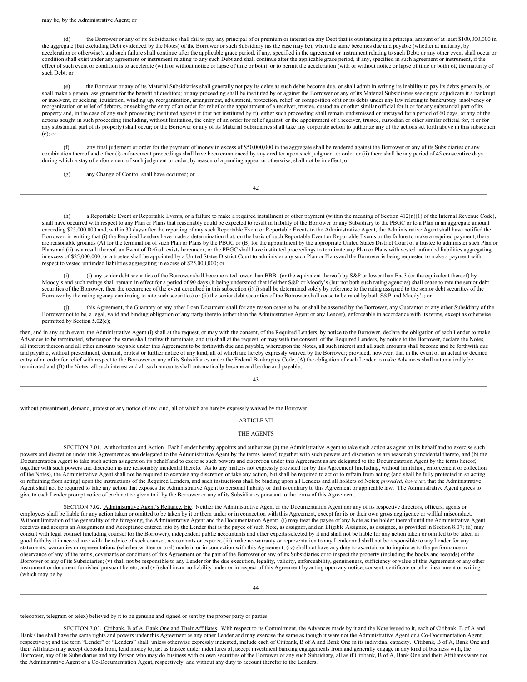may be, by the Administrative Agent; or

(d) the Borrower or any of its Subsidiaries shall fail to pay any principal of or premium or interest on any Debt that is outstanding in a principal amount of at least \$100,000,000 in the aggregate (but excluding Debt evidenced by the Notes) of the Borrower or such Subsidiary (as the case may be), when the same becomes due and payable (whether at maturity, by acceleration or otherwise), and such failure shall continue after the applicable grace period, if any, specified in the agreement or instrument relating to such Debt; or any other event shall occur or condition shall exist under any agreement or instrument relating to any such Debt and shall continue after the applicable grace period, if any, specified in such agreement or instrument, if the effect of such event or condition is to accelerate (with or without notice or lapse of time or both), or to permit the acceleration (with or without notice or lapse of time or both) of, the maturity of such Debt; or

(e) the Borrower or any of its Material Subsidiaries shall generally not pay its debts as such debts become due, or shall admit in writing its inability to pay its debts generally, or shall make a general assignment for the benefit of creditors; or any proceeding shall be instituted by or against the Borrower or any of its Material Subsidiaries seeking to adjudicate it a bankrupt or insolvent, or seeking liquidation, winding up, reorganization, arrangement, adjustment, protection, relief, or composition of it or its debts under any law relating to bankruptcy, insolvency or reorganization or relief of debtors, or seeking the entry of an order for relief or the appointment of a receiver, trustee, custodian or other similar official for it or for any substantial part of its property and, in the case of any such proceeding instituted against it (but not instituted by it), either such proceeding shall remain undismissed or unstayed for a period of 60 days, or any of the actions sought in such proceeding (including, without limitation, the entry of an order for relief against, or the appointment of a receiver, trustee, custodian or other similar official for, it or for any substantial part of its property) shall occur; or the Borrower or any of its Material Subsidiaries shall take any corporate action to authorize any of the actions set forth above in this subsection (e); or

any final judgment or order for the payment of money in excess of \$50,000,000 in the aggregate shall be rendered against the Borrower or any of its Subsidiaries or any combination thereof and either (i) enforcement proceedings shall have been commenced by any creditor upon such judgment or order or (ii) there shall be any period of 45 consecutive days during which a stay of enforcement of such judgment or order, by reason of a pending appeal or otherwise, shall not be in effect; or

(g) any Change of Control shall have occurred; or

42

(h) a Reportable Event or Reportable Events, or a failure to make a required installment or other payment (within the meaning of Section 412(n)(1) of the Internal Revenue Code), shall have occurred with respect to any Plan or Plans that reasonably could be expected to result in liability of the Borrower or any Subsidiary to the PBGC or to a Plan in an aggregate amount exceeding \$25,000,000 and, within 30 days after the reporting of any such Reportable Event or Reportable Events to the Administrative Agent, the Administrative Agent shall have notified the Borrower, in writing that (i) the Required Lenders have made a determination that, on the basis of such Reportable Event or Reportable Events or the failure to make a required payment, there are reasonable grounds (A) for the termination of such Plan or Plans by the PBGC or (B) for the appointment by the appropriate United States District Court of a trustee to administer such Plan or Plans and (ii) as a result thereof, an Event of Default exists hereunder; or the PBGC shall have instituted proceedings to terminate any Plan or Plans with vested unfunded liabilities aggregating in excess of \$25,000,000; or a trustee shall be appointed by a United States District Court to administer any such Plan or Plans and the Borrower is being requested to make a payment with respect to vested unfunded liabilities aggregating in excess of \$25,000,000; or

(i) (i) any senior debt securities of the Borrower shall become rated lower than BBB- (or the equivalent thereof) by S&P or lower than Baa3 (or the equivalent thereof) by Moody's and such ratings shall remain in effect for a period of 90 days (it being understood that if either S&P or Moody's (but not both such rating agencies) shall cease to rate the senior debt securities of the Borrower, then the occurrence of the event described in this subsection (i)(i) shall be determined solely by reference to the rating assigned to the senior debt securities of the Borrower by the rating agency continuing to rate such securities) or (ii) the senior debt securities of the Borrower shall cease to be rated by both S&P and Moody's; or

(i) this Agreement, the Guaranty or any other Loan Document shall for any reason cease to be, or shall be asserted by the Borrower, any Guarantor or any other Subsidiary of the Borrower not to be, a legal, valid and binding obligation of any party thereto (other than the Administrative Agent or any Lender), enforceable in accordance with its terms, except as otherwise permitted by Section 5.02(e);

then, and in any such event, the Administrative Agent (i) shall at the request, or may with the consent, of the Required Lenders, by notice to the Borrower, declare the obligation of each Lender to make Advances to be terminated, whereupon the same shall forthwith terminate, and (ii) shall at the request, or may with the consent, of the Required Lenders, by notice to the Borrower, declare the Notes, all interest thereon and all other amounts payable under this Agreement to be forthwith due and payable, whereupon the Notes, all such interest and all such amounts shall become and be forthwith due and payable, without presentment, demand, protest or further notice of any kind, all of which are hereby expressly waived by the Borrower; provided, however, that in the event of an actual or deemed entry of an order for relief with respect to the Borrower or any of its Subsidiaries under the Federal Bankruptcy Code, (A) the obligation of each Lender to make Advances shall automatically be terminated and (B) the Notes, all such interest and all such amounts shall automatically become and be due and payable,

43

without presentment, demand, protest or any notice of any kind, all of which are hereby expressly waived by the Borrower.

#### <span id="page-57-0"></span>ARTICLE VII

#### THE AGENTS

<span id="page-57-1"></span>SECTION 7.01. Authorization and Action. Each Lender hereby appoints and authorizes (a) the Administrative Agent to take such action as agent on its behalf and to exercise such powers and discretion under this Agreement as are delegated to the Administrative Agent by the terms hereof, together with such powers and discretion as are reasonably incidental thereto, and (b) the Documentation Agent to take such action as agent on its behalf and to exercise such powers and discretion under this Agreement as are delegated to the Documentation Agent by the terms hereof, together with such powers and discretion as are reasonably incidental thereto. As to any matters not expressly provided for by this Agreement (including, without limitation, enforcement or collection of the Notes), the Administrative Agent shall not be required to exercise any discretion or take any action, but shall be required to act or to refrain from acting (and shall be fully protected in so acting or refraining from acting) upon the instructions of the Required Lenders, and such instructions shall be binding upon all Lenders and all holders of Notes; *provided, however*, that the Administrative Agent shall not be required to take any action that exposes the Administrative Agent to personal liability or that is contrary to this Agreement or applicable law. The Administrative Agent agrees to give to each Lender prompt notice of each notice given to it by the Borrower or any of its Subsidiaries pursuant to the terms of this Agreement.

<span id="page-57-2"></span>SECTION 7.02. Administrative Agent's Reliance, Etc. Neither the Administrative Agent or the Documentation Agent nor any of its respective directors, officers, agents or employees shall be liable for any action taken or omitted to be taken by it or them under or in connection with this Agreement, except for its or their own gross negligence or willful misconduct. Without limitation of the generality of the foregoing, the Administrative Agent and the Documentation Agent: (i) may treat the payee of any Note as the holder thereof until the Administrative Agent receives and accepts an Assignment and Acceptance entered into by the Lender that is the payee of such Note, as assignor, and an Eligible Assignee, as assignee, as provided in Section 8.07; (ii) may consult with legal counsel (including counsel for the Borrower), independent public accountants and other experts selected by it and shall not be liable for any action taken or omitted to be taken in good faith by it in accordance with the advice of such counsel, accountants or experts; (iii) make no warranty or representation to any Lender and shall not be responsible to any Lender for any statements, warranties or representations (whether written or oral) made in or in connection with this Agreement; (iv) shall not have any duty to ascertain or to inquire as to the performance or observance of any of the terms, covenants or conditions of this Agreement on the part of the Borrower or any of its Subsidiaries or to inspect the property (including the books and records) of the Borrower or any of its Subsidiaries; (v) shall not be responsible to any Lender for the due execution, legality, validity, enforceability, genuineness, sufficiency or value of this Agreement or any other instrument or document furnished pursuant hereto; and (vi) shall incur no liability under or in respect of this Agreement by acting upon any notice, consent, certificate or other instrument or writing (which may be by

telecopier, telegram or telex) believed by it to be genuine and signed or sent by the proper party or parties.

<span id="page-57-3"></span>SECTION 7.03. Citibank, B of A, Bank One and Their Affiliates. With respect to its Commitment, the Advances made by it and the Note issued to it, each of Citibank, B of A and Bank One shall have the same rights and powers under this Agreement as any other Lender and may exercise the same as though it were not the Administrative Agent or a Co-Documentation Agent, respectively; and the term "Lender" or "Lenders" shall, unless otherwise expressly indicated, include each of Citibank, B of A and Bank One in its individual capacity. Citibank, B of A, Bank One and their Affiliates may ac Borrower, any of its Subsidiaries and any Person who may do business with or own securities of the Borrower or any such Subsidiary, all as if Citibank, B of A, Bank One and their Affiliates were not the Administrative Agent or a Co-Documentation Agent, respectively, and without any duty to account therefor to the Lenders.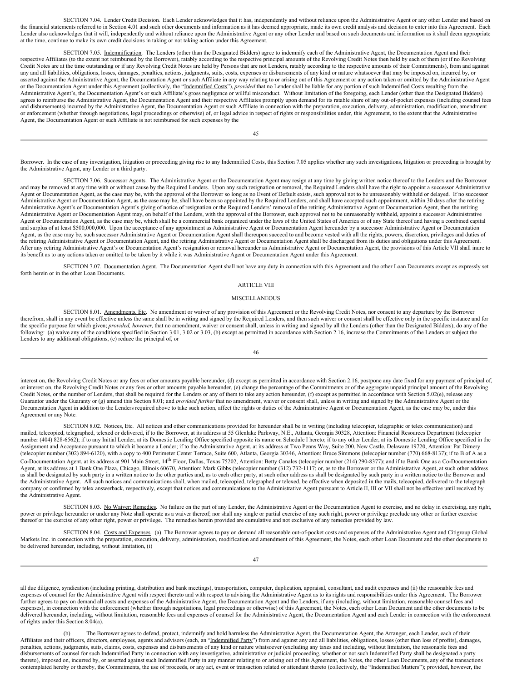<span id="page-58-0"></span>SECTION 7.04. Lender Credit Decision. Each Lender acknowledges that it has, independently and without reliance upon the Administrative Agent or any other Lender and based on the financial statements referred to in Section 4.01 and such other documents and information as it has deemed appropriate, made its own credit analysis and decision to enter into this Agreement. Each Lender also acknowledges that it will, independently and without reliance upon the Administrative Agent or any other Lender and based on such documents and information as it shall deem appropriate at the time, continue to make its own credit decisions in taking or not taking action under this Agreement.

<span id="page-58-1"></span>SECTION 7.05. Indemnification. The Lenders (other than the Designated Bidders) agree to indemnify each of the Administrative Agent, the Documentation Agent and their respective Affiliates (to the extent not reimbursed by the Borrower), ratably according to the respective principal amounts of the Revolving Credit Notes then held by each of them (or if no Revolving Credit Notes are at the time outstanding or if any Revolving Credit Notes are held by Persons that are not Lenders, ratably according to the respective amounts of their Commitments), from and against any and all liabilities, obligations, losses, damages, penalties, actions, judgments, suits, costs, expenses or disbursements of any kind or nature whatsoever that may be imposed on, incurred by, or asserted against the Administrative Agent, the Documentation Agent or such Affiliate in any way relating to or arising out of this Agreement or any action taken or omitted by the Administrative Agent or the Documentation Agent under this Agreement (collectively, the "Indemnified Costs"), *provided* that no Lender shall be liable for any portion of such Indemnified Costs resulting from the Administrative Agent's, the Documentation Agent's or such Affiliate's gross negligence or willful misconduct. Without limitation of the foregoing, each Lender (other than the Designated Bidders) agrees to reimburse the Administrative Agent, the Documentation Agent and their respective Affiliates promptly upon demand for its ratable share of any out-of-pocket expenses (including counsel fees and disbursements) incurred by the Administrative Agent, the Documentation Agent or such Affiliate in connection with the preparation, execution, delivery, administration, modification, amendment or enforcement (whether through negotiations, legal proceedings or otherwise) of, or legal advice in respect of rights or responsibilities under, this Agreement, to the extent that the Administrative Agent, the Documentation Agent or such Affiliate is not reimbursed for such expenses by the

45

Borrower. In the case of any investigation, litigation or proceeding giving rise to any Indemnified Costs, this Section 7.05 applies whether any such investigations, litigation or proceeding is brought by the Administrative Agent, any Lender or a third party.

<span id="page-58-2"></span>SECTION 7.06. Successor Agents. The Administrative Agent or the Documentation Agent may resign at any time by giving written notice thereof to the Lenders and the Borrower and may be removed at any time with or without cause by the Required Lenders. Upon any such resignation or removal, the Required Lenders shall have the right to appoint a successor Administrative<br>Agent or Documentation Age Administrative Agent or Documentation Agent, as the case may be, shall have been so appointed by the Required Lenders, and shall have accepted such appointment, within 30 days after the retiring<br>Administrative Agent's or D Administrative Agent or Documentation Agent may, on behalf of the Lenders, with the approval of the Borrower, such approval not to be unreasonably withheld, appoint a successor Administrative<br>Agent or Documentation Agent, and surplus of at least \$500,000,000. Upon the acceptance of any appointment as Administrative Agent or Documentation Agent hereunder by a successor Administrative Agent or Documentation Agent, as the case may be, such successor Administrative Agent or Documentation Agent shall thereupon succeed to and become vested with all the rights, powers, discretion, privileges and duties of the retiring Administrative Agent or Documentation Agent, and the retiring Administrative Agent or Documentation Agent shall be discharged from its duties and obligations under this Agreement. After any retiring Administrative Agent's or Documentation Agent's resignation or removal hereunder as Administrative Agent or Documentation Agent, the provisions of this Article VII shall inure to its benefit as to any actions taken or omitted to be taken by it while it was Administrative Agent or Documentation Agent under this Agreement.

<span id="page-58-3"></span>SECTION 7.07. Documentation Agent. The Documentation Agent shall not have any duty in connection with this Agreement and the other Loan Documents except as expressly set forth herein or in the other Loan Documents.

#### <span id="page-58-4"></span>ARTICLE VIII

#### MISCELLANEOUS

<span id="page-58-5"></span>SECTION 8.01. Amendments, Etc. No amendment or waiver of any provision of this Agreement or the Revolving Credit Notes, nor consent to any departure by the Borrower therefrom, shall in any event be effective unless the same shall be in writing and signed by the Required Lenders, and then such waiver or consent shall be effective only in the specific instance and for the specific purpose for which given; *provided, however*, that no amendment, waiver or consent shall, unless in writing and signed by all the Lenders (other than the Designated Bidders), do any of the following: (a) waive any of the conditions specified in Section 3.01, 3.02 or 3.03, (b) except as permitted in accordance with Section 2.16, increase the Commitments of the Lenders or subject the Lenders to any additional obligations, (c) reduce the principal of, or

46

interest on, the Revolving Credit Notes or any fees or other amounts payable hereunder, (d) except as permitted in accordance with Section 2.16, postpone any date fixed for any payment of principal of, or interest on, the Revolving Credit Notes or any fees or other amounts payable hereunder, (e) change the percentage of the Commitments or of the aggregate unpaid principal amount of the Revolving Credit Notes, or the number of Lenders, that shall be required for the Lenders or any of them to take any action hereunder, (f) except as permitted in accordance with Section 5.02(e), release any Guarantor under the Guaranty or (g) amend this Section 8.01; and *provided further* that no amendment, waiver or consent shall, unless in writing and signed by the Administrative Agent or the Documentation Agent in addition to the Lenders required above to take such action, affect the rights or duties of the Administrative Agent or Documentation Agent, as the case may be, under this Agreement or any Note.

<span id="page-58-6"></span>SECTION 8.02. Notices, Etc. All notices and other communications provided for hereunder shall be in writing (including telecopier, telegraphic or telex communication) and mailed, telecopied, telegraphed, telexed or delivered, if to the Borrower, at its address at 55 Glenlake Parkway, N.E., Atlanta, Georgia 30328, Attention: Financial Resources Department (telecopier number (404) 828-6562); if to any Initial Lender, at its Domestic Lending Office specified opposite its name on Schedule I hereto; if to any other Lender, at its Domestic Lending Office specified in the Assignment and Acceptance pursuant to which it became a Lender; if to the Administrative Agent, at its address at Two Penns Way, Suite 200, New Castle, Delaware 19720, Attention: Pat Dimery (telecopier number (302) 894-6120), with a copy to 400 Perimeter Center Terrace, Suite 600, Atlanta, Georgia 30346, Attention: Bruce Simmons (telecopier number (770) 668-8137); if to B of A as a Co-Documentation Agent, at its address at 901 Main Street, 14<sup>th</sup> Floor, Dallas, Texas 75202, Attention: Betty Canales (telecopier number (214) 290-8377); and if to Bank One as a Co-Documentation Agent, at its address at 1 Bank One Plaza, Chicago, Illinois 60670, Attention: Mark Gibbs (telecopier number (312) 732-1117; or, as to the Borrower or the Administrative Agent, at such other address as shall be designated by such party in a written notice to the other parties and, as to each other party, at such other address as shall be designated by such party in a written notice to the Borrower and the Administrative Agent. All such notices and communications shall, when mailed, telecopied, telegraphed or telexed, be effective when deposited in the mails, telecopied, delivered to the telegraph company or confirmed by telex answerback, respectively, except that notices and communications to the Administrative Agent pursuant to Article II, III or VII shall not be effective until received by the Administrative Agent.

<span id="page-58-7"></span>SECTION 8.03. No Waiver; Remedies. No failure on the part of any Lender, the Administrative Agent or the Documentation Agent to exercise, and no delay in exercising, any right, power or privilege hereunder or under any Note shall operate as a waiver thereof; nor shall any single or partial exercise of any such right, power or privilege preclude any other or further exercise thereof or the exercise of any other right, power or privilege. The remedies herein provided are cumulative and not exclusive of any remedies provided by law.

<span id="page-58-8"></span>SECTION 8.04. Costs and Expenses. (a) The Borrower agrees to pay on demand all reasonable out-of-pocket costs and expenses of the Administrative Agent and Citigroup Global Markets Inc. in connection with the preparation, e be delivered hereunder, including, without limitation, (i)

all due diligence, syndication (including printing, distribution and bank meetings), transportation, computer, duplication, appraisal, consultant, and audit expenses and (ii) the reasonable fees and expenses of counsel for the Administrative Agent with respect thereto and with respect to advising the Administrative Agent as to its rights and responsibilities under this Agreement. The Borrower further agrees to pay on demand all costs and expenses of the Administrative Agent, the Documentation Agent and the Lenders, if any (including, without limitation, reasonable counsel fees and expenses), in connection with the enforcement (whether through negotiations, legal proceedings or otherwise) of this Agreement, the Notes, each other Loan Document and the other documents to be delivered hereunder, including, without limitation, reasonable fees and expenses of counsel for the Administrative Agent, the Documentation Agent and each Lender in connection with the enforcement of rights under this Section 8.04(a).

The Borrower agrees to defend, protect, indemnify and hold harmless the Administrative Agent, the Documentation Agent, the Arranger, each Lender, each of their Affiliates and their officers, directors, employees, agents and advisors (each, an "Indemnified Party") from and against any and all liabilities, obligations, losses (other than loss of profits), damages, penalties, actions, judgments, suits, claims, costs, expenses and disbursements of any kind or nature whatsoever (excluding any taxes and including, without limitation, the reasonable fees and disbursements of counsel for such Indemnified Party in connection with any investigative, administrative or judicial proceeding, whether or not such Indemnified Party shall be designated a party thereto), imposed on, incurred by, or asserted against such Indemnified Party in any manner relating to or arising out of this Agreement, the Notes, the other Loan Documents, any of the transactions contemplated hereby or thereby, the Commitments, the use of proceeds, or any act, event or transaction related or attendant thereto (collectively, the "Indemnified Matters"); provided, however, the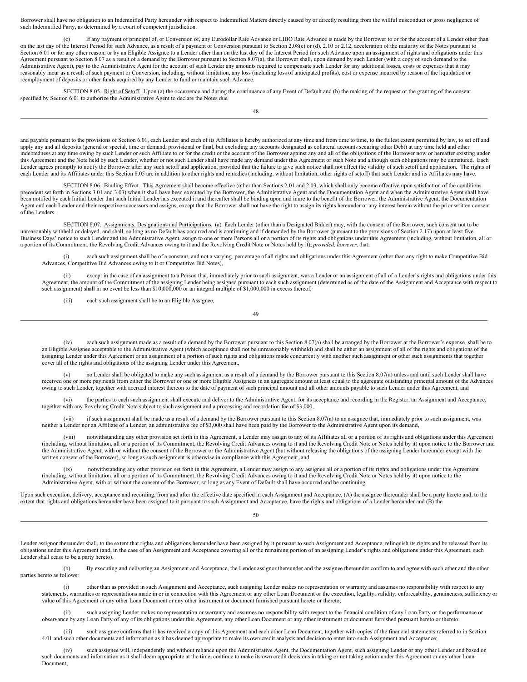Borrower shall have no obligation to an Indemnified Party hereunder with respect to Indemnified Matters directly caused by or directly resulting from the willful misconduct or gross negligence of such Indemnified Party, as determined by a court of competent jurisdiction.

If any payment of principal of, or Conversion of, any Eurodollar Rate Advance or LIBO Rate Advance is made by the Borrower to or for the account of a Lender other than on the last day of the Interest Period for such Advance, as a result of a payment or Conversion pursuant to Section 2.08(c) or (d), 2.10 or 2.12, acceleration of the maturity of the Notes pursuant to Section 6.01 or for any other reason, or by an Eligible Assignee to a Lender other than on the last day of the Interest Period for such Advance upon an assignment of rights and obligations under this Agreement pursuant to Section 8.07 as a result of a demand by the Borrower pursuant to Section 8.07(a), the Borrower shall, upon demand by such Lender (with a copy of such demand to the Administrative Agent), pay to the Administrative Agent for the account of such Lender any amounts required to compensate such Lender for any additional losses, costs or expenses that it may reasonably incur as a result of such payment or Conversion, including, without limitation, any loss (including loss of anticipated profits), cost or expense incurred by reason of the liquidation or reemployment of deposits or other funds acquired by any Lender to fund or maintain such Advance.

<span id="page-59-0"></span>SECTION 8.05. Right of Setoff. Upon (a) the occurrence and during the continuance of any Event of Default and (b) the making of the request or the granting of the consent specified by Section 6.01 to authorize the Administrative Agent to declare the Notes due

48

and payable pursuant to the provisions of Section 6.01, each Lender and each of its Affiliates is hereby authorized at any time and from time to time, to the fullest extent permitted by law, to set off and apply any and all deposits (general or special, time or demand, provisional or final, but excluding any accounts designated as collateral accounts securing other Debt) at any time held and other indebtedness at any time owing by such Lender or such Affiliate to or for the credit or the account of the Borrower against any and all of the obligations of the Borrower now or hereafter existing under this Agreement and the Note held by such Lender, whether or not such Lender shall have made any demand under this Agreement or such Note and although such obligations may be unmatured. Each Lender agrees promptly to notify the Borrower after any such setoff and application, provided that the failure to give such notice shall not affect the validity of such setoff and application. The rights of each Lender and its Affiliates under this Section 8.05 are in addition to other rights and remedies (including, without limitation, other rights of setoff) that such Lender and its Affiliates may have.

<span id="page-59-1"></span>SECTION 8.06. Binding Effect. This Agreement shall become effective (other than Sections 2.01 and 2.03, which shall only become effective upon satisfaction of the conditions precedent set forth in Sections 3.01 and 3.03) when it shall have been executed by the Borrower, the Administrative Agent and the Documentation Agent and when the Administrative Agent shall have been notified by each Initial Lender that such Initial Lender has executed it and thereafter shall be binding upon and inure to the benefit of the Borrower, the Administrative Agent, the Documentation Agent and each Lender and their respective successors and assigns, except that the Borrower shall not have the right to assign its rights hereunder or any interest herein without the prior written consent of the Lenders.

SECTION 8.07. Assignments, Designations and Participations. (a) Each Lender (other than a Designated Bidder) may, with the consent of the Borrower, such consent not to be unreasonably withheld or delayed, and shall, so long as no Default has occurred and is continuing and if demanded by the Borrower (pursuant to the provisions of Section 2.17) upon at least five Business Days' notice to such Lender and the Administrative Agent, assign to one or more Persons all or a portion of its rights and obligations under this Agreement (including, without limitation, all or a portion of its Commitment, the Revolving Credit Advances owing to it and the Revolving Credit Note or Notes held by it); *provided, however*, that:

<span id="page-59-2"></span>(i) each such assignment shall be of a constant, and not a varying, percentage of all rights and obligations under this Agreement (other than any right to make Competitive Bid Advances, Competitive Bid Advances owing to it or Competitive Bid Notes),

(ii) except in the case of an assignment to a Person that, immediately prior to such assignment, was a Lender or an assignment of all of a Lender's rights and obligations under this Agreement, the amount of the Commitment of the assigning Lender being assigned pursuant to each such assignment (determined as of the date of the Assignment and Acceptance with respect to such assignment) shall in no event be less than \$10,000,000 or an integral multiple of \$1,000,000 in excess thereof,

(iii) each such assignment shall be to an Eligible Assignee,

49

(iv) each such assignment made as a result of a demand by the Borrower pursuant to this Section 8.07(a) shall be arranged by the Borrower at the Borrower's expense, shall be to an Eligible Assignee acceptable to the Administrative Agent (which acceptance shall not be unreasonably withheld) and shall be either an assignment of all of the rights and obligations of the assigning Lender under this Agreement or an assignment of a portion of such rights and obligations made concurrently with another such assignment or other such assignments that together cover all of the rights and obligations of the assigning Lender under this Agreement,

(v) no Lender shall be obligated to make any such assignment as a result of a demand by the Borrower pursuant to this Section 8.07(a) unless and until such Lender shall have received one or more payments from either the Borrower or one or more Eligible Assignees in an aggregate amount at least equal to the aggregate outstanding principal amount of the Advances owing to such Lender, together with accrued interest thereon to the date of payment of such principal amount and all other amounts payable to such Lender under this Agreement, and

(vi) the parties to each such assignment shall execute and deliver to the Administrative Agent, for its acceptance and recording in the Register, an Assignment and Acceptance, together with any Revolving Credit Note subject to such assignment and a processing and recordation fee of \$3,000,

(vii) if such assignment shall be made as a result of a demand by the Borrower pursuant to this Section 8.07(a) to an assignee that, immediately prior to such assignment, was neither a Lender nor an Affiliate of a Lender, an administrative fee of \$3,000 shall have been paid by the Borrower to the Administrative Agent upon its demand,

(viii) notwithstanding any other provision set forth in this Agreement, a Lender may assign to any of its Affiliates all or a portion of its rights and obligations under this Agreement (including, without limitation, all or a portion of its Commitment, the Revolving Credit Advances owing to it and the Revolving Credit Note or Notes held by it) upon notice to the Borrower and the Administrative Agent, with or without the consent of the Borrower or the Administrative Agent (but without releasing the obligations of the assigning Lender hereunder except with the written consent of the Borrower), so long as such assignment is otherwise in compliance with this Agreement, and

(ix) notwithstanding any other provision set forth in this Agreement, a Lender may assign to any assignee all or a portion of its rights and obligations under this Agreement (including, without limitation, all or a portion of its Commitment, the Revolving Credit Advances owing to it and the Revolving Credit Note or Notes held by it) upon notice to the Administrative Agent, with or without the consent of the Borrower, so long as any Event of Default shall have occurred and be continuing.

Upon such execution, delivery, acceptance and recording, from and after the effective date specified in each Assignment and Acceptance, (A) the assignee thereunder shall be a party hereto and, to the extent that rights and obligations hereunder have been assigned to it pursuant to such Assignment and Acceptance, have the rights and obligations of a Lender hereunder and (B) the

50

Lender assignor thereunder shall, to the extent that rights and obligations hereunder have been assigned by it pursuant to such Assignment and Acceptance, relinquish its rights and be released from its obligations under this Agreement (and, in the case of an Assignment and Acceptance covering all or the remaining portion of an assigning Lender's rights and obligations under this Agreement, such Lender shall cease to be a party hereto).

(b) By executing and delivering an Assignment and Acceptance, the Lender assignor thereunder and the assignee thereunder confirm to and agree with each other and the other parties hereto as follows:

(i) other than as provided in such Assignment and Acceptance, such assigning Lender makes no representation or warranty and assumes no responsibility with respect to any statements, warranties or representations made in or in connection with this Agreement or any other Loan Document or the execution, legality, validity, enforceability, genuineness, sufficiency or value of this Agreement or any other Loan Document or any other instrument or document furnished pursuant hereto or thereto;

(ii) such assigning Lender makes no representation or warranty and assumes no responsibility with respect to the financial condition of any Loan Party or the performance or observance by any Loan Party of any of its obligations under this Agreement, any other Loan Document or any other instrument or document furnished pursuant hereto or thereto;

(iii) such assignee confirms that it has received a copy of this Agreement and each other Loan Document, together with copies of the financial statements referred to in Section 4.01 and such other documents and information as it has deemed appropriate to make its own credit analysis and decision to enter into such Assignment and Acceptance;

(iv) such assignee will, independently and without reliance upon the Administrative Agent, the Documentation Agent, such assigning Lender or any other Lender and based on such documents and information as it shall deem appropriate at the time, continue to make its own credit decisions in taking or not taking action under this Agreement or any other Loan Document;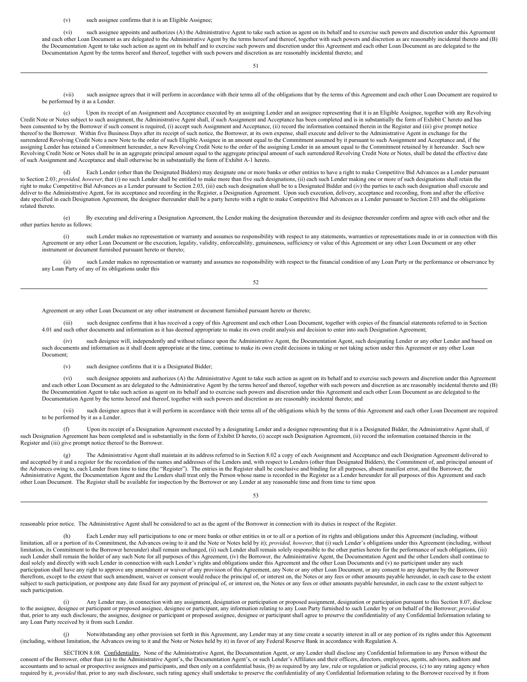(v) such assignee confirms that it is an Eligible Assignee;

(vi) such assignee appoints and authorizes (A) the Administrative Agent to take such action as agent on its behalf and to exercise such powers and discretion under this Agreement and each other Loan Document as are delegated to the Administrative Agent by the terms hereof and thereof, together with such powers and discretion as are reasonably incidental thereto and (B) the Documentation Agent to take such action as agent on its behalf and to exercise such powers and discretion under this Agreement and each other Loan Document as are delegated to the Documentation Agent by the terms hereof and thereof, together with such powers and discretion as are reasonably incidental thereto; and

51

(vii) such assignee agrees that it will perform in accordance with their terms all of the obligations that by the terms of this Agreement and each other Loan Document are required to be performed by it as a Lender.

(c) Upon its receipt of an Assignment and Acceptance executed by an assigning Lender and an assignee representing that it is an Eligible Assignee, together with any Revolving Credit Note or Notes subject to such assignment, the Administrative Agent shall, if such Assignment and Acceptance has been completed and is in substantially the form of Exhibit C hereto and has been consented to by the Borrower if such consent is required, (i) accept such Assignment and Acceptance, (ii) record the information contained therein in the Register and (iii) give prompt notice thereof to the Borrower. Within five Business Days after its receipt of such notice, the Borrower, at its own expense, shall execute and deliver to the Administrative Agent in exchange for the surrendered Revolving Credit Note a new Note to the order of such Eligible Assignee in an amount equal to the Commitment assumed by it pursuant to such Assignment and Acceptance and, if the assigning Lender has retained a Commitment hereunder, a new Revolving Credit Note to the order of the assigning Lender in an amount equal to the Commitment retained by it hereunder. Such new Revolving Credit Note or Notes shall be in an aggregate principal amount equal to the aggregate principal amount of such surrendered Revolving Credit Note or Notes, shall be dated the effective date of such Assignment and Acceptance and shall otherwise be in substantially the form of Exhibit A-1 hereto.

(d) Each Lender (other than the Designated Bidders) may designate one or more banks or other entities to have a right to make Competitive Bid Advances as a Lender pursuant to Section 2.03; *provided, however*, that (i) no such Lender shall be entitled to make more than five such designations, (ii) each such Lender making one or more of such designations shall retain the right to make Competitive Bid Advances as a Lender pursuant to Section 2.03, (iii) each such designation shall be to a Designated Bidder and (iv) the parties to each such designation shall execute and deliver to the Administrative Agent, for its acceptance and recording in the Register, a Designation Agreement. Upon such execution, delivery, acceptance and recording, from and after the effective date specified in each Designation Agreement, the designee thereunder shall be a party hereto with a right to make Competitive Bid Advances as a Lender pursuant to Section 2.03 and the obligations related thereto.

(e) By executing and delivering a Designation Agreement, the Lender making the designation thereunder and its designee thereunder confirm and agree with each other and the other parties hereto as follows:

(i) such Lender makes no representation or warranty and assumes no responsibility with respect to any statements, warranties or representations made in or in connection with this Agreement or any other Loan Document or the execution, legality, validity, enforceability, genuineness, sufficiency or value of this Agreement or any other Loan Document or any other instrument or document furnished pursuant hereto or thereto;

(ii) such Lender makes no representation or warranty and assumes no responsibility with respect to the financial condition of any Loan Party or the performance or observance by any Loan Party of any of its obligations under this

52

Agreement or any other Loan Document or any other instrument or document furnished pursuant hereto or thereto;

(iii) such designee confirms that it has received a copy of this Agreement and each other Loan Document, together with copies of the financial statements referred to in Section 4.01 and such other documents and information as it has deemed appropriate to make its own credit analysis and decision to enter into such Designation Agreement;

(iv) such designee will, independently and without reliance upon the Administrative Agent, the Documentation Agent, such designating Lender or any other Lender and based on such documents and information as it shall deem appropriate at the time, continue to make its own credit decisions in taking or not taking action under this Agreement or any other Loan Document;

(v) such designee confirms that it is a Designated Bidder;

(vi) such designee appoints and authorizes (A) the Administrative Agent to take such action as agent on its behalf and to exercise such powers and discretion under this Agreement and each other Loan Document as are delegated to the Administrative Agent by the terms hereof and thereof, together with such powers and discretion as are reasonably incidental thereto and (B) the Documentation Agent to take such action as agent on its behalf and to exercise such powers and discretion under this Agreement and each other Loan Document as are delegated to the Documentation Agent by the terms hereof and thereof, together with such powers and discretion as are reasonably incidental thereto; and

(vii) such designee agrees that it will perform in accordance with their terms all of the obligations which by the terms of this Agreement and each other Loan Document are required to be performed by it as a Lender.

(f) Upon its receipt of a Designation Agreement executed by a designating Lender and a designee representing that it is a Designated Bidder, the Administrative Agent shall, if such Designation Agreement has been completed and is substantially in the form of Exhibit D hereto, (i) accept such Designation Agreement, (ii) record the information contained therein in the Register and (iii) give prompt notice thereof to the Borrower.

(g) The Administrative Agent shall maintain at its address referred to in Section 8.02 a copy of each Assignment and Acceptance and each Designation Agreement delivered to and accepted by it and a register for the recordat the Advances owing to, each Lender from time to time (the "Register"). The entries in the Register shall be conclusive and binding for all purposes, absent manifest error, and the Borrower, the Administrative Agent, the Documentation Agent and the Lenders shall treat only the Person whose name is recorded in the Register as a Lender hereunder for all purposes of this Agreement and each other Loan Document. The Register shall be available for inspection by the Borrower or any Lender at any reasonable time and from time to time upon

53

reasonable prior notice. The Administrative Agent shall be considered to act as the agent of the Borrower in connection with its duties in respect of the Register.

Each Lender may sell participations to one or more banks or other entities in or to all or a portion of its rights and obligations under this Agreement (including, without limitation, all or a portion of its Commitment, the Advances owing to it and the Note or Notes held by it); *provided, however*, that (i) such Lender's obligations under this Agreement (including, without limitation, its Commitment to the Borrower hereunder) shall remain unchanged, (ii) such Lender shall remain solely responsible to the other parties hereto for the performance of such obligations, (iii) such Lender shall remain the holder of any such Note for all purposes of this Agreement, (iv) the Borrower, the Administrative Agent, the Documentation Agent and the other Lenders shall continue to deal solely and directly with such Lender in connection with such Lender's rights and obligations under this Agreement and the other Loan Documents and (v) no participant under any such participation shall have any right to approve any amendment or waiver of any provision of this Agreement, any Note or any other Loan Document, or any consent to any departure by the Borrower therefrom, except to the extent that such amendment, waiver or consent would reduce the principal of, or interest on, the Notes or any fees or other amounts payable hereunder, in each case to the extent subject to such participation, or postpone any date fixed for any payment of principal of, or interest on, the Notes or any fees or other amounts payable hereunder, in each case to the extent subject to such participation.

Any Lender may, in connection with any assignment, designation or participation or proposed assignment, designation or participation pursuant to this Section 8.07, disclose to the assignee, designee or participant or proposed assignee, designee or participant, any information relating to any Loan Party furnished to such Lender by or on behalf of the Borrower; *provided* that, prior to any such disclosure, the assignee, designee or participant or proposed assignee, designee or participant shall agree to preserve the confidentiality of any Confidential Information relating to any Loan Party received by it from such Lender.

(j) Notwithstanding any other provision set forth in this Agreement, any Lender may at any time create a security interest in all or any portion of its rights under this Agreement (including, without limitation, the Advances owing to it and the Note or Notes held by it) in favor of any Federal Reserve Bank in accordance with Regulation A.

<span id="page-60-0"></span>SECTION 8.08. Confidentiality. None of the Administrative Agent, the Documentation Agent, or any Lender shall disclose any Confidential Information to any Person without the consent of the Borrower, other than (a) to the A accountants and to actual or prospective assignees and participants, and then only on a confidential basis, (b) as required by any law, rule or regulation or judicial process, (c) to any rating agency when required by it, *provided* that, prior to any such disclosure, such rating agency shall undertake to preserve the confidentiality of any Confidential Information relating to the Borrower received by it from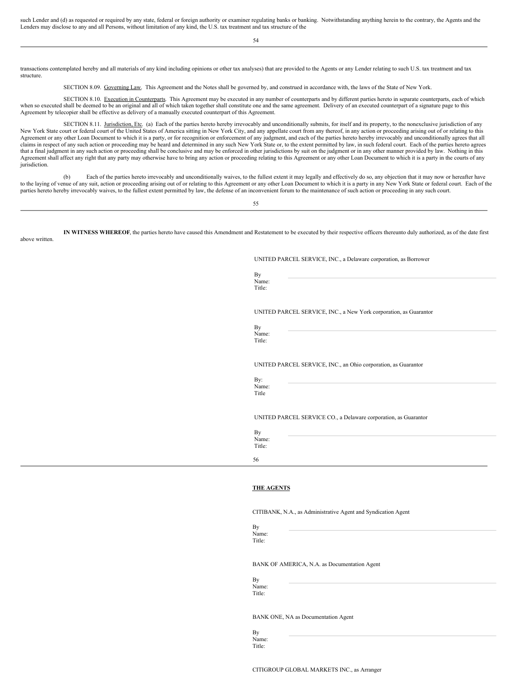such Lender and (d) as requested or required by any state, federal or foreign authority or examiner regulating banks or banking. Notwithstanding anything herein to the contrary, the Agents and the Lenders may disclose to any and all Persons, without limitation of any kind, the U.S. tax treatment and tax structure of the

54

transactions contemplated hereby and all materials of any kind including opinions or other tax analyses) that are provided to the Agents or any Lender relating to such U.S. tax treatment and tax structure.

<span id="page-61-2"></span><span id="page-61-1"></span><span id="page-61-0"></span>SECTION 8.09. Governing Law. This Agreement and the Notes shall be governed by, and construed in accordance with, the laws of the State of New York.

SECTION 8.10. Execution in Counterparts. This Agreement may be executed in any number of counterparts and by different parties hereto in separate counterparts, each of which when so executed shall be deemed to be an original and all of which taken together shall constitute one and the same agreement. Delivery of an executed counterpart of a signature page to this Agreement by telecopier shall be effective as delivery of a manually executed counterpart of this Agreement.

SECTION 8.11. Jurisdiction, Etc. (a) Each of the parties hereto hereby irrevocably and unconditionally submits, for itself and its property, to the nonexclusive jurisdiction of any New York State court or federal court of the United States of America sitting in New York City, and any appellate court from any thereof, in any action or proceeding arising out of or relating to this Agreement or any other Loan Document to which it is a party, or for recognition or enforcement of any judgment, and each of the parties hereto hereby irrevocably and unconditionally agrees that all claims in respect of any such action or proceeding may be heard and determined in any such New York State or, to the extent permitted by law, in such federal court. Each of the parties hereto agrees that a final judgment in any such action or proceeding shall be conclusive and may be enforced in other jurisdictions by suit on the judgment or in any other manner provided by law. Nothing in this Agreement shall affect any right that any party may otherwise have to bring any action or proceeding relating to this Agreement or any other Loan Document to which it is a party in the courts of any jurisdiction.

(b) Each of the parties hereto irrevocably and unconditionally waives, to the fullest extent it may legally and effectively do so, any objection that it may now or hereafter have to the laying of venue of any suit, action or proceeding arising out of or relating to this Agreement or any other Loan Document to which it is a party in any New York State or federal court. Each of the parties hereto hereby irrevocably waives, to the fullest extent permitted by law, the defense of an inconvenient forum to the maintenance of such action or proceeding in any such court.

55

**IN WITNESS WHEREOF**, the parties hereto have caused this Amendment and Restatement to be executed by their respective officers thereunto duly authorized, as of the date first above written

UNITED PARCEL SERVICE, INC., a Delaware corporation, as Borrower

By Name: Title:

UNITED PARCEL SERVICE, INC., a New York corporation, as Guarantor

By Name: Title:

UNITED PARCEL SERVICE, INC., an Ohio corporation, as Guarantor

By: Name: Title

UNITED PARCEL SERVICE CO., a Delaware corporation, as Guarantor

| By<br>Name:<br>Title: |  |  |
|-----------------------|--|--|
| 56                    |  |  |

#### **THE AGENTS**

CITIBANK, N.A., as Administrative Agent and Syndication Agent

Name:

BANK OF AMERICA, N.A. as Documentation Agent

By Name: Title:

By

Title:

BANK ONE, NA as Documentation Agent

By Name: Title:

CITIGROUP GLOBAL MARKETS INC., as Arranger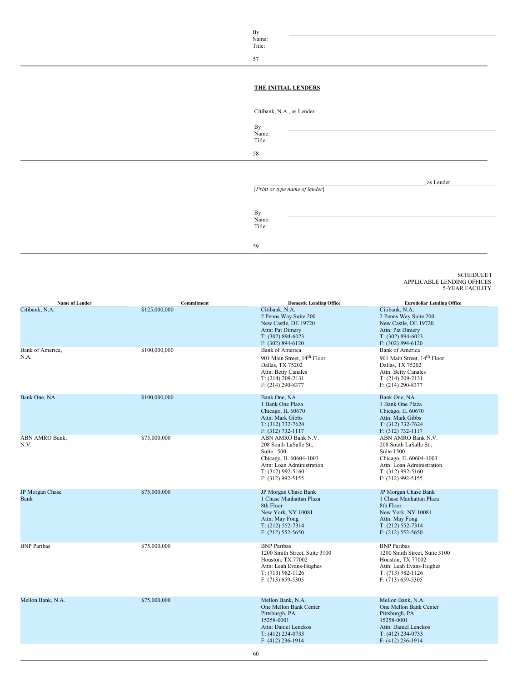By Name: Title:

57

## **THE INITIAL LENDERS**

Citibank, N.A., as Lender

58

By Name: Title:

, as Lender

[*Print or type name of lender*]

By Name: Title:

59

<span id="page-62-0"></span>SCHEDULE I APPLICABLE LENDING OFFICES 5-YEAR FACILITY

| Name of Lender                             | Commitment                     | <b>Domestic Lending Office</b>                                                                                                                                                                    | <b>Eurodollar Lending Office</b>                                                                                                                                                                  |
|--------------------------------------------|--------------------------------|---------------------------------------------------------------------------------------------------------------------------------------------------------------------------------------------------|---------------------------------------------------------------------------------------------------------------------------------------------------------------------------------------------------|
| Citibank, N.A.<br>Bank of America,<br>N.A. | \$125,000,000<br>\$100,000,000 | Citibank, N.A.<br>2 Penns Way Suite 200<br>New Castle, DE 19720<br>Attn: Pat Dimery<br>$T: (302) 894-6023$<br>$F: (302) 894 - 6120$<br>Bank of America<br>901 Main Street, 14 <sup>th</sup> Floor | Citibank, N.A.<br>2 Penns Way Suite 200<br>New Castle, DE 19720<br>Attn: Pat Dimery<br>$T: (302) 894-6023$<br>$F: (302) 894 - 6120$<br>Bank of America<br>901 Main Street, 14 <sup>th</sup> Floor |
|                                            |                                | Dallas, TX 75202<br>Attn: Betty Canales<br>$T: (214) 209 - 2131$<br>$F: (214) 290 - 8377$                                                                                                         | Dallas, TX 75202<br>Attn: Betty Canales<br>$T: (214) 209 - 2131$<br>$F: (214) 290 - 8377$                                                                                                         |
| Bank One, NA                               | \$100,000,000                  | Bank One, NA<br>1 Bank One Plaza<br>Chicago, IL 60670<br>Attn: Mark Gibbs<br>$T: (312) 732 - 7624$<br>$F: (312) 732 - 1117$                                                                       | Bank One, NA<br>1 Bank One Plaza<br>Chicago, IL 60670<br>Attn: Mark Gibbs<br>$T: (312) 732 - 7624$<br>$F: (312) 732 - 1117$                                                                       |
| ABN AMRO Bank,<br>N.V.                     | \$75,000,000                   | ABN AMRO Bank N.V.<br>208 South LaSalle St.,<br>Suite 1500<br>Chicago, IL 60604-1003<br>Attn: Loan Administration<br>$T: (312)$ 992-5160<br>$F: (312)$ 992-5155                                   | ABN AMRO Bank N.V.<br>208 South LaSalle St.,<br>Suite 1500<br>Chicago, IL 60604-1003<br>Attn: Loan Administration<br>$T: (312)$ 992-5160<br>$F: (312)$ 992-5155                                   |
| JP Morgan Chase<br><b>Bank</b>             | \$75,000,000                   | JP Morgan Chase Bank<br>1 Chase Manhattan Plaza<br>8th Floor<br>New York, NY 10081<br>Attn: May Fong<br>$T: (212) 552 - 7314$<br>$F: (212) 552 - 5650$                                            | JP Morgan Chase Bank<br>1 Chase Manhattan Plaza<br>8th Floor<br>New York, NY 10081<br>Attn: May Fong<br>$T: (212) 552 - 7314$<br>$F: (212) 552 - 5650$                                            |
| <b>BNP</b> Paribas                         | \$75,000,000                   | <b>BNP</b> Paribas<br>1200 Smith Street, Suite 3100<br>Houston, TX 77002<br>Attn: Leah Evans-Hughes<br>$T: (713) 982 - 1126$<br>$F: (713) 659 - 5305$                                             | <b>BNP</b> Paribas<br>1200 Smith Street, Suite 3100<br>Houston, TX 77002<br>Attn: Leah Evans-Hughes<br>$T: (713) 982 - 1126$<br>$F: (713) 659 - 5305$                                             |
| Mellon Bank, N.A.                          | \$75,000,000                   | Mellon Bank, N.A.<br>One Mellon Bank Center<br>Pittsburgh, PA<br>15258-0001<br>Attn: Daniel Lenckos<br>$T: (412)$ 234-0733<br>$F: (412)$ 236-1914                                                 | Mellon Bank, N.A.<br>One Mellon Bank Center<br>Pittsburgh, PA<br>15258-0001<br>Attn: Daniel Lenckos<br>$T: (412)$ 234-0733<br>$F: (412)$ 236-1914                                                 |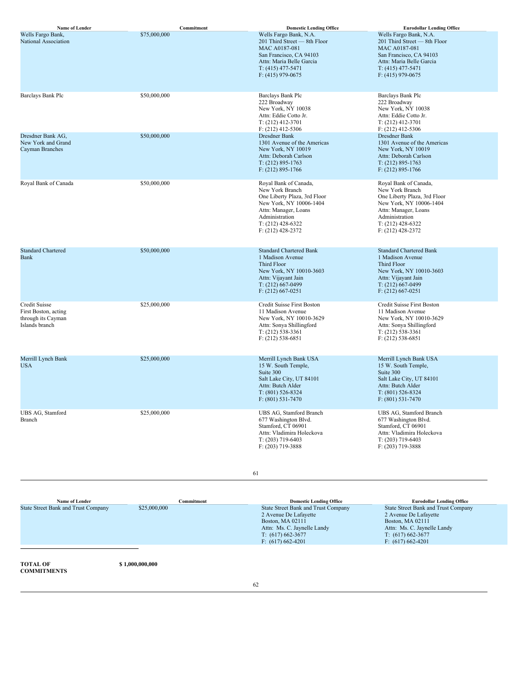| Name of Lender                                                                | Commitment   | <b>Domestic Lending Office</b>                                                                                                                                                              | <b>Eurodollar Lending Office</b>                                                                                                                                                            |
|-------------------------------------------------------------------------------|--------------|---------------------------------------------------------------------------------------------------------------------------------------------------------------------------------------------|---------------------------------------------------------------------------------------------------------------------------------------------------------------------------------------------|
| Wells Fargo Bank,<br>National Association                                     | \$75,000,000 | Wells Fargo Bank, N.A.<br>201 Third Street - 8th Floor<br>MAC A0187-081<br>San Francisco, CA 94103<br>Attn: Maria Belle Garcia<br>$T: (415)$ 477-5471<br>$F: (415)$ 979-0675                | Wells Fargo Bank, N.A.<br>201 Third Street - 8th Floor<br>MAC A0187-081<br>San Francisco, CA 94103<br>Attn: Maria Belle Garcia<br>$T: (415)$ 477-5471<br>$F: (415)$ 979-0675                |
| Barclays Bank Plc                                                             | \$50,000,000 | Barclays Bank Plc<br>222 Broadway<br>New York, NY 10038<br>Attn: Eddie Cotto Jr.<br>$T: (212)$ 412-3701<br>$F: (212)$ 412-5306                                                              | Barclays Bank Plc<br>222 Broadway<br>New York, NY 10038<br>Attn: Eddie Cotto Jr.<br>$T: (212)$ 412-3701<br>$F: (212)$ 412-5306                                                              |
| Dresdner Bank AG,<br>New York and Grand<br>Cayman Branches                    | \$50,000,000 | Dresdner Bank<br>1301 Avenue of the Americas<br>New York, NY 10019<br>Attn: Deborah Carlson<br>$T: (212) 895 - 1763$<br>$F: (212) 895 - 1766$                                               | Dresdner Bank<br>1301 Avenue of the Americas<br>New York, NY 10019<br>Attn: Deborah Carlson<br>$T: (212) 895 - 1763$<br>$F: (212) 895 - 1766$                                               |
| Royal Bank of Canada                                                          | \$50,000,000 | Royal Bank of Canada,<br>New York Branch<br>One Liberty Plaza, 3rd Floor<br>New York, NY 10006-1404<br>Attn: Manager, Loans<br>Administration<br>$T: (212)$ 428-6322<br>$F: (212)$ 428-2372 | Royal Bank of Canada,<br>New York Branch<br>One Liberty Plaza, 3rd Floor<br>New York, NY 10006-1404<br>Attn: Manager, Loans<br>Administration<br>$T: (212)$ 428-6322<br>$F: (212)$ 428-2372 |
| <b>Standard Chartered</b><br><b>Bank</b>                                      | \$50,000,000 | <b>Standard Chartered Bank</b><br>1 Madison Avenue<br>Third Floor<br>New York, NY 10010-3603<br>Attn: Vijayant Jain<br>$T: (212)$ 667-0499<br>$F: (212) 667 - 0251$                         | <b>Standard Chartered Bank</b><br>1 Madison Avenue<br><b>Third Floor</b><br>New York, NY 10010-3603<br>Attn: Vijayant Jain<br>$T: (212) 667-0499$<br>$F: (212) 667 - 0251$                  |
| Credit Suisse<br>First Boston, acting<br>through its Cayman<br>Islands branch | \$25,000,000 | Credit Suisse First Boston<br>11 Madison Avenue<br>New York, NY 10010-3629<br>Attn: Sonya Shillingford<br>$T: (212) 538-3361$<br>$F: (212) 538-6851$                                        | Credit Suisse First Boston<br>11 Madison Avenue<br>New York, NY 10010-3629<br>Attn: Sonya Shillingford<br>$T: (212) 538-3361$<br>$F: (212) 538-6851$                                        |
| Merrill Lynch Bank<br>USA                                                     | \$25,000,000 | Merrill Lynch Bank USA<br>15 W. South Temple,<br>Suite 300<br>Salt Lake City, UT 84101<br>Attn: Butch Alder<br>$T: (801) 526 - 8324$<br>$F: (801) 531 - 7470$                               | Merrill Lynch Bank USA<br>15 W. South Temple,<br>Suite 300<br>Salt Lake City, UT 84101<br>Attn: Butch Alder<br>$T: (801) 526 - 8324$<br>$F: (801) 531 - 7470$                               |
| UBS AG, Stamford<br>Branch                                                    | \$25,000,000 | UBS AG, Stamford Branch<br>677 Washington Blvd.<br>Stamford, CT 06901<br>Attn: Vladimira Holeckova<br>T: (203) 719-6403<br>F: (203) 719-3888                                                | UBS AG, Stamford Branch<br>677 Washington Blvd.<br>Stamford, CT 06901<br>Attn: Vladimira Holeckova<br>$T: (203)$ 719-6403<br>$F: (203)$ 719-3888                                            |
|                                                                               |              | 61                                                                                                                                                                                          |                                                                                                                                                                                             |
|                                                                               |              |                                                                                                                                                                                             |                                                                                                                                                                                             |

Name of Lender Company Commitment Commitment Domestic Lending Office Eurodollar Lending Office<br>State Street Bank and Trust Company S25,000,000 State Street Bank and Trust Company State Street Bank and Trust Company 2 Avenue De Lafayette Boston, MA 02111 Attn: Ms. C. Jaynelle Landy T: (617) 662-3677 F: (617) 662-4201 State Street Bank and Trust Company 2 Avenue De Lafayette Boston, MA 02111 Attn: Ms. C. Jaynelle Landy T: (617) 662-3677 F: (617) 662-4201 **TOTAL OF COMMITMENTS \$ 1,000,000,000** 62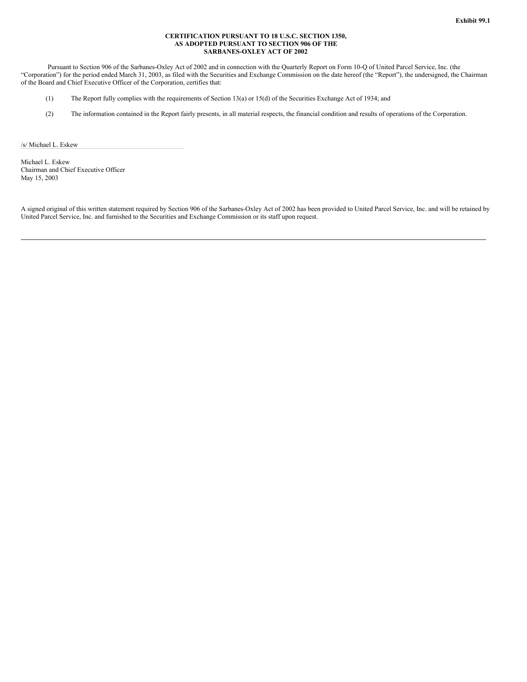#### **CERTIFICATION PURSUANT TO 18 U.S.C. SECTION 1350, AS ADOPTED PURSUANT TO SECTION 906 OF THE SARBANES-OXLEY ACT OF 2002**

Pursuant to Section 906 of the Sarbanes-Oxley Act of 2002 and in connection with the Quarterly Report on Form 10-Q of United Parcel Service, Inc. (the "Corporation") for the period ended March 31, 2003, as filed with the Securities and Exchange Commission on the date hereof (the "Report"), the undersigned, the Chairman of the Board and Chief Executive Officer of the Corporation, certifies that:

- (1) The Report fully complies with the requirements of Section 13(a) or 15(d) of the Securities Exchange Act of 1934; and
- (2) The information contained in the Report fairly presents, in all material respects, the financial condition and results of operations of the Corporation.

/s/ Michael L. Eskew

Michael L. Eskew Chairman and Chief Executive Officer May 15, 2003

A signed original of this written statement required by Section 906 of the Sarbanes-Oxley Act of 2002 has been provided to United Parcel Service, Inc. and will be retained by United Parcel Service, Inc. and furnished to the Securities and Exchange Commission or its staff upon request.